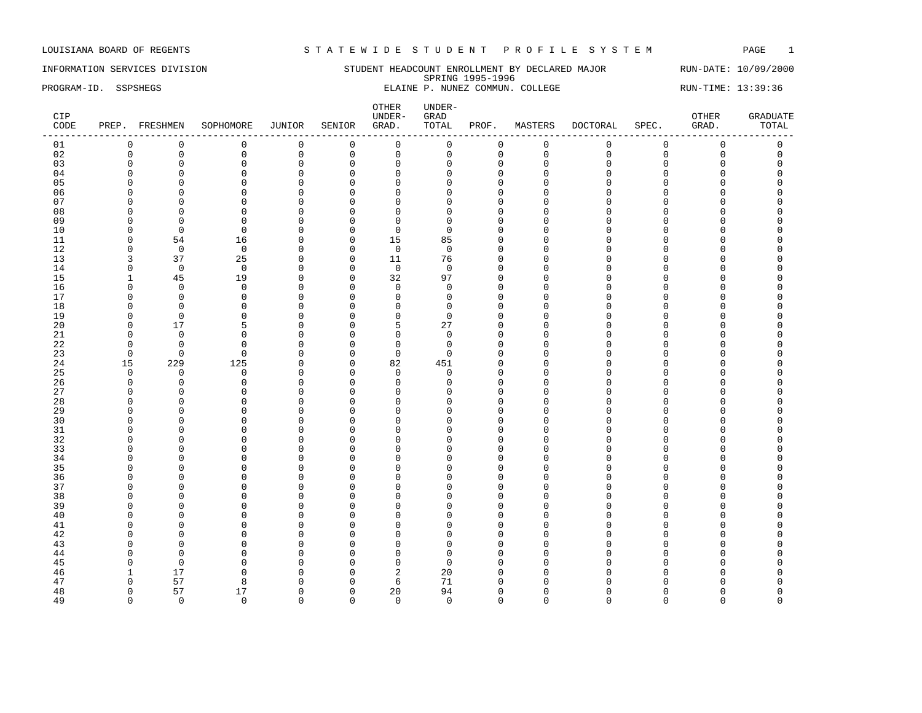INFORMATION SERVICES DIVISION STUDENT HEADCOUNT ENROLLMENT BY DECLARED MAJOR RUN-DATE: 10/09/2000 SPRING 1995-1996 PROGRAM-ID. SSPSHEGS ELAINE P. NUNEZ COMMUN. COLLEGE RUN-TIME: 13:39:36

| CIP<br>CODE |              | PREP. FRESHMEN | SOPHOMORE         | JUNIOR       | SENIOR         | OTHER<br>UNDER-<br>GRAD. | UNDER-<br>${\tt GRAD}$<br>TOTAL | PROF.        | MASTERS      | DOCTORAL    | SPEC.       | OTHER<br>GRAD.      | <b>GRADUATE</b><br>TOTAL |
|-------------|--------------|----------------|-------------------|--------------|----------------|--------------------------|---------------------------------|--------------|--------------|-------------|-------------|---------------------|--------------------------|
| 01          | $\mathbf 0$  | $\mathbf 0$    | $\mathsf 0$       | $\mathsf 0$  | $\overline{0}$ | $\mathsf 0$              | 0                               | $\mathsf 0$  | $\mathsf 0$  | $\mathbf 0$ | $\mathsf 0$ | $\mathsf 0$         | $\mathsf 0$              |
| 02          | $\mathbf 0$  | $\mathsf 0$    | $\mathbf 0$       | $\mathsf 0$  | $\mathsf 0$    | $\mathsf{O}$             | $\mathbf 0$                     | 0            | $\mathbf 0$  | $\Omega$    | $\mathbf 0$ | $\mathsf{O}\xspace$ | $\mathsf 0$              |
| 03          | $\mathbf 0$  | $\mathbf 0$    | $\mathbf 0$       | $\mathbf 0$  | $\mathbf 0$    | $\mathbf 0$              | $\Omega$                        | $\mathbf{0}$ | $\mathbf 0$  | $\Omega$    | $\mathbf 0$ | $\mathbf 0$         | $\Omega$                 |
| 04          | $\Omega$     | $\mathbf 0$    | $\mathbf 0$       | $\mathsf 0$  | $\mathbf 0$    | $\mathbf 0$              | $\Omega$                        | $\mathbf{0}$ | $\Omega$     | $\cap$      | $\Omega$    | $\Omega$            | $\Omega$                 |
| 05          |              | $\Omega$       | $\Omega$          | $\mathbf 0$  | $\Omega$       | $\mathbf 0$              | U                               | $\Omega$     | n            | ∩           | C           | O                   |                          |
| 06          | n            | $\Omega$       | $\Omega$          | $\mathbf 0$  | $\Omega$       | $\Omega$                 |                                 | $\Omega$     | n            | $\cap$      | $\Omega$    | O                   |                          |
| 07          | <sup>0</sup> | $\mathbf 0$    | $\mathbf 0$       | $\mathsf 0$  | $\mathbf 0$    | $\Omega$                 | U                               | $\Omega$     | ∩            |             | C           | 0                   |                          |
| 08          | $\Omega$     | $\Omega$       | $\Omega$          | $\mathbf 0$  | $\Omega$       | $\mathbf 0$              | $\Omega$                        | $\Omega$     | $\cap$       |             | $\cap$      | O                   |                          |
| 09          | ∩            | $\Omega$       | $\Omega$          | $\mathbf 0$  | $\Omega$       | $\mathbf 0$              | ∩                               | $\Omega$     | Λ            |             | U           | U                   |                          |
| 10          | $\Omega$     | $\overline{0}$ | $\Omega$          | $\mathbf{0}$ | $\mathbf 0$    | $\mathbf 0$              | <sup>0</sup>                    | $\Omega$     | ∩            |             | C           | O                   |                          |
| 11          | $\Omega$     | 54             | 16                | $\mathbf{0}$ | $\mathbf 0$    | 15                       | 85                              | $\Omega$     | $\Omega$     | $\cap$      | $\cap$      | O                   |                          |
| 12          | $\Omega$     | $\overline{0}$ |                   | $\mathbf 0$  |                |                          | $\Omega$                        | $\Omega$     | ∩            | n           | U           | O                   |                          |
| 13          |              | 37             | $\mathbf 0$<br>25 |              | $\overline{0}$ | $\mathbf 0$              |                                 |              | $\Omega$     |             | C           | O                   |                          |
|             | 3            |                |                   | 0            | $\mathbf 0$    | 11                       | 76                              | $\mathbf 0$  | U            |             | $\cap$      | O                   |                          |
| 14          | $\mathbf 0$  | $\mathbf 0$    | $\mathbf 0$       | 0            | $\mathbf 0$    | $\mathbf 0$              | $\mathbf 0$                     | $\Omega$     |              |             |             |                     |                          |
| 15          | 1            | 45             | 19                | $\Omega$     | $\Omega$       | 32                       | 97                              | $\Omega$     | ∩            |             |             | U                   |                          |
| 16          | $\Omega$     | $\mathbf 0$    | $\mathbf 0$       | $\mathbf 0$  | $\mathbf 0$    | $\mathbf 0$              | $\mathbf 0$                     | $\mathbf 0$  | n            |             | O           | 0                   |                          |
| 17          | $\Omega$     | $\mathbf 0$    | $\Omega$          | 0            | $\Omega$       | $\mathbf 0$              | $\Omega$                        | $\Omega$     | ∩            |             | C           | O                   |                          |
| 18          | $\Omega$     | $\Omega$       | $\Omega$          | $\mathbf 0$  | $\Omega$       | $\mathbf 0$              | $\Omega$                        | $\Omega$     | ∩            |             | C           | O                   |                          |
| 19          | $\Omega$     | $\Omega$       | $\Omega$          | $\mathbf 0$  | $\Omega$       | $\mathbf 0$              | $\Omega$                        | $\Omega$     | $\Omega$     |             | C           | O                   |                          |
| 20          | $\Omega$     | 17             | 5                 | $\mathbf 0$  | $\mathbf 0$    | 5                        | 27                              | $\Omega$     | $\Omega$     |             | C           | O                   |                          |
| 21          | $\Omega$     | $\overline{0}$ | $\Omega$          | $\mathbf 0$  | $\mathbf 0$    | $\mathbf 0$              | $\Omega$                        | $\Omega$     | $\Omega$     | $\cap$      | $\cap$      | O                   |                          |
| 22          | $\Omega$     | $\Omega$       | $\Omega$          | $\mathbf 0$  | $\Omega$       | $\mathbf 0$              | $\Omega$                        | $\Omega$     | ∩            | ∩           | U           | O                   |                          |
| 23          | $\mathbf 0$  | $\mathbf 0$    | $\Omega$          | $\mathsf 0$  | $\mathbf 0$    | $\mathsf 0$              | $\Omega$                        | $\Omega$     | $\cap$       |             | C           | O                   |                          |
| 24          | 15           | 229            | 125               | $\mathbf 0$  | $\mathbf 0$    | 82                       | 451                             | $\Omega$     | $\cap$       |             | $\cap$      | O                   |                          |
| 25          | $\Omega$     | $\Omega$       | $\Omega$          | $\Omega$     | $\Omega$       | $\mathbf 0$              | $\Omega$                        | $\Omega$     | n            |             | n           | U                   |                          |
| 26          | $\Omega$     | $\mathbf 0$    | $\mathbf 0$       | $\mathbf{0}$ | $\mathbf 0$    | $\mathbf 0$              | $\Omega$                        | $\Omega$     |              |             | $\Omega$    | 0                   |                          |
| 27          | ∩            | $\overline{0}$ | $\Omega$          | $\mathbf 0$  | $\mathbf 0$    | $\mathbf 0$              |                                 | $\Omega$     | Λ            | ∩           | C           | 0                   |                          |
| 28          | ∩            | $\Omega$       | $\Omega$          | $\mathbf{0}$ | $\Omega$       | $\overline{0}$           | ∩                               | $\Omega$     | ∩            |             | U           | O                   |                          |
| 29          | $\Omega$     | $\overline{0}$ | $\Omega$          | $\mathbf 0$  | 0              | $\mathbf{0}$             | U                               | $\Omega$     | U            |             | C           | O                   |                          |
| 30          | ∩            | $\Omega$       | $\Omega$          | $\mathbf{0}$ | $\Omega$       | $\Omega$                 |                                 | $\cap$       | ∩            |             | C           | U                   |                          |
| 31          | ∩            | $\mathbf 0$    | $\Omega$          | $\mathbf{0}$ | $\Omega$       | $\overline{0}$           | n                               | $\Omega$     | ∩            |             | C           | O                   |                          |
| 32          | ∩            | $\Omega$       | $\Omega$          | $\mathbf{0}$ | $\Omega$       | $\Omega$                 |                                 | $\Omega$     | ∩            |             |             | O                   |                          |
| 33          | ∩            | $\Omega$       | $\Omega$          | $\mathbf 0$  | $\Omega$       | $\mathbf 0$              |                                 | $\Omega$     | Λ            |             | C           | O                   |                          |
| 34          | $\Omega$     | $\mathbf 0$    | $\Omega$          | 0            | $\Omega$       | $\mathbf 0$              | $\cap$                          | $\Omega$     | $\cap$       |             | $\cap$      | O                   |                          |
| 35          | ∩            | $\Omega$       | $\Omega$          | $\Omega$     | $\Omega$       | $\Omega$                 |                                 | $\cap$       | ∩            |             | U           | U                   |                          |
| 36          |              | $\overline{0}$ | $\Omega$          | $\mathbf{0}$ | $\mathbf 0$    | $\overline{0}$           |                                 | $\Omega$     |              |             | C           | O                   |                          |
| 37          |              | $\overline{0}$ | $\Omega$          | $\mathbf{0}$ | $\Omega$       | $\Omega$                 | n                               | $\Omega$     | ∩            |             | n           | O                   |                          |
| 38          | ∩            | $\Omega$       | $\Omega$          | $\mathbf{0}$ | $\Omega$       | $\mathbf 0$              | U                               | $\Omega$     | ∩            |             | U           | O                   |                          |
| 39          | $\Omega$     | $\overline{0}$ | $\Omega$          | 0            | $\mathbf 0$    | $\mathbf 0$              | U                               | $\mathbf 0$  | $\Omega$     |             | C           | 0                   |                          |
| 40          | ∩            | $\Omega$       | $\Omega$          | $\mathbf 0$  | $\mathbf 0$    | $\Omega$                 |                                 | $\Omega$     | $\cap$       |             | $\cap$      | U                   |                          |
| 41          | n            | $\Omega$       | $\Omega$          | $\mathbf{0}$ | $\Omega$       | $\overline{0}$           | U                               | $\Omega$     | ∩            |             | C           | U                   |                          |
| 42          |              | $\mathbf 0$    | $\mathbf 0$       | $\mathbf{0}$ | 0              | $\Omega$                 | U                               | $\mathbf 0$  | <sup>0</sup> | ∩           | C           | O                   |                          |
| 43          | ∩            | $\Omega$       | $\Omega$          | $\mathbf 0$  | $\mathbf 0$    | $\mathbf 0$              | U                               | $\Omega$     | n            |             | n           | O                   |                          |
| 44          | ∩            | $\Omega$       | $\Omega$          | $\mathbf 0$  | $\Omega$       | $\mathbf 0$              | n                               | $\Omega$     |              |             |             | O                   |                          |
| 45          | n            | $\overline{0}$ | $\Omega$          | $\mathbf 0$  | $\Omega$       | $\mathbf 0$              | $\Omega$                        | $\Omega$     | ∩            |             | C           | U                   |                          |
| 46          | 1            | 17             | $\Omega$          | $\mathbf{0}$ | $\Omega$       | $\overline{c}$           | 20                              | $\Omega$     |              |             |             | O                   |                          |
| 47          | $\Omega$     | 57             | 8                 | $\mathbf 0$  | $\Omega$       | 6                        | 71                              | $\Omega$     |              |             |             | U                   |                          |
| 48          | $\Omega$     | 57             | 17                | $\mathbf 0$  | $\mathbf 0$    | 20                       | 94                              | $\Omega$     | n            |             | C           | O                   | $\Omega$                 |
| 49          | $\Omega$     | $\Omega$       | $\Omega$          | $\Omega$     | $\Omega$       | $\Omega$                 | $\Omega$                        | $\Omega$     | $\Omega$     | $\Omega$    | $\Omega$    | $\Omega$            | $\Omega$                 |
|             |              |                |                   |              |                |                          |                                 |              |              |             |             |                     |                          |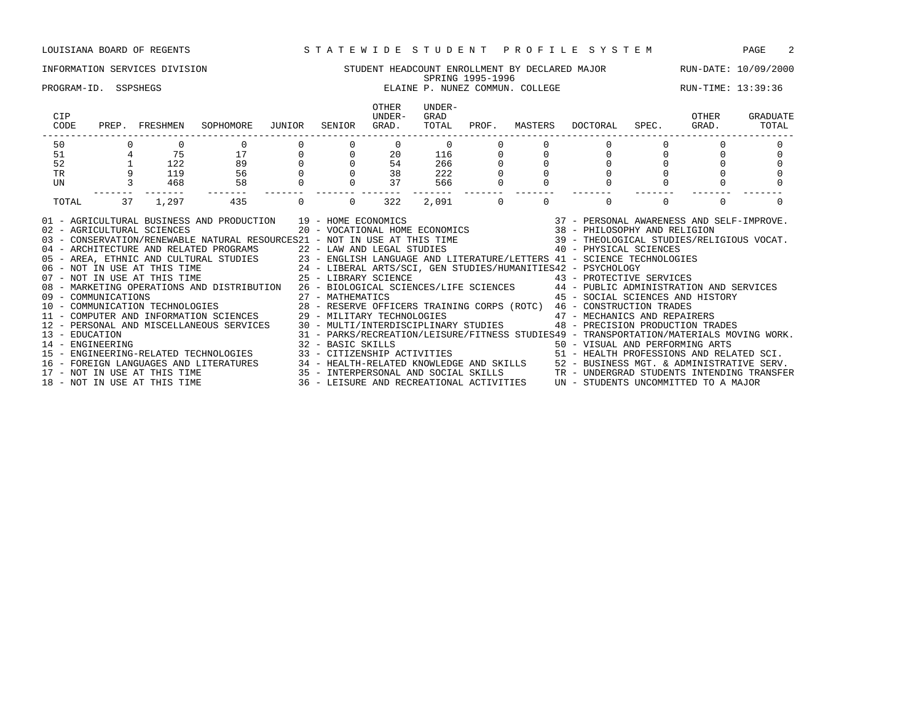### INFORMATION SERVICES DIVISION STUDENT HEADCOUNT ENROLLMENT BY DECLARED MAJOR RUN-DATE: 10/09/2000 SPRING 1995-1996 PROGRAM-ID. SSPSHEGS **ELAINE P. NUNEZ COMMUN. COLLEGE RUN-TIME:** 13:39:36 OTHER UNDER-<br>UNDER- GRAD CIP UNDER- GRAD OTHER GRADUATE CODE PREP. FRESHMEN SOPHOMORE JUNIOR SENIOR GRAD. TOTAL PROF. MASTERS DOCTORAL SPEC. GRAD. TOTAL ------------------------------------------------------------------------------------------------------------------------------------ 50 0 0 0 0 0 0 0 0 0 0 0 0 0 51 4 75 17 0 0 20 116 0 0 0 0 0 0 52 1 122 89 0 0 54 266 0 0 0 0 0 0 TR 9 119 56 0 0 38 222 0 0 0 0 0 0 UN 3 468 58 0 0 37 566 0 0 0 0 0 0 ------- ------- ------- ------- ------- ------- ------- ------- ------- ------- ------- ------- ------- TOTAL 37 1,297 435 0 0 322 2,091 0 0 0 0 0 0 01 - AGRICULTURAL BUSINESS AND PRODUCTION 19 - HOME ECONOMICS 37 - PERSONAL AWARENESS AND SELF-IMPROVE. 02 - AGRICULTURAL SCIENCES 20 - VOCATIONAL HOME ECONOMICS 38 - PHILOSOPHY AND RELIGION 03 - CONSERVATION/RENEWABLE NATURAL RESOURCES21 - NOT IN USE AT THIS TIME 39 - THEOLOGICAL STUDIES/RELIGIOUS VOCAT. 04 - ARCHITECTURE AND RELATED PROGRAMS 22 - LAW AND LEGAL STUDIES 40 - PHYSICAL SCIENCES 05 - AREA, ETHNIC AND CULTURAL STUDIES 23 - ENGLISH LANGUAGE AND LITERATURE/LETTERS 41 - SCIENCE TECHNOLOGIES<br>06 - NOT IN USE AT THIS TIME 24 - LIBERAL ARTS/SCI, GEN STUDIES/HUMANITIES42 - PSYCHOLOGY 06 - NOT IN USE AT THIS TIME 24 - LIBERAL ARTS/SCI, GEN STUDIES/HUMANITIES42 - PSYCHOLOGY 07 - NOT IN USE AT THIS TIME  $25$  - LIBRARY SCIENCE  $43$  - PROTECTIVE SERVICES 08 - MARKETING OPERATIONS AND DISTRIBUTION 26 - BIOLOGICAL SCIENCES/LIFE SCIENCES 44 - PUBLIC ADMINISTRATION AND SERVICES 09 - COMMUNICATIONS 27 - MATHEMATICS 45 - SOCIAL SCIENCES AND HISTORY 10 - COMMUNICATION TECHNOLOGIES 28 - RESERVE OFFICERS TRAINING CORPS (ROTC) 46 - CONSTRUCTION TRADES 11 - COMPUTER AND INFORMATION SCIENCES 29 - MILITARY TECHNOLOGIES 47 - MECHANICS AND REPAIRERS 12 - PERSONAL AND MISCELLANEOUS SERVICES 30 - MULTI/INTERDISCIPLINARY STUDIES 48 - PRECISION PRODUCTION TRADES

13 - EDUCATION 31 - PARKS/RECREATION/LEISURE/FITNESS STUDIES49 - TRANSPORTATION/MATERIALS MOVING WORK. 14 - ENGINEERING 32 - BASIC SKILLS 50 - VISUAL AND PERFORMING ARTS 15 - ENGINEERING-RELATED TECHNOLOGIES 33 - CITIZENSHIP ACTIVITIES 51 - HEALTH PROFESSIONS AND RELATED SCI.

16 - FOREIGN LANGUAGES AND LITERATURES 34 - HEALTH-RELATED KNOWLEDGE AND SKILLS 52 - BUSINESS MGT. & ADMINISTRATIVE SERV. 17 - NOT IN USE AT THIS TIME 35 - INTERPERSONAL AND SOCIAL SKILLS TR - UNDERGRAD STUDENTS INTENDING TRANSFER 18 - NOT IN USE AT THIS TIME 36 - LEISURE AND RECREATIONAL ACTIVITIES UN - STUDENTS UNCOMMITTED TO A MAJOR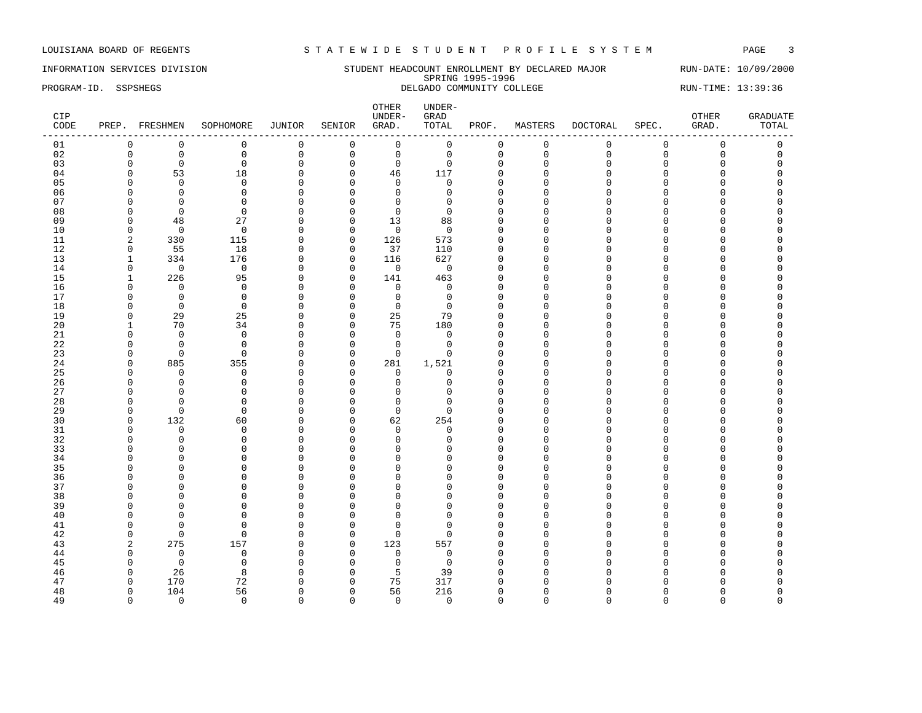INFORMATION SERVICES DIVISION SUNG STUDENT HEADCOUNT ENROLLMENT BY DECLARED MAJOR RUN-DATE: 10/09/2000<br>SPRING 1995-1996 SPRING 1995-1996 PROGRAM-ID. SSPSHEGS DELGADO COMMUNITY COLLEGE RUN-TIME: 13:39:36

| CIP<br>CODE |                | PREP. FRESHMEN | SOPHOMORE   | JUNIOR       | SENIOR         | OTHER<br>UNDER-<br>GRAD. | $UNDER-$<br>GRAD<br>TOTAL | PROF.        | MASTERS      | DOCTORAL    | SPEC.       | OTHER<br>GRAD.      | <b>GRADUATE</b><br>TOTAL |
|-------------|----------------|----------------|-------------|--------------|----------------|--------------------------|---------------------------|--------------|--------------|-------------|-------------|---------------------|--------------------------|
| 01          | 0              | $\mathbf 0$    | $\mathbf 0$ | 0            | $\mathbf 0$    | $\mathsf 0$              | $\mathsf 0$               | $\mathbf 0$  | $\mathsf 0$  | $\mathbf 0$ | $\mathbf 0$ | $\mathsf 0$         | $\mathsf 0$              |
| 02          | $\mathbf 0$    | $\mathbf 0$    | $\mathbb O$ | $\mathsf 0$  | $\mathsf 0$    | $\mathbf 0$              | $\mathbf 0$               | 0            | $\mathbf 0$  | $\Omega$    | $\Omega$    | $\mathsf{O}\xspace$ | $\mathbf 0$              |
| 03          | $\mathbf 0$    | $\mathbf 0$    | $\mathbf 0$ | $\mathbf 0$  | $\mathbf 0$    | $\mathbf 0$              | $\mathbf 0$               | $\mathbf{0}$ | $\mathbf 0$  | $\Omega$    | $\mathbf 0$ | $\mathbf 0$         | $\Omega$                 |
| 04          | $\Omega$       | 53             | 18          | $\mathsf 0$  | $\mathbf 0$    | 46                       | 117                       | $\mathbf 0$  | $\Omega$     | $\cap$      | $\Omega$    | $\Omega$            | $\Omega$                 |
| 05          | ∩              | $\Omega$       | $\Omega$    | $\Omega$     | $\Omega$       | $\mathbf 0$              | $\Omega$                  | $\Omega$     | $\Omega$     |             | $\cap$      | O                   |                          |
| 06          | <sup>0</sup>   | $\Omega$       | $\Omega$    | $\mathbf 0$  | $\Omega$       | $\mathbf 0$              | $\Omega$                  | $\Omega$     | n            | $\cap$      | C           | O                   |                          |
| 07          | <sup>0</sup>   | $\Omega$       | $\Omega$    | $\mathsf 0$  | 0              | $\mathbf 0$              | $\Omega$                  | $\Omega$     | ∩            |             |             | O                   |                          |
| 08          | $\Omega$       | $\mathbf 0$    | $\Omega$    | $\mathbf 0$  | $\mathbf 0$    | $\mathbf 0$              | $\Omega$                  | $\Omega$     |              |             | $\cap$      | O                   |                          |
| 09          | $\Omega$       | 48             | 27          | $\mathbf 0$  | $\mathbf 0$    | 13                       | 88                        | $\cap$       | ∩            |             | U           | U                   |                          |
| 10          | $\Omega$       | $\overline{0}$ | $\mathbf 0$ | $\mathbf{0}$ | $\mathbf 0$    | $\mathbf 0$              | $\Omega$                  | $\Omega$     | ∩            |             |             | O                   |                          |
| 11          | 2              | 330            | 115         | $\mathbf{0}$ | $\mathsf 0$    | 126                      | 573                       | $\Omega$     |              |             | $\cap$      | O                   |                          |
| 12          | 0              | 55             | 18          | $\mathbf 0$  | $\mathbf 0$    | 37                       | 110                       | $\Omega$     | ∩            |             |             | O                   |                          |
| 13          | $\mathbf{1}$   | 334            | 176         | 0            | $\mathbf 0$    | 116                      | 627                       | $\Omega$     | $\Omega$     |             | C           | O                   |                          |
|             | $\mathbf 0$    | $\mathbf 0$    | $\mathbf 0$ |              |                | $\mathbf 0$              | $\mathbf 0$               | $\Omega$     | $\cap$       |             | $\cap$      | O                   |                          |
| 14          |                |                |             | $\mathbf 0$  | $\mathbf 0$    |                          |                           | $\cap$       | ∩            |             |             | U                   |                          |
| 15          | $\mathbf{1}$   | 226            | 95          | $\Omega$     | $\overline{0}$ | 141                      | 463                       |              |              |             |             |                     |                          |
| 16          | $\Omega$       | $\mathbf 0$    | $\mathbf 0$ | $\mathbf{0}$ | $\mathbf 0$    | $\mathbf 0$              | $\mathbf 0$               | $\Omega$     |              |             | C           | O                   |                          |
| 17          | $\Omega$       | $\mathbf 0$    | $\Omega$    | $\mathbf 0$  | 0              | $\mathsf 0$              | 0                         | $\Omega$     | ∩            |             |             | O                   |                          |
| 18          | $\Omega$       | $\mathbf 0$    | $\Omega$    | $\mathbf 0$  | $\Omega$       | $\mathbf 0$              | $\Omega$                  | $\Omega$     |              |             | U           | O                   |                          |
| 19          | $\Omega$       | 29             | 25          | $\mathbf{0}$ | $\mathbf 0$    | 25                       | 79                        | $\Omega$     | $\cap$       |             |             | O                   |                          |
| 20          |                | 70             | 34          | $\mathbf{0}$ | $\mathbf 0$    | 75                       | 180                       | $\Omega$     | $\cap$       |             |             | U                   |                          |
| 21          | $\Omega$       | $\mathbf 0$    | $\mathbf 0$ | $\mathbf 0$  | $\mathbf 0$    | $\mathbf 0$              | 0                         | $\Omega$     | $\cap$       | $\cap$      | $\cap$      | O                   |                          |
| 22          | <sup>0</sup>   | $\Omega$       | $\Omega$    | $\mathbf 0$  | 0              | $\mathbf 0$              | $\Omega$                  | $\Omega$     | ∩            |             |             | O                   |                          |
| 23          | $\Omega$       | $\mathbf 0$    | $\mathbf 0$ | $\mathbf 0$  | $\mathsf 0$    | $\mathbf 0$              | $\Omega$                  | $\Omega$     |              |             |             | O                   |                          |
| 24          | $\Omega$       | 885            | 355         | $\mathbf 0$  | $\mathbf 0$    | 281                      | 1,521                     | $\Omega$     | $\cap$       |             | $\cap$      | O                   |                          |
| 25          | ∩              | $\Omega$       | $\Omega$    | $\Omega$     | $\Omega$       | 0                        | $\Omega$                  | $\Omega$     | ∩            |             |             | U                   |                          |
| 26          | $\Omega$       | $\mathbf 0$    | $\mathbf 0$ | $\mathbf{0}$ | $\mathbf 0$    | $\mathbf 0$              | $\Omega$                  | $\Omega$     |              |             | C           | O                   |                          |
| 27          | $\Omega$       | $\Omega$       | $\Omega$    | $\mathbf{0}$ | 0              | $\mathbf 0$              | U                         | $\Omega$     | Λ            |             | C           | O                   |                          |
| 28          | ∩              | $\Omega$       | $\Omega$    | $\mathbf{0}$ | $\Omega$       | $\mathbf 0$              | ∩                         | ∩            |              |             |             | O                   |                          |
| 29          | $\Omega$       | $\overline{0}$ | 0           | $\mathbf{0}$ | $\mathbf 0$    | $\mathbf 0$              | $\Omega$                  | $\Omega$     | Λ            |             |             | O                   |                          |
| 30          | $\Omega$       | 132            | 60          | $\mathbf{0}$ | $\mathbf 0$    | 62                       | 254                       | $\cap$       | ∩            |             |             | U                   |                          |
| 31          | <sup>0</sup>   | $\mathbf 0$    | $\Omega$    | $\mathbf{0}$ | $\Omega$       | $\mathbf 0$              | $\Omega$                  | $\Omega$     |              |             | C           | O                   |                          |
| 32          |                | $\Omega$       | $\Omega$    | $\mathbf{0}$ | $\Omega$       | $\Omega$                 | $\cap$                    | $\Omega$     | ∩            |             |             | U                   |                          |
| 33          | ∩              | $\overline{0}$ | $\Omega$    | $\mathbf{0}$ | $\Omega$       | $\mathbf 0$              |                           | $\Omega$     |              |             |             | O                   |                          |
| 34          | $\cap$         | $\mathbf 0$    | $\Omega$    | $\mathbf{0}$ | $\Omega$       | $\mathbf 0$              | U                         | $\Omega$     | U            |             |             | O                   |                          |
| 35          | n              | $\Omega$       | $\Omega$    | $\Omega$     | $\Omega$       | $\Omega$                 |                           | $\cap$       | ∩            |             | U           | U                   |                          |
| 36          |                | $\Omega$       | $\Omega$    | $\mathbf{0}$ | $\Omega$       | $\mathbf 0$              |                           | $\Omega$     |              |             | C           | O                   |                          |
| 37          |                | $\Omega$       | $\Omega$    | $\mathbf{0}$ | $\Omega$       | $\Omega$                 |                           | $\Omega$     |              |             |             | $\Omega$            |                          |
| 38          | ∩              | $\Omega$       | $\Omega$    | $\mathbf{0}$ | $\Omega$       | $\Omega$                 | ∩                         | ∩            |              |             |             | O                   |                          |
| 39          | $\Omega$       | $\overline{0}$ | $\mathbf 0$ | $\mathbf 0$  | $\mathbf 0$    | $\mathbf{0}$             | O                         | $\Omega$     | $\cap$       |             |             | 0                   |                          |
| 40          | $\Omega$       | $\overline{0}$ | $\Omega$    | $\mathbf{0}$ | $\mathbf 0$    | $\Omega$                 |                           | $\cap$       | $\cap$       |             |             | U                   |                          |
| 41          | n              | $\Omega$       | $\Omega$    | $\mathbf{0}$ | 0              | $\Omega$                 | n                         | $\Omega$     | ∩            |             | U           | U                   |                          |
| 42          | $\Omega$       | $\mathbf 0$    | $\mathbf 0$ | $\mathbf{0}$ | $\mathbf 0$    | $\mathbf 0$              | $\Omega$                  | $\Omega$     | <sup>0</sup> |             |             | O                   |                          |
| 43          | $\overline{2}$ | 275            | 157         | $\mathbf 0$  | $\mathsf 0$    | 123                      | 557                       | $\Omega$     | n            |             |             | O                   |                          |
| 44          | $\Omega$       | $\mathbf 0$    | $\mathbf 0$ | $\mathbf 0$  | $\mathbf 0$    | $\mathbf 0$              | $\Omega$                  | $\Omega$     |              |             |             | O                   |                          |
| 45          | $\Omega$       | $\overline{0}$ | $\Omega$    | $\Omega$     | $\Omega$       | $\mathbf 0$              | $\Omega$                  | $\Omega$     | ∩            |             |             | U                   |                          |
| 46          | $\Omega$       | 26             | 8           | $\mathbf{0}$ | $\mathbf 0$    | 5                        | 39                        | $\Omega$     |              |             |             | O                   |                          |
| 47          | $\Omega$       | 170            | 72          | $\mathbf 0$  | 0              | 75                       | 317                       | $\Omega$     |              |             |             | U                   |                          |
| 48          | $\Omega$       | 104            | 56          | $\mathbf{0}$ | $\mathbf 0$    | 56                       | 216                       | $\Omega$     | U            |             |             | O                   | $\Omega$                 |
| 49          | $\Omega$       | $\Omega$       | $\Omega$    | $\Omega$     | $\Omega$       | $\mathbf 0$              | $\Omega$                  | $\Omega$     | $\Omega$     | $\Omega$    | $\Omega$    | $\Omega$            | $\Omega$                 |
|             |                |                |             |              |                |                          |                           |              |              |             |             |                     |                          |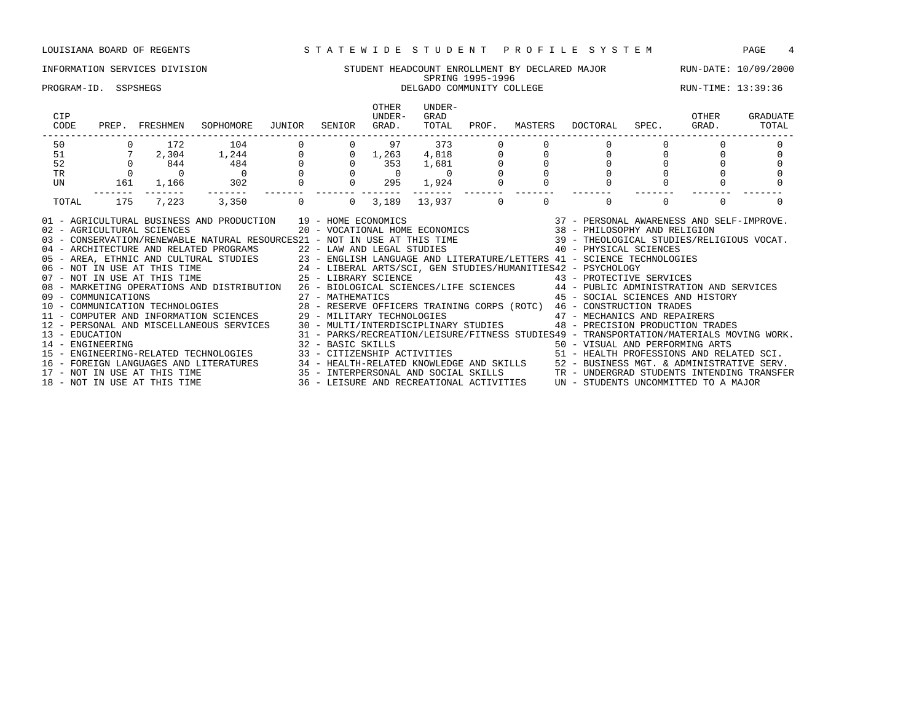# INFORMATION SERVICES DIVISION SUNG STUDENT HEADCOUNT ENROLLMENT BY DECLARED MAJOR RUN-DATE: 10/09/2000<br>SPRING 1995-1996 SPRING 1995-1996

### PROGRAM-ID. SSPSHEGS DELGADO COMMUNITY COLLEGE RUN-TIME: 13:39:36

| CIP<br>CODE    |     | PREP. FRESHMEN             | SOPHOMORE                                                                                                                                                                                                                                                                                                                                                                                                                                                                                                                                                                                                                                                                                                                                                                                                                                                                                                                                                                                                                                                                                                                                                                                                                                                                      | JUNIOR | SENIOR               | OTHER<br>UNDER-<br>GRAD.                | UNDER-<br>GRAD<br>TOTAL | PROF.                                                                            | MASTERS  | DOCTORAL SPEC.                                                                                                              | OTHER<br>GRAD. | GRADUATE<br>TOTAL |
|----------------|-----|----------------------------|--------------------------------------------------------------------------------------------------------------------------------------------------------------------------------------------------------------------------------------------------------------------------------------------------------------------------------------------------------------------------------------------------------------------------------------------------------------------------------------------------------------------------------------------------------------------------------------------------------------------------------------------------------------------------------------------------------------------------------------------------------------------------------------------------------------------------------------------------------------------------------------------------------------------------------------------------------------------------------------------------------------------------------------------------------------------------------------------------------------------------------------------------------------------------------------------------------------------------------------------------------------------------------|--------|----------------------|-----------------------------------------|-------------------------|----------------------------------------------------------------------------------|----------|-----------------------------------------------------------------------------------------------------------------------------|----------------|-------------------|
| 50             |     |                            | $\begin{array}{cccccc} 0 & & 172 & & 104 & & 0 \\ 7 & & 2\, , 304 & & 1\, , 244 & & 0 \\ 0 & & 844 & & 484 & & 0 \\ 0 & & 0 & & 0 & & 0 \\ 161 & & 1\, , 166 & & 302 & & 0 \end{array}$                                                                                                                                                                                                                                                                                                                                                                                                                                                                                                                                                                                                                                                                                                                                                                                                                                                                                                                                                                                                                                                                                        |        |                      | $0$ 97                                  | 373                     |                                                                                  |          |                                                                                                                             |                |                   |
| 51             |     |                            |                                                                                                                                                                                                                                                                                                                                                                                                                                                                                                                                                                                                                                                                                                                                                                                                                                                                                                                                                                                                                                                                                                                                                                                                                                                                                |        |                      | $0 \quad 1,263$                         |                         |                                                                                  |          |                                                                                                                             |                |                   |
| 52             |     |                            |                                                                                                                                                                                                                                                                                                                                                                                                                                                                                                                                                                                                                                                                                                                                                                                                                                                                                                                                                                                                                                                                                                                                                                                                                                                                                |        |                      | $0 \t 353$                              |                         | $\begin{bmatrix} 1 & 0 & 0 \\ 0 & 0 & 0 \\ 1 & 0 & 0 \\ 0 & 0 & 0 \end{bmatrix}$ |          |                                                                                                                             |                |                   |
| TR             |     |                            |                                                                                                                                                                                                                                                                                                                                                                                                                                                                                                                                                                                                                                                                                                                                                                                                                                                                                                                                                                                                                                                                                                                                                                                                                                                                                |        |                      | $\begin{matrix} 0 & 0 & 0 \end{matrix}$ |                         |                                                                                  |          |                                                                                                                             |                |                   |
| UN             |     |                            | $\begin{matrix}&&&0\\1,166&&&302\end{matrix}$                                                                                                                                                                                                                                                                                                                                                                                                                                                                                                                                                                                                                                                                                                                                                                                                                                                                                                                                                                                                                                                                                                                                                                                                                                  |        |                      | $0$ 295                                 | 1,924                   |                                                                                  |          |                                                                                                                             |                |                   |
| TOTAL          | 175 |                            | 7,223 3,350                                                                                                                                                                                                                                                                                                                                                                                                                                                                                                                                                                                                                                                                                                                                                                                                                                                                                                                                                                                                                                                                                                                                                                                                                                                                    |        | $\Omega$<br>$\Omega$ | 3,189                                   | 13,937 0                |                                                                                  | $\Omega$ | $\Omega$                                                                                                                    | $\Omega$       |                   |
| 13 - EDUCATION |     | 02 - AGRICULTURAL SCIENCES | AND PRODUCTION $19$ - HOME ECONOMICS $20$ - VOCATIONAL HOME ECONOMICS $37$ - PERSONAL AWARENESS AND SELF-IMPROVE.<br>$38$ - PHILOSOPHY AND RELIGION<br>01 - AGRICULTURAL BUSINESS AND PRODUCTION 19 - HOME ECONOMICS<br>03 - CONSERVATION/RENEWABLE NATURAL RESOURCES21 - NOT IN USE AT THIS TIME 39 - THEOLOGICAL STUDIES/RELIGIOUS VOCAT.<br>- ARCHITECTURE AND RELATED PROGRAMS<br>05 - AREA, ETHNIC AND CULTURAL STUDIES<br>05 - AREA, ETHNIC AND CULTURAL STUDIES<br>06 - NOT IN USE AT THIS TIME<br>24 - LIBERAL ARTS/SCI, GEN STUDIES/HUMANITIES42 - PSYCHOLOGY<br>25 - LIBERAL<br>08 - MARKETING OPERATIONS AND DISTRIBUTION 26 - BIOLOGICAL SCIENCES/LIFE SCIENCES 44 - PUBLIC ADMINISTRATION AND SERVICES<br>09 - COMMUNICATIONS<br>10 - COMMUNICATIONS - CONDUNICATION DECHNOLOGIES<br>10 - COMMUNICATION TECHNOLOGIES 28 - RESERVE OFFICERS TRAINING CORPS (ROTC) 46 - CONSTRUCTION TRADES<br>11 - COMPUTER AND INFORMATION SCIENCES 29 - MILITARY<br>12 - PERSONAL AND MISCELLANEOUS SERVICES 30 - MULTI/INTERDISCIPLINARY STUDIES 48 - PRECISION PRODUCTION TRADES<br>- ENGINEERING ARTS - 32 - BASIC SKILLS - 50 - VISUAL AND PERFORMING ARTS<br>15 - ENGINEERING-RELATED TECHNOLOGIES - 33 - CITIZENSHIP ACTIVITIES - 51 - HEALTH PROFESSIONS AND RELATED SCI. |        |                      |                                         |                         |                                                                                  |          | 45 - SOCIAL SCIENCES AND HISTORY<br>31 - PARKS/RECREATION/LEISURE/FITNESS STUDIES49 - TRANSPORTATION/MATERIALS MOVING WORK. |                |                   |
|                |     |                            | 16 – FOREIGN LANGUAGES AND LITERATURES 24 – HEALTH-RELATED KNOWLEDGE AND SKILLS 25 – BUSINESS MGT. & ADMINISTRATIVE SERV.<br>17 – NOT IN USE AT THIS TIME 2008 25 – INTERPERSONAL AND SOCIAL SKILLS 25 – UNDERGRAD STUDENTS INTEN                                                                                                                                                                                                                                                                                                                                                                                                                                                                                                                                                                                                                                                                                                                                                                                                                                                                                                                                                                                                                                              |        |                      |                                         |                         |                                                                                  |          |                                                                                                                             |                |                   |
|                |     |                            |                                                                                                                                                                                                                                                                                                                                                                                                                                                                                                                                                                                                                                                                                                                                                                                                                                                                                                                                                                                                                                                                                                                                                                                                                                                                                |        |                      |                                         |                         |                                                                                  |          |                                                                                                                             |                |                   |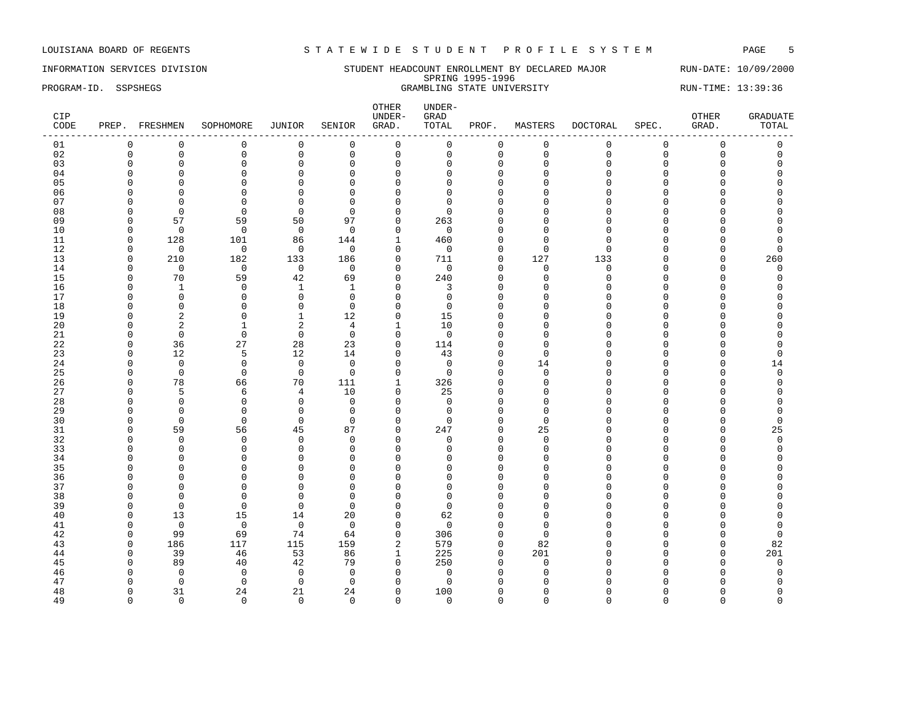### INFORMATION SERVICES DIVISION STUDENT HEADCOUNT ENROLLMENT BY DECLARED MAJOR RUN-DATE: 10/09/2000 SPRING 1995-1996 PROGRAM-ID. SSPSHEGS GRAMBLING STATE UNIVERSITY RUN-TIME: 13:39:36

| CIP<br>CODE |             | PREP. FRESHMEN | SOPHOMORE   | JUNIOR         | SENIOR      | OTHER<br>UNDER-<br>GRAD. | UNDER-<br>GRAD<br>TOTAL | PROF.        | MASTERS     | DOCTORAL    | SPEC.    | OTHER<br>GRAD. | <b>GRADUATE</b><br>TOTAL |
|-------------|-------------|----------------|-------------|----------------|-------------|--------------------------|-------------------------|--------------|-------------|-------------|----------|----------------|--------------------------|
| 01          | $\mathbf 0$ | $\mathbf 0$    | $\mathbf 0$ | 0              | $\mathbf 0$ | 0                        | 0                       | 0            | $\mathbf 0$ | $\mathbf 0$ | 0        | $\mathsf 0$    | 0                        |
| 02          | $\mathbf 0$ | $\mathsf 0$    | $\mathbf 0$ | $\mathsf 0$    | $\mathbb O$ | $\mathsf 0$              | $\mathbf 0$             | $\mathbf 0$  | $\mathbf 0$ | $\mathbf 0$ | 0        | $\mathsf 0$    | $\mathbf 0$              |
| 03          | $\Omega$    | $\mathbf 0$    | $\Omega$    | $\mathbf 0$    | $\Omega$    | $\mathbf 0$              | $\Omega$                | $\mathbf 0$  | $\Omega$    | $\Omega$    | $\Omega$ | $\Omega$       | $\Omega$                 |
| 04          | $\Omega$    | $\mathbf 0$    | $\Omega$    | $\mathbf 0$    | $\Omega$    | $\mathbf 0$              | $\Omega$                | $\mathbf 0$  | $\Omega$    | $\Omega$    | $\Omega$ | $\Omega$       | $\Omega$                 |
| 05          | $\Omega$    | $\mathbf 0$    | $\Omega$    | $\mathsf 0$    | $\Omega$    | $\mathbf 0$              | $\cap$                  | $\mathbf{0}$ | $\Omega$    | $\Omega$    | $\Omega$ | $\Omega$       | $\Omega$                 |
| 06          | $\Omega$    | $\mathbf 0$    | $\Omega$    | $\mathbf{0}$   | $\Omega$    | $\mathbf 0$              | $\cap$                  | $\mathbf{0}$ | $\Omega$    | $\Omega$    | $\Omega$ | $\Omega$       | $\Omega$                 |
| 07          | $\Omega$    | $\mathbf 0$    | $\Omega$    | $\mathbf{0}$   | $\Omega$    | 0                        | $\Omega$                | $\mathbf 0$  | $\cap$      | $\cap$      | C        | $\Omega$       | $\cap$                   |
| 08          | n           | $\Omega$       | $\Omega$    | $\Omega$       | $\Omega$    | $\mathbf 0$              | $\Omega$                | $\Omega$     | $\Omega$    | ∩           | n        | $\cap$         | U                        |
| 09          | $\Omega$    | 57             | 59          | 50             | 97          | $\mathbf 0$              | 263                     | $\Omega$     | $\Omega$    | $\Omega$    | $\cap$   | $\Omega$       | $\Omega$                 |
| 10          | $\Omega$    | $\overline{0}$ | $\mathbf 0$ | $\overline{0}$ | $\Omega$    | $\mathbf 0$              | $\mathbf 0$             | $\mathbf 0$  | ∩           | $\Omega$    | U        | $\Omega$       | $\Omega$                 |
| 11          | $\Omega$    | 128            | 101         | 86             | 144         | $\mathbf{1}$             | 460                     | $\mathbf{0}$ | $\Omega$    | $\Omega$    | C        | $\Omega$       | $\Omega$                 |
| 12          | $\Omega$    | $\mathbf 0$    | $\mathbf 0$ | $\mathbf 0$    | $\mathbf 0$ | $\mathbf 0$              | $\mathbf 0$             | $\mathbf 0$  | $\Omega$    | $\Omega$    | U        | 0              | $\Omega$                 |
| 13          | $\Omega$    | 210            | 182         | 133            | 186         | $\mathbf 0$              | 711                     | $\Omega$     | 127         | 133         | U        | $\Omega$       | 260                      |
| 14          | $\Omega$    | $\mathbf 0$    | $\mathbf 0$ | $\overline{0}$ | $\mathbf 0$ | $\mathbf 0$              | $\mathbf 0$             | $\mathbf 0$  | $\mathbf 0$ | $\mathbf 0$ | $\Omega$ | $\mathbf 0$    | 0                        |
| 15          | $\Omega$    | 70             | 59          | 42             | 69          | $\mathbf 0$              | 240                     | $\mathbf 0$  | $\Omega$    | $\Omega$    | $\cap$   | $\Omega$       | $\Omega$                 |
| 16          | ∩           | 1              | $\Omega$    | $\mathbf{1}$   | 1           | $\mathbf 0$              | 3                       | $\Omega$     | $\Omega$    | $\cap$      | U        | $\Omega$       | $\Omega$                 |
| 17          | $\Omega$    | $\mathbf{0}$   | $\Omega$    | 0              | $\Omega$    | $\mathbf 0$              | $\Omega$                | $\mathbf 0$  | $\cap$      | $\cap$      | U        | $\Omega$       | $\cap$                   |
| 18          | ∩           | $\mathbf 0$    | $\Omega$    | $\mathsf 0$    | $\Omega$    | $\mathbf 0$              | $\mathbf 0$             | $\mathbf 0$  | $\Omega$    | ∩           | n        | $\Omega$       | $\cap$                   |
| 19          | $\Omega$    | $\sqrt{2}$     | $\Omega$    | $\,1$          | 12          | $\mathbf 0$              | 15                      | $\mathbf{0}$ | $\Omega$    | $\Omega$    | C        | $\Omega$       | $\cap$                   |
| 20          | $\Omega$    | $\overline{2}$ | 1           | 2              | 4           | $\mathbf{1}$             | 10                      | $\mathbf{0}$ | $\Omega$    | $\Omega$    |          | $\Omega$       | $\Omega$                 |
| 21          | ∩           | $\overline{0}$ | $\mathbf 0$ | $\mathsf 0$    | $\mathbf 0$ | $\mathbf 0$              | $\overline{0}$          | $\Omega$     | ∩           | $\cap$      | U        | $\Omega$       | $\cap$                   |
| 22          | $\Omega$    | 36             | 27          | 28             | 23          | $\mathbf 0$              | 114                     | $\mathbf 0$  | $\Omega$    | $\Omega$    |          | $\Omega$       | $\Omega$                 |
| 23          | $\Omega$    | 12             | 5           | 12             | 14          | $\mathbf 0$              | 43                      | $\mathbf{0}$ | $\Omega$    | $\cap$      | U        | $\Omega$       | $\mathbf 0$              |
| 24          | $\Omega$    | $\mathbf 0$    | $\mathbf 0$ | $\mathsf 0$    | $\mathbf 0$ | $\mathbf 0$              | $\mathbf 0$             | $\mathbf{0}$ | 14          | $\cap$      | U        | $\mathbf 0$    | 14                       |
| 25          | $\Omega$    | $\mathbf 0$    | $\Omega$    | $\overline{0}$ | $\Omega$    | $\mathbf 0$              | $\Omega$                | $\mathbf 0$  | $\Omega$    | O           | U        | $\Omega$       | 0                        |
| 26          | $\Omega$    | 78             | 66          | 70             | 111         | $\mathbf{1}$             | 326                     | $\Omega$     | $\Omega$    | $\cap$      | U        | $\Omega$       | $\Omega$                 |
| 27          | $\Omega$    | 5              | 6           | 4              | 10          | 0                        | 25                      | $\mathbf{0}$ | $\Omega$    | $\Omega$    |          | $\Omega$       | $\Omega$                 |
| 28          | $\Omega$    | $\mathbf 0$    | $\mathbf 0$ | $\mathbf 0$    | $\mathbf 0$ | $\mathbf 0$              | $\Omega$                | $\mathbf{0}$ | $\Omega$    | $\Omega$    | C        | $\Omega$       | $\Omega$                 |
| 29          | n           | $\Omega$       | $\Omega$    | $\mathbf 0$    | $\Omega$    | $\mathbf 0$              | $\Omega$                | $\Omega$     | $\Omega$    | ∩           | U        | $\Omega$       | $\Omega$                 |
| 30          | $\Omega$    | $\Omega$       | $\Omega$    | $\Omega$       | $\Omega$    | $\mathbf 0$              | $\Omega$                | $\Omega$     | $\Omega$    | $\cap$      | U        | $\Omega$       | $\Omega$                 |
| 31          | $\Omega$    | 59             | 56          | 45             | 87          | $\mathbf 0$              | 247                     | $\mathbf{0}$ | 25          | $\Omega$    | C        | 0              | 25                       |
| 32          | $\Omega$    | $\mathbf 0$    | $\Omega$    | $\mathbf 0$    | $\Omega$    | $\mathbf 0$              | 0                       | $\mathbf 0$  | $\Omega$    | $\Omega$    | U        | $\Omega$       | $\mathbf 0$              |
| 33          | $\Omega$    | $\mathbf 0$    | $\Omega$    | $\mathbf 0$    | $\Omega$    | $\mathbf 0$              | $\Omega$                | $\Omega$     | $\Omega$    | $\Omega$    | C        | $\Omega$       | $\Omega$                 |
| 34          | n           | 0              | $\Omega$    | $\mathbf 0$    | $\Omega$    | $\mathbf 0$              | U                       | $\Omega$     | $\cap$      | ∩           | U        | $\Omega$       | $\cap$                   |
| 35          |             | $\Omega$       | $\Omega$    | $\Omega$       | $\Omega$    | $\Omega$                 | O                       | $\Omega$     | $\Omega$    | $\Omega$    | U        | $\Omega$       | $\cap$                   |
| 36          | $\Omega$    | $\mathbf 0$    | $\Omega$    | $\mathbf{0}$   | $\mathbf 0$ | $\mathbf 0$              | $\Omega$                | $\Omega$     | $\Omega$    | $\Omega$    |          | $\Omega$       | $\Omega$                 |
| 37          | $\Omega$    | $\mathbf 0$    | $\Omega$    | $\mathbf{0}$   | $\Omega$    | $\mathbf 0$              | $\Omega$                | $\mathbf 0$  | $\Omega$    | $\Omega$    | U        | $\Omega$       | $\Omega$                 |
| 38          | $\Omega$    | $\Omega$       | $\Omega$    | $\mathbf{0}$   | $\Omega$    | $\mathbf 0$              | $\cap$                  | $\Omega$     | $\Omega$    | $\cap$      |          | $\Omega$       | U                        |
| 39          | $\Omega$    | $\Omega$       | $\Omega$    | $\mathbf{0}$   | $\Omega$    | $\mathbf 0$              | $\Omega$                | $\mathbf 0$  | $\cap$      | $\cap$      |          | $\Omega$       | $\cap$                   |
| 40          | $\Omega$    | 13             | 15          | 14             | 20          | $\mathbf 0$              | 62                      | $\mathbf 0$  | $\Omega$    | ∩           | U        | $\Omega$       | $\Omega$                 |
| 41          | $\Omega$    | $\mathbf 0$    | $\Omega$    | $\overline{0}$ | $\mathbf 0$ | $\mathbf 0$              | $\Omega$                | $\Omega$     | $\Omega$    | $\Omega$    | C        | $\Omega$       | $\Omega$                 |
| 42          | $\Omega$    | 99             | 69          | 74             | 64          | 0                        | 306                     | 0            | $\Omega$    | ∩           | n        | $\Omega$       | 0                        |
| 43          | $\Omega$    | 186            | 117         | 115            | 159         | $\overline{2}$           | 579                     | $\mathbf{0}$ | 82          | $\cap$      | C        | $\mathbf 0$    | 82                       |
| 44          | $\Omega$    | 39             | 46          | 53             | 86          | $\mathbf{1}$             | 225                     | $\mathbf{0}$ | 201         | $\Omega$    |          | $\mathbf 0$    | 201                      |
| 45          | $\Omega$    | 89             | 40          | 42             | 79          | $\mathbf 0$              | 250                     | $\mathbf{0}$ | $\Omega$    | $\cap$      | U        | $\Omega$       | $\mathbf 0$              |
| 46          | $\Omega$    | $\Omega$       | $\Omega$    | $\mathbf 0$    | $\Omega$    | 0                        | $\mathbf 0$             | $\Omega$     | $\Omega$    | $\Omega$    |          | $\Omega$       | $\Omega$                 |
| 47          | n           | $\Omega$       | $\Omega$    | $\mathbf 0$    | $\Omega$    | $\Omega$                 | $\Omega$                | $\Omega$     |             | ∩           |          | U              | $\Omega$                 |
| 48          | $\Omega$    | 31             | 24          | 21             | 24          | $\mathbf 0$              | 100                     | $\Omega$     | n           | O           | U        | $\Omega$       | $\Omega$                 |
| 49          | $\Omega$    | $\Omega$       | $\Omega$    | $\Omega$       | $\Omega$    | $\Omega$                 | $\Omega$                | $\Omega$     | $\Omega$    | $\Omega$    | $\Omega$ | $\Omega$       | $\Omega$                 |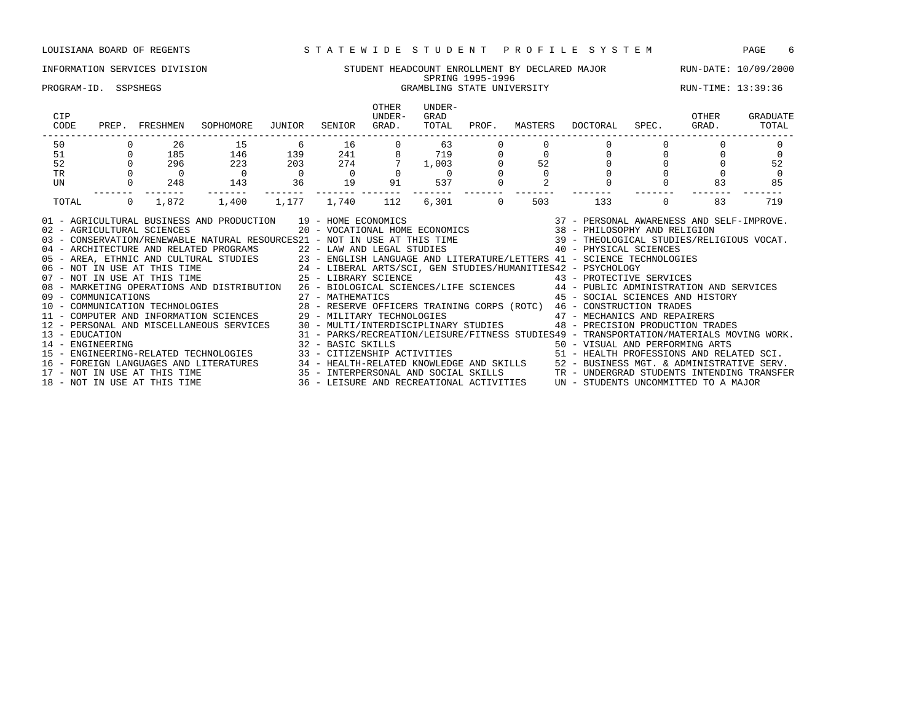### INFORMATION SERVICES DIVISION STUDENT HEADCOUNT ENROLLMENT BY DECLARED MAJOR RUN-DATE: 10/09/2000 SPRING 1995-1996 PROGRAM-ID. SSPSHEGS **GRAMBLING STATE UNIVERSITY** RUN-TIME: 13:39:36

| CIP<br>CODE<br>PREP.                                                                                                                                                                                                                                                                                                                                                                                                                                                                                                                                                                                                                                                                                                                                                                                                                                                                                                                                                                                                                                                                                                                                                                                                                                                                                                         | FRESHMEN          | SOPHOMORE      | JUNIOR            | SENIOR                                         | OTHER<br>UNDER-<br>GRAD. | UNDER-<br>GRAD<br>TOTAL | PROF.    | MASTERS | DOCTORAL                                                                                                                                                                                                                                                                         | SPEC.                            | OTHER<br>GRAD. | GRADUATE<br>TOTAL |
|------------------------------------------------------------------------------------------------------------------------------------------------------------------------------------------------------------------------------------------------------------------------------------------------------------------------------------------------------------------------------------------------------------------------------------------------------------------------------------------------------------------------------------------------------------------------------------------------------------------------------------------------------------------------------------------------------------------------------------------------------------------------------------------------------------------------------------------------------------------------------------------------------------------------------------------------------------------------------------------------------------------------------------------------------------------------------------------------------------------------------------------------------------------------------------------------------------------------------------------------------------------------------------------------------------------------------|-------------------|----------------|-------------------|------------------------------------------------|--------------------------|-------------------------|----------|---------|----------------------------------------------------------------------------------------------------------------------------------------------------------------------------------------------------------------------------------------------------------------------------------|----------------------------------|----------------|-------------------|
| 50                                                                                                                                                                                                                                                                                                                                                                                                                                                                                                                                                                                                                                                                                                                                                                                                                                                                                                                                                                                                                                                                                                                                                                                                                                                                                                                           | 26                | 15             | - 6               | 16 16                                          |                          | 63                      |          |         |                                                                                                                                                                                                                                                                                  |                                  |                |                   |
| 51                                                                                                                                                                                                                                                                                                                                                                                                                                                                                                                                                                                                                                                                                                                                                                                                                                                                                                                                                                                                                                                                                                                                                                                                                                                                                                                           | 185               | 146            | 139               | $\begin{array}{c} 241 \\ 274 \\ 0 \end{array}$ |                          | $719$<br>1,003<br>0     |          |         |                                                                                                                                                                                                                                                                                  | $\begin{matrix}0\\0\end{matrix}$ |                |                   |
| 52                                                                                                                                                                                                                                                                                                                                                                                                                                                                                                                                                                                                                                                                                                                                                                                                                                                                                                                                                                                                                                                                                                                                                                                                                                                                                                                           | 296               | 223            | 203               |                                                |                          | 7, 1,003                |          | 52      |                                                                                                                                                                                                                                                                                  |                                  |                | 52                |
| TR                                                                                                                                                                                                                                                                                                                                                                                                                                                                                                                                                                                                                                                                                                                                                                                                                                                                                                                                                                                                                                                                                                                                                                                                                                                                                                                           |                   | $\overline{0}$ | $\overline{0}$    |                                                |                          | $\overline{0}$          |          |         |                                                                                                                                                                                                                                                                                  |                                  |                | $\Omega$          |
| UN                                                                                                                                                                                                                                                                                                                                                                                                                                                                                                                                                                                                                                                                                                                                                                                                                                                                                                                                                                                                                                                                                                                                                                                                                                                                                                                           | $0 \t 248$        | 143            | $\overline{36}$   | 19                                             | 91 7                     | 537                     |          |         | $\Omega$                                                                                                                                                                                                                                                                         |                                  | 83             | 85                |
| TOTAL                                                                                                                                                                                                                                                                                                                                                                                                                                                                                                                                                                                                                                                                                                                                                                                                                                                                                                                                                                                                                                                                                                                                                                                                                                                                                                                        | $\Omega$<br>1,872 | 1,400          | 1,177 1,740       |                                                | 112                      | 6,301                   | $\Omega$ | 503     | 133                                                                                                                                                                                                                                                                              | $\Omega$                         | 83             | 719               |
| 01 - AGRICULTURAL BUSINESS AND PRODUCTION 19 - HOME ECONOMICS<br>02 - AGRICULTURAL SCIENCES<br>03 - CONSERVATION/RENEWABLE NATURAL RESOURCES21 - NOT IN USE AT THIS TIME 39 - THEOLOGICAL STUDIES/RELIGIOUS VOCAT.<br>04 - ARCHITECTURE AND RELATED PROGRAMS 22 - LAW AND LEGAL STUDIES 40 - PHYSICAL SCIENCES<br>05 - AREA, ETHNIC AND CULTURAL STUDIES<br>06 - NOT IN USE AT THIS TIME 24 - LIBERAL ARTS/SCI, GEN STUDIES/HUMANITIES42 - PSYCHOLOGY<br>25 - LIBERAL ARTS/SCI, GEN STUDIES/HUMANITIES42 - PSYCHOLOGY<br>25 - LIBRARY SCIENCE 43 - PRO<br>08 - MARKETING OPERATIONS AND DISTRIBUTION 26 - BIOLOGICAL SCIENCES/LIFE SCIENCES 44 - PUBLIC ADMINISTRATION AND SERVICES<br>11 - COMPUTER AND INFORMATION SCIENCES<br>12 - PERSONAL AND INFORMATION SCIENCES<br>12 - PERSONAL AND MISCELLANEOUS SERVICES<br>12 - PERSONAL AND MISCELLANEOUS SERVICES<br>12 - PERSONAL AND MISCELLANEOUS SERVICES<br>12 - PERSONAL AND MIS<br>13 - EDUCATION<br>14 - ENGINEERING<br>15 - ENGINEERING-RELATED TECHNOLOGIES 33 - CITIZENSHIP ACTIVITIES 51 - HEALTH PROFESSIONS AND RELATED SCI.<br>16 - FOREIGN LANGUAGES AND LITERATURES 34 - HEALTH-RELATED KNOWLEDGE AND SKILLS 52 - BUSINESS MGT. & ADMINISTRATIVE SERV.<br>17 - NOT IN USE AT THIS TIME 35 - INTERPERSONAL AND SOCIAL SKILLS TR - UNDERGRAD STUDENTS INTENDING |                   |                | 32 - BASIC SKILLS |                                                |                          |                         |          |         | 19 - HOME ECONOMICS<br>20 - VOCATIONAL HOME ECONOMICS 38 - PHILOSOPHY AND RELIGION<br>43 - PROTECTIVE SERVICES<br>45 - SOCIAL SCIENCES AND HISTORY<br>31 - PARKS/RECREATION/LEISURE/FITNESS STUDIES49 - TRANSPORTATION/MATERIALS MOVING WORK.<br>50 - VISUAL AND PERFORMING ARTS |                                  |                |                   |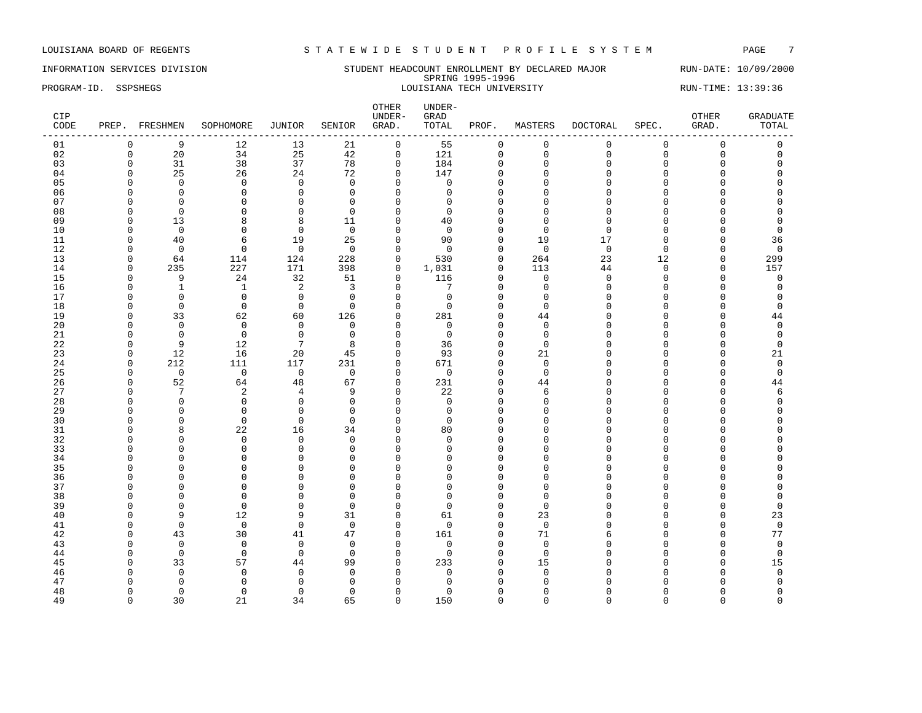### INFORMATION SERVICES DIVISION SUNDERT HEADCOUNT ENROLLMENT BY DECLARED MAJOR RUN-DATE: 10/09/2000 SPRING 1995-1996 PROGRAM-ID. SSPSHEGS LOUISIANA TECH UNIVERSITY RUN-TIME: 13:39:36

| CIP<br>CODE |             | PREP. FRESHMEN | SOPHOMORE    | JUNIOR          | SENIOR         | OTHER<br>UNDER-<br>GRAD. | UNDER-<br>GRAD<br>TOTAL | PROF.        | MASTERS     | DOCTORAL    | SPEC.    | OTHER<br>GRAD. | <b>GRADUATE</b><br>TOTAL |
|-------------|-------------|----------------|--------------|-----------------|----------------|--------------------------|-------------------------|--------------|-------------|-------------|----------|----------------|--------------------------|
| 01          | $\mathbf 0$ | 9              | 12           | 13              | 21             | 0                        | 55                      | 0            | $\mathbf 0$ | $\mathbf 0$ | 0        | $\mathsf 0$    | 0                        |
| 02          | $\mathsf 0$ | 20             | 34           | 25              | $4\,2$         | $\mathsf 0$              | 121                     | $\mathbf 0$  | $\mathbf 0$ | $\mathbf 0$ | 0        | $\mathsf 0$    | $\mathbf 0$              |
| 03          | $\Omega$    | 31             | 38           | 37              | 78             | $\mathsf 0$              | 184                     | $\mathbf{0}$ | $\Omega$    | $\Omega$    | $\Omega$ | $\Omega$       | $\Omega$                 |
| 04          | $\Omega$    | 25             | 26           | 24              | 72             | $\mathbf 0$              | 147                     | $\mathbf 0$  | $\Omega$    | $\Omega$    | $\cap$   | $\Omega$       | $\Omega$                 |
| 05          | $\Omega$    | $\Omega$       | $\Omega$     | $\mathbf 0$     | $\Omega$       | $\Omega$                 | $\Omega$                | $\Omega$     | $\Omega$    | $\Omega$    | $\cap$   | $\Omega$       | $\cap$                   |
| 06          | $\Omega$    | $\mathbf{0}$   | $\mathbf 0$  | $\mathbf 0$     | $\mathbf 0$    | $\mathbf 0$              | $\Omega$                | $\mathbf{0}$ | $\Omega$    | $\Omega$    | $\cap$   | $\Omega$       | $\Omega$                 |
| 07          | $\Omega$    | $\mathbf 0$    | $\Omega$     | $\mathsf 0$     | $\mathbf 0$    | $\mathbf 0$              | $\mathbf 0$             | $\mathbf{0}$ | $\Omega$    | $\Omega$    | C        | $\Omega$       | $\cap$                   |
| 08          | $\Omega$    | $\Omega$       | $\Omega$     | $\mathbf 0$     | $\Omega$       | $\mathbf 0$              | $\Omega$                | $\Omega$     | $\Omega$    | $\cap$      | $\cap$   | $\Omega$       | $\cap$                   |
| 09          | $\Omega$    | 13             | 8            | 8               | 11             | $\mathbf 0$              | 40                      | $\Omega$     | $\Omega$    | $\Omega$    | ∩        | $\Omega$       | $\Omega$                 |
| 10          | $\Omega$    | $\overline{0}$ | $\Omega$     | $\mathbf{0}$    | $\overline{0}$ | $\mathbf 0$              | $\Omega$                | $\Omega$     | $\Omega$    | $\Omega$    | U        | $\Omega$       | $\mathbf 0$              |
| 11          | $\Omega$    | 40             | 6            | 19              | 25             | $\mathbf 0$              | 90                      | $\mathbf{0}$ | 19          | 17          | $\Omega$ | $\Omega$       | 36                       |
| 12          | $\Omega$    | $\mathbf 0$    | $\Omega$     | $\mathbf 0$     | $\mathbf 0$    | $\mathbf 0$              | $\Omega$                | $\mathbf{0}$ | $\mathbf 0$ | $\mathbf 0$ | $\Omega$ | 0              | $\mathbf 0$              |
|             | O           |                |              |                 |                |                          |                         |              |             |             |          |                |                          |
| 13          |             | 64             | 114          | 124             | 228            | 0                        | 530                     | $\mathbf 0$  | 264         | 23          | 12       | 0              | 299                      |
| 14          | $\Omega$    | 235            | 227          | 171             | 398            | $\mathbf 0$              | 1,031                   | $\Omega$     | 113         | 44          | $\Omega$ | $\mathbf 0$    | 157                      |
| 15          | $\Omega$    | 9              | 24           | 32              | 51             | $\mathbf 0$              | 116                     | $\Omega$     | $\Omega$    | $\Omega$    | $\Omega$ | $\Omega$       | $\Omega$                 |
| 16          | $\Omega$    | $\mathbf{1}$   | 1            | $\overline{c}$  | 3              | $\mathbf 0$              | 7                       | $\Omega$     | $\Omega$    | $\mathbf 0$ | $\Omega$ | $\Omega$       | $\mathbf 0$              |
| 17          | $\Omega$    | $\mathbf{0}$   | $\mathbf 0$  | $\mathsf 0$     | $\Omega$       | $\mathbf 0$              | $\mathbf 0$             | $\mathbf{0}$ | $\Omega$    | $\Omega$    | $\cap$   | 0              | $\mathbf 0$              |
| 18          | n           | $\mathbf 0$    | $\Omega$     | $\mathbf{0}$    | $\Omega$       | 0                        | $\Omega$                | $\Omega$     | $\Omega$    | ∩           | U        | $\Omega$       | $\Omega$                 |
| 19          | $\Omega$    | 33             | 62           | 60              | 126            | $\mathbf 0$              | 281                     | $\Omega$     | 44          | $\cap$      | U        | $\Omega$       | 44                       |
| 20          | $\Omega$    | $\overline{0}$ | $\mathbf 0$  | $\mathbf 0$     | $\mathbf 0$    | $\mathbf 0$              | $\mathbf 0$             | $\mathbf 0$  | $\mathbf 0$ | $\Omega$    | O        | $\Omega$       | $\mathbf 0$              |
| 21          | $\Omega$    | $\mathbf 0$    | $\mathbf 0$  | $\mathsf 0$     | $\mathbf 0$    | $\mathbf 0$              | $\mathbf 0$             | $\mathbf{0}$ | $\Omega$    | $\Omega$    | U        | $\Omega$       | $\mathsf 0$              |
| 22          | $\Omega$    | 9              | 12           | $7\phantom{.0}$ | 8              | $\mathbf 0$              | 36                      | $\mathbf{0}$ | $\Omega$    | $\Omega$    |          | $\Omega$       | $\mathbf 0$              |
| 23          | $\Omega$    | 12             | 16           | 20              | 45             | $\mathbf 0$              | 93                      | $\mathbf 0$  | 21          | $\cap$      | $\cap$   | 0              | 21                       |
| 24          | $\Omega$    | 212            | 111          | 117             | 231            | $\mathbf 0$              | 671                     | $\mathbf 0$  | $\Omega$    | $\cap$      | U        | 0              | $\mathbf 0$              |
| 25          | $\Omega$    | $\mathbf 0$    | $\mathbf 0$  | $\overline{0}$  | $\mathbf 0$    | $\mathbf 0$              | $\mathbf 0$             | $\mathbf{0}$ | $\mathbf 0$ | $\Omega$    | $\Omega$ | $\Omega$       | $\mathbf 0$              |
| 26          | $\Omega$    | 52             | 64           | 48              | 67             | $\mathbf 0$              | 231                     | $\mathbf{0}$ | 44          | $\Omega$    | C        | 0              | 44                       |
| 27          | $\Omega$    | 7              | 2            | 4               | 9              | $\mathbf 0$              | 22                      | $\mathbf 0$  | 6           | $\Omega$    | U        | 0              | 6                        |
| 28          | $\Omega$    | $\mathbf{0}$   | $\Omega$     | $\mathbf 0$     | $\Omega$       | $\mathbf 0$              | $\Omega$                | $\Omega$     | $\Omega$    | $\cap$      | n        | $\Omega$       | $\Omega$                 |
| 29          | $\Omega$    | $\Omega$       | $\Omega$     | $\mathbf 0$     | $\Omega$       | $\mathbf 0$              | $\Omega$                | $\Omega$     | $\Omega$    | $\cap$      | U        | $\Omega$       | $\Omega$                 |
| 30          | $\Omega$    | $\Omega$       | $\Omega$     | $\Omega$        | $\Omega$       | $\mathbf 0$              | $\Omega$                | $\Omega$     | $\Omega$    | $\Omega$    | U        | $\Omega$       | $\cap$                   |
| 31          | $\Omega$    | 8              | 22           | 16              | 34             | $\mathbf 0$              | 80                      | $\Omega$     | $\Omega$    | $\Omega$    | C        | $\Omega$       | $\Omega$                 |
| 32          | ∩           | $\mathbf 0$    | 0            | $\mathbf 0$     | $\Omega$       | 0                        | $\Omega$                | $\mathbf 0$  | n           | O           | U        | $\Omega$       | $\Omega$                 |
| 33          | ∩           | $\Omega$       | $\Omega$     | $\mathbf 0$     | $\Omega$       | $\mathbf 0$              | $\Omega$                | $\Omega$     | n           | $\cap$      |          | $\Omega$       | $\cap$                   |
| 34          | $\Omega$    | $\mathbf 0$    | $\mathbf{0}$ | $\mathbf 0$     | 0              | $\mathbf 0$              | $\Omega$                | $\mathbf 0$  | $\cap$      | $\Omega$    | U        | $\Omega$       | $\cap$                   |
| 35          | n           | $\Omega$       | $\Omega$     | $\mathbf{0}$    | $\Omega$       | $\mathbf 0$              | $\Omega$                | $\Omega$     | $\cap$      | $\cap$      | U        | $\Omega$       |                          |
| 36          | $\cap$      | $\Omega$       | $\Omega$     | $\mathbf{0}$    | $\Omega$       | $\mathbf 0$              | $\Omega$                | $\Omega$     | $\Omega$    | $\Omega$    | C        | $\Omega$       | $\Omega$                 |
| 37          | n           | $\Omega$       | $\Omega$     | $\mathbf{0}$    | $\Omega$       | $\mathbf 0$              | $\cap$                  | $\Omega$     | n           | $\Omega$    |          | $\Omega$       | $\Omega$                 |
| 38          | $\Omega$    | $\Omega$       | $\Omega$     | $\mathbf{0}$    | $\Omega$       | $\mathbf 0$              | $\cap$                  | $\Omega$     | $\Omega$    | $\cap$      | U        | $\Omega$       | $\Omega$                 |
| 39          | $\Omega$    | $\mathbf 0$    | $\mathbf 0$  | 0               | $\mathbf 0$    | $\mathbf 0$              | $\Omega$                | $\mathbf 0$  | $\Omega$    | $\Omega$    |          | $\Omega$       | $\mathbf 0$              |
| 40          | $\Omega$    | 9              |              | 9               | 31             | $\mathbf 0$              | 61                      | $\mathbf{0}$ | 23          | $\cap$      | U        | 0              |                          |
|             | $\Omega$    |                | 12           | $\mathbf 0$     |                |                          | $\Omega$                |              | $\Omega$    | $\cap$      | U        |                | 23                       |
| 41          |             | $\mathbf 0$    | $\mathbf 0$  |                 | $\mathbf 0$    | $\mathbf 0$              |                         | $\mathbf{0}$ |             |             |          | $\mathbf 0$    | $\mathbf 0$              |
| 42          | $\Omega$    | 43             | 30           | 41              | 47             | 0                        | 161                     | $\mathbf 0$  | 71          | 6           | U        | 0              | 77                       |
| 43          | $\Omega$    | $\overline{0}$ | $\mathbf 0$  | $\mathbf 0$     | $\overline{0}$ | $\mathbf 0$              | $\mathbf 0$             | $\Omega$     | $\Omega$    | $\Omega$    | U        | $\Omega$       | $\mathbf 0$              |
| 44          | $\Omega$    | $\mathbf 0$    | $\mathbf 0$  | $\mathbf 0$     | $\Omega$       | $\mathbf 0$              | $\Omega$                | $\mathbf{0}$ | $\Omega$    | $\Omega$    |          | $\Omega$       | $\mathbf 0$              |
| 45          | $\Omega$    | 33             | 57           | 44              | 99             | $\mathbf 0$              | 233                     | $\mathbf{0}$ | 15          | $\Omega$    |          | $\Omega$       | 15                       |
| 46          | ∩           | $\Omega$       | $\Omega$     | $\mathbf 0$     | $\Omega$       | 0                        | $\mathbf 0$             | $\Omega$     | $\Omega$    | ∩           |          | $\Omega$       | $\mathbf 0$              |
| 47          |             | $\Omega$       | $\Omega$     | $\Omega$        | $\Omega$       | $\Omega$                 | $\Omega$                | $\Omega$     | ∩           |             |          | $\Omega$       | $\Omega$                 |
| 48          | $\Omega$    | $\Omega$       | $\Omega$     | $\mathbf{0}$    | $\Omega$       | $\Omega$                 | $\Omega$                | $\Omega$     | $\Omega$    | $\Omega$    | U        | $\Omega$       | $\mathbf 0$              |
| 49          | $\Omega$    | 30             | 21           | 34              | 65             | $\mathbf 0$              | 150                     | $\Omega$     | $\Omega$    | $\Omega$    | $\Omega$ | $\Omega$       | $\Omega$                 |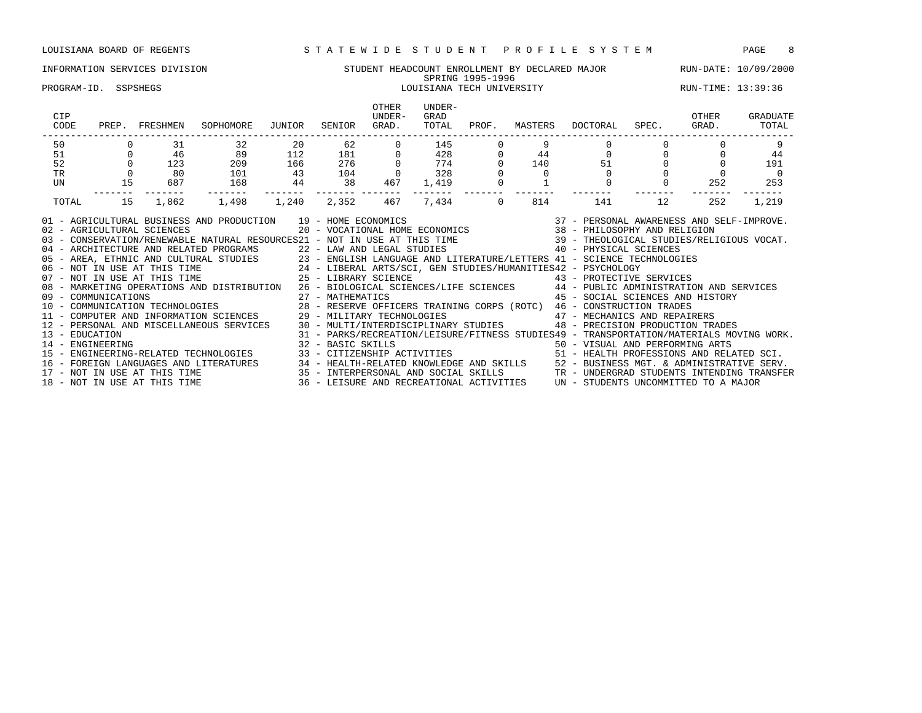# INFORMATION SERVICES DIVISION STUDENT HEADCOUNT ENROLLMENT BY DECLARED MAJOR RUN-DATE: 10/09/2000 SPRING 1995-1996

### PROGRAM-ID. SSPSHEGS LOUISIANA TECH UNIVERSITY RUN-TIME: 13:39:36

| CIP<br>CODE                        | PREP. | FRESHMEN                     | SOPHOMORE                                                                                                                                                                                                                                                                                                                                                                                                                                                                                                                                                                                                                                                                                                                     | JUNIOR | SENIOR          | OTHER<br>UNDER-<br>GRAD. | UNDER-<br>GRAD<br>TOTAL<br>------------------------- | PROF.   | MASTERS | DOCTORAL SPEC.                                                                                                             |                | OTHER<br>GRAD. | GRADUATE<br>TOTAL |
|------------------------------------|-------|------------------------------|-------------------------------------------------------------------------------------------------------------------------------------------------------------------------------------------------------------------------------------------------------------------------------------------------------------------------------------------------------------------------------------------------------------------------------------------------------------------------------------------------------------------------------------------------------------------------------------------------------------------------------------------------------------------------------------------------------------------------------|--------|-----------------|--------------------------|------------------------------------------------------|---------|---------|----------------------------------------------------------------------------------------------------------------------------|----------------|----------------|-------------------|
| 50                                 |       | 31                           | 32                                                                                                                                                                                                                                                                                                                                                                                                                                                                                                                                                                                                                                                                                                                            | 20     | 62              |                          | 145                                                  |         |         |                                                                                                                            |                |                |                   |
| 51                                 |       | 46                           | 89                                                                                                                                                                                                                                                                                                                                                                                                                                                                                                                                                                                                                                                                                                                            | 112    | 181 0           |                          | $\frac{428}{774}$<br>328                             |         | 44      |                                                                                                                            | $\overline{0}$ |                | 44                |
| 52                                 |       | 123                          | 209                                                                                                                                                                                                                                                                                                                                                                                                                                                                                                                                                                                                                                                                                                                           | 166    | $\frac{1}{276}$ |                          |                                                      |         |         | 140                                                                                                                        | 51 7           |                | 191               |
| <b>TR</b>                          |       | 80                           | 101                                                                                                                                                                                                                                                                                                                                                                                                                                                                                                                                                                                                                                                                                                                           | 43     | 104             |                          | 328                                                  |         |         |                                                                                                                            |                |                | $\Omega$          |
| UN                                 | 15    | 687                          | 168                                                                                                                                                                                                                                                                                                                                                                                                                                                                                                                                                                                                                                                                                                                           | 44     | 38              | 467                      | 1,419                                                |         |         | $\Omega$                                                                                                                   |                | 252            | 253               |
| TOTAL                              | 15    | 1,862                        | 1,498                                                                                                                                                                                                                                                                                                                                                                                                                                                                                                                                                                                                                                                                                                                         | 1,240  | 2,352           | 467                      | 7,434                                                | $\circ$ | 814     | 141                                                                                                                        | 12             | 252            | 1,219             |
|                                    |       |                              | 01 - AGRICULTURAL BUSINESS AND PRODUCTION 19 - HOME ECONOMICS (2007) 19 - 2008 (37 - PERSONAL AWARENESS AND SELF-IMPROVE.<br>20 - VOCATIONAL HOME ECONOMICS (38 - PHILOSOPHY AND RELIGION VOCAT.<br>20 - CONSERVATION/RENEWABLE NATU<br>40 - ARCHITECTURE AND RELATED PROGRAMS<br>22 - LAW AND LEGAL STUDIES<br>23 - ENGLISH LANGUAGE AND LITERATURE/LETTERS<br>24 - LIBERAL ARTS/SCI, GEN STUDIES/HUMANITIES42 - PSYCHOLOGY<br>25 - LIBERAL ARTS/SCI, GEN STUDIES/HUMANITIES4<br>08 - MARKETING OPERATIONS AND DISTRIBUTION 26 - BIOLOGICAL SCIENCES/LIFE SCIENCES 44 - PUBLIC ADMINISTRATION AND SERVICES<br>12 - PERSONAL AND MISCELLANEOUS SERVICES 30 - MULTI/INTERDISCIPLINARY STUDIES 48 - PRECISION PRODUCTION TRADES |        |                 |                          |                                                      |         |         | 45 - SOCIAL SCIENCES AND HISTORY                                                                                           |                |                |                   |
| 13 - EDUCATION<br>14 - ENGINEERING |       |                              | 32 - BASIC SKILLS                                                                                                                                                                                                                                                                                                                                                                                                                                                                                                                                                                                                                                                                                                             |        |                 |                          |                                                      |         |         | 31 - PARKS/RECREATION/LEISURE/FITNESS STUDIES49 - TRANSPORTATION/MATERIALS MOVING WORK.<br>50 - VISUAL AND PERFORMING ARTS |                |                |                   |
|                                    |       |                              | 16 - FOREIGN LANGUAGES AND LITERATURES 34 - HEALTH-RELATED KNOWLEDGE AND SKILLS 52 - BUSINESS MGT. & ADMINISTRATIVE SERV.<br>17 - NOT IN USE AT THIS TIME 35 - INTERPERSONAL AND SOCIAL SKILLS TR - UNDERGRAD STUDENTS INTENDING                                                                                                                                                                                                                                                                                                                                                                                                                                                                                              |        |                 |                          |                                                      |         |         |                                                                                                                            |                |                |                   |
|                                    |       | 18 - NOT IN USE AT THIS TIME |                                                                                                                                                                                                                                                                                                                                                                                                                                                                                                                                                                                                                                                                                                                               |        |                 |                          |                                                      |         |         | 36 - LEISURE AND RECREATIONAL ACTIVITIES UN - STUDENTS UNCOMMITTED TO A MAJOR                                              |                |                |                   |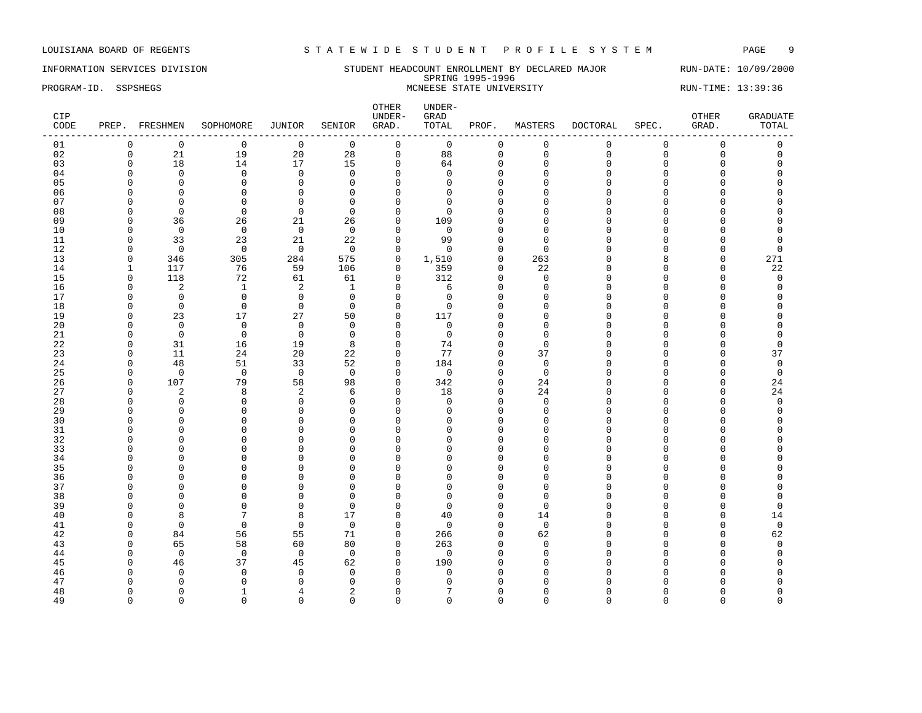INFORMATION SERVICES DIVISION STUDENT HEADCOUNT ENROLLMENT BY DECLARED MAJOR RUN-DATE: 10/09/2000 SPRING 1995-1996 PROGRAM-ID. SSPSHEGS STATE UNIVERSITY RUN-TIME: 13:39:36

| CIP<br>CODE |              | PREP. FRESHMEN | SOPHOMORE      | JUNIOR         | SENIOR         | OTHER<br>UNDER-<br>GRAD. | UNDER-<br>GRAD<br>TOTAL | PROF.        | MASTERS     | DOCTORAL    | SPEC.       | OTHER<br>GRAD.      | <b>GRADUATE</b><br>TOTAL |
|-------------|--------------|----------------|----------------|----------------|----------------|--------------------------|-------------------------|--------------|-------------|-------------|-------------|---------------------|--------------------------|
| 01          | $\mathbf 0$  | $\mathbf 0$    | $\mathbf 0$    | $\overline{0}$ | $\mathbf 0$    | $\mathsf{O}$             | 0                       | 0            | $\mathbf 0$ | $\mathbf 0$ | 0           | $\mathsf{O}\xspace$ | 0                        |
| 02          | $\mathsf 0$  | $21\,$         | 19             | $20$           | 28             | $\mathsf{O}\xspace$      | 88                      | $\mathbf 0$  | $\mathbf 0$ | $\mathbf 0$ | $\mathbf 0$ | $\mathsf{O}\xspace$ | $\mathbf 0$              |
| 03          | $\Omega$     | 18             | 14             | 17             | 15             | $\mathbf 0$              | 64                      | $\mathbf 0$  | $\Omega$    | $\Omega$    | $\Omega$    | $\Omega$            | $\Omega$                 |
| 04          | $\Omega$     | $\mathbf 0$    | $\mathbf 0$    | $\mathbf 0$    | $\mathbf 0$    | $\mathbf 0$              | $\Omega$                | $\mathbf 0$  | $\Omega$    | $\Omega$    | $\cap$      | $\Omega$            | $\Omega$                 |
| 05          | $\Omega$     | $\mathbf 0$    | $\mathbf 0$    | $\mathbf 0$    | $\Omega$       | $\mathbf 0$              | $\Omega$                | $\mathbf{0}$ | $\Omega$    | $\Omega$    | $\cap$      | 0                   | $\Omega$                 |
| 06          | $\Omega$     | $\mathbf 0$    | $\mathbf 0$    | $\mathbf 0$    | $\Omega$       | $\mathbf 0$              | $\Omega$                | $\mathbf{0}$ | $\Omega$    | $\Omega$    | $\Omega$    | $\Omega$            | $\Omega$                 |
| 07          | $\Omega$     | 0              | $\Omega$       | $\mathbf 0$    | $\Omega$       | 0                        | $\Omega$                | $\mathbf 0$  | $\cap$      | $\cap$      | C           | $\Omega$            | $\Omega$                 |
| 08          | n            | $\Omega$       | $\Omega$       | $\Omega$       | $\Omega$       | $\mathbf 0$              | $\Omega$                | $\Omega$     | n           | ∩           | n           | $\cap$              | U                        |
| 09          | $\Omega$     | 36             | 26             | 21             | 26             | $\mathbf 0$              | 109                     | $\Omega$     | $\Omega$    | $\Omega$    | $\Omega$    | $\Omega$            | $\Omega$                 |
| 10          | $\Omega$     | $\overline{0}$ | $\overline{0}$ | $\overline{0}$ | $\overline{0}$ | $\mathbf 0$              | $\mathbf 0$             | $\mathbf 0$  | ∩           | $\Omega$    | U           | $\Omega$            | $\Omega$                 |
| 11          | $\Omega$     | 33             | 23             | 21             | 22             | $\mathbf 0$              | 99                      | $\mathbf{0}$ | $\Omega$    | $\Omega$    | C           | $\Omega$            | $\Omega$                 |
| 12          | $\Omega$     | $\mathbf 0$    | $\mathbf 0$    | $\overline{0}$ | $\mathbf 0$    | $\mathbf 0$              | $\Omega$                | $\mathbf 0$  | $\Omega$    | $\cap$      | U           | 0                   | $\Omega$                 |
| 13          | $\Omega$     | 346            | 305            | 284            | 575            | $\mathbf 0$              | 1,510                   | $\Omega$     | 263         | ∩           | 8           | $\Omega$            | 271                      |
| 14          | $\mathbf{1}$ | 117            | 76             | 59             | 106            | 0                        | 359                     | $\mathbf{0}$ | 22          | $\Omega$    | $\Omega$    | $\mathbf 0$         | 22                       |
| 15          | $\mathbf 0$  | 118            | 72             | 61             | 61             | 0                        | 312                     | $\mathbf{0}$ | $\Omega$    | $\cap$      | $\cap$      | 0                   | $\mathbf 0$              |
| 16          | $\Omega$     | 2              | 1              | $\overline{c}$ | $\mathbf{1}$   | $\mathbf 0$              | 6                       | $\Omega$     | $\Omega$    | $\cap$      | U           | $\Omega$            | $\Omega$                 |
| 17          | $\Omega$     | $\mathbf 0$    | $\mathbf 0$    | $\mathbf{0}$   | $\Omega$       | $\mathbf 0$              | $\Omega$                | $\mathbf 0$  | $\Omega$    | $\cap$      | U           | 0                   | $\Omega$                 |
| 18          | $\Omega$     | $\mathbf 0$    | $\Omega$       | $\mathbf 0$    | $\Omega$       | $\mathbf 0$              | $\Omega$                | $\mathbf 0$  | $\Omega$    | ∩           | n           | $\Omega$            | $\cap$                   |
| 19          | $\Omega$     | 23             | 17             | 27             | 50             | $\mathbf 0$              | 117                     | $\mathbf{0}$ | $\Omega$    | $\Omega$    | C           | $\Omega$            | $\Omega$                 |
| 20          | $\Omega$     | $\mathbf 0$    | $\mathbf 0$    | $\mathbf 0$    | $\Omega$       | $\mathbf 0$              | $\mathbf 0$             | $\mathbf{0}$ | $\Omega$    | $\Omega$    |             | $\Omega$            | $\Omega$                 |
| 21          | $\Omega$     | $\mathbf 0$    | $\mathbf 0$    | $\mathbf 0$    | $\Omega$       | $\mathbf 0$              | $\mathbf 0$             | $\Omega$     | ∩           | $\cap$      | U           | $\Omega$            | $\Omega$                 |
| 22          | $\Omega$     | 31             | 16             | 19             | 8              | $\mathbf 0$              | 74                      | $\mathbf{0}$ | $\Omega$    | $\Omega$    |             | $\Omega$            | $\Omega$                 |
| 23          | $\Omega$     | 11             | 24             | 20             | 22             | $\mathbf 0$              | 77                      | $\mathbf{0}$ | 37          | $\cap$      | $\cap$      | 0                   | 37                       |
| 24          | $\Omega$     | 48             | 51             | 33             | 52             | $\mathbf 0$              | 184                     | $\mathbf{0}$ | $\Omega$    | $\cap$      | $\cap$      | $\mathbf 0$         | $\mathbf 0$              |
| 25          | $\Omega$     | $\mathbf 0$    | $\overline{0}$ | $\overline{0}$ | $\mathbf 0$    | 0                        | $\mathbf 0$             | 0            | $\Omega$    | ∩           | U           | $\Omega$            | $\mathbf 0$              |
| 26          | $\Omega$     | 107            | 79             | 58             | 98             | $\mathbf 0$              | 342                     | $\mathbf{0}$ | 24          | $\cap$      | U           | $\mathbf 0$         | 24                       |
| 27          | $\Omega$     | $\overline{2}$ | 8              | $\overline{2}$ | 6              | $\mathbf 0$              | 18                      | $\mathbf{0}$ | 24          | $\Omega$    | C           | $\mathbf 0$         | 24                       |
| 28          | $\Omega$     | $\mathbf 0$    | $\mathbf{0}$   | $\mathbf 0$    | $\mathbf 0$    | $\mathbf 0$              | $\Omega$                | $\mathbf{0}$ | $\Omega$    | $\Omega$    | $\cap$      | 0                   | $\mathbf 0$              |
| 29          | n            | $\Omega$       | $\Omega$       | $\mathbf 0$    | $\Omega$       | $\mathbf 0$              | <sup>0</sup>            | $\Omega$     | $\Omega$    | ∩           | U           | 0                   | $\Omega$                 |
| 30          | $\Omega$     | $\Omega$       | $\Omega$       | $\Omega$       | $\Omega$       | $\mathbf 0$              | $\cap$                  | $\Omega$     | $\Omega$    | $\cap$      | U           | $\Omega$            | $\Omega$                 |
| 31          | $\Omega$     | $\mathbf 0$    | $\Omega$       | $\mathbf 0$    | $\mathbf 0$    | $\mathbf 0$              | $\Omega$                | $\mathbf 0$  | $\Omega$    | $\Omega$    | U           | $\Omega$            | $\Omega$                 |
| 32          | $\Omega$     | $\mathbf 0$    | $\Omega$       | $\mathbf 0$    | $\Omega$       | $\mathbf 0$              | $\cap$                  | $\mathbf 0$  | n           | $\Omega$    | U           | $\Omega$            | $\Omega$                 |
| 33          | $\Omega$     | $\mathbf 0$    | $\Omega$       | $\mathbf{0}$   | $\Omega$       | $\mathbf 0$              | U                       | $\Omega$     | $\Omega$    | $\Omega$    |             | $\Omega$            | $\Omega$                 |
| 34          | ∩            | $\mathbf 0$    | $\Omega$       | $\mathbf{0}$   | $\Omega$       | $\mathbf 0$              | U                       | $\Omega$     | n           | ∩           | U           | $\Omega$            | $\cap$                   |
| 35          |              | $\Omega$       | $\Omega$       | $\Omega$       | $\Omega$       | $\Omega$                 | U                       | $\Omega$     | $\cap$      | $\Omega$    |             | $\Omega$            | $\cap$                   |
| 36          | $\Omega$     | $\mathbf 0$    | $\Omega$       | $\mathbf{0}$   | $\mathbf 0$    | $\mathbf 0$              | $\Omega$                | $\Omega$     | $\Omega$    | $\Omega$    |             | $\Omega$            | $\Omega$                 |
| 37          | $\Omega$     | $\mathbf 0$    | $\Omega$       | $\mathbf{0}$   | $\Omega$       | $\mathbf 0$              | $\Omega$                | $\mathbf 0$  | $\cap$      | $\Omega$    |             | $\Omega$            | $\Omega$                 |
| 38          | $\Omega$     | $\Omega$       | $\Omega$       | $\mathbf{0}$   | $\Omega$       | $\mathbf 0$              | $\cap$                  | $\Omega$     | $\Omega$    | $\cap$      |             | $\Omega$            | $\Omega$                 |
| 39          | $\Omega$     | $\Omega$       | $\Omega$       | $\mathbf 0$    | $\Omega$       | $\mathbf 0$              | $\Omega$                | $\mathbf 0$  | $\Omega$    | $\cap$      | U           | 0                   | $\Omega$                 |
| 40          | n            | 8              | 7              | 8              | 17             | $\mathbf 0$              | 40                      | $\mathbf 0$  | 14          | ∩           | U           | 0                   | 14                       |
| 41          | $\Omega$     | $\mathbf 0$    | $\Omega$       | $\mathbf 0$    | $\mathbf 0$    | $\mathbf 0$              | $\Omega$                | $\mathbf{0}$ | $\Omega$    | $\Omega$    | C           | $\mathbf 0$         | $\mathsf 0$              |
| 42          | <sup>0</sup> | 84             | 56             | 55             | 71             | 0                        | 266                     | $\mathbf 0$  | 62          | 0           | n           | 0                   | 62                       |
| 43          | $\Omega$     | 65             | 58             | 60             | 80             | $\mathbf 0$              | 263                     | $\Omega$     | $\Omega$    | $\cap$      | U           | $\Omega$            | $\mathbf 0$              |
| 44          | $\Omega$     | $\mathbf 0$    | $\mathbf 0$    | $\overline{0}$ | $\mathbf 0$    | $\mathbf 0$              | $\mathbf 0$             | $\mathbf{0}$ | $\mathbf 0$ | $\Omega$    |             | 0                   | $\Omega$                 |
| 45          | $\Omega$     | 46             | 37             | 45             | 62             | $\mathbf 0$              | 190                     | $\mathbf{0}$ | $\Omega$    | $\cap$      | U           | $\Omega$            | $\Omega$                 |
| 46          | $\Omega$     | $\Omega$       | $\Omega$       | $\mathbf 0$    | $\Omega$       | 0                        | $\Omega$                | $\Omega$     | $\cap$      | $\Omega$    |             | $\Omega$            | $\Omega$                 |
| 47          |              | $\Omega$       | n              | $\Omega$       | $\Omega$       | $\Omega$                 | U                       | $\Omega$     |             | ∩           |             | U                   | O                        |
| 48          | $\Omega$     | $\Omega$       |                | 4              | 2              | $\mathbf 0$              | 7                       | $\Omega$     | n           | O           |             | $\Omega$            | $\Omega$                 |
| 49          | $\Omega$     | $\Omega$       | $\Omega$       | $\Omega$       | $\Omega$       | $\Omega$                 | $\Omega$                | $\Omega$     | $\Omega$    | $\Omega$    | $\Omega$    | $\Omega$            | $\Omega$                 |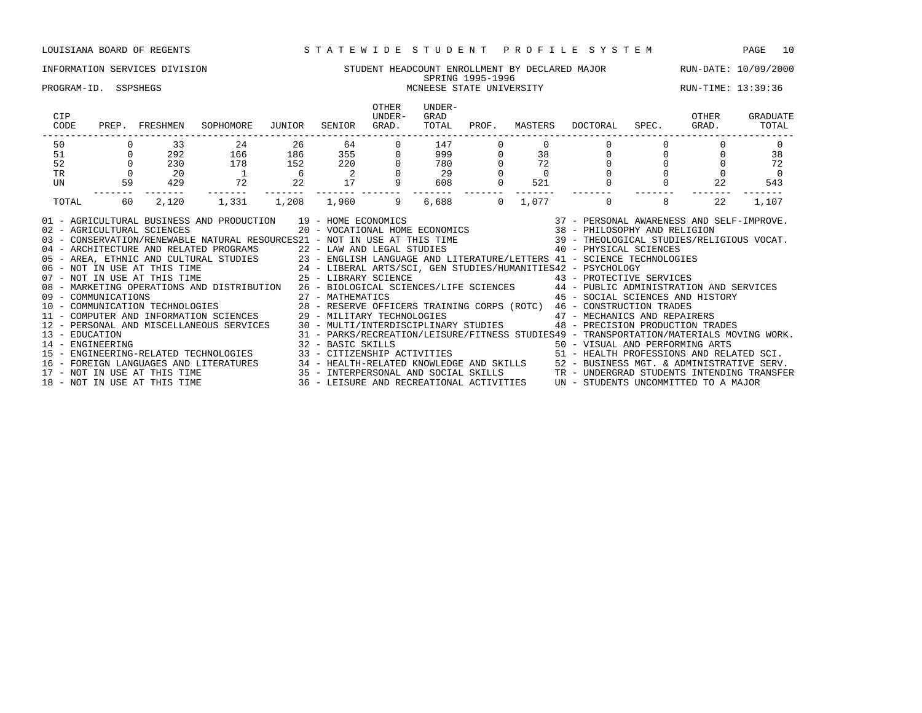### INFORMATION SERVICES DIVISION SUNDENT STUDENT HEADCOUNT ENROLLMENT BY DECLARED MAJOR RUN-DATE: 10/09/2000 SPRING 1995-1996 PROGRAM-ID. SSPSHEGS MCNEESE STATE UNIVERSITY RUN-TIME: 13:39:36

| CIP<br>CODE                        | PREP.    | FRESHMEN                     | SOPHOMORE                                                                                                                                                                                                                                                                                                                                                                                                                                                                                                                                                                                                                                                                                                                                                                                                                                      | JUNIOR | SENIOR                     | <b>OTHER</b><br>UNDER-<br>GRAD. | UNDER-<br>GRAD<br>TOTAL | PROF.<br>----------------- | MASTERS | DOCTORAL                                                                                                                                                                                                                                                                                                                | SPEC. | OTHER<br>GRAD. | GRADUATE<br>TOTAL |
|------------------------------------|----------|------------------------------|------------------------------------------------------------------------------------------------------------------------------------------------------------------------------------------------------------------------------------------------------------------------------------------------------------------------------------------------------------------------------------------------------------------------------------------------------------------------------------------------------------------------------------------------------------------------------------------------------------------------------------------------------------------------------------------------------------------------------------------------------------------------------------------------------------------------------------------------|--------|----------------------------|---------------------------------|-------------------------|----------------------------|---------|-------------------------------------------------------------------------------------------------------------------------------------------------------------------------------------------------------------------------------------------------------------------------------------------------------------------------|-------|----------------|-------------------|
| 50                                 |          | 33                           | 24                                                                                                                                                                                                                                                                                                                                                                                                                                                                                                                                                                                                                                                                                                                                                                                                                                             | 26     | 64                         |                                 | 147                     |                            |         |                                                                                                                                                                                                                                                                                                                         |       |                |                   |
| 51                                 |          | 292                          | 166                                                                                                                                                                                                                                                                                                                                                                                                                                                                                                                                                                                                                                                                                                                                                                                                                                            | 186    | 355 35                     |                                 | 999                     |                            | 38      |                                                                                                                                                                                                                                                                                                                         |       |                | 38                |
| 52                                 | $\Omega$ | 230                          | 178                                                                                                                                                                                                                                                                                                                                                                                                                                                                                                                                                                                                                                                                                                                                                                                                                                            | 152    | 220                        |                                 | 780                     |                            | 72      | $\Omega$                                                                                                                                                                                                                                                                                                                |       |                | 72                |
| <b>TR</b>                          |          | 20                           |                                                                                                                                                                                                                                                                                                                                                                                                                                                                                                                                                                                                                                                                                                                                                                                                                                                | - 6    | $\overline{\phantom{0}}$ 2 |                                 | 29                      |                            |         |                                                                                                                                                                                                                                                                                                                         |       |                | $\Omega$          |
| UN                                 | 59       | 429                          | 72                                                                                                                                                                                                                                                                                                                                                                                                                                                                                                                                                                                                                                                                                                                                                                                                                                             | 22     | 17                         |                                 | 608                     |                            | 521     |                                                                                                                                                                                                                                                                                                                         |       | 22             | 543               |
| TOTAL                              | 60       | 2,120                        | 1,331                                                                                                                                                                                                                                                                                                                                                                                                                                                                                                                                                                                                                                                                                                                                                                                                                                          | 1,208  | 1,960                      | 9                               | 6,688                   | $\Omega$                   | 1,077   | $\mathbf 0$                                                                                                                                                                                                                                                                                                             | 8     | 22             | 1,107             |
|                                    |          |                              | 01 - AGRICULTURAL BUSINESS AND PRODUCTION 19 - HOME ECONOMICS (2007) 2010 - PERSONAL AWARENESS AND SELF-IMPROVE<br>102 - AGRICULTURAL SCIENCES (2007) 2007 - VOCATIONAL HOME ECONOMICS (2007) 2014 - PHILOSOPHY AND RELIGION<br>139<br>40 - ARCHITECTURE AND RELATED PROGRAMS<br>22 - LAW AND LEGAL STUDIES<br>23 - ENGLISH LANGUAGE AND LITERATURE/LETTERS<br>24 - LIBERAL ARTS/SCI, GEN STUDIES/HUMANITIES42 - PSYCHOLOGY<br>25 - LIBERAL ARTS/SCI, GEN STUDIES/HUMANITIES4<br>08 - MARKETING OPERATIONS AND DISTRIBUTION 26 - BIOLOGICAL SCIENCES/LIFE SCIENCES 44 - PUBLIC ADMINISTRATION AND SERVICES<br>09 - COMMUNICATIONS 27 - MATHEMATICS 45 - SOCIAL SCIENCES AND HIST (10 - COMMUNICATION TECHNOLOGIES 28 - RESERVE OFFICERS TRAINING CORPS (ROTC) 46 - CONSTRUCTION TRADES<br>11 - COMPUTER AND INFORMATION SCIENCES 29 - MILITARY |        |                            |                                 |                         |                            |         | 45 - SOCIAL SCIENCES AND HISTORY                                                                                                                                                                                                                                                                                        |       |                |                   |
| 13 - EDUCATION<br>14 - ENGINEERING |          | 18 - NOT IN USE AT THIS TIME | 12 - PERSONAL AND MISCELLANEOUS SERVICES 30 - MULTI/INTERDISCIPLINARY STUDIES<br>15 - ENGINEERING-RELATED TECHNOLOGIES<br>16 - FOREIGN LANGUAGES AND LITERATURES 34 - HEALTH-RELATED KNOWLEDGE AND SKILLS 52 - BUSINESS MGT. & ADMINISTRATIVE SERV.<br>17 - NOT IN USE AT THIS TIME 35 - INTERPERSONAL AND SOCIAL SKILLS TRANDERGRAD STUDENTS INTENDING TRA                                                                                                                                                                                                                                                                                                                                                                                                                                                                                    |        | 32 - BASIC SKILLS          |                                 |                         |                            |         | 48 - PRECISION PRODUCTION TRADES<br>31 - PARKS/RECREATION/LEISURE/FITNESS STUDIES49 - TRANSPORTATION/MATERIALS MOVING WORK.<br>50 - VISUAL AND PERFORMING ARTS<br>33 - CITIZENSHIP ACTIVITIES 61 - HEALTH PROFESSIONS AND RELATED SCI.<br>36 - LEISURE AND RECREATIONAL ACTIVITIES UN - STUDENTS UNCOMMITTED TO A MAJOR |       |                |                   |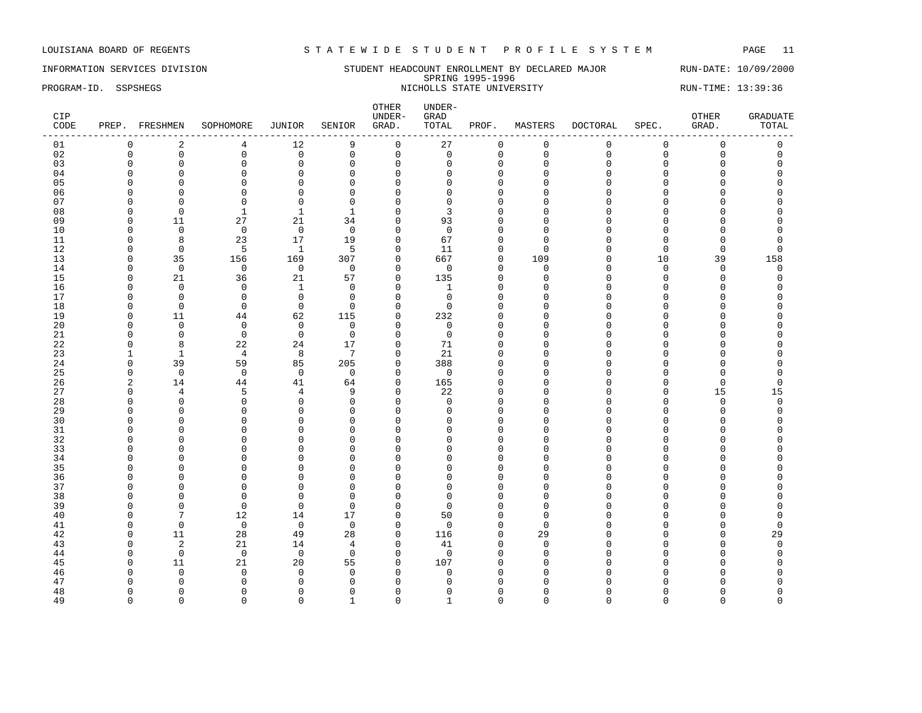### INFORMATION SERVICES DIVISION SUNDERT HEADCOUNT ENROLLMENT BY DECLARED MAJOR RUN-DATE: 10/09/2000 SPRING 1995-1996 SPRING 1995-1996<br>PROGRAM-ID. SSPSHEGS NICHOLLS STATE UNIVERSITY NICHOLLS STATE UNIVERSITY RUN-TIME: 13:39:36

| CIP<br>CODE |                          | PREP. FRESHMEN          | SOPHOMORE                  | JUNIOR               | SENIOR               | OTHER<br>UNDER-<br>GRAD. | UNDER-<br>GRAD<br>TOTAL | PROF.              | MASTERS           | <b>DOCTORAL</b> | SPEC.       | OTHER<br>GRAD. | <b>GRADUATE</b><br>TOTAL |
|-------------|--------------------------|-------------------------|----------------------------|----------------------|----------------------|--------------------------|-------------------------|--------------------|-------------------|-----------------|-------------|----------------|--------------------------|
| 01          | 0                        | $\overline{c}$          | 4                          | 12                   | 9                    | $\mathsf{O}$             | 27                      | $\mathbf 0$        | $\mathbf 0$       | $\mathbf 0$     | $\mathbf 0$ | $\mathbf 0$    | 0                        |
| 02          | $\mathbf 0$              | $\mathbf 0$             | $\mathbf 0$                | $\mathbf 0$          | $\mathsf 0$          | $\mathsf 0$              | $\mathbf 0$             | $\mathbf{0}$       | $\mathbf 0$       | $\mathbf{0}$    | $\Omega$    | $\mathbf 0$    | $\mathbf 0$              |
| 03          | $\Omega$                 | $\mathbf 0$             | $\Omega$                   | $\mathbf 0$          | $\mathbf 0$          | $\mathbf 0$              | 0                       | $\mathbf 0$        | $\Omega$          | $\Omega$        | 0           | 0              | $\Omega$                 |
| 04          | O                        | $\Omega$                | $\Omega$                   | $\Omega$             | $\mathbf 0$          | $\mathbf 0$              | U                       | $\Omega$           | $\Omega$          | ∩               | C           | U              |                          |
| 05          | $\Omega$                 | $\Omega$                | $\Omega$                   | $\mathbf{0}$         | $\mathbf 0$          | $\Omega$                 | $\Omega$                | $\Omega$           | Ω                 | $\cap$          | $\cap$      | O              |                          |
| 06          | $\Omega$                 | $\Omega$                | $\Omega$                   | $\mathbf{0}$         | $\mathbf 0$          | $\Omega$                 | $\Omega$                | $\Omega$           | Λ                 |                 | C           | O              | C                        |
| 07          | $\Omega$                 | $\Omega$                | $\mathbf 0$                | $\mathbf 0$          | $\mathbf 0$          | $\Omega$                 | 0                       | $\Omega$           | $\cap$            |                 | C           | O              |                          |
| 08          | $\Omega$                 | $\mathbf 0$             | 1                          | $\mathbf 1$          | $\mathbf{1}$         | $\Omega$                 | 3                       | $\Omega$           | Λ                 |                 |             | O              |                          |
| 09          | O                        | 11                      | 27                         | 21                   | 34                   | $\Omega$                 | 93                      | ∩                  | Λ                 |                 | U           | Λ              |                          |
| 10          | O                        | $\Omega$                | $\mathbf 0$                | $\mathbf 0$          | $\overline{0}$       | $\mathbf 0$              | $\mathbf 0$             | $\cap$             | n                 |                 | C           | Λ              |                          |
| 11          | $\Omega$                 | 8                       | 23                         | 17                   | 19                   | $\Omega$                 | 67                      | $\Omega$           | $\Omega$          |                 | ∩           | O              | $\Omega$                 |
| 12          | $\Omega$                 | $\overline{0}$          | 5                          | $\mathbf{1}$         | 5                    | $\mathbf 0$              | 11                      | $\mathbf 0$        | $\mathbf 0$       | $\cap$          | 0           | $\mathbf{0}$   | $\Omega$                 |
| 13          | $\Omega$                 | 35                      | 156                        | 169                  | 307                  | $\mathbf 0$              | 667                     | $\mathbf{0}$       | 109               | $\Omega$        | 10          | 39             | 158                      |
| 14          | $\Omega$                 | $\mathbf 0$             | $\mathbf 0$                | $\mathsf 0$          | $\overline{0}$       | $\mathbf 0$              | $\mathbf 0$             | $\Omega$           | $\mathbf 0$       | $\cap$          | $\Omega$    | $\mathbf 0$    | 0                        |
| 15          | 0                        | 21                      | 36                         | 21                   | 57                   | $\mathbf 0$              | 135                     | $\Omega$           | $\Omega$          | $\cap$          | $\Omega$    | $\Omega$       | $\Omega$                 |
| 16<br>17    | <sup>0</sup><br>$\Omega$ | $\Omega$<br>$\mathbf 0$ | $\mathbf 0$<br>$\mathbf 0$ | 1<br>$\mathbf 0$     | 0<br>$\overline{0}$  | $\Omega$<br>$\mathbf 0$  | 1<br>$\mathbf 0$        | $\cap$<br>$\Omega$ | n<br><sup>0</sup> | ∩               | C<br>$\cap$ | U<br>O         | $\Omega$                 |
| 18          | $\Omega$                 | $\Omega$                | $\mathbf 0$                | $\mathbf 0$          | $\Omega$             | $\mathbf 0$              | $\Omega$                | O                  | n                 | ∩               | n           | O              |                          |
| 19          | $\Omega$                 | 11                      | 44                         | 62                   | 115                  | $\mathbf 0$              | 232                     | $\cap$             | ∩                 |                 |             | U              |                          |
| 20          | $\Omega$                 | $\Omega$                | $\mathbf 0$                | $\mathbf 0$          | $\Omega$             | $\Omega$                 | $\Omega$                | $\Omega$           | Ω                 |                 |             | O              |                          |
| 21          | <sup>0</sup>             | $\mathbf 0$             | $\mathbf 0$                | $\mathbf 0$          | $\mathbf 0$          | $\mathbf 0$              | $\mathbf 0$             | $\Omega$           | $\Omega$          |                 |             | U              |                          |
| 22          | $\Omega$                 | 8                       | 22                         | 24                   | 17                   | $\mathbf 0$              | 71                      | $\Omega$           | U                 |                 |             | O              |                          |
| 23          | 1                        | $\mathbf{1}$            | $\overline{4}$             | 8                    | 7                    | $\mathbf 0$              | 21                      | $\Omega$           | $\Omega$          |                 |             | O              |                          |
| 24          | 0                        | 39                      | 59                         | 85                   | 205                  | $\mathbf 0$              | 388                     | $\Omega$           | $\Omega$          | $\cap$          | C           | 0              | O                        |
| 25          | $\Omega$                 | $\mathbf 0$             | $\mathbf 0$                | 0                    | $\overline{0}$       | $\mathbf 0$              | $\Omega$                | $\Omega$           | <sup>0</sup>      |                 |             | $\Omega$       | $\Omega$                 |
| 26          | 2                        | 14                      | 44                         | 41                   | 64                   | $\mathbf{0}$             | 165                     | $\Omega$           | $\Omega$          |                 | C           | $\mathbf{0}$   | $\Omega$                 |
| 27          | 0                        | 4                       | 5                          | 4                    | 9                    | $\mathbf 0$              | 22                      | $\Omega$           | U                 | ∩               | $\Omega$    | 15             | 15                       |
| 28          | ∩                        | $\Omega$                | $\Omega$                   | $\Omega$             | $\Omega$             | $\Omega$                 | $\Omega$                | $\Omega$           | U                 | ∩               | U           | $\Omega$       | $\Omega$                 |
| 29          | $\Omega$                 | $\Omega$                | $\Omega$                   | $\mathbf{0}$         | 0                    | $\Omega$                 | $\Omega$                | $\Omega$           | U                 | ∩               | O           | $\Omega$       | $\Omega$                 |
| 30          | <sup>0</sup>             | $\Omega$                | $\Omega$                   | $\mathbf 0$          | $\mathbf 0$          | $\Omega$                 | $\Omega$                | $\Omega$           | n                 | ∩               | C           | 0              | O                        |
| 31          | $\Omega$                 | $\Omega$                | $\Omega$                   | $\mathbf{0}$         | $\mathbf 0$          | $\Omega$                 | $\Omega$                | $\Omega$           | $\Omega$          |                 | C           | O              |                          |
| 32          | $\Omega$                 | $\Omega$                | $\Omega$                   | $\mathbf{0}$         | $\mathbf 0$          | $\Omega$                 | $\Omega$                | $\Omega$           | O                 |                 |             | O              |                          |
| 33          | $\Omega$                 | $\Omega$                | $\Omega$                   | $\mathbf{0}$         | $\mathbf 0$          | $\Omega$                 | $\Omega$                | $\cap$             | U                 |                 | C           | O              |                          |
| 34          | <sup>0</sup>             | $\Omega$                | $\Omega$                   | $\mathbf 0$          | $\mathbf 0$          | $\mathbf 0$              | <sup>0</sup>            | $\Omega$           | U                 |                 | n           | O              |                          |
| 35          | <sup>0</sup>             | $\Omega$                | $\Omega$                   | $\mathbf 0$          | $\Omega$             | $\Omega$                 | U                       | $\Omega$           | U                 |                 |             | O              |                          |
| 36          | <sup>0</sup>             | $\Omega$                | $\Omega$                   | $\mathbf{0}$         | $\mathbf 0$          | $\Omega$                 | U                       | ∩                  | Λ                 | ∩               | C           | O              |                          |
| 37          | ∩<br><sup>0</sup>        | $\cap$<br>$\Omega$      | $\Omega$<br>$\Omega$       | $\Omega$<br>$\Omega$ | $\Omega$<br>$\Omega$ | $\Omega$<br>$\Omega$     | $\Omega$<br>$\Omega$    | $\cap$<br>$\Omega$ | ∩<br>$\Omega$     | ∩               | C           | U<br>O         |                          |
| 38          | <sup>0</sup>             | $\Omega$                | $\mathbf 0$                | 0                    | $\mathbf 0$          | $\Omega$                 | 0                       | $\Omega$           | $\Omega$          |                 | C           | O              |                          |
| 39<br>40    | $\Omega$                 | 7                       | 12                         | 14                   | 17                   | $\mathbf 0$              | 50                      | $\Omega$           | $\Omega$          |                 |             | O              | $\Omega$                 |
| 41          | $\Omega$                 | $\overline{0}$          | $\mathbb O$                | $\mathbf 0$          | $\mathbf 0$          | $\overline{0}$           | $\mathbf 0$             | $\mathbf{0}$       | $\Omega$          |                 | $\Omega$    | 0              | $\Omega$                 |
| 42          | $\Omega$                 | 11                      | 28                         | 49                   | 28                   | 0                        | 116                     | $\mathbf 0$        | 29                | ∩               | C           | 0              | 29                       |
| 43          | $\Omega$                 | $\overline{c}$          | 21                         | 14                   | 4                    | $\mathbf 0$              | 41                      | $\Omega$           | $\Omega$          |                 | C           | O              | $\Omega$                 |
| 44          | $\Omega$                 | $\overline{0}$          | $\mathbf 0$                | $\mathbf 0$          | $\overline{0}$       | $\mathbf 0$              | $\mathbf 0$             | $\Omega$           | $\Omega$          |                 | C           | O              | $\Omega$                 |
| 45          | ∩                        | 11                      | 21                         | 20                   | 55                   | $\mathbf 0$              | 107                     | $\cap$             | ∩                 |                 | U           | U              |                          |
| 46          | $\Omega$                 | $\Omega$                | $\Omega$                   | $\mathbf 0$          | $\overline{0}$       | $\mathbf 0$              | $\Omega$                | $\Omega$           | Λ                 |                 |             | U              |                          |
| 47          | <sup>0</sup>             | $\Omega$                | <sup>0</sup>               | $\Omega$             | $\Omega$             | $\Omega$                 | U                       | $\Omega$           |                   |                 |             | O              |                          |
| 48          | $\Omega$                 | $\Omega$                | $\Omega$                   | $\mathbf 0$          | 0                    | $\Omega$                 | $\Omega$                | $\Omega$           | U                 | ∩               | C           | 0              | $\Omega$                 |
| 49          | $\Omega$                 | $\Omega$                | $\Omega$                   | $\Omega$             | $\mathbf{1}$         | $\Omega$                 | -1                      | $\Omega$           | $\Omega$          | $\Omega$        | $\Omega$    | $\Omega$       | $\Omega$                 |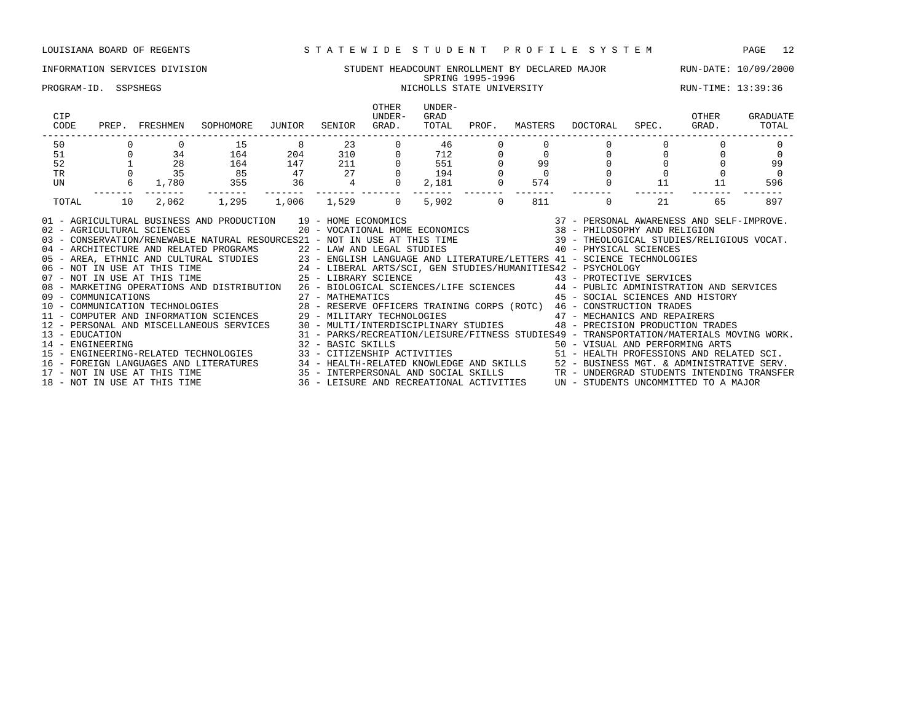### INFORMATION SERVICES DIVISION STUDENT HEADCOUNT ENROLLMENT BY DECLARED MAJOR RUN-DATE: 10/09/2000 SPRING 1995-1996 SPRING 1995-1996<br>PROGRAM-ID. SSPSHEGS NICHOLLS STATE UNIVERSITY NICHOLLS STATE UNIVERSITY RUN-TIME: 13:39:36

| $\begin{array}{ccc} 0 & \quad & 34 \\ 1 & \quad & 28 \end{array}$<br>35<br>$6 \quad$<br>1,780<br>2,062 | 15<br>164<br>164<br>85<br>355<br>1,295                                                                                                                                                                                                                                                                                                                                                                                                                                                                                                                | 8 <sup>8</sup><br>204<br>147<br>47<br>36 | 23<br>211<br>$\frac{27}{4}$ | $310 0$  | 46<br>$\begin{bmatrix} 0 & 712 \\ 0 & 551 \\ 0 & 194 \end{bmatrix}$ |                     | $\begin{matrix} 0 \\ 0 \\ 0 \\ 0 \end{matrix}$ | $\Omega$    | $\begin{matrix}0\\0\end{matrix}$ |    | $\mathbf 0$                                                                                                                                                                                                                                                                                                                                                                                                                                                                                                                                                                                                                                                                                                                                                                                                                                                     |
|--------------------------------------------------------------------------------------------------------|-------------------------------------------------------------------------------------------------------------------------------------------------------------------------------------------------------------------------------------------------------------------------------------------------------------------------------------------------------------------------------------------------------------------------------------------------------------------------------------------------------------------------------------------------------|------------------------------------------|-----------------------------|----------|---------------------------------------------------------------------|---------------------|------------------------------------------------|-------------|----------------------------------|----|-----------------------------------------------------------------------------------------------------------------------------------------------------------------------------------------------------------------------------------------------------------------------------------------------------------------------------------------------------------------------------------------------------------------------------------------------------------------------------------------------------------------------------------------------------------------------------------------------------------------------------------------------------------------------------------------------------------------------------------------------------------------------------------------------------------------------------------------------------------------|
|                                                                                                        |                                                                                                                                                                                                                                                                                                                                                                                                                                                                                                                                                       |                                          |                             |          |                                                                     |                     |                                                |             |                                  |    |                                                                                                                                                                                                                                                                                                                                                                                                                                                                                                                                                                                                                                                                                                                                                                                                                                                                 |
|                                                                                                        |                                                                                                                                                                                                                                                                                                                                                                                                                                                                                                                                                       |                                          |                             |          |                                                                     |                     |                                                |             |                                  |    |                                                                                                                                                                                                                                                                                                                                                                                                                                                                                                                                                                                                                                                                                                                                                                                                                                                                 |
|                                                                                                        |                                                                                                                                                                                                                                                                                                                                                                                                                                                                                                                                                       |                                          |                             |          |                                                                     |                     |                                                |             |                                  |    | 99                                                                                                                                                                                                                                                                                                                                                                                                                                                                                                                                                                                                                                                                                                                                                                                                                                                              |
|                                                                                                        |                                                                                                                                                                                                                                                                                                                                                                                                                                                                                                                                                       |                                          |                             |          | $0$ 194                                                             |                     |                                                |             |                                  |    | $\Omega$                                                                                                                                                                                                                                                                                                                                                                                                                                                                                                                                                                                                                                                                                                                                                                                                                                                        |
|                                                                                                        |                                                                                                                                                                                                                                                                                                                                                                                                                                                                                                                                                       |                                          | -------- -------            | $\Omega$ | 2,181                                                               | $\mathbf 0$         | 574                                            | $\mathbf 0$ | 11                               | 11 | 596                                                                                                                                                                                                                                                                                                                                                                                                                                                                                                                                                                                                                                                                                                                                                                                                                                                             |
|                                                                                                        |                                                                                                                                                                                                                                                                                                                                                                                                                                                                                                                                                       | 1,006 1,529                              |                             | $\Omega$ | 5,902                                                               | -------<br>$\Omega$ | 811                                            | $\Omega$    | 21                               | 65 | 897                                                                                                                                                                                                                                                                                                                                                                                                                                                                                                                                                                                                                                                                                                                                                                                                                                                             |
| 02 - AGRICULTURAL SCIENCES                                                                             | AND PRODUCTION $19$ – HOME ECONOMICS $20$ – VOCATIONAL HOME ECONOMICS $37$ – PERSONAL AWARENESS AND SELF-IMPROVE.<br>01 - AGRICULTURAL BUSINESS AND PRODUCTION 19 - HOME ECONOMICS<br>03 - CONSERVATION/RENEWABLE NATURAL RESOURCES21 - NOT IN USE AT THIS TIME 39 - THEOLOGICAL STUDIES/RELIGIOUS VOCAT.<br>04 - ARCHITECTURE AND RELATED PROGRAMS<br>05 - AREA, ETHNIC AND CULTURAL STUDIES<br>06 - NOT IN USE AT THIS TIME<br>07 - NOT IN USE AT THIS TIME<br>07 - NOT IN USE AT THIS TIME<br>25 - LIBERAL ARTS/SCI, GEN STUDIES/HUMANITIES42 - PS |                                          |                             |          |                                                                     |                     |                                                |             |                                  |    |                                                                                                                                                                                                                                                                                                                                                                                                                                                                                                                                                                                                                                                                                                                                                                                                                                                                 |
|                                                                                                        |                                                                                                                                                                                                                                                                                                                                                                                                                                                                                                                                                       |                                          |                             |          |                                                                     |                     |                                                |             |                                  |    | 08 - MARKETING OPERATIONS AND DISTRIBUTION 26 - BIOLOGICAL SCIENCES/LIFE SCIENCES 44 - PUBLIC ADMINISTRATION AND SERVICES<br>45 - SOCIAL SCIENCES AND HISTORY<br>12 - PERSONAL AND MISCELLANEOUS SERVICES 30 - MULTI/INTERDISCIPLINARY STUDIES 48 - PRECISION PRODUCTION TRADES<br>31 - PARKS/RECREATION/LEISURE/FITNESS STUDIES49 - TRANSPORTATION/MATERIALS MOVING WORK.<br>14 - ENGINEERING ARTS<br>15 - ENGINEERING-RELATED TECHNOLOGIES 33 - CITIZENSHIP ACTIVITIES 50 - YISUAL AND PERFORMING ARTS<br>16 - FOREIGN LANGUAGES AND LITERATURES 34 - HEALTH-RELATED KNOWLEDGE AND SKILLS 52 - BUSINESS MGT. & ADMINISTRATIVE SERV.<br>17 - NOT IN USE AT THIS TIME 35 - INTERPERSONAL AND SOCIAL SKILLS TRANGUARE TRANGERAD STUDENTS INTEN<br>18 - NOT IN USE AT THIS TIME 6 19 10 16 16 16 16 16 17 17 18 19 10 16 17 17 18 19 10 10 10 10 10 10 10 10 10 1 |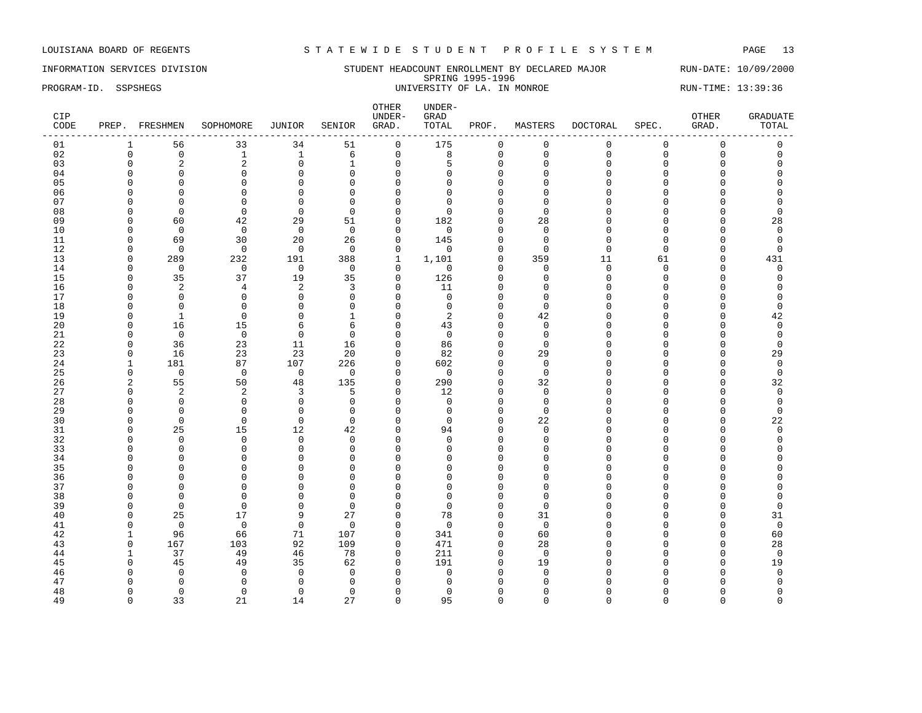INFORMATION SERVICES DIVISION STUDENT HEADCOUNT ENROLLMENT BY DECLARED MAJOR RUN-DATE: 10/09/2000 SPRING 1995-1996 PROGRAM-ID. SSPSHEGS UNIVERSITY OF LA. IN MONROE RUN-TIME: 13:39:36

| CIP<br>CODE |                      | PREP. FRESHMEN             | SOPHOMORE               | JUNIOR                       | SENIOR               | OTHER<br>UNDER-<br>GRAD. | $UNDER-$<br>GRAD<br>TOTAL | PROF.                | MASTERS              | DOCTORAL           | SPEC.               | OTHER<br>GRAD. | <b>GRADUATE</b><br>TOTAL |
|-------------|----------------------|----------------------------|-------------------------|------------------------------|----------------------|--------------------------|---------------------------|----------------------|----------------------|--------------------|---------------------|----------------|--------------------------|
| 01          | 1                    | 56                         | 33                      | 34                           | 51                   | $\mathbf 0$              | 175                       | 0                    | $\mathbf 0$          | 0                  | 0                   | $\mathbf 0$    | $\mathsf 0$              |
| 02          | $\mathbf 0$          | $\mathsf 0$                | $\mathbf{1}$            | $\mathbf{1}$                 | 6                    | $\mathsf 0$              | 8                         | $\mathbf 0$          | $\mathbf 0$          | $\Omega$           | $\mathsf{O}\xspace$ | $\mathbf 0$    | $\mathsf{O}$             |
| 03          | $\Omega$             | $\overline{2}$             | $\overline{2}$          | $\mathbf 0$                  | $\mathbf{1}$         | $\mathbf 0$              | 5                         | $\Omega$             | $\Omega$             | $\Omega$           | $\Omega$            | $\Omega$       | $\Omega$                 |
| 04          | $\Omega$             | $\mathbf 0$                | $\Omega$                | $\mathbf 0$                  | $\Omega$             | $\mathbf 0$              | $\Omega$                  | $\Omega$             | n                    | $\Omega$           | $\cap$              | U              | O                        |
| 05          | $\Omega$             | $\mathbf 0$                | $\Omega$                | $\mathbf 0$                  | $\Omega$             | $\mathbf 0$              | $\Omega$                  | $\Omega$             | $\Omega$             | $\Omega$           | $\Omega$            | $\Omega$       | O                        |
| 06          | $\Omega$             | $\mathbf 0$                | $\Omega$                | $\mathbf{0}$                 | $\Omega$             | $\mathbf 0$              | $\Omega$                  | $\Omega$             | $\Omega$             | $\Omega$           | C                   | $\Omega$       | O                        |
| 07          | $\Omega$             | 0                          | $\Omega$                | $\mathbf{0}$                 | $\Omega$             | $\mathbf 0$              | $\Omega$                  | $\Omega$             | $\Omega$             | $\cap$             | C                   | U              | $\Omega$                 |
| 08          | n                    | $\Omega$                   | $\Omega$                | $\Omega$                     | $\Omega$             | $\Omega$                 | $\Omega$                  | $\cap$               | $\Omega$             | ∩                  | U                   | O              | $\Omega$                 |
| 09          | $\Omega$             | 60                         | 42                      | 29                           | 51                   | $\mathbf 0$              | 182                       | $\Omega$             | 28                   | $\Omega$           | $\Omega$            | 0              | 28                       |
| 10          | $\Omega$             | $\overline{0}$             | $\mathbf 0$             | $\mathbf 0$                  | $\Omega$             | $\mathbf 0$              | $\mathbf 0$               | $\Omega$             | $\Omega$             | $\Omega$           | $\cap$              | O              | $\mathbf 0$              |
| 11          | $\Omega$             | 69                         | 30                      | 20                           | 26                   | $\mathbf 0$              | 145                       | $\Omega$             | $\Omega$             | $\Omega$           | $\Omega$            |                | $\mathbf 0$              |
| 12          | $\Omega$             | $\mathbf 0$                | $\Omega$                | $\mathbf 0$                  | $\Omega$             | $\mathbf{0}$             | $\mathbf 0$               | 0                    | $\Omega$             | $\Omega$           | $\Omega$            | 0              | $\Omega$                 |
| 13          | $\Omega$             | 289                        | 232                     | 191                          | 388                  | $\mathbf{1}$             | 1,101                     | $\Omega$             | 359                  | 11                 | 61                  | $\Omega$       | 431                      |
| 14          | $\Omega$             | $\mathbf 0$                | $\mathbf 0$             | $\mathbf 0$                  | $\overline{0}$       | $\mathbf 0$              | $\mathbf 0$               | $\Omega$             | $\mathbf 0$          | $\mathbf 0$        | $\overline{0}$      | $\mathbf 0$    | $\mathsf 0$              |
| 15          | $\Omega$             | 35                         | 37                      | 19                           | 35                   | $\mathbf 0$              | 126                       | $\Omega$             | $\Omega$             | $\Omega$           | $\cap$              | $\Omega$       | $\mathbf 0$              |
| 16          | n                    | $\overline{2}$             | 4                       | 2                            | 3                    | $\mathbf 0$              | 11                        | $\cap$               | O                    | $\cap$             | C                   | U              | 0                        |
| 17          | $\Omega$             | $\mathbf 0$                | $\Omega$                | $\mathbf 0$                  | $\Omega$             | $\Omega$                 | $\Omega$                  | $\Omega$             | $\Omega$             | $\cap$             | $\cap$              | O              | $\Omega$                 |
| 18          | n                    | $\Omega$                   | $\Omega$                | $\mathbf{0}$                 | $\Omega$             | $\mathbf 0$              | 0                         | $\Omega$             | $\Omega$             | ∩                  | $\cap$              | U              | $\mathbf 0$              |
| 19          | $\Omega$             | $\mathbf{1}$               | $\Omega$                | $\mathbf{0}$                 | $\mathbf{1}$         | $\mathbf 0$              | $\overline{2}$            | $\Omega$             | 42                   | $\cap$             | O                   | $\Omega$       | 42                       |
| 20          | $\Omega$             | 16                         | 15                      | 6                            | 6                    | $\mathbf 0$              | 43                        | $\Omega$             | $\Omega$             | $\Omega$           | $\cap$              | O              | $\mathbf 0$              |
| 21          | n                    | $\mathbf 0$                | $\mathbf 0$             | $\mathbf 0$                  | $\Omega$             | $\mathbf 0$              | $\mathbf 0$               | O                    | $\Omega$             | $\cap$             | U                   | U              | $\mathbf 0$              |
| 22          | $\Omega$             | 36                         | 23                      | 11                           | 16                   | $\Omega$                 | 86                        | $\Omega$             | $\Omega$             | $\cap$             | $\Omega$            | 0              | $\Omega$                 |
| 23          | $\Omega$             | 16                         | 23                      | 23                           | 20                   | $\mathbf 0$              | 82                        | $\mathbf 0$          | 29                   | $\cap$             | C                   | O              | 29                       |
| 24          | $\mathbf{1}$         | 181                        | 87                      | 107                          | 226                  | $\mathbf 0$              | 602                       | $\Omega$             | $\Omega$             | $\cap$             | C                   | O              | $\mathsf 0$              |
| 25          | $\Omega$             | $\mathbf 0$                | $\overline{0}$          | $\overline{0}$               | $\Omega$             | $\Omega$                 | $\Omega$                  | $\Omega$             | $\Omega$             | ∩                  | $\cap$              | O              | 0                        |
| 26          | 2                    | 55                         | 50                      | 48                           | 135                  | $\mathbf 0$              | 290                       | $\Omega$             | 32                   | $\Omega$           | U                   | U              | 32                       |
| 27          | $\Omega$             | $\overline{2}$             | $\overline{\mathbf{c}}$ | 3                            | 5                    | $\mathbf 0$              | 12                        | $\Omega$             | $\mathbf 0$          | $\cap$             | O                   | O              | $\mathbf 0$              |
| 28          | $\Omega$             | $\mathbf 0$                | $\mathbf 0$             | $\mathbf 0$                  | $\mathbf 0$          | $\mathbf 0$              | $\mathbf 0$               | $\Omega$             | $\mathbf 0$          | $\cap$             | C                   | $\Omega$       | $\mathbf 0$              |
| 29          | ∩                    | $\Omega$                   | $\Omega$                | $\mathbf{0}$                 | $\Omega$             | $\Omega$                 | $\Omega$                  | 0                    | $\Omega$             | ∩                  | U                   | O              | $\mathbf 0$              |
| 30          | $\Omega$             | $\Omega$                   | $\Omega$                | $\Omega$                     | $\Omega$             | $\Omega$                 | $\Omega$                  | $\Omega$             | 22                   | $\cap$             | $\cap$              | $\Omega$       | 22                       |
| 31          | $\Omega$<br>$\Omega$ | 25                         | 15                      | 12                           | 42                   | $\mathbf 0$              | 94                        | $\Omega$             | 0                    | $\Omega$<br>$\cap$ | U                   | O              | $\mathsf 0$              |
| 32          | $\Omega$             | $\overline{0}$             | $\Omega$<br>$\Omega$    | $\mathbf 0$                  | $\Omega$<br>$\Omega$ | $\mathbf 0$<br>$\Omega$  | $\Omega$<br>$\Omega$      | $\Omega$<br>$\Omega$ | $\Omega$<br>$\Omega$ | $\Omega$           | U                   | U              | $\mathbf 0$<br>$\Omega$  |
| 33<br>34    | ∩                    | $\mathbf 0$<br>$\mathbf 0$ | $\Omega$                | $\mathbf{0}$<br>$\mathbf{0}$ | $\Omega$             | $\Omega$                 | $\Omega$                  | O                    | ∩                    | $\cap$             | U                   | U              | U                        |
| 35          |                      | $\Omega$                   | $\Omega$                | $\Omega$                     | $\Omega$             | $\Omega$                 | O                         | $\Omega$             | <sup>0</sup>         | $\cap$             | U                   |                | U                        |
| 36          | $\Omega$             | $\mathbf 0$                | $\Omega$                | $\mathbf{0}$                 | $\Omega$             | $\mathbf 0$              | $\Omega$                  | $\Omega$             | $\Omega$             | $\Omega$           | O                   |                | O                        |
| 37          | $\Omega$             | $\mathbf 0$                | $\cap$                  | $\mathbf{0}$                 | $\Omega$             | $\mathbf 0$              | $\Omega$                  | $\Omega$             | <sup>0</sup>         | $\Omega$           | U                   | U              | 0                        |
| 38          | n                    | $\Omega$                   | n                       | $\mathbf{0}$                 | $\Omega$             | $\Omega$                 | $\Omega$                  | $\Omega$             | n                    | $\cap$             | U                   | U              | O                        |
| 39          | $\Omega$             | $\Omega$                   | $\Omega$                | $\mathbf{0}$                 | $\Omega$             | $\Omega$                 | $\Omega$                  | $\Omega$             | $\Omega$             | $\cap$             | U                   | O              | $\Omega$                 |
| 40          | $\Omega$             | 25                         | 17                      | 9                            | 27                   | $\mathbf 0$              | 78                        | 0                    | 31                   | ∩                  | U                   | O              | 31                       |
| 41          | $\Omega$             | $\mathbf 0$                | $\Omega$                | $\mathbf 0$                  | $\Omega$             | $\mathbf 0$              | $\Omega$                  | $\Omega$             | $\Omega$             | $\cap$             | O                   | $\Omega$       | $\mathbf 0$              |
| 42          | 1                    | 96                         | 66                      | 71                           | 107                  | $\mathbf 0$              | 341                       | 0                    | 60                   | O                  | n                   | $\Omega$       | 60                       |
| 43          | $\Omega$             | 167                        | 103                     | 92                           | 109                  | $\mathbf 0$              | 471                       | $\Omega$             | 28                   | $\cap$             | U                   | $\Omega$       | 28                       |
| 44          | $\mathbf{1}$         | 37                         | 49                      | 46                           | 78                   | $\mathbf 0$              | 211                       | 0                    | $\mathbf 0$          | $\Omega$           | O                   | $\mathbf 0$    | $\mathbf 0$              |
| 45          | $\Omega$             | 45                         | 49                      | 35                           | 62                   | $\mathbf 0$              | 191                       | $\Omega$             | 19                   | $\cap$             | U                   | O              | 19                       |
| 46          | $\Omega$             | $\Omega$                   | $\Omega$                | $\mathbf 0$                  | $\Omega$             | $\Omega$                 | $\mathbf 0$               | $\Omega$             | $\Omega$             | $\cap$             |                     | $\Omega$       | $\mathbf 0$              |
| 47          |                      | $\Omega$                   | n                       | $\mathbf 0$                  | $\Omega$             | $\Omega$                 | C                         | O                    | n                    |                    |                     |                | O                        |
| 48          | $\Omega$             | 0                          | $\Omega$                | $\mathbf{0}$                 | $\Omega$             | $\Omega$                 | $\Omega$                  | $\Omega$             | O                    | O                  | U                   | U              | 0                        |
| 49          | $\Omega$             | 33                         | 21                      | 14                           | 27                   | $\Omega$                 | 95                        | $\Omega$             | $\Omega$             | $\Omega$           | $\Omega$            | $\Omega$       | $\Omega$                 |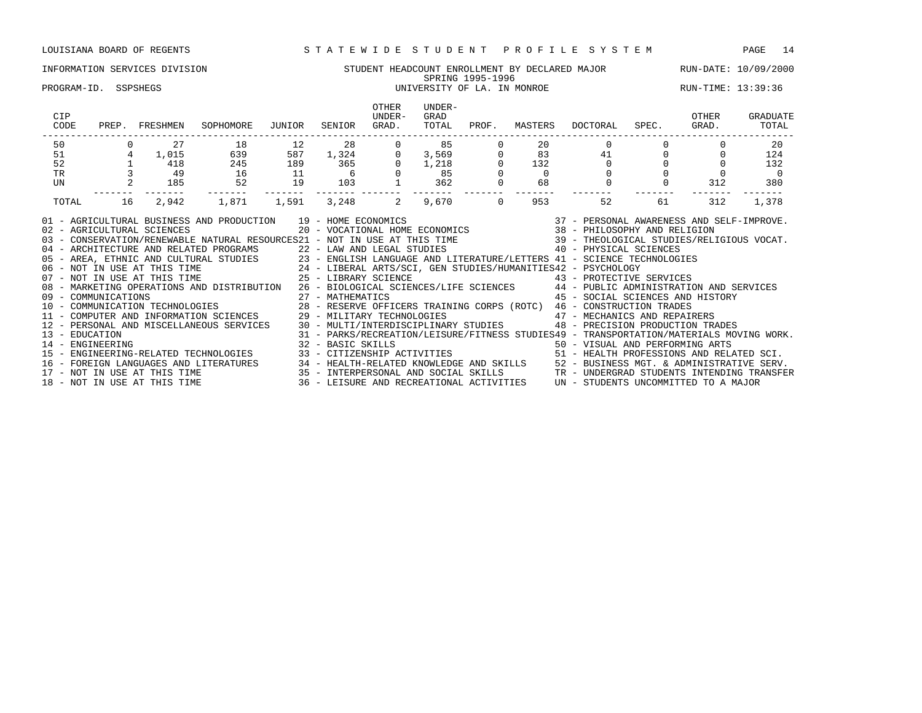### INFORMATION SERVICES DIVISION STUDENT HEADCOUNT ENROLLMENT BY DECLARED MAJOR RUN-DATE: 10/09/2000 SPRING 1995-1996 PROGRAM-ID. SSPSHEGS UNIVERSITY OF LA. IN MONROE RUN-TIME: 13:39:36

| CIP<br>CODE                        | PREP. | FRESHMEN                     | SOPHOMORE                                                                                                                                                                                                                                                                                                                                                                                                                                                                                                                                                                                                                                                                                                                                                                                                                                                                                                                       | JUNIOR | SENIOR                                                                                                                                                                                                                                                                              | <b>OTHER</b><br>UNDER-<br>GRAD. | UNDER-<br>GRAD<br>TOTAL | PROF.    | MASTERS        | DOCTORAL                                                             | SPEC. | OTHER<br>GRAD. | GRADUATE<br>TOTAL |
|------------------------------------|-------|------------------------------|---------------------------------------------------------------------------------------------------------------------------------------------------------------------------------------------------------------------------------------------------------------------------------------------------------------------------------------------------------------------------------------------------------------------------------------------------------------------------------------------------------------------------------------------------------------------------------------------------------------------------------------------------------------------------------------------------------------------------------------------------------------------------------------------------------------------------------------------------------------------------------------------------------------------------------|--------|-------------------------------------------------------------------------------------------------------------------------------------------------------------------------------------------------------------------------------------------------------------------------------------|---------------------------------|-------------------------|----------|----------------|----------------------------------------------------------------------|-------|----------------|-------------------|
| 50                                 |       | 27                           | 18                                                                                                                                                                                                                                                                                                                                                                                                                                                                                                                                                                                                                                                                                                                                                                                                                                                                                                                              | 12     | 28                                                                                                                                                                                                                                                                                  |                                 | 85                      |          | 20             |                                                                      |       |                | 20                |
| 51                                 |       | 1,015                        | 639                                                                                                                                                                                                                                                                                                                                                                                                                                                                                                                                                                                                                                                                                                                                                                                                                                                                                                                             | 587    | 1,324<br>365                                                                                                                                                                                                                                                                        | $\overline{0}$                  | $3,569$<br>1,218<br>85  |          | 83             |                                                                      | 41    |                | 124               |
| 52                                 |       | 418                          | 245                                                                                                                                                                                                                                                                                                                                                                                                                                                                                                                                                                                                                                                                                                                                                                                                                                                                                                                             | 189    |                                                                                                                                                                                                                                                                                     | $\Omega$                        |                         |          | 132            | $\Omega$                                                             |       |                | 132               |
| <b>TR</b>                          |       | 49                           | 16                                                                                                                                                                                                                                                                                                                                                                                                                                                                                                                                                                                                                                                                                                                                                                                                                                                                                                                              | 11     | $6\overline{6}$                                                                                                                                                                                                                                                                     |                                 | 85                      |          | $\overline{0}$ |                                                                      |       |                |                   |
| UN                                 |       | 185                          | 52                                                                                                                                                                                                                                                                                                                                                                                                                                                                                                                                                                                                                                                                                                                                                                                                                                                                                                                              | 19     | 103                                                                                                                                                                                                                                                                                 |                                 | 362                     |          | 68             | $\mathbf 0$                                                          |       | 312            | 380               |
| TOTAL                              | 16    | 2,942                        | 1,871                                                                                                                                                                                                                                                                                                                                                                                                                                                                                                                                                                                                                                                                                                                                                                                                                                                                                                                           | 1,591  | 3,248                                                                                                                                                                                                                                                                               | 2                               | 9,670                   | $\Omega$ | 953            | 52                                                                   | 61    | 312            | 1,378             |
|                                    |       |                              | 01 - AGRICULTURAL BUSINESS AND PRODUCTION 19 - HOME ECONOMICS (2007) 2010 - PERSONAL AWARENESS AND SELF-IMPROVE<br>102 - AGRICULTURAL SCIENCES (2007) 2007 - VOCATIONAL HOME ECONOMICS (2007) 2014 - PHILOSOPHY AND RELIGION<br>139<br>40 - ARCHITECTURE AND RELATED PROGRAMS<br>22 - LAW AND LEGAL STUDIES<br>23 - ENGLISH LANGUAGE AND LITERATURE/LETTERS<br>24 - LIBERAL ARTS/SCI, GEN STUDIES/HUMANITIES42 - PSYCHOLOGY<br>25 - LIBERAL ARTS/SCI, GEN STUDIES/HUMANITIES4<br>08 - MARKETING OPERATIONS AND DISTRIBUTION 26 - BIOLOGICAL SCIENCES/LIFE SCIENCES 44 - PUBLIC ADMINISTRATION AND SERVICES<br>09 - COMMUNICATIONS 27 - MATHEMATICS 45 - SOCIAL SCIENCES AND HIST (10 - COMMUNICATION TECHNOLOGIES 28 - RESERVE OFFICERS TRAINING CORPS (ROTC) 46 - CONSTRUCTION TRADES<br>11 - COMPUTER AND INFORMATION SCIENCES 29 - MILITARY<br>12 - PERSONAL AND MISCELLANEOUS SERVICES 30 - MULTI/INTERDISCIPLINARY STUDIES |        |                                                                                                                                                                                                                                                                                     |                                 |                         |          |                | 45 - SOCIAL SCIENCES AND HISTORY<br>48 - PRECISION PRODUCTION TRADES |       |                |                   |
| 13 - EDUCATION<br>14 - ENGINEERING |       | 18 - NOT IN USE AT THIS TIME | 15 - ENGINEERING-RELATED TECHNOLOGIES<br>16 - FOREIGN LANGUAGES AND LITERATURES 34 - HEALTH-RELATED KNOWLEDGE AND SKILLS 52 - BUSINESS MGT. & ADMINISTRATIVE SERV.<br>17 - NOT IN USE AT THIS TIME 35 - INTERPERSONAL AND SOCIAL SKILLS TRANDERGRAD STUDENTS INTENDING TRA                                                                                                                                                                                                                                                                                                                                                                                                                                                                                                                                                                                                                                                      |        | 31 - PARKS/RECREATION/LEISURE/FITNESS STUDIES49 - TRANSPORTATION/MATERIALS MOVING WORK.<br>50 - VISUAL AND PERFORMING ARTS<br>33 - CITIZENSHIP ACTIVITIES 51 - HEALTH PROFESSIONS AND RELATED SCI.<br>36 - LEISURE AND RECREATIONAL ACTIVITIES UN - STUDENTS UNCOMMITTED TO A MAJOR |                                 |                         |          |                |                                                                      |       |                |                   |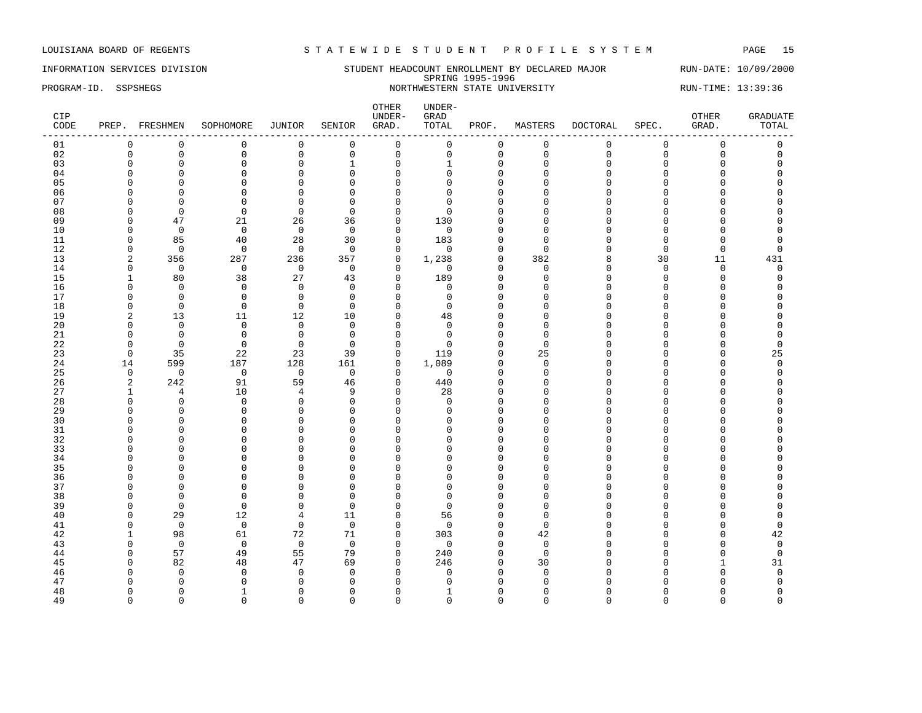### INFORMATION SERVICES DIVISION STUDENT HEADCOUNT ENROLLMENT BY DECLARED MAJOR RUN-DATE: 10/09/2000 SPRING 1995-1996 PROGRAM-ID. SSPSHEGS NORTHWESTERN STATE UNIVERSITY RUN-TIME: 13:39:36

| CIP<br>CODE |                        | PREP. FRESHMEN    | SOPHOMORE         | JUNIOR            | SENIOR               | OTHER<br>UNDER-<br>GRAD.    | UNDER-<br>GRAD<br>TOTAL | PROF.                    | MASTERS              | <b>DOCTORAL</b> | SPEC.         | OTHER<br>GRAD.      | <b>GRADUATE</b><br>TOTAL |
|-------------|------------------------|-------------------|-------------------|-------------------|----------------------|-----------------------------|-------------------------|--------------------------|----------------------|-----------------|---------------|---------------------|--------------------------|
| 01          | $\mathbf 0$            | $\mathbf 0$       | $\mathbf 0$       | 0                 | $\mathbf 0$          | $\mathsf{O}$                | 0                       | 0                        | $\mathbf 0$          | $\mathbf 0$     | $\mathsf 0$   | $\mathsf{O}\xspace$ | $\mathsf 0$              |
| 02          | $\mathbf 0$            | $\mathsf 0$       | $\mathsf 0$       | $\mathsf 0$       | $\mathsf 0$          | $\mathsf 0$                 | 0                       | $\mathsf 0$              | $\mathbf 0$          | $\mathbf{0}$    | $\mathbf 0$   | $\mathsf 0$         | $\mathsf 0$              |
| 03          | $\Omega$               | $\mathbf 0$       | $\Omega$          | $\mathbf 0$       | $\mathbf{1}$         | $\mathbf 0$                 | $\mathbf{1}$            | $\mathbf 0$              | $\Omega$             | $\Omega$        | $\Omega$      | $\Omega$            | $\Omega$                 |
| 04          | $\Omega$               | $\Omega$          | $\mathbf 0$       | $\mathbf 0$       | $\mathbf 0$          | $\Omega$                    | $\Omega$                | $\Omega$                 | $\Omega$             | $\cap$          | $\Omega$      | 0                   | $\Omega$                 |
| 05          | $\Omega$               | $\Omega$          | $\mathbf 0$       | $\mathsf 0$       | $\mathbf 0$          | $\mathbf{0}$                | $\Omega$                | $\mathbf{0}$             | $\Omega$             | $\cap$          | $\cap$        | 0                   | $\Omega$                 |
| 06          | $\Omega$               | $\Omega$          | $\mathbf 0$       | $\mathbf 0$       | $\mathbf 0$          | $\Omega$                    | $\Omega$                | $\Omega$                 | $\Omega$             |                 | $\Omega$      | O                   |                          |
| 07          | $\Omega$               | $\mathbf 0$       | 0                 | $\mathbf 0$       | $\overline{0}$       | $\mathbf 0$                 | $\Omega$                | $\Omega$                 | $\Omega$             |                 | $\cap$        | O                   | $\cap$                   |
| 08          | ∩                      | $\Omega$          | $\Omega$          | $\Omega$          | $\Omega$             | $\Omega$                    | $\Omega$                | $\Omega$                 | $\Omega$             | ∩               | U             | U                   |                          |
| 09          | $\Omega$               | 47                | 21                | 26                | 36                   | $\mathbf 0$                 | 130                     | $\Omega$                 | $\Omega$             | $\cap$          | $\Omega$      | 0                   | $\Omega$                 |
| 10          | $\Omega$               | $\mathbf 0$       | $\mathbf 0$       | $\mathbf 0$       | $\overline{0}$       | $\mathbf{0}$                | $\mathbf 0$             | $\mathbf 0$              | $\Omega$             | ∩               | C             | 0                   | $\Omega$                 |
| 11          | $\Omega$               | 85                | 40                | 28                | 30                   | $\mathbf 0$                 | 183                     | $\Omega$                 | $\Omega$             |                 | $\Omega$      | $\overline{0}$      | $\Omega$                 |
| 12          | $\mathbf 0$            | $\mathbf 0$       | $\mathbf 0$       | $\mathbf 0$       | $\mathbf 0$          | $\mathbf 0$                 | $\Omega$                | $\Omega$                 | $\Omega$             | $\cap$          | $\Omega$      | $\mathbf{0}$        | $\Omega$                 |
| 13          | 2                      | 356               | 287               | 236               | 357                  | $\mathbf 0$                 | 1,238                   | $\Omega$                 | 382                  | R               | 30            | 11                  | 431                      |
| 14          | $\mathbf 0$            | $\mathbf 0$       | $\mathbf 0$       | $\mathsf 0$       | $\overline{0}$       | $\mathbf 0$                 | $\mathbf 0$             | $\Omega$                 | $\mathbf 0$          | $\Omega$        | $\mathbf 0$   | $\mathbf 0$         | $\mathsf 0$              |
| 15          | $\mathbf{1}$           | 80                | 38                | 27                | 43                   | $\mathbf 0$                 | 189                     | $\mathbf{0}$             | $\mathbf 0$          | $\cap$          | $\Omega$      | $\mathbf 0$         | $\Omega$                 |
| 16          | $\Omega$               | $\mathbf 0$       | $\mathbf 0$       | $\mathbf 0$       | $\overline{0}$       | $\mathbf 0$                 | $\mathbf 0$             | $\Omega$                 | $\Omega$             | ∩               | $\Omega$      | O                   | $\Omega$                 |
| 17          | $\Omega$               | $\Omega$          | $\mathbf 0$       | $\mathbf 0$       | $\Omega$             | $\mathbf{0}$                | $\Omega$                | $\Omega$                 | $\Omega$             | $\cap$          | $\cap$        | O<br>U              | $\cap$                   |
| 18          | $\Omega$               | $\overline{0}$    | $\mathbf 0$       | $\mathbf 0$       | $\overline{0}$       | $\mathbf{0}$<br>$\mathbf 0$ | 0                       | $\Omega$<br>$\Omega$     | $\Omega$<br>$\Omega$ | $\cap$          | C<br>$\cap$   | $\Omega$            |                          |
| 19<br>20    | $\sqrt{2}$<br>$\Omega$ | 13<br>$\Omega$    | 11<br>$\mathbf 0$ | 12<br>$\mathbf 0$ | 10<br>$\overline{0}$ | $\mathbf{0}$                | 48<br>$\Omega$          | $\Omega$                 | $\Omega$             | $\cap$          | $\cap$        | $\Omega$            | $\Omega$                 |
| 21          | $\Omega$               | $\mathbf 0$       | $\mathbf 0$       | $\mathbf 0$       | $\Omega$             | $\mathbf 0$                 | $\Omega$                | $\Omega$                 | $\Omega$             |                 | C             | O                   | $\Omega$                 |
| 22          | $\Omega$               | $\Omega$          | $\Omega$          | $\mathbf 0$       | $\Omega$             | $\Omega$                    | $\Omega$                | $\Omega$                 | $\Omega$             |                 | $\Omega$      | 0                   | $\Omega$                 |
| 23          | $\mathbf 0$            | 35                | 22                | 23                | 39                   | $\mathbf 0$                 | 119                     | $\mathbf{0}$             | 25                   |                 | $\Omega$      | 0                   | 25                       |
| 24          | 14                     | 599               | 187               | 128               | 161                  | $\mathsf 0$                 | 1,089                   | $\Omega$                 | $\Omega$             | ∩               | $\cap$        | O                   | $\mathbf 0$              |
| 25          | $\mathbf 0$            | $\mathbf 0$       | $\overline{0}$    | $\overline{0}$    | $\mathbf 0$          | $\mathbf 0$                 | 0                       | $\mathbf 0$              | $\mathbf 0$          | $\Omega$        | C             | O                   | $\Omega$                 |
| 26          | $\overline{2}$         | 242               | 91                | 59                | 46                   | $\mathbf 0$                 | 440                     | $\Omega$                 | $\Omega$             | ∩               | C             | O                   | $\Omega$                 |
| 27          | 1                      | $\overline{4}$    | 10                | 4                 | 9                    | $\mathbf 0$                 | 28                      | $\mathbf 0$              | $\Omega$             | $\cap$          | C             | 0                   | $\Omega$                 |
| 28          | $\Omega$               | $\mathbf 0$       | $\mathbf 0$       | $\mathbf 0$       | $\overline{0}$       | $\mathbf 0$                 | $\Omega$                | $\Omega$                 | $\Omega$             | $\cap$          | $\cap$        | O                   |                          |
| 29          | ∩                      | $\Omega$          | $\Omega$          | $\mathbf 0$       | 0                    | $\mathbf 0$                 | <sup>0</sup>            | $\cap$                   | $\Omega$             | ∩               | C             | O                   | C                        |
| 30          | $\Omega$               | $\Omega$          | $\Omega$          | $\Omega$          | $\Omega$             | $\Omega$                    | U                       | $\Omega$                 | $\Omega$             |                 | C             | O                   |                          |
| 31          | $\Omega$               | $\Omega$          | $\mathbf 0$       | $\mathbf 0$       | $\mathbf 0$          | $\mathbf 0$                 | $\Omega$                | $\Omega$                 | $\Omega$             | $\Omega$        | $\Omega$      | 0                   |                          |
| 32          | $\Omega$               | $\Omega$          | $\Omega$          | $\mathbf 0$       | $\mathbf 0$          | $\Omega$                    | $\cap$                  | $\Omega$                 | $\Omega$             | $\cap$          | C             | O                   |                          |
| 33          | $\Omega$               | $\Omega$          | $\Omega$          | $\mathbf{0}$      | $\Omega$             | $\Omega$                    | <sup>n</sup>            | $\Omega$                 | $\Omega$             |                 | $\cap$        | O                   |                          |
| 34          | ∩                      | $\Omega$          | $\Omega$          | $\mathbf 0$       | 0                    | $\Omega$                    | O                       | $\Omega$                 | $\Omega$             | ∩               | C             | O                   | U                        |
| 35          |                        | $\Omega$          | $\Omega$          | $\Omega$          | $\Omega$             | $\Omega$                    | U                       | $\Omega$                 | $\Omega$             | ∩               | C             | O                   |                          |
| 36          | $\Omega$               | $\Omega$          | $\mathbf 0$       | $\mathbf{0}$      | $\mathbf 0$          | $\Omega$                    | $\Omega$                | $\Omega$                 | $\Omega$             | $\cap$          | $\Omega$      | $\Omega$            |                          |
| 37          | $\Omega$               | $\overline{0}$    | $\Omega$          | $\mathbf{0}$      | $\mathbf 0$          | $\Omega$                    | $\Omega$                | $\Omega$                 | $\Omega$             | $\cap$          | $\cap$        | 0                   | $\cap$                   |
| 38          | $\Omega$               | $\Omega$          | $\Omega$          | $\mathbf{0}$      | $\Omega$             | $\Omega$                    | $\Omega$                | $\Omega$                 | $\Omega$             | $\cap$          | C             | O                   |                          |
| 39          | $\Omega$               | $\mathbf 0$       | $\Omega$          | $\mathbf{0}$      | $\Omega$             | $\Omega$                    | $\Omega$                | $\Omega$                 | $\Omega$             | $\cap$          | C             | O                   | $\Omega$                 |
| 40          | $\Omega$               | 29                | 12                | 4                 | 11                   | $\mathbf 0$                 | 56                      | $\Omega$                 | $\mathbf 0$          |                 | C             | O                   | $\Omega$                 |
| 41          | $\Omega$               | $\mathbf 0$       | $\mathbf 0$       | $\mathbf 0$       | $\mathbf 0$          | $\mathbf 0$                 | $\Omega$                | $\Omega$                 | $\Omega$             |                 | $\cap$        | 0                   | $\mathbf 0$              |
| 42          | -1                     | 98                | 61                | 72                | 71                   | $\mathbf 0$                 | 303                     | $\mathbf 0$              | 42                   | ∩               | C             | $\Omega$<br>O       | 42                       |
| 43          | $\Omega$               | $\mathbf 0$<br>57 | $\mathbf 0$<br>49 | $\mathbf 0$<br>55 | $\overline{0}$<br>79 | $\mathbf{0}$                | $\Omega$<br>240         | $\Omega$                 | $\mathbf 0$          |                 | C<br>$\Omega$ |                     | $\mathbf 0$              |
| 44          | $\Omega$<br>$\Omega$   |                   |                   |                   |                      | $\mathbf 0$<br>$\mathbf{0}$ |                         | $\mathbf{0}$<br>$\Omega$ | $\mathbf 0$          | $\cap$          | $\cap$        | $\mathbf 0$<br>1    | $\mathbf 0$              |
| 45<br>46    | $\Omega$               | 82<br>$\Omega$    | 48<br>$\Omega$    | 47<br>0           | 69<br>0              | $\mathbf 0$                 | 246<br>0                | $\Omega$                 | 30<br>$\Omega$       | $\cap$          | C             | $\Omega$            | 31<br>$\mathbf 0$        |
| 47          |                        | ∩                 | $\Omega$          | $\Omega$          | $\Omega$             | $\Omega$                    | $\Omega$                | O                        | $\Omega$             |                 |               | U                   | $\Omega$                 |
| 48          | $\Omega$               | $\Omega$          | -1                | $\mathbf{0}$      | $\mathbf 0$          | $\overline{0}$              | -1                      | $\Omega$                 | $\Omega$             | ∩               | O             | O                   | $\Omega$                 |
| 49          | $\Omega$               | $\Omega$          | $\Omega$          | $\Omega$          | $\mathbf 0$          | $\Omega$                    | $\Omega$                | $\Omega$                 | $\Omega$             | $\Omega$        | $\Omega$      | $\Omega$            | $\Omega$                 |
|             |                        |                   |                   |                   |                      |                             |                         |                          |                      |                 |               |                     |                          |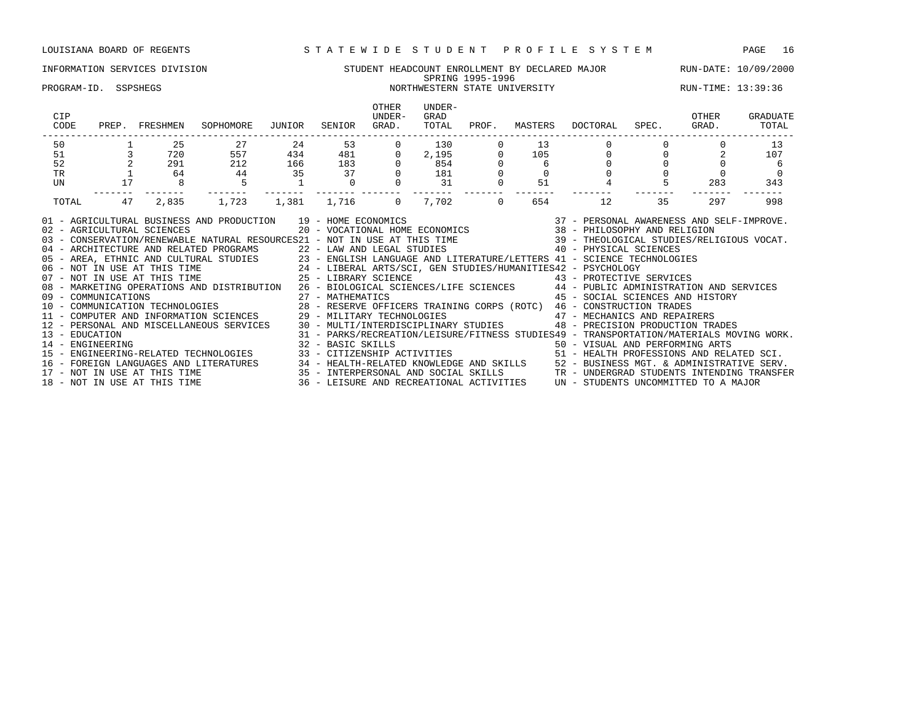### INFORMATION SERVICES DIVISION SUNDENT STUDENT HEADCOUNT ENROLLMENT BY DECLARED MAJOR RUN-DATE: 10/09/2000 SPRING 1995-1996 SPRING 1995-1996<br>PROGRAM-ID. SSPSHEGS NORTHWESTERN STATE UNIVERSITY RUN-TIME: 13:39:36

| CIP<br>CODE                        | PREP. | FRESHMEN                     | SOPHOMORE                                                                                                                                                                                                                                                                                                                                                                                                                                                                                                                                                                                                                                                                                                                | JUNIOR | SENIOR | <b>OTHER</b><br>UNDER-<br>GRAD. | UNDER-<br>GRAD<br>TOTAL | PROF.    | MASTERS | DOCTORAL                                                                                                                                                       | SPEC. | OTHER<br>GRAD. | GRADUATE<br>TOTAL |
|------------------------------------|-------|------------------------------|--------------------------------------------------------------------------------------------------------------------------------------------------------------------------------------------------------------------------------------------------------------------------------------------------------------------------------------------------------------------------------------------------------------------------------------------------------------------------------------------------------------------------------------------------------------------------------------------------------------------------------------------------------------------------------------------------------------------------|--------|--------|---------------------------------|-------------------------|----------|---------|----------------------------------------------------------------------------------------------------------------------------------------------------------------|-------|----------------|-------------------|
| 50                                 |       | 2.5                          | 27                                                                                                                                                                                                                                                                                                                                                                                                                                                                                                                                                                                                                                                                                                                       | 2.4    | 53     |                                 | 130                     |          | 13      |                                                                                                                                                                |       |                | 13                |
| 51                                 |       | 720                          | 557                                                                                                                                                                                                                                                                                                                                                                                                                                                                                                                                                                                                                                                                                                                      | 434    | 481    |                                 | $2,195$<br>854          |          | 105     | $\Omega$                                                                                                                                                       |       |                | 107               |
| 52                                 |       | 291                          | 212                                                                                                                                                                                                                                                                                                                                                                                                                                                                                                                                                                                                                                                                                                                      | 166    | 183    |                                 |                         |          | 6       | $\Omega$                                                                                                                                                       |       |                | -6                |
| TR                                 |       | 64                           | 44                                                                                                                                                                                                                                                                                                                                                                                                                                                                                                                                                                                                                                                                                                                       | 35     | 37     |                                 | 181                     |          |         |                                                                                                                                                                |       |                |                   |
| UN                                 | 17    |                              | 5                                                                                                                                                                                                                                                                                                                                                                                                                                                                                                                                                                                                                                                                                                                        |        |        |                                 | 31                      | $\Omega$ | 51      |                                                                                                                                                                |       | 283            | 343               |
| TOTAL                              | 47    | 2,835                        | 1,723                                                                                                                                                                                                                                                                                                                                                                                                                                                                                                                                                                                                                                                                                                                    | 1,381  | 1,716  | $\Omega$                        | 7,702                   | $\Omega$ | 654     | 12                                                                                                                                                             | 35    | 297            | 998               |
| 13 - EDUCATION<br>14 - ENGINEERING |       | 02 - AGRICULTURAL SCIENCES   | AND PRODUCTION 19 - HOME ECONOMICS 6 (37 - PERSONAL AWARENESS AND SELF-IMPROVE)<br>20 - VOCATIONAL HOME ECONOMICS 38 - PHILOSOPHY AND RELIGION<br>01 - AGRICULTURAL BUSINESS AND PRODUCTION 19 - HOME ECONOMICS<br>03 - CONSERVATION/RENEWABLE NATURAL RESOURCES21 - NOT IN USE AT THIS TIME 39 - THEOLOGICAL STUDIES/RELIGIOUS VOCAT.<br>08 - MARKETING OPERATIONS AND DISTRIBUTION 26 - BIOLOGICAL SCIENCES/LIFE SCIENCES 44 - PUBLIC ADMINISTRATION AND SERVICES<br>12 - PERSONAL AND MISCELLANEOUS SERVICES 30 - MULTI/INTERDISCIPLINARY STUDIES 48 - PRECISION PRODUCTION TRADES<br>32 - BASIC SKILLS<br>15 - ENGINEERING-RELATED TECHNOLOGIES 33 - CITIZENSHIP ACTIVITIES 51 - HEALTH PROFESSIONS AND RELATED SCI. |        |        |                                 |                         |          |         | 45 - SOCIAL SCIENCES AND HISTORY<br>31 - PARKS/RECREATION/LEISURE/FITNESS STUDIES49 - TRANSPORTATION/MATERIALS MOVING WORK.<br>50 - VISUAL AND PERFORMING ARTS |       |                |                   |
|                                    |       |                              | 16 - FOREIGN LANGUAGES AND LITERATURES 34 - HEALTH-RELATED KNOWLEDGE AND SKILLS 52 - BUSINESS MGT. & ADMINISTRATIVE SERV.<br>17 - NOT IN USE AT THIS TIME 35 - INTERPERSONAL AND SOCIAL SKILLS TRANDERGRAD STUDENTS INTENDING TRA                                                                                                                                                                                                                                                                                                                                                                                                                                                                                        |        |        |                                 |                         |          |         |                                                                                                                                                                |       |                |                   |
|                                    |       | 18 - NOT IN USE AT THIS TIME |                                                                                                                                                                                                                                                                                                                                                                                                                                                                                                                                                                                                                                                                                                                          |        |        |                                 |                         |          |         | 36 - LEISURE AND RECREATIONAL ACTIVITIES UN - STUDENTS UNCOMMITTED TO A MAJOR                                                                                  |       |                |                   |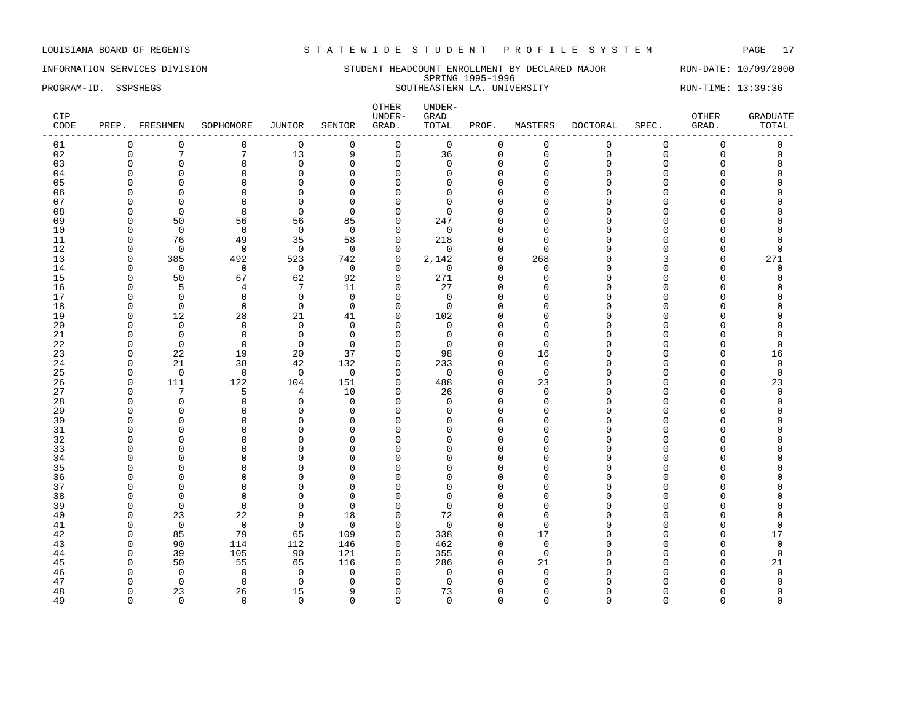INFORMATION SERVICES DIVISION SUNDERT HEADCOUNT ENROLLMENT BY DECLARED MAJOR RUN-DATE: 10/09/2000 SPRING 1995-1996 PROGRAM-ID. SSPSHEGS SOUTHEASTERN LA. UNIVERSITY RUN-TIME: 13:39:36

| CIP<br>CODE | PREP. FRESHMEN       |                      | SOPHOMORE      | JUNIOR            | SENIOR               | OTHER<br>UNDER-<br>GRAD. | UNDER-<br>GRAD<br>TOTAL | PROF.                | MASTERS                 | <b>DOCTORAL</b> | SPEC.          | OTHER<br>GRAD. | <b>GRADUATE</b><br>TOTAL |
|-------------|----------------------|----------------------|----------------|-------------------|----------------------|--------------------------|-------------------------|----------------------|-------------------------|-----------------|----------------|----------------|--------------------------|
| 01          | 0                    | 0                    | $\mathbf{0}$   | $\mathbf 0$       | $\mathbf 0$          | $\mathbf 0$              | $\mathbf 0$             | 0                    | 0                       | $\mathbf 0$     | $\overline{0}$ | $\mathbf 0$    | 0                        |
| 02          | $\mathbf 0$          | $\overline{7}$       | 7              | 13                | 9                    | $\mathsf 0$              | 36                      | 0                    | $\mathbf 0$             | $\mathsf 0$     | $\mathbf 0$    | $\mathbf 0$    | $\mathsf 0$              |
| 03          | $\Omega$             | $\mathbf 0$          | $\Omega$       | $\mathbf 0$       | $\mathbf 0$          | $\mathbf 0$              | $\Omega$                | 0                    | $\Omega$                | $\Omega$        | O              | O              | 0                        |
| 04          | $\Omega$             | $\Omega$             | $\Omega$       | $\mathbf{0}$      | $\Omega$             | $\mathbf 0$              | $\Omega$                | $\Omega$             | $\Omega$                | $\cap$          | C              |                | U                        |
| 05          | <sup>0</sup>         | $\mathbf 0$          | $\Omega$       | $\mathbf 0$       | $\Omega$             | $\mathbf 0$              | $\Omega$                | $\Omega$             | $\Omega$                | $\Omega$        | U              |                | O                        |
| 06          | $\Omega$             | $\mathbf 0$          | $\Omega$       | $\mathbf{0}$      | $\Omega$             | $\mathbf 0$              | 0                       | $\Omega$             | <sup>0</sup>            | $\cap$          | U              | U              |                          |
| 07          | ∩                    | $\Omega$             | $\Omega$       | $\mathbf{0}$      | $\Omega$             | $\mathbf 0$              | 0                       | $\Omega$             | ∩                       | $\cap$          | U              | U              | U                        |
| 08          | ∩                    | $\mathbf 0$          | $\Omega$       | $\mathbf 0$       | $\Omega$             | $\mathbf 0$              | $\Omega$                | O                    | n                       | ∩               | U              |                |                          |
| 09          | $\Omega$             | 50                   | 56             | 56                | 85                   | $\mathbf 0$              | 247                     | $\Omega$             | $\Omega$                | $\Omega$        | O              |                | O                        |
| 10          | $\Omega$             | $\overline{0}$       | $\mathbf 0$    | $\mathbf 0$       | $\Omega$             | $\Omega$                 | $\mathbf 0$             | $\Omega$             | n                       | $\cap$          | U              |                | O                        |
| 11          | $\Omega$             | 76                   | 49             | 35                | 58                   | $\mathbf 0$              | 218                     | $\Omega$             | <sup>0</sup>            | $\Omega$        | U              |                | 0                        |
| 12          | $\Omega$             | $\mathbf 0$          | $\mathbf 0$    | $\mathbf 0$       | $\mathbf 0$          | $\mathbf 0$              | 0                       | 0                    | $\Omega$                | $\Omega$        | U              | O              | 0                        |
| 13          | $\Omega$             | 385                  | 492            | 523               | 742                  | $\mathbf 0$              | 2,142                   | $\Omega$             | 268                     | $\cap$          | ζ              | $\Omega$       | 271                      |
| 14          | $\Omega$             | $\overline{0}$       | $\mathbf 0$    | 0                 | $\mathbf 0$          | $\mathbf 0$              | 0                       | $\Omega$             | $\mathbf 0$             | $\Omega$        | U              | 0              | 0                        |
| 15          | $\Omega$             | 50                   | 67             | 62                | 92                   | $\mathbf 0$              | 271                     | $\mathbf 0$          | $\mathbf 0$             | $\Omega$        | U              | O              | 0                        |
| 16          | <sup>0</sup>         | 5                    | 4              | 7                 | 11                   | $\mathbf 0$              | 27                      | $\Omega$             | n                       | $\cap$          | U              | U              | U                        |
| 17          | <sup>0</sup>         | $\mathbf 0$          | 0              | $\mathbf{0}$      | $\Omega$             | $\Omega$                 | 0                       | $\Omega$             | O                       | $\Omega$        | U              |                | U                        |
| 18          | $\Omega$             | $\mathbf 0$          | $\mathbf{0}$   | $\mathbf 0$       | $\mathbf 0$          | $\mathbf 0$              | $\mathbf 0$             | $\Omega$             | $\Omega$                | $\Omega$        | O              |                | O                        |
| 19          | $\Omega$             | 12                   | 28             | 21                | 41                   | $\mathbf 0$              | 102                     | $\Omega$             | ∩                       | $\cap$          | U              |                | U                        |
| 20          | <sup>0</sup>         | $\mathbf 0$          | 0              | 0                 | $\mathbf 0$          | $\mathbf 0$              | 0                       | O                    | <sup>0</sup>            | O<br>$\cap$     | U              |                | U                        |
| 21          | $\Omega$<br>$\Omega$ | 0                    | 0<br>$\Omega$  | 0                 | $\Omega$<br>$\Omega$ | $\mathbf 0$<br>$\Omega$  | $\mathbf 0$<br>$\Omega$ | $\Omega$<br>$\Omega$ | $\Omega$                | $\cap$          | O<br>C         | O<br>O         | O<br>$\Omega$            |
| 22          |                      | $\overline{0}$       |                | $\mathbf 0$       |                      |                          |                         |                      | $\Omega$                | $\Omega$        |                |                |                          |
| 23          | $\Omega$             | 22                   | 19             | 20                | 37                   | $\mathbf 0$              | 98                      | 0                    | 16                      | $\Omega$        | U<br>O         | 0<br>$\Omega$  | 16                       |
| 24<br>25    | $\Omega$<br>$\Omega$ | 21<br>$\overline{0}$ | 38<br>$\Omega$ | 42<br>$\mathbf 0$ | 132<br>$\Omega$      | $\mathbf 0$<br>$\Omega$  | 233<br>$\mathbf 0$      | 0<br>$\Omega$        | $\mathbf 0$<br>$\Omega$ | $\cap$          | U              | U              | 0<br>$\mathbf 0$         |
| 26          | $\Omega$             | 111                  | 122            | 104               | 151                  | $\mathbf 0$              | 488                     | $\Omega$             | 23                      | $\Omega$        | O              | $\Omega$       | 23                       |
| 27          | $\Omega$             | 7                    | 5              | 4                 | 10                   | $\mathbf 0$              | 26                      | $\Omega$             | $\mathbf 0$             | $\Omega$        | O              | $\Omega$       | 0                        |
| 28          | $\Omega$             | $\mathbf 0$          | $\Omega$       | $\mathbf{0}$      | $\Omega$             | $\Omega$                 | $\Omega$                | $\Omega$             | <sup>0</sup>            | $\cap$          | U              | U              | O                        |
| 29          | ∩                    | $\mathbf 0$          | n              | $\mathbf 0$       | $\Omega$             | $\mathbf 0$              | 0                       | O                    | ∩                       | $\cap$          | U              | U              | U                        |
| 30          | $\Omega$             | $\mathbf 0$          | U              | 0                 | $\Omega$             | $\mathbf 0$              | $\Omega$                | $\Omega$             | O                       | $\Omega$        | U              | O              | U                        |
| 31          | $\Omega$             | $\Omega$             | $\Omega$       | $\mathbf{0}$      | $\Omega$             | $\Omega$                 | $\Omega$                | $\Omega$             | $\Omega$                | $\Omega$        | O              |                | O                        |
| 32          | O                    | $\mathbf 0$          | $\Omega$       | $\mathbf{0}$      | $\Omega$             | $\mathbf 0$              | $\Omega$                | $\Omega$             | $\Omega$                | $\Omega$        | U              | O              | U                        |
| 33          | $\Omega$             | $\mathbf 0$          | $\Omega$       | $\mathbf 0$       | $\Omega$             | $\mathbf 0$              | $\Omega$                | $\Omega$             | $\Omega$                | $\Omega$        | O              |                |                          |
| 34          | O                    | $\Omega$             | $\Omega$       | $\mathbf{0}$      | $\Omega$             | $\Omega$                 | $\Omega$                | $\Omega$             | O                       | $\Omega$        | U              | O              | U                        |
| 35          | n                    | $\Omega$             | $\Omega$       | $\Omega$          | $\cap$               | $\Omega$                 | $\Omega$                | $\Omega$             | n                       | $\cap$          | U              |                | U                        |
| 36          | <sup>0</sup>         | $\Omega$             | $\Omega$       | $\mathbf 0$       | $\Omega$             | $\mathbf 0$              | $\Omega$                | $\Omega$             | <sup>0</sup>            | $\Omega$        | U              |                | U                        |
| 37          | $\Omega$             | $\Omega$             | O              | $\mathbf{0}$      | $\Omega$             | $\Omega$                 | $\Omega$                | $\Omega$             | <sup>0</sup>            | $\Omega$        | O              |                | O                        |
| 38          | $\Omega$             | $\mathbf 0$          | $\Omega$       | $\mathbf 0$       | $\Omega$             | $\mathbf 0$              | 0                       | O                    | ∩                       | ∩               | U              | U              | U                        |
| 39          | $\Omega$             | $\mathbf 0$          | $\Omega$       | $\mathbf 0$       | $\Omega$             | $\mathbf 0$              | $\mathbf 0$             | $\Omega$             | <sup>0</sup>            | $\cap$          | U              | O              | U                        |
| 40          | $\Omega$             | 23                   | 22             | 9                 | 18                   | $\Omega$                 | 72                      | $\Omega$             | $\Omega$                | $\Omega$        | O              |                | O                        |
| 41          | $\Omega$             | $\overline{0}$       | $\mathbf 0$    | $\mathbf{0}$      | $\Omega$             | $\mathbf 0$              | $\mathbf 0$             | $\Omega$             | $\Omega$                | $\cap$          | U              | $\Omega$       | $\Omega$                 |
| 42          | <sup>0</sup>         | 85                   | 79             | 65                | 109                  | $\mathbf 0$              | 338                     | $\Omega$             | 17                      | ∩               | U              | O              | 17                       |
| 43          | $\Omega$             | 90                   | 114            | 112               | 146                  | $\Omega$                 | 462                     | $\Omega$             | $\Omega$                | $\Omega$        | U              | $\Omega$       | $\Omega$                 |
| 44          | $\Omega$             | 39                   | 105            | 90                | 121                  | $\Omega$                 | 355                     | $\Omega$             | $\Omega$                | $\cap$          |                | O              | $\mathbf 0$              |
| 45          | <sup>0</sup>         | 50                   | 55             | 65                | 116                  | $\mathbf 0$              | 286                     | $\Omega$             | 21                      | $\Omega$        |                | O              | 21                       |
| 46          | <sup>0</sup>         | $\Omega$             | $\Omega$       | 0                 | $\Omega$             | $\Omega$                 | $\Omega$                | $\Omega$             | $\Omega$                | ∩               |                | U              | $\Omega$                 |
| 47          | $\Omega$             | $\mathbf 0$          | $\Omega$       | 0                 | $\mathbf 0$          | $\mathbf 0$              | $\mathbf 0$             | $\Omega$             | $\Omega$                | $\cap$          | U              | O              | $\mathbf 0$              |
| 48          | $\Omega$             | 23                   | 26             | 15                | 9                    | $\Omega$                 | 73                      | $\Omega$             | $\Omega$                | $\Omega$        | $\Omega$       | $\Omega$       | $\Omega$                 |

49 0 0 0 0 0 0 0 0 0 0 0 0 0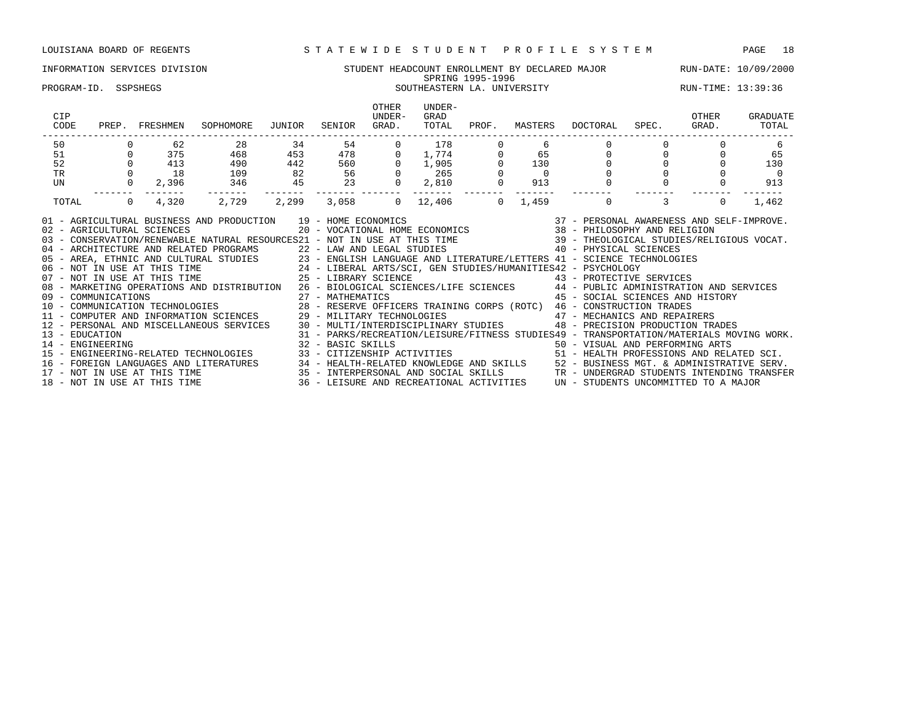### INFORMATION SERVICES DIVISION STUDENT HEADCOUNT ENROLLMENT BY DECLARED MAJOR RUN-DATE: 10/09/2000 SPRING 1995-1996 PROGRAM-ID. SSPSHEGS SOUTHEASTERN LA. UNIVERSITY RUN-TIME: 13:39:36

|                                    |    | SOPHOMORE                                                 |                                                 |                                              | OTHER<br>UNDER- | UNDER-<br>GRAD<br>TOTAL                                                                                      |     |                                                                                                                                                                                                                     |         | OTHER<br>GRAD.             | GRADUATE<br>TOTAL                                                                                                                                                                                                                                                                                                                                                                                                                                                                                                                                                                                                                                                                                                                                                                                                                                                                                                                                                                                                                                                                                                          |
|------------------------------------|----|-----------------------------------------------------------|-------------------------------------------------|----------------------------------------------|-----------------|--------------------------------------------------------------------------------------------------------------|-----|---------------------------------------------------------------------------------------------------------------------------------------------------------------------------------------------------------------------|---------|----------------------------|----------------------------------------------------------------------------------------------------------------------------------------------------------------------------------------------------------------------------------------------------------------------------------------------------------------------------------------------------------------------------------------------------------------------------------------------------------------------------------------------------------------------------------------------------------------------------------------------------------------------------------------------------------------------------------------------------------------------------------------------------------------------------------------------------------------------------------------------------------------------------------------------------------------------------------------------------------------------------------------------------------------------------------------------------------------------------------------------------------------------------|
|                                    | 62 |                                                           |                                                 |                                              | $\overline{0}$  |                                                                                                              |     |                                                                                                                                                                                                                     |         |                            | -6                                                                                                                                                                                                                                                                                                                                                                                                                                                                                                                                                                                                                                                                                                                                                                                                                                                                                                                                                                                                                                                                                                                         |
|                                    |    |                                                           |                                                 |                                              |                 |                                                                                                              |     |                                                                                                                                                                                                                     |         | $\Omega$                   | 65                                                                                                                                                                                                                                                                                                                                                                                                                                                                                                                                                                                                                                                                                                                                                                                                                                                                                                                                                                                                                                                                                                                         |
|                                    |    |                                                           |                                                 |                                              |                 |                                                                                                              |     |                                                                                                                                                                                                                     |         |                            | 130                                                                                                                                                                                                                                                                                                                                                                                                                                                                                                                                                                                                                                                                                                                                                                                                                                                                                                                                                                                                                                                                                                                        |
|                                    |    |                                                           |                                                 |                                              |                 |                                                                                                              |     |                                                                                                                                                                                                                     |         |                            | $\overline{0}$                                                                                                                                                                                                                                                                                                                                                                                                                                                                                                                                                                                                                                                                                                                                                                                                                                                                                                                                                                                                                                                                                                             |
|                                    |    |                                                           |                                                 |                                              |                 |                                                                                                              |     |                                                                                                                                                                                                                     |         |                            | 913                                                                                                                                                                                                                                                                                                                                                                                                                                                                                                                                                                                                                                                                                                                                                                                                                                                                                                                                                                                                                                                                                                                        |
|                                    |    |                                                           |                                                 |                                              |                 |                                                                                                              |     |                                                                                                                                                                                                                     |         | $\Omega$                   | 1,462                                                                                                                                                                                                                                                                                                                                                                                                                                                                                                                                                                                                                                                                                                                                                                                                                                                                                                                                                                                                                                                                                                                      |
| 13 - EDUCATION<br>14 - ENGINEERING |    |                                                           |                                                 |                                              |                 |                                                                                                              |     |                                                                                                                                                                                                                     |         |                            |                                                                                                                                                                                                                                                                                                                                                                                                                                                                                                                                                                                                                                                                                                                                                                                                                                                                                                                                                                                                                                                                                                                            |
|                                    |    |                                                           |                                                 |                                              |                 |                                                                                                              |     |                                                                                                                                                                                                                     |         |                            |                                                                                                                                                                                                                                                                                                                                                                                                                                                                                                                                                                                                                                                                                                                                                                                                                                                                                                                                                                                                                                                                                                                            |
|                                    |    | 413<br>$0$ 18<br>$0 \qquad \qquad$<br>09 - COMMUNICATIONS | PREP. FRESHMEN<br>28<br>490<br>109<br>2,396 346 | 34<br>16 - FOREIGN LANGUAGES AND LITERATURES | JUNIOR          | SENIOR GRAD.<br>54 7<br>$0 \qquad 4,320 \qquad 2,729 \qquad 2,299 \qquad 3,058 \qquad 0$<br>27 - MATHEMATICS | 178 | PROF.<br>0 375 468 453 478 0 1,774 0 65<br>$\begin{array}{ccccccccc} 442 & & 560 & & 0 & 1,905 & & 0 & & 130 \ 82 & & 56 & & 0 & & 265 & & 0 & & 0 \ 45 & & 23 & & 0 & 2,810 & & 0 & & 913 \end{array}$<br>12,406 0 | MASTERS | DOCTORAL<br>$\overline{0}$ | SPEC.<br>$0 \qquad \qquad$<br>$1,459$ 0 3<br>03 - CONSERVATION/RENEWABLE NATURAL RESOURCES21 - NOT IN USE AT THIS TIME 39 - THEOLOGICAL STUDIES/RELIGIOUS VOCAT.<br>04 - ARCHITECTURE AND RELATED PROGRAMS<br>05 - AREA, ETHNIC AND CULTURAL STUDIES<br>06 - NOT IN USE AT THIS TIME 24 - LIBERAL ARTS/SCI, GEN STUDIES/HUMANITIES42 - PSYCHOLOGY<br>107 - NOT IN USE AT THIS TIME 25 - LIBERAL ARTS/SCI<br>08 - MARKETING OPERATIONS AND DISTRIBUTION 26 - BIOLOGICAL SCIENCES/LIFE SCIENCES 44 - PUBLIC ADMINISTRATION AND SERVICES<br>45 - SOCIAL SCIENCES AND HISTORY<br>10 - COMMUNICATION TECHNOLOGIES                                 28 - RESERVE OFFICERS TRAINING CORPS (ROTC)   46 - CONSTRUCTION TRADES<br>11 - COMPUTER AND INFORMATION SCIENCES             29 - MILITARY TECHNOLOGIES<br>12 - PERSONAL AND MISCELLANEOUS SERVICES 30 - MULTI/INTERDISCIPLINARY STUDIES 48 - PRECISION PRODUCTION TRADES<br>15 - ENGINEERING-RELATED TECHNOLOGIES 33 - CITIZENSHIP ACTIVITIES 51 - HEALTH PROFESSIONS AND RELATED SCI.<br>34 - HEALTH-RELATED KNOWLEDGE AND SKILLS 52 - BUSINESS MGT. & ADMINISTRATIVE SERV. |

17 - NOT IN USE AT THIS TIME 35 - INTERPERSONAL AND SOCIAL SKILLS TR - UNDERGRAD STUDENTS INTENDING TRANSFER 18 - NOT IN USE AT THIS TIME 36 - LEISURE AND RECREATIONAL ACTIVITIES UN - STUDENTS UNCOMMITTED TO A MAJOR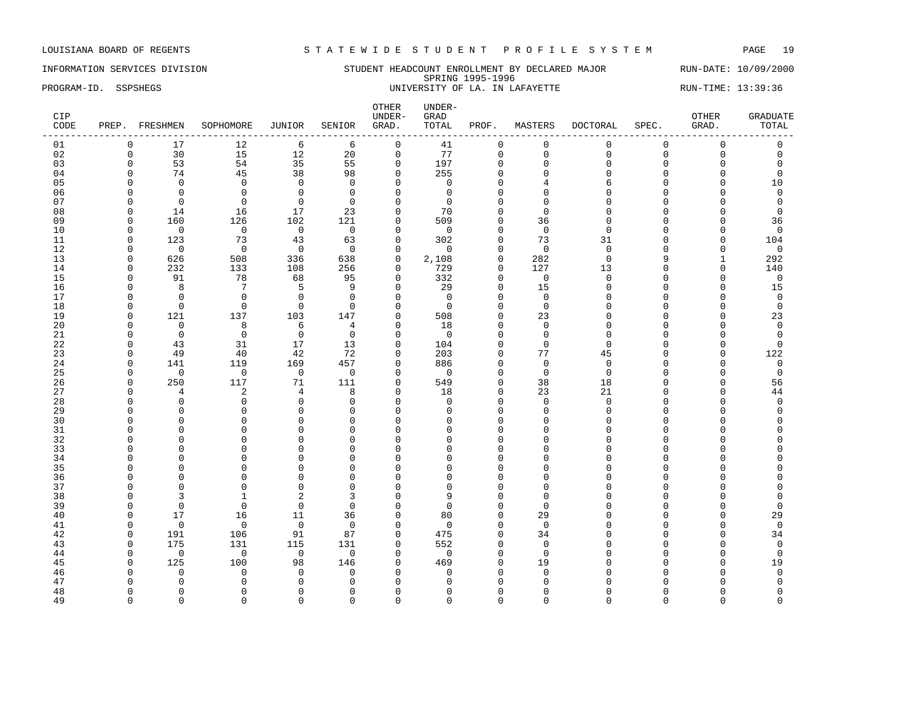INFORMATION SERVICES DIVISION SUNDERT STUDENT HEADCOUNT ENROLLMENT BY DECLARED MAJOR RUN-DATE: 10/09/2000 SPRING 1995-1996 PROGRAM-ID. SSPSHEGS **EXAM-ID.** SSPSHEGS UNIVERSITY OF LA. IN LAFAYETTE RUN-TIME: 13:39:36

| CIP<br>CODE |                      | PREP. FRESHMEN        | SOPHOMORE             | JUNIOR         | SENIOR         | OTHER<br>UNDER-<br>GRAD. | UNDER-<br>GRAD<br>TOTAL | PROF.                   | MASTERS        | DOCTORAL       | SPEC.         | OTHER<br>GRAD.       | <b>GRADUATE</b><br>TOTAL |
|-------------|----------------------|-----------------------|-----------------------|----------------|----------------|--------------------------|-------------------------|-------------------------|----------------|----------------|---------------|----------------------|--------------------------|
| 01          | $\mathbf 0$          | 17                    | 12                    | 6              | 6              | $\mathsf 0$              | 41                      | 0                       | $\mathbf 0$    | $\mathbf 0$    | $\mathbf 0$   | $\mathsf 0$          | 0                        |
| 02          | $\Omega$             | 30                    | 15                    | 12             | 20             | $\mathbf 0$              | 77                      | $\mathbf 0$             | $\Omega$       | $\Omega$       | $\mathbf 0$   | $\mathbf 0$          | $\mathbf 0$              |
| 03          | $\Omega$             | 53                    | 54                    | 35             | 55             | $\mathbf 0$              | 197                     | $\mathbf 0$             | $\Omega$       | $\mathbf 0$    | $\mathbf 0$   | $\mathbf 0$          | $\mathbf 0$              |
| 04          | $\Omega$             | 74                    | 45                    | 38             | 98             | $\Omega$                 | 255                     | $\mathbf 0$             | $\Omega$       | $\Omega$       | $\Omega$      | $\Omega$             | $\mathbf 0$              |
| 05          |                      | $\Omega$              | $\Omega$              | $\Omega$       | $\Omega$       | $\Omega$                 | $\Omega$                | $\Omega$                | 4              | 6              | $\Omega$      | $\Omega$             | 10                       |
| 06          | $\Omega$             | $\Omega$              | $\Omega$              | $\Omega$       | $\Omega$       | $\Omega$                 | $\Omega$                | $\Omega$                | $\Omega$       | $\Omega$       | $\Omega$      | $\Omega$             | $\Omega$                 |
| 07          | $\Omega$             | $\Omega$              | $\Omega$              | $\mathbf 0$    | $\mathbf 0$    | $\Omega$                 | $\Omega$                | $\Omega$                | $\Omega$       | $\Omega$       | $\sqrt{ }$    | $\Omega$             | $\mathbf 0$              |
| 08          | $\Omega$             | 14                    | 16                    | 17             | 23             | $\Omega$                 | 70                      | $\Omega$                | $\Omega$       | $\Omega$       | $\Omega$      | $\Omega$             | $\Omega$                 |
| 09          | $\Omega$             | 160                   | 126                   | 102            | 121            | $\Omega$                 | 509                     | $\Omega$                | 36             | $\Omega$       | $\Omega$      | $\Omega$             | 36                       |
| 10          | $\Omega$             | $\overline{0}$        | $\overline{0}$        | $\overline{0}$ | $\overline{0}$ | $\Omega$                 | $\Omega$                | $\Omega$                | $\Omega$       | $\Omega$       | $\Omega$      | $\Omega$             | $\mathbf 0$              |
| 11          | $\Omega$             | 123                   | 73                    | 43             | 63             | $\mathbf 0$              | 302                     | $\Omega$                | 73             | 31             | $\Omega$      | $\Omega$             | 104                      |
| 12          | $\Omega$             | $\overline{0}$        | $\overline{0}$        | $\overline{0}$ | $\overline{0}$ | $\Omega$                 | $\Omega$                | $\Omega$                | $\Omega$       | $\Omega$       | $\Omega$      | $\Omega$             | $\mathbf 0$              |
| 13          | $\Omega$             | 626                   | 508                   | 336            | 638            | $\mathbf 0$              | 2,108                   | $\Omega$                | 282            | $\Omega$       | 9             |                      | 292                      |
| 14          | $\Omega$             | 232                   | 133                   | 108            | 256            | $\mathbf 0$              | 729                     | $\mathbf 0$             | 127            | 13             | $\cap$        | $\mathbf 0$          | 140                      |
| 15          | $\Omega$             | 91                    | 78                    | 68             | 95             | $\Omega$                 | 332                     | $\Omega$                | $\Omega$       | $\Omega$       | $\Omega$      | $\cap$               | $\mathbf 0$              |
| 16          | $\Omega$             | 8                     | 7                     | 5              | 9              | $\mathbf{0}$             | 29                      | $\mathbf 0$             | 15             | $\Omega$       | $\Omega$      | $\mathbf 0$          | 15                       |
| 17          | $\Omega$             | $\Omega$              | $\Omega$              | $\mathbf 0$    | $\Omega$       | $\Omega$                 | $\Omega$                | $\Omega$                | $\Omega$       | $\Omega$       | $\Omega$      | $\Omega$             | $\mathbf 0$              |
| 18          | $\Omega$             | $\mathbf 0$           | $\Omega$              | $\Omega$       | $\Omega$       | $\Omega$                 | $\Omega$                | $\Omega$                | $\Omega$       | $\Omega$       | $\Omega$      | $\Omega$             | $\mathbf 0$              |
| 19          | $\Omega$             | 121                   | 137                   | 103            | 147            | $\Omega$                 | 508                     | $\Omega$                | 23             | $\Omega$       | $\Omega$      | $\Omega$             | 23                       |
| 20          | $\Omega$             | $\mathbf 0$           | 8                     | 6              | 4              | $\Omega$                 | 18                      | $\Omega$                | $\Omega$       | $\Omega$       | $\Omega$      | $\Omega$             | $\mathbf 0$              |
| 21          | $\Omega$<br>$\Omega$ | $\mathbf 0$           | $\overline{0}$        | $\overline{0}$ | $\mathbf 0$    | $\Omega$                 | $\overline{0}$          | $\Omega$                | $\Omega$       | $\Omega$       | $\Omega$<br>C | $\Omega$             | $\Omega$                 |
| 22          | $\Omega$             | 43                    | 31                    | 17             | 13             | $\Omega$<br>$\Omega$     | 104                     | $\Omega$                | $\Omega$       | $\Omega$       | $\Omega$      | $\Omega$<br>$\Omega$ | $\Omega$                 |
| 23          | $\Omega$             | 49                    | 40                    | 42<br>169      | 72<br>457      |                          | 203<br>886              | $\Omega$                | 77<br>$\Omega$ | 45<br>$\Omega$ | $\Omega$      | $\Omega$             | 122<br>$\mathbf 0$       |
| 24<br>25    | $\Omega$             | 141<br>$\overline{0}$ | 119<br>$\overline{0}$ | $\overline{0}$ | $\bigcirc$     | $\mathbf{0}$<br>$\Omega$ | $\overline{0}$          | $\mathbf 0$<br>$\Omega$ | $\Omega$       | $\Omega$       | $\Omega$      | ∩                    | $\mathbf 0$              |
| 26          | $\Omega$             | 250                   | 117                   | 71             | 111            | $\mathbf{0}$             | 549                     | $\mathbf 0$             | 38             | 18             | $\Omega$      | 0                    | 56                       |
| 27          | $\Omega$             | $\overline{4}$        | 2                     | 4              | 8              | $\Omega$                 | 18                      | $\mathbf 0$             | 23             | 21             | $\Omega$      | $\Omega$             | 44                       |
| 28          | $\cap$               | $\mathbf 0$           | $\Omega$              | $\Omega$       | $\Omega$       | $\Omega$                 | $\Omega$                | $\Omega$                | $\Omega$       | $\Omega$       | $\Omega$      | $\cap$               | $\mathbf 0$              |
| 29          | $\cap$               | $\mathbf 0$           | $\Omega$              | $\mathbf 0$    | $\Omega$       | $\Omega$                 | $\Omega$                | 0                       | $\Omega$       | $\Omega$       | $\cap$        | $\Omega$             | 0                        |
| 30          |                      | $\Omega$              | $\Omega$              | $\Omega$       | $\Omega$       | $\Omega$                 | $\Omega$                | $\Omega$                | $\Omega$       | U              | $\sqrt{ }$    | $\cap$               | $\Omega$                 |
| 31          |                      | $\Omega$              | $\Omega$              | $\Omega$       | $\Omega$       | $\Omega$                 | $\Omega$                | $\Omega$                | U              | $\Omega$       | C             | ∩                    | $\Omega$                 |
| 32          |                      | $\Omega$              | $\Omega$              | $\Omega$       | $\Omega$       | $\Omega$                 | $\Omega$                | $\Omega$                | n              | U              |               | $\cap$               | O                        |
| 33          |                      | $\mathbf 0$           | $\Omega$              | $\mathbf 0$    | $\Omega$       | $\Omega$                 | $\cap$                  | O                       |                | U              |               | $\Omega$             | $\Omega$                 |
| 34          |                      | 0                     | $\Omega$              | $\Omega$       | $\Omega$       | $\Omega$                 | $\cap$                  | $\Omega$                | $\cap$         | U              | C             | $\Omega$             | $\Omega$                 |
| 35          |                      | $\Omega$              | $\cap$                | $\Omega$       | $\Omega$       | $\cap$                   | ∩                       | $\Omega$                | n              |                | C             | ∩                    | C                        |
| 36          |                      | $\Omega$              | $\Omega$              | $\Omega$       | $\Omega$       | $\Omega$                 | $\cap$                  | $\Omega$                | U              | U              |               | O                    | $\Omega$                 |
| 37          |                      | $\Omega$              | $\Omega$              | $\Omega$       | $\Omega$       | $\Omega$                 | $\Omega$                | $\Omega$                | $\Omega$       | U              |               | $\Omega$             | $\Omega$                 |
| 38          | ∩                    | 3                     |                       | $\overline{2}$ | 3              | $\Omega$                 | q                       | $\Omega$                | $\Omega$       | U              |               | ∩                    | $\Omega$                 |
| 39          | $\Omega$             | $\mathbf 0$           | $\Omega$              | $\mathbf 0$    | $\mathbf 0$    | $\Omega$                 | $\Omega$                | $\mathbf{0}$            | $\Omega$       | $\Omega$       | $\sqrt{ }$    | $\Omega$             | $\Omega$                 |
| 40          | $\Omega$             | 17                    | 16                    | 11             | 36             | $\Omega$                 | 80                      | $\Omega$                | 29             | ∩              | $\sqrt{ }$    | $\Omega$             | 29                       |
| 41          | $\Omega$             | $\mathbf 0$           | $\Omega$              | $\mathbf 0$    | $\Omega$       | $\Omega$                 | $\Omega$                | $\Omega$                | $\Omega$       | U              | C             | ∩                    | $\mathbf 0$              |
| 42          | 0                    | 191                   | 106                   | 91             | 87             | $\mathbf{0}$             | 475                     | 0                       | 34             | O              |               | $\Omega$             | 34                       |
| 43          | $\Omega$             | 175                   | 131                   | 115            | 131            | $\Omega$                 | 552                     | $\Omega$                | $\Omega$       | U              |               | $\Omega$             | $\mathbf 0$              |
| 44          | $\Omega$             | $\Omega$              | $\bigcirc$            | $\overline{0}$ | $\Omega$       | $\Omega$                 | $\Omega$                | $\Omega$                | $\Omega$       | U              | $\sqrt{ }$    | $\Omega$             | $\mathbf 0$              |
| 45          | $\Omega$             | 125                   | 100                   | 98             | 146            | $\Omega$                 | 469                     | $\Omega$                | 19             | U              | C             | $\cap$               | 19                       |
| 46          |                      | $\Omega$              | $\Omega$              | $\Omega$       | $\Omega$       | $\Omega$                 | $\Omega$                | $\Omega$                | $\Omega$       | U              |               | O                    | $\mathbf 0$              |
| 47          |                      | $\Omega$              |                       | $\Omega$       | $\Omega$       | $\Omega$                 | $\cap$                  | U                       |                |                |               |                      | $\Omega$                 |
| 48          | ∩                    | $\Omega$              | n                     | $\Omega$       | $\Omega$       | $\Omega$                 | ∩                       | $\Omega$                | U              |                |               | ∩                    | $\Omega$                 |
| 49          | $\Omega$             | $\Omega$              | $\Omega$              | $\Omega$       | $\Omega$       | $\Omega$                 | $\Omega$                | $\Omega$                | $\Omega$       | $\Omega$       | $\Omega$      | $\Omega$             | $\Omega$                 |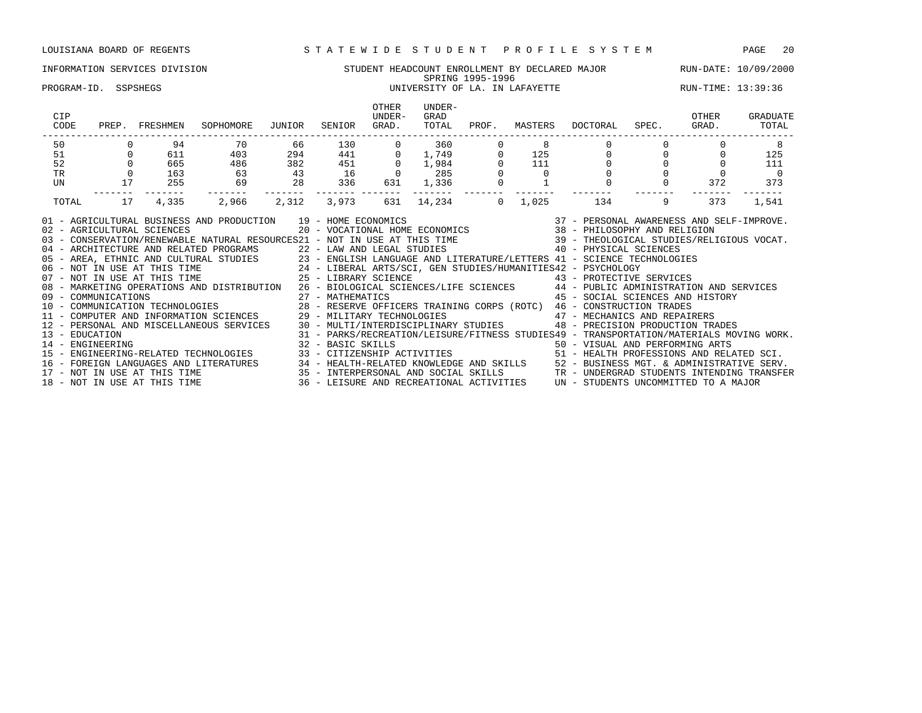### INFORMATION SERVICES DIVISION STUDENT HEADCOUNT ENROLLMENT BY DECLARED MAJOR RUN-DATE: 10/09/2000 SPRING 1995-1996 PROGRAM-ID. SSPSHEGS 
end the UNIVERSITY OF LA. IN LAFAYETTE THE RUN-TIME: 13:39:36 OTHER UNDER-<br>UNDER- GRAD CIP UNDER- GRAD OTHER GRADUATE CODE PREP. FRESHMEN SOPHOMORE JUNIOR SENIOR GRAD. TOTAL PROF. MASTERS DOCTORAL SPEC. GRAD. TOTAL ------------------------------------------------------------------------------------------------------------------------------------ 50 0 94 70 66 130 0 360 0 8 0 0 0 8 51 0 611 403 294 441 0 1,749 0 125 0 0 0 125 52 0 665 486 382 451 0 1,984 0 111 0 0 0 111 TR 0 163 63 43 16 0 285 0 0 0 0 0 0 UN 17 255 69 28 336 631 1,336 0 1 0 0 372 373 ------- ------- ------- ------- ------- ------- ------- ------- ------- ------- ------- ------- ------- TOTAL 17 4,335 2,966 2,312 3,973 631 14,234 0 1,025 134 9 373 1,541

| 02 - AGRICULTURAL SCIENCES<br>03 - CONSERVATION/RENEWABLE NATURAL RESOURCES21 - NOT IN USE AT THIS TIME | 01 - AGRICULTURAL BUSINESS AND PRODUCTION 19 - HOME ECONOMICS<br>20 - VOCATIONAL HOME ECONOMICS               | 39 | 37 - PERSONAL AWARENESS AND SELF-IMPROVE.<br>38 - PHILOSOPHY AND RELIGION<br>- THEOLOGICAL STUDIES/RELIGIOUS VOCAT. |
|---------------------------------------------------------------------------------------------------------|---------------------------------------------------------------------------------------------------------------|----|---------------------------------------------------------------------------------------------------------------------|
| 04 - ARCHITECTURE AND RELATED PROGRAMS                                                                  | 22 - LAW AND LEGAL STUDIES                                                                                    |    | 40 - PHYSICAL SCIENCES                                                                                              |
|                                                                                                         | 05 - AREA, ETHNIC AND CULTURAL STUDIES 23 - ENGLISH LANGUAGE AND LITERATURE/LETTERS 41 - SCIENCE TECHNOLOGIES |    |                                                                                                                     |
| 06 - NOT IN USE AT THIS TIME                                                                            | 24 - LIBERAL ARTS/SCI, GEN STUDIES/HUMANITIES42 - PSYCHOLOGY                                                  |    |                                                                                                                     |
| 07 - NOT IN USE AT THIS TIME                                                                            | 25 - LIBRARY SCIENCE                                                                                          |    | 43 - PROTECTIVE SERVICES                                                                                            |
| 08 - MARKETING OPERATIONS AND DISTRIBUTION                                                              | 26 - BIOLOGICAL SCIENCES/LIFE SCIENCES 44 - PUBLIC ADMINISTRATION AND SERVICES                                |    |                                                                                                                     |
| 09 - COMMUNICATIONS                                                                                     | 27 - MATHEMATICS                                                                                              |    | 45 - SOCIAL SCIENCES AND HISTORY                                                                                    |
| 10 - COMMUNICATION TECHNOLOGIES                                                                         | 28 - RESERVE OFFICERS TRAINING CORPS (ROTC) 46 - CONSTRUCTION TRADES                                          |    |                                                                                                                     |
| 11 - COMPUTER AND INFORMATION SCIENCES                                                                  | 29 - MILITARY TECHNOLOGIES 647 - MECHANICS AND REPAIRERS                                                      |    |                                                                                                                     |
| 12 - PERSONAL AND MISCELLANEOUS SERVICES                                                                | 30 - MULTI/INTERDISCIPLINARY STUDIES 48 - PRECISION PRODUCTION TRADES                                         |    |                                                                                                                     |
| 13 - EDUCATION                                                                                          | 31 - PARKS/RECREATION/LEISURE/FITNESS STUDIES49 - TRANSPORTATION/MATERIALS MOVING WORK.                       |    |                                                                                                                     |
| 14 - ENGINEERING                                                                                        | 32 - BASIC SKILLS                                                                                             |    | 50 - VISUAL AND PERFORMING ARTS                                                                                     |
| 15 - ENGINEERING-RELATED TECHNOLOGIES                                                                   | 33 - CITIZENSHIP ACTIVITIES                                                                                   |    | 51 - HEALTH PROFESSIONS AND RELATED SCI.                                                                            |
| 16 - FOREIGN LANGUAGES AND LITERATURES                                                                  | 34 - HEALTH-RELATED KNOWLEDGE AND SKILLS                                                                      |    | 52 - BUSINESS MGT. & ADMINISTRATIVE SERV.                                                                           |
| 17 - NOT IN USE AT THIS TIME                                                                            | 35 - INTERPERSONAL AND SOCIAL SKILLS                                                                          |    | TR - UNDERGRAD STUDENTS INTENDING TRANSFER                                                                          |
| 18 - NOT IN USE AT THIS TIME                                                                            | 36 - LEISURE AND RECREATIONAL ACTIVITIES                                                                      |    | UN - STUDENTS UNCOMMITTED TO A MAJOR                                                                                |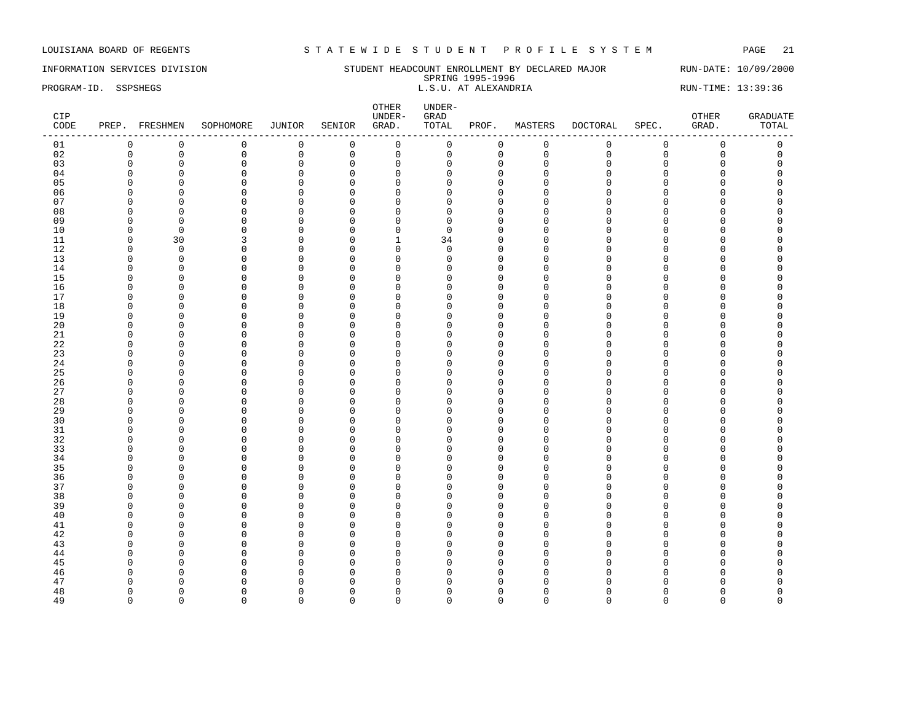## INFORMATION SERVICES DIVISION STUDENT HEADCOUNT ENROLLMENT BY DECLARED MAJOR RUN-DATE: 10/09/2000

SPRING 1995-1996 PROGRAM-ID. SSPSHEGS **EXECUTE:** 13:39:36 L.S.U. AT ALEXANDRIA RUN-TIME: 13:39:36

| CIP<br>CODE |             | PREP. FRESHMEN | SOPHOMORE   | JUNIOR       | SENIOR      | OTHER<br>UNDER-<br>GRAD. | UNDER-<br>GRAD<br>TOTAL | PROF.        | MASTERS     | DOCTORAL     | SPEC.       | OTHER<br>GRAD. | <b>GRADUATE</b><br>TOTAL |
|-------------|-------------|----------------|-------------|--------------|-------------|--------------------------|-------------------------|--------------|-------------|--------------|-------------|----------------|--------------------------|
| 01          | $\mathbf 0$ | 0              | $\mathbf 0$ | $\mathbf 0$  | $\mathbf 0$ | $\mathsf{O}$             | $\mathbf 0$             | $\mathsf{O}$ | $\mathbf 0$ | 0            | $\mathbf 0$ | $\mathsf 0$    | $\mathsf 0$              |
| 02          | $\mathbf 0$ | $\mathsf 0$    | $\mathbb O$ | $\mathsf 0$  | $\mathsf 0$ | $\mathsf{O}\xspace$      | $\mathbf 0$             | $\mathsf 0$  | $\mathbf 0$ | $\mathbf{0}$ | $\mathbf 0$ | $\mathsf 0$    | $\mathbf 0$              |
| 03          | $\Omega$    | $\mathbb O$    | $\mathbf 0$ | $\mathsf 0$  | $\mathbf 0$ | $\mathsf 0$              | $\Omega$                | $\mathbf{0}$ | $\mathbf 0$ | $\cap$       | $\Omega$    | $\Omega$       | $\Omega$                 |
| 04          | $\Omega$    | $\mathbf 0$    | $\mathbf 0$ | $\mathbf 0$  | $\Omega$    | $\mathsf 0$              | $\Omega$                | $\mathbf 0$  | $\Omega$    | $\Omega$     | $\Omega$    | $\Omega$       | $\Omega$                 |
| 05          | $\Omega$    | $\mathbf 0$    | $\mathbf 0$ | $\mathsf 0$  | $\mathbf 0$ | $\mathbf 0$              | $\Omega$                | $\mathbf 0$  | $\Omega$    | $\cap$       | $\Omega$    | $\mathbf 0$    | $\Omega$                 |
| 06          | $\Omega$    | $\mathbf 0$    | $\mathbf 0$ | $\mathbf 0$  | 0           | $\mathbf 0$              | $\Omega$                | $\Omega$     | $\Omega$    | $\cap$       | $\Omega$    | $\Omega$       |                          |
| 07          | $\Omega$    | $\mathbf 0$    | $\Omega$    | $\mathbf 0$  | $\mathbf 0$ | $\mathbf 0$              | $\Omega$                | $\mathbf{0}$ | $\Omega$    | $\Omega$     | $\Omega$    | O              |                          |
| 08          | $\Omega$    | $\mathbf 0$    | $\Omega$    | $\mathbf 0$  | $\Omega$    | $\mathbf 0$              | $\Omega$                | $\Omega$     | $\Omega$    | $\cap$       | $\Omega$    | $\Omega$       |                          |
| 09          | $\Omega$    | $\mathbf 0$    | $\mathbf 0$ | $\mathbf 0$  | $\mathbf 0$ | $\mathbf 0$              | $\Omega$                | $\mathbf{0}$ | $\Omega$    | $\cap$       | $\Omega$    | 0              | $\Omega$                 |
| 10          | $\Omega$    | $\mathbf 0$    | $\Omega$    | $\mathbf 0$  | $\Omega$    | $\mathsf 0$              | $\Omega$                | $\Omega$     | $\Omega$    | $\cap$       | $\Omega$    | 0              | $\Omega$                 |
| 11          | $\Omega$    | 30             | 3           | $\mathbf 0$  | $\mathbf 0$ | $\mathbf{1}$             | 34                      | $\Omega$     | $\Omega$    | $\cap$       | $\Omega$    | O              |                          |
| 12          | $\Omega$    | $\mathbf 0$    | $\Omega$    | $\mathbf 0$  | $\mathbf 0$ | $\mathbf 0$              | $\Omega$                | $\mathbf{0}$ | $\Omega$    | $\cap$       | $\Omega$    | 0              | $\Omega$                 |
| 13          | $\Omega$    | $\mathbf 0$    | $\mathbf 0$ | $\mathbf 0$  | $\mathbf 0$ | $\mathbf 0$              | $\Omega$                | $\mathbf{0}$ | $\Omega$    | $\cap$       | $\Omega$    | $\Omega$       | O                        |
| 14          | $\Omega$    | $\mathbf 0$    | $\mathbf 0$ | $\mathsf 0$  | $\mathbf 0$ | $\mathbf 0$              | $\Omega$                | $\mathbf{0}$ | $\Omega$    | $\cap$       | $\Omega$    | 0              |                          |
| 15          | $\Omega$    | $\mathbf 0$    | $\mathbf 0$ | $\mathsf 0$  | $\mathbf 0$ | $\mathbf 0$              | $\Omega$                | $\mathbf{0}$ | $\Omega$    | $\cap$       | $\Omega$    | 0              | 0                        |
| 16          | $\Omega$    | $\mathbb O$    | $\mathbf 0$ | $\mathsf 0$  | $\mathbf 0$ | $\mathbf 0$              | $\Omega$                | $\mathbf{0}$ | $\Omega$    | $\cap$       | $\Omega$    | 0              |                          |
| 17          | $\Omega$    | $\mathbf 0$    | $\mathbf 0$ | $\mathsf 0$  | $\mathbf 0$ | $\mathbf 0$              | $\Omega$                | $\mathbf{0}$ | $\Omega$    | $\cap$       | $\Omega$    | 0              |                          |
| 18          | $\Omega$    | $\mathbf 0$    | $\mathbf 0$ | $\mathsf 0$  | $\mathbf 0$ | $\mathbf 0$              | $\Omega$                | $\mathbf{0}$ | $\Omega$    |              | $\Omega$    | 0              |                          |
| 19          | $\Omega$    | $\mathbf 0$    | $\mathbf 0$ | $\mathsf 0$  | $\mathbf 0$ | $\mathbf 0$              | $\Omega$                | $\mathbf{0}$ | $\Omega$    | $\cap$       | $\Omega$    | 0              |                          |
| 20          | $\Omega$    | $\mathbf 0$    | $\Omega$    | $\mathbf 0$  | $\mathbf 0$ | $\mathbf 0$              | $\cap$                  | $\mathbf{0}$ | $\Omega$    |              | $\Omega$    | $\Omega$       |                          |
| 21          | $\Omega$    | $\mathbf 0$    | $\mathbf 0$ | $\mathsf 0$  | $\mathbf 0$ | $\mathbf 0$              | $\Omega$                | $\mathbf{0}$ | $\Omega$    | $\cap$       | $\Omega$    | 0              | $\Omega$                 |
| 22          | $\Omega$    | $\mathbf 0$    | $\mathbf 0$ | 0            | $\mathbf 0$ | $\mathbf 0$              | $\Omega$                | $\mathbf{0}$ | $\Omega$    | $\cap$       | $\Omega$    | 0              | $\Omega$                 |
| 23          | $\Omega$    | $\mathbf 0$    | $\mathbf 0$ | 0            | $\mathbf 0$ | $\mathbf 0$              | $\Omega$                | $\mathbf{0}$ | $\Omega$    | $\cap$       | $\Omega$    | 0              |                          |
| 24          | $\Omega$    | $\mathbf 0$    | $\mathbf 0$ | 0            | $\mathbf 0$ | $\mathbf 0$              | $\Omega$                | $\mathbf 0$  | $\Omega$    | $\cap$       | $\Omega$    | 0              |                          |
| 25          | ∩           | $\mathbf 0$    | $\Omega$    | $\mathbf 0$  | 0           | $\mathbf 0$              | U                       | $\Omega$     | $\Omega$    | ∩            | $\Omega$    | O              |                          |
| 26          | $\Omega$    | $\mathbf 0$    | $\Omega$    | 0            | $\mathbf 0$ | $\mathbf 0$              | U                       | $\mathbf{0}$ | $\Omega$    | $\cap$       | $\Omega$    | 0              |                          |
| 27          | $\Omega$    | $\mathbf 0$    | $\mathbf 0$ | $\mathbf 0$  | 0           | $\mathbf 0$              | U                       | $\mathbf 0$  | $\Omega$    | ∩            | $\Omega$    | 0              | $\Omega$                 |
| 28          | $\Omega$    | $\mathbf 0$    | $\Omega$    | $\mathsf 0$  | $\mathbf 0$ | $\mathbf 0$              | U                       | $\mathbf 0$  | $\Omega$    | $\cap$       | $\Omega$    | 0              | $\Omega$                 |
| 29          | $\Omega$    | $\mathbf 0$    | $\Omega$    | 0            | 0           | $\mathbf 0$              | U                       | $\mathbf 0$  | $\Omega$    | $\cap$       | $\cap$      | $\mathbf 0$    |                          |
| 30          | $\Omega$    | $\mathbf 0$    | $\mathbf 0$ | $\mathbf 0$  | $\mathbf 0$ | $\mathbf 0$              | $\Omega$                | $\mathbf{0}$ | $\Omega$    | $\cap$       | $\Omega$    | 0              |                          |
| 31          | $\Omega$    | $\mathbf 0$    | $\Omega$    | 0            | 0           | $\mathbf 0$              | O                       | $\mathbf{0}$ | $\Omega$    | $\cap$       | $\Omega$    | 0              |                          |
| 32          | $\Omega$    | $\mathbf 0$    | $\Omega$    | $\mathbf 0$  | $\Omega$    | $\mathbf 0$              | U                       | $\Omega$     | $\Omega$    |              | $\Omega$    | O              |                          |
| 33          | $\Omega$    | $\mathbf 0$    | $\Omega$    | $\mathbf 0$  | $\mathbf 0$ | $\mathbf 0$              | O                       | $\mathbf{0}$ | $\Omega$    | $\cap$       | $\Omega$    | 0              |                          |
| 34          | $\Omega$    | $\mathbf 0$    | $\Omega$    | 0            | 0           | $\mathbf 0$              | U                       | $\mathbf 0$  | $\Omega$    | ∩            | $\Omega$    | $\Omega$       | $\Omega$                 |
| 35          | $\Omega$    | $\mathbf 0$    | $\mathbf 0$ | $\mathbf 0$  | $\mathbf 0$ | $\mathbf 0$              | U                       | $\Omega$     | $\Omega$    |              | $\cap$      | $\overline{0}$ |                          |
| 36          | $\Omega$    | $\mathbf 0$    | $\Omega$    | $\mathsf 0$  | $\mathbf 0$ | $\mathbf 0$              | $\Omega$                | $\mathbf{0}$ | $\Omega$    | $\cap$       | $\Omega$    | $\Omega$       |                          |
| 37          | $\Omega$    | $\mathbf 0$    | $\Omega$    | $\mathbf 0$  | $\mathbf 0$ | $\mathbf{0}$             | O                       | $\Omega$     | $\Omega$    | $\cap$       | $\Omega$    | O              |                          |
| 38          | $\Omega$    | $\mathbf 0$    | $\Omega$    | $\mathbf 0$  | $\mathbf 0$ | $\mathbf 0$              | U                       | $\Omega$     | $\Omega$    | $\cap$       | $\Omega$    | $\Omega$       |                          |
| 39          | $\Omega$    | $\mathbf 0$    | $\Omega$    | $\mathbf 0$  | $\Omega$    | $\mathbf 0$              | $\Omega$                | $\Omega$     | $\Omega$    | $\Omega$     | $\Omega$    | $\Omega$       |                          |
| 40          | $\Omega$    | $\mathbf 0$    | $\Omega$    | $\mathbf 0$  | $\mathbf 0$ | $\mathbf 0$              | $\Omega$                | $\mathbf{0}$ | $\Omega$    | $\cap$       | $\Omega$    | O              |                          |
| 41          | $\Omega$    | $\overline{0}$ | $\Omega$    | $\mathbf 0$  | $\Omega$    | $\mathbf{0}$             | U                       | $\Omega$     | $\Omega$    | $\cap$       | $\Omega$    | $\Omega$       | O                        |
| 42          | $\Omega$    | $\mathbf 0$    | $\mathbf 0$ | $\mathbf 0$  | $\mathbf 0$ | $\mathbf 0$              | $\Omega$                | $\mathbf{0}$ | $\Omega$    | $\cap$       | $\Omega$    | 0              |                          |
| 43          | $\Omega$    | $\mathbf 0$    | $\mathbf 0$ | $\mathsf 0$  | $\mathbf 0$ | $\mathbf 0$              | $\Omega$                | $\mathbf 0$  | $\Omega$    | $\cap$       | $\Omega$    | 0              |                          |
| 44          | $\Omega$    | $\mathbf 0$    | $\mathbf 0$ | $\mathbf 0$  | $\mathbf 0$ | $\mathbf 0$              | U                       | $\Omega$     | $\Omega$    |              | $\cap$      | $\overline{0}$ |                          |
| 45          | $\Omega$    | $\Omega$       | $\Omega$    | $\mathbf{0}$ | $\mathbf 0$ | $\mathbf 0$              | n                       | $\mathbf{0}$ | U           |              | $\cap$      | 0              |                          |
| 46          | $\Omega$    | $\overline{0}$ | $\Omega$    | $\mathbf 0$  | $\mathbf 0$ | $\mathbf 0$              | U                       | $\mathbf 0$  | Ω           |              |             | 0              | $\Omega$                 |
| 47          | $\Omega$    | $\Omega$       | $\Omega$    | $\mathsf 0$  | $\mathsf 0$ | $\mathbf 0$              | $\Omega$                | $\mathbf{0}$ | $\Omega$    |              | $\Omega$    | 0              | $\Omega$                 |
| 48          | $\Omega$    | $\Omega$       | $\Omega$    | $\Omega$     | $\Omega$    | $\mathbf 0$              | $\Omega$                | $\Omega$     | $\Omega$    | $\Omega$     | $\Omega$    | 0              | $\Omega$                 |

49 0 0 0 0 0 0 0 0 0 0 0 0 0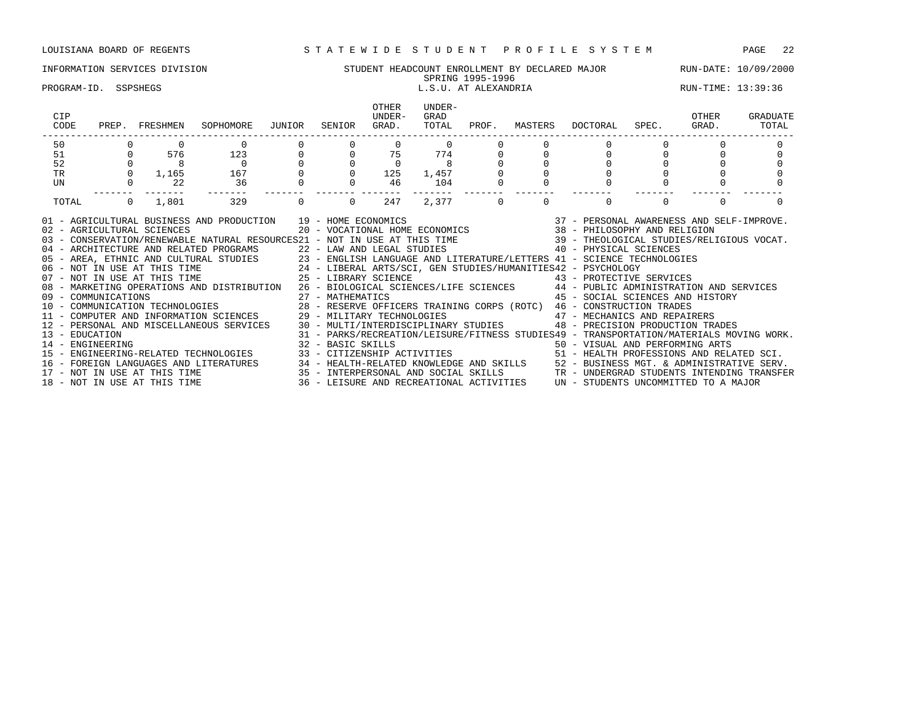# INFORMATION SERVICES DIVISION STUDENT HEADCOUNT ENROLLMENT BY DECLARED MAJOR RUN-DATE: 10/09/2000

# SPRING 1995-1996 SPRING 1995-1996<br>L.S.U. AT ALEXANDRIA RUN-TIME: 13:39:36 L.S.U. AT ALEXANDRIA RUN-TIME: 13:39:36

| CIP<br>CODE    |                  | PREP. FRESHMEN  | SOPHOMORE JUNIOR                                                                                                                                                                                                                                                                                                                                                                                                                                                                                                                                                                                                                                                                                                                                                                                                                                                                                                                                                                                                                                                                                                                               | SENIOR                                           | OTHER<br>UNDER-<br>GRAD.                                            | UNDER-<br>GRAD<br>TOTAL                       | PROF.   |          | MASTERS DOCTORAL                                                                                                            | SPEC. | OTHER<br>GRAD. | GRADUATE<br>TOTAL |
|----------------|------------------|-----------------|------------------------------------------------------------------------------------------------------------------------------------------------------------------------------------------------------------------------------------------------------------------------------------------------------------------------------------------------------------------------------------------------------------------------------------------------------------------------------------------------------------------------------------------------------------------------------------------------------------------------------------------------------------------------------------------------------------------------------------------------------------------------------------------------------------------------------------------------------------------------------------------------------------------------------------------------------------------------------------------------------------------------------------------------------------------------------------------------------------------------------------------------|--------------------------------------------------|---------------------------------------------------------------------|-----------------------------------------------|---------|----------|-----------------------------------------------------------------------------------------------------------------------------|-------|----------------|-------------------|
| 50             |                  |                 |                                                                                                                                                                                                                                                                                                                                                                                                                                                                                                                                                                                                                                                                                                                                                                                                                                                                                                                                                                                                                                                                                                                                                |                                                  | $\mathbf{0}$                                                        | $\overline{0}$                                |         |          |                                                                                                                             |       |                |                   |
| 51             |                  | 576             | $\begin{array}{c}\n 123 \\  \color{red}{0} \\  167\n \end{array}$                                                                                                                                                                                                                                                                                                                                                                                                                                                                                                                                                                                                                                                                                                                                                                                                                                                                                                                                                                                                                                                                              | $\begin{bmatrix} 0 \\ 0 \\ 0 \\ 0 \end{bmatrix}$ | $\begin{array}{cccc} 0 & & 75 & & 774 \\ 0 & & 0 & & 8 \end{array}$ |                                               |         |          |                                                                                                                             |       |                |                   |
| 52             |                  |                 | $\begin{array}{cccc} 0 & 8 & 0 \\ 0 & 1,165 & 167 \end{array}$                                                                                                                                                                                                                                                                                                                                                                                                                                                                                                                                                                                                                                                                                                                                                                                                                                                                                                                                                                                                                                                                                 |                                                  |                                                                     | $\begin{matrix}0&&&8\\125&&1,457\end{matrix}$ |         |          |                                                                                                                             |       |                |                   |
| TR             |                  |                 |                                                                                                                                                                                                                                                                                                                                                                                                                                                                                                                                                                                                                                                                                                                                                                                                                                                                                                                                                                                                                                                                                                                                                | $0 \qquad \qquad$                                |                                                                     |                                               |         |          |                                                                                                                             |       |                |                   |
| UN             |                  | $\overline{22}$ | 36                                                                                                                                                                                                                                                                                                                                                                                                                                                                                                                                                                                                                                                                                                                                                                                                                                                                                                                                                                                                                                                                                                                                             | $\overline{0}$                                   | 46                                                                  | 104                                           |         |          |                                                                                                                             |       |                |                   |
| TOTAL          |                  | $0 \t 1,801$    | 329                                                                                                                                                                                                                                                                                                                                                                                                                                                                                                                                                                                                                                                                                                                                                                                                                                                                                                                                                                                                                                                                                                                                            | $\Omega$                                         | 247                                                                 |                                               | 2,377 0 | $\Omega$ |                                                                                                                             |       | $\Omega$       |                   |
| 13 - EDUCATION | 14 - ENGINEERING |                 | 01 - AGRICULTURAL BUSINESS AND PRODUCTION 19 - HOME ECONOMICS (2007) 19 - 2007 - PERSONAL AWARENESS AND SELF-IMPROVE<br>19 - AGRICULTURAL SCIENCES (20 - VOCATIONAL HOME ECONOMICS (38 - PHILOSOPHY AND RELIGION)<br>19 - CONSERVATI<br>04 - ARCHITECTURE AND RELATED PROGRAMS 22 - LAW AND LEGAL STUDIES 40 - PHYSICAL SCIENCES<br>07 - AREA, ETHNIC AND CULTURAL STUDIES<br>06 - NOT IN USE AT THIS TIME 24 - LIBERAL ARTS/SCI, GEN STUDIES/HUMANITIES42 - PSYCHOLOGY<br>25 - LIBERAL ARTS/SCI, GEN STUDIES/HUMANITIES42 - PSYCHOLOGY<br>25 - LIBERAL ARTS/SCI, GEN ST<br>08 - MARKETING OPERATIONS AND DISTRIBUTION 26 - BIOLOGICAL SCIENCES/LIFE SCIENCES 44 - PUBLIC ADMINISTRATION AND SERVICES<br>10 COMPUTER AND INFORMATION SCIENCES 29 - MILITARY TECHNOLOGIES 47 - MECHANICS AND REPAIRERS<br>12 - PERSONAL AND MISCELLANEOUS SERVICES 30 - MULTI/INTERDISCIPLINARY STUDIES 48 - PRECISION PRODUCTION TRADES<br>32 - BASIC SKILLS 60 - 1999 - 1999 - 1999 - 1999 - 1999 - 1999 - 1999 - 1999 - 1999 - 1999 - 1999 - 1<br>15 - ENGINEERING-RELATED TECHNOLOGIES 33 - CITIZENSHIP ACTIVITIES 51 - HEALTH PROFESSIONS AND RELATED SCI. |                                                  |                                                                     |                                               |         |          | 45 - SOCIAL SCIENCES AND HISTORY<br>31 - PARKS/RECREATION/LEISURE/FITNESS STUDIES49 - TRANSPORTATION/MATERIALS MOVING WORK. |       |                |                   |
|                |                  |                 | 16 – FOREIGN LANGUAGES AND LITERATURES 24 – HEALTH-RELATED KNOWLEDGE AND SKILLS 2 – BUSINESS MGT. & ADMINISTRATIVE SERV.<br>17 – NOT IN USE AT THIS TIME 25 – INTERPERSONAL AND SOCIAL SKILLS 2TR – UNDERGRAD STUDENTS INTENDING                                                                                                                                                                                                                                                                                                                                                                                                                                                                                                                                                                                                                                                                                                                                                                                                                                                                                                               |                                                  |                                                                     |                                               |         |          |                                                                                                                             |       |                |                   |
|                |                  |                 |                                                                                                                                                                                                                                                                                                                                                                                                                                                                                                                                                                                                                                                                                                                                                                                                                                                                                                                                                                                                                                                                                                                                                |                                                  |                                                                     |                                               |         |          |                                                                                                                             |       |                |                   |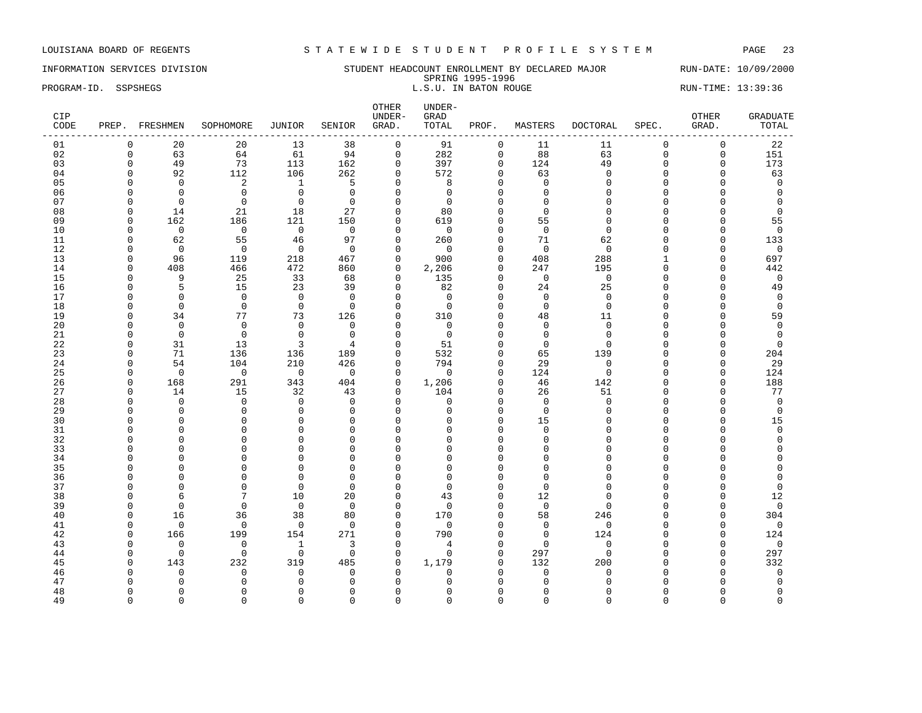INFORMATION SERVICES DIVISION SUNDERT HEADCOUNT ENROLLMENT BY DECLARED MAJOR RUN-DATE: 10/09/2000 SPRING 1995-1996 PROGRAM-ID. SSPSHEGS L.S.U. IN BATON ROUGE RUN-TIME: 13:39:36

| CIP<br>CODE |                      | PREP. FRESHMEN    | SOPHOMORE                  | JUNIOR                   | SENIOR                   | OTHER<br>UNDER-<br>GRAD. | UNDER-<br>GRAD<br>TOTAL | PROF.                | MASTERS                 | <b>DOCTORAL</b>      | SPEC.                | OTHER<br>GRAD. | <b>GRADUATE</b><br>TOTAL   |
|-------------|----------------------|-------------------|----------------------------|--------------------------|--------------------------|--------------------------|-------------------------|----------------------|-------------------------|----------------------|----------------------|----------------|----------------------------|
| 01          | $\mathbf 0$          | 20                | 20                         | 13                       | 38                       | $\mathsf{O}$             | 91                      | $\mathsf 0$          | 11                      | 11                   | $\mathbf 0$          | $\mathsf 0$    | 22                         |
| 02          | $\mathbf 0$          | 63                | 64                         | 61                       | 94                       | $\mathbf 0$              | 282                     | 0                    | 88                      | 63                   | $\mathbf 0$          | 0              | 151                        |
| 03          | $\Omega$             | 49                | 73                         | 113                      | 162                      | $\mathbf 0$              | 397                     | $\Omega$             | 124                     | 49                   | $\Omega$             | 0              | 173                        |
| 04          | $\mathbf 0$          | 92                | 112                        | 106                      | 262                      | $\mathbf 0$              | 572                     | $\Omega$             | 63                      | $\mathbf{0}$         | $\Omega$             | $\mathbf 0$    | 63                         |
| 05          | $\Omega$             | $\mathbf 0$       | 2                          | $\mathbf{1}$             | 5                        | $\Omega$                 | 8                       | $\Omega$             | $\Omega$                | $\Omega$             | $\Omega$             | $\Omega$       | $\mathbf{0}$               |
| 06          | $\Omega$             | $\Omega$          | $\mathbf 0$                | $\mathbf 0$              | $\Omega$                 | $\mathbf 0$              | $\Omega$                | $\Omega$             | $\Omega$                | $\Omega$             | $\Omega$             | O              | $\mathbf 0$                |
| 07          | $\Omega$             | $\Omega$          | $\Omega$                   | $\mathbf 0$              | $\Omega$                 | $\Omega$                 | $\Omega$                | $\Omega$             | $\Omega$                | $\Omega$             | $\Omega$             | O              | $\overline{0}$             |
| 08          | $\Omega$             | 14                | 21                         | 18                       | 27                       | $\mathbf 0$              | 80                      | $\Omega$             | $\Omega$                | $\Omega$             | $\Omega$             | 0              | $\mathbf 0$                |
| 09          | $\Omega$             | 162               | 186                        | 121                      | 150                      | $\mathbf 0$              | 619                     | $\Omega$             | 55                      | $\Omega$             | $\Omega$             | $\Omega$       | 55                         |
| 10          | $\Omega$             | $\overline{0}$    | $\overline{0}$             | $\overline{0}$           | $\Omega$                 | $\Omega$                 | $\Omega$                | $\Omega$             | $\mathbf 0$             | $\Omega$             | $\Omega$             | $\Omega$       | $\overline{0}$             |
| 11          | $\Omega$             | 62                | 55                         | 46                       | 97                       | $\mathbf 0$              | 260                     | $\Omega$             | 71                      | 62                   | $\Omega$             | $\Omega$       | 133                        |
| 12          | $\Omega$             | $\mathbf 0$       | $\overline{0}$             | $\overline{0}$           | $\Omega$                 | $\mathbf 0$              | $\Omega$                | $\Omega$             | $\Omega$                | $\Omega$             | $\Omega$             | 0              | $\mathbf 0$                |
| 13          | $\Omega$             | 96                | 119                        | 218                      | 467                      | $\mathbf 0$              | 900                     | $\Omega$             | 408                     | 288                  | 1                    | $\mathbf 0$    | 697                        |
| 14          | $\Omega$             | 408               | 466                        | 472                      | 860                      | $\mathbf 0$              | 2,206                   | $\Omega$             | 247                     | 195                  | $\Omega$             | $\mathbf 0$    | 442                        |
| 15          | $\Omega$             | 9                 | 25                         | 33                       | 68                       | $\mathbf 0$              | 135                     | $\mathbf{0}$         | $\overline{0}$          | $\mathbf 0$          | $\Omega$             | $\mathbf 0$    | $\mathbf 0$                |
| 16          | $\Omega$             | 5                 | 15                         | 23                       | 39                       | $\mathbf 0$              | 82                      | $\Omega$             | 24                      | 25                   | $\Omega$             | $\overline{0}$ | 49                         |
| 17          | $\Omega$             | $\Omega$          | $\Omega$                   | $\overline{0}$           | $\Omega$                 | $\Omega$                 | $\Omega$                | $\Omega$<br>$\Omega$ | $\Omega$                | $\Omega$             | $\Omega$             | $\mathbf 0$    | $\overline{0}$             |
| 18          | $\Omega$             | $\Omega$          | $\Omega$                   | $\overline{0}$           | $\Omega$                 | $\Omega$                 | $\Omega$                |                      | $\Omega$                | $\Omega$             | $\Omega$             | O              | $\mathbf 0$                |
| 19          | $\Omega$             | 34                | 77                         | 73                       | 126                      | $\mathbf 0$              | 310                     | $\Omega$             | 48                      | 11                   | $\Omega$             | $\mathbf 0$    | 59                         |
| 20          | $\Omega$<br>$\Omega$ | $\Omega$          | $\Omega$<br>$\overline{0}$ | $\Omega$<br>$\mathbf 0$  | $\Omega$<br>$\mathbf{0}$ | $\Omega$<br>$\mathbf{0}$ | $\Omega$                | $\Omega$<br>$\Omega$ | $\Omega$                | $\Omega$<br>$\Omega$ | $\Omega$<br>$\Omega$ | O<br>0         | $\mathbf 0$<br>$\mathbf 0$ |
| 21<br>22    | $\Omega$             | $\mathbf 0$<br>31 | 13                         | 3                        | 4                        | $\Omega$                 | $\mathbf 0$<br>51       | $\Omega$             | $\mathbf 0$<br>$\Omega$ | $\cap$               | $\cap$               | 0              | $\Omega$                   |
| 23          | $\Omega$             | 71                |                            |                          |                          | $\mathbf 0$              |                         | $\Omega$             |                         | 139                  | $\Omega$             | $\mathbf 0$    |                            |
| 24          | $\Omega$             | 54                | 136<br>104                 | 136<br>210               | 189<br>426               | $\mathbf 0$              | 532<br>794              | $\Omega$             | 65<br>29                | $\Omega$             | $\Omega$             | $\mathbf 0$    | 204<br>29                  |
| 25          | $\Omega$             | $\overline{0}$    | $\Omega$                   | $\overline{\phantom{0}}$ | $\Omega$                 | $\Omega$                 | $\Omega$                | $\Omega$             | 124                     | $\Omega$             | $\Omega$             | $\Omega$       | 124                        |
| 26          | $\Omega$             | 168               | 291                        | 343                      | 404                      | $\Omega$                 | 1,206                   | $\Omega$             | 46                      | 142                  | $\Omega$             | $\Omega$       | 188                        |
| 27          | $\Omega$             | 14                | 15                         | 32                       | 43                       | $\mathbf 0$              | 104                     | $\Omega$             | 26                      | 51                   | $\Omega$             | $\mathbf 0$    | 77                         |
| 28          | $\Omega$             | $\mathbf 0$       | $\mathbf 0$                | $\overline{0}$           | $\Omega$                 | $\mathbf 0$              | $\Omega$                | $\Omega$             | $\Omega$                | $\Omega$             | $\Omega$             | 0              | $\mathbf 0$                |
| 29          | $\Omega$             | $\Omega$          | $\Omega$                   | $\mathbf 0$              | $\Omega$                 | $\Omega$                 | $\Omega$                | $\cap$               | $\Omega$                | $\cap$               | $\cap$               | 0              | $\mathbf 0$                |
| 30          | $\Omega$             | $\Omega$          | $\Omega$                   | $\Omega$                 | $\Omega$                 | $\Omega$                 | $\Omega$                | $\Omega$             | 15                      | $\cap$               | $\cap$               | $\Omega$       | 15                         |
| 31          | $\Omega$             | $\mathbf 0$       | $\mathbf 0$                | $\mathbf{0}$             | $\mathbf 0$              | $\Omega$                 | $\Omega$                | $\Omega$             | $\mathbf 0$             | $\Omega$             | $\Omega$             | 0              | $\mathbf 0$                |
| 32          | ∩                    | $\mathbf 0$       | $\Omega$                   | $\mathbf{0}$             | $\Omega$                 | $\Omega$                 | <sup>0</sup>            | $\Omega$             | $\Omega$                | $\Omega$             | C                    | 0              | $\Omega$                   |
| 33          | $\Omega$             | $\Omega$          | $\Omega$                   | $\Omega$                 | $\Omega$                 | $\Omega$                 | $\Omega$                | $\cap$               | $\Omega$                | $\cap$               | $\cap$               | O              | $\Omega$                   |
| 34          | $\Omega$             | $\Omega$          | $\mathbf 0$                | $\mathbf 0$              | $\mathbf 0$              | $\mathbf{0}$             | $\Omega$                | $\Omega$             | $\Omega$                | $\Omega$             | $\Omega$             | 0              | $\Omega$                   |
| 35          | $\Omega$             | $\Omega$          | $\Omega$                   | $\Omega$                 | $\Omega$                 | $\Omega$                 | $\Omega$                | $\Omega$             | $\Omega$                | $\cap$               | $\Omega$             | $\cap$         | $\Omega$                   |
| 36          | $\Omega$             | $\Omega$          | $\Omega$                   | $\Omega$                 | $\Omega$                 | $\Omega$                 | $\Omega$                | $\Omega$             | $\Omega$                | $\Omega$             | $\Omega$             | O              | $\Omega$                   |
| 37          | $\Omega$             | $\Omega$          | $\Omega$                   | $\Omega$                 | $\Omega$                 | $\Omega$                 | $\Omega$                | $\Omega$             | $\Omega$                | $\Omega$             | $\Omega$             | O              | $\mathbf 0$                |
| 38          | $\Omega$             | 6                 | 7                          | 10                       | 20                       | $\mathbf{0}$             | 43                      | $\Omega$             | 12                      | $\Omega$             | $\cap$               | 0              | 12                         |
| 39          | $\Omega$             | $\Omega$          | $\Omega$                   | $\mathbf 0$              | $\mathbf 0$              | $\mathbf{0}$             | $\Omega$                | $\Omega$             | $\mathbf 0$             | $\cap$               | $\Omega$             | $\mathbf 0$    | $\mathbf 0$                |
| 40          | $\Omega$             | 16                | 36                         | 38                       | 80                       | $\mathbf 0$              | 170                     | $\Omega$             | 58                      | 246                  | $\cap$               | $\mathbf 0$    | 304                        |
| 41          | $\Omega$             | $\mathbf 0$       | $\mathbf 0$                | $\mathbf 0$              | $\overline{0}$           | $\mathbf 0$              | $\mathbf 0$             | $\Omega$             | $\mathbf 0$             | $\mathbf{0}$         | $\Omega$             | $\Omega$       | $\mathbf 0$                |
| 42          | $\Omega$             | 166               | 199                        | 154                      | 271                      | $\mathbf 0$              | 790                     | $\Omega$             | $\mathbf 0$             | 124                  | $\Omega$             | $\Omega$       | 124                        |
| 43          | $\Omega$             | $\mathbf 0$       | $\mathsf 0$                | $\mathbf{1}$             | 3                        | $\mathbf 0$              | 4                       | $\Omega$             | $\mathbf 0$             | $\Omega$             | $\cap$               | 0              | $\mathbf 0$                |
| 44          | $\Omega$             | $\Omega$          | $\Omega$                   | $\mathbf 0$              | $\Omega$                 | $\Omega$                 | $\Omega$                | $\Omega$             | 297                     | $\Omega$             | $\Omega$             | $\mathbf 0$    | 297                        |
| 45          | $\Omega$             | 143               | 232                        | 319                      | 485                      | $\mathbf 0$              | 1,179                   | $\Omega$             | 132                     | 200                  | $\cap$               | $\mathbf 0$    | 332                        |
| 46          | $\Omega$             | $\Omega$          | $\Omega$                   | $\mathbf 0$              | $\mathbf 0$              | $\mathbf 0$              | $\Omega$                | $\Omega$             | $\Omega$                | $\Omega$             | C                    | $\Omega$       | $\mathbf 0$                |
| 47          |                      | $\Omega$          | $\Omega$                   | $\mathbf{0}$             | $\Omega$                 | $\Omega$                 |                         | O                    | $\Omega$                | $\cap$               |                      | O              | $\Omega$                   |
| 48          | $\Omega$             | $\Omega$          | $\Omega$                   | $\mathbf{0}$             | $\Omega$                 | $\Omega$                 | U                       | $\Omega$             | $\Omega$                | ∩                    | C                    | 0              | $\mathbf 0$                |
| 49          | $\Omega$             | $\Omega$          | $\Omega$                   | $\Omega$                 | $\Omega$                 | $\Omega$                 | $\Omega$                | $\Omega$             | $\Omega$                | $\Omega$             | $\Omega$             | $\Omega$       | $\Omega$                   |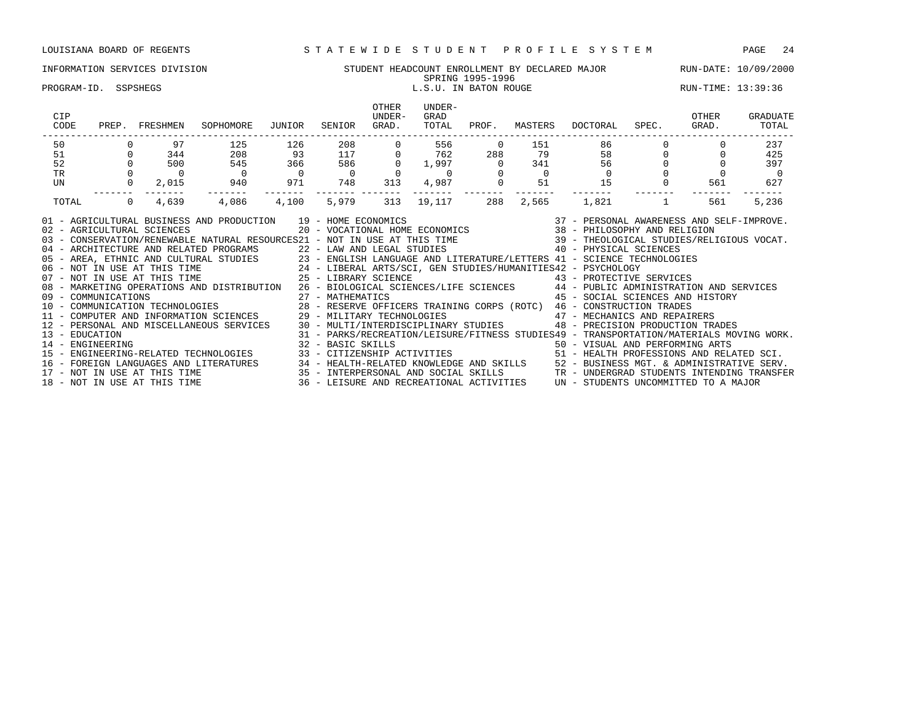### INFORMATION SERVICES DIVISION STUDENT HEADCOUNT ENROLLMENT BY DECLARED MAJOR RUN-DATE: 10/09/2000 SPRING 1995-1996 PROGRAM-ID. SSPSHEGS SERIES ENTRANGELY STATES L.S.U. IN BATON ROUGE THAT RUN-TIME: 13:39:36

| CIP<br>CODE                        | PREP. FRESHMEN                                                                                                         | SOPHOMORE                                                                                                                                                                                                                                                                                                                                                                                                                                                                                                                                                                                                                                                                                                                                                                                                                                                                                                                                                                                                                                    | JUNIOR           | SENIOR                                          | <b>OTHER</b><br>UNDER-<br>GRAD.         | UNDER-<br>GRAD<br>TOTAL                                                        | PROF. | MASTERS | DOCTORAL                                                                                                                                                                                                                                                                                                                                                                                                                                                                                                                                                                  | SPEC. GRAD. | OTHER | <b>GRADUATE</b><br>TOTAL |
|------------------------------------|------------------------------------------------------------------------------------------------------------------------|----------------------------------------------------------------------------------------------------------------------------------------------------------------------------------------------------------------------------------------------------------------------------------------------------------------------------------------------------------------------------------------------------------------------------------------------------------------------------------------------------------------------------------------------------------------------------------------------------------------------------------------------------------------------------------------------------------------------------------------------------------------------------------------------------------------------------------------------------------------------------------------------------------------------------------------------------------------------------------------------------------------------------------------------|------------------|-------------------------------------------------|-----------------------------------------|--------------------------------------------------------------------------------|-------|---------|---------------------------------------------------------------------------------------------------------------------------------------------------------------------------------------------------------------------------------------------------------------------------------------------------------------------------------------------------------------------------------------------------------------------------------------------------------------------------------------------------------------------------------------------------------------------------|-------------|-------|--------------------------|
| 50                                 | 97                                                                                                                     | 125                                                                                                                                                                                                                                                                                                                                                                                                                                                                                                                                                                                                                                                                                                                                                                                                                                                                                                                                                                                                                                          | 126              | 208                                             |                                         | 556<br>762                                                                     |       |         | $\begin{array}{cccccc} 0 & & 151 & & 86 & & 0 \\ 88 & & 79 & & 58 & & 0 \\ 0 & & 341 & & 56 & & 0 \\ 0 & & 0 & & 0 & & 0 \\ 0 & & 51 & & 15 & & 0 & & 56 \end{array}$                                                                                                                                                                                                                                                                                                                                                                                                     |             |       | 237                      |
|                                    |                                                                                                                        | 208                                                                                                                                                                                                                                                                                                                                                                                                                                                                                                                                                                                                                                                                                                                                                                                                                                                                                                                                                                                                                                          | 93               | 208<br>117                                      | $\Omega$                                |                                                                                | 288   |         |                                                                                                                                                                                                                                                                                                                                                                                                                                                                                                                                                                           |             |       | 425                      |
|                                    |                                                                                                                        |                                                                                                                                                                                                                                                                                                                                                                                                                                                                                                                                                                                                                                                                                                                                                                                                                                                                                                                                                                                                                                              |                  | $\begin{array}{c} 586 \\ 0 \end{array}$         | $\begin{array}{c} 586 \\ 0 \end{array}$ |                                                                                |       |         |                                                                                                                                                                                                                                                                                                                                                                                                                                                                                                                                                                           |             |       | 397                      |
|                                    |                                                                                                                        | $\begin{array}{ccc} 545 & 366 \\ 0 & 0 \\ 940 & 971 \end{array}$                                                                                                                                                                                                                                                                                                                                                                                                                                                                                                                                                                                                                                                                                                                                                                                                                                                                                                                                                                             |                  |                                                 |                                         | $\begin{array}{cccc} 0 & 1,997 & 0 \\ 0 & 0 & 0 \\ 13 & 4,987 & 0 \end{array}$ |       |         |                                                                                                                                                                                                                                                                                                                                                                                                                                                                                                                                                                           |             |       | $\sim$ 0                 |
|                                    | $\begin{matrix} 1 \\ -2 \\ 0 \\ 0 \\ 0 \\ -1 \end{matrix}$<br>$\begin{matrix} 0 \\ 0 \\ 0 \\ 2,015 \\ -1 \end{matrix}$ |                                                                                                                                                                                                                                                                                                                                                                                                                                                                                                                                                                                                                                                                                                                                                                                                                                                                                                                                                                                                                                              |                  | 748                                             | 313                                     |                                                                                |       |         |                                                                                                                                                                                                                                                                                                                                                                                                                                                                                                                                                                           |             | 561   | 627                      |
| TOTAL                              | 4,639<br>$\Omega$                                                                                                      | -------<br>4,086                                                                                                                                                                                                                                                                                                                                                                                                                                                                                                                                                                                                                                                                                                                                                                                                                                                                                                                                                                                                                             | -------<br>4,100 | -------- -------<br>5,979                       | 313                                     | ------- ------- ------<br>19,117                                               | 288   | 2,565   |                                                                                                                                                                                                                                                                                                                                                                                                                                                                                                                                                                           | $1,821$ 1   | 561   | 5,236                    |
| 13 - EDUCATION<br>14 - ENGINEERING | 02 - AGRICULTURAL SCIENCES                                                                                             | 01 - AGRICULTURAL BUSINESS AND PRODUCTION 19 - HOME ECONOMICS<br>03 - CONSERVATION/RENEWABLE NATURAL RESOURCES21 - NOT IN USE AT THIS TIME 39 - THEOLOGICAL STUDIES/RELIGIOUS VOCAT.<br>04 - ARCHITECTURE AND RELATED PROGRAMS<br>05 - AREA, ETHNIC AND CULTURAL STUDIES 23 - ENGLISH LANGUAGE AND LITERATURE/LETTERS 41 - SCIENCE TECHNOLOGIES<br>06 - NOT IN USE AT THIS TIME 24 - LIBERAL ARTS/SCI, GEN STUDIES/HUMANITIES42 - PSYCHOLOGY<br>07 - NOT IN USE AT THI<br>08 - MARKETING OPERATIONS AND DISTRIBUTION 26 - BIOLOGICAL SCIENCES/LIFE SCIENCES 44 - PUBLIC ADMINISTRATION AND SERVICES<br>11 - COMPUTER AND INFORMATION SCIENCES<br>12 - PERSONAL AND MISCELLANEOUS SERVICES 30 - MULTI/INTERDISCIPLINARY STUDIES 48 - PRECISION PRODUCTION TRADES<br>15 - ENGINEERING-RELATED TECHNOLOGIES<br>16 - FOREIGN LANGUAGES AND LITERATURES 34 - HEALTH-RELATED KNOWLEDGE AND SKILLS 52 - BUSINESS MGT. & ADMINISTRATIVE SERV.<br>17 - NOT IN USE AT THIS TIME 35 - INTERPERSONAL AND SOCIAL SKILLS TR - UNDERGRAD STUDENTS INTENDING |                  | 22 - LAW AND LEGAL STUDIES<br>32 - BASIC SKILLS |                                         |                                                                                |       |         | $\begin{array}{cccccc} 19 & -& \text{HOME ECONOMICS} & & & & 37 & -& \text{PERSONAL AWARENESS AND SELF-IMPROVE.} \\ 20 & -& \text{VOCATIONAL HOME ECONOMICS} & & & & 38 & -& \text{PHILOSOPHY AND RELIGION} \end{array}$<br>40 - PHYSICAL SCIENCES<br>45 - SOCIAL SCIENCES AND HISTORY<br>29 - MILITARY TECHNOLOGIES 47 - MECHANICS AND REPAIRERS<br>31 - PARKS/RECREATION/LEISURE/FITNESS STUDIES49 - TRANSPORTATION/MATERIALS MOVING WORK.<br>32 - BASIC SKILLS<br>33 - CITIZENSHIP ACTIVITIES                                 51 - HEALTH PROFESSIONS AND RELATED SCI. |             |       |                          |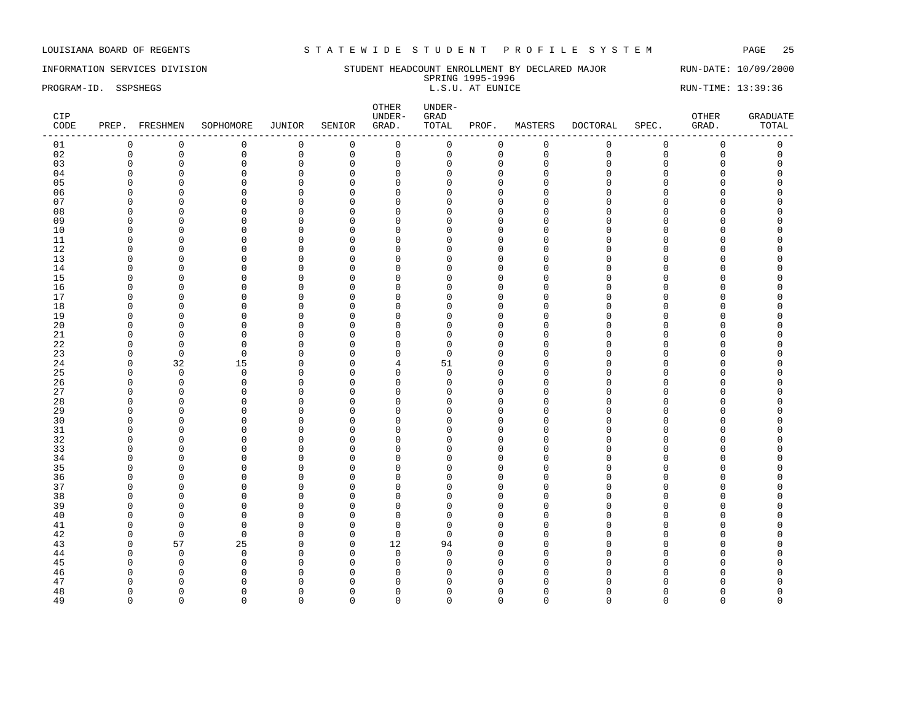# INFORMATION SERVICES DIVISION STUDENT HEADCOUNT ENROLLMENT BY DECLARED MAJOR RUN-DATE: 10/09/2000

SPRING 1995-1996<br>L.S.U. AT EUNICE PROGRAM-ID. SSPSHEGS **EXECUTE:** 13:39:36 L.S.U. AT EUNICE RUN-TIME: 13:39:36

| CIP<br>CODE |                      | PREP. FRESHMEN                | SOPHOMORE                  | JUNIOR            | SENIOR           | OTHER<br>UNDER-<br>GRAD.   | UNDER-<br>${\tt GRAD}$<br>TOTAL | PROF.                    | MASTERS              | DOCTORAL    | SPEC.                | OTHER<br>GRAD. | <b>GRADUATE</b><br>TOTAL |
|-------------|----------------------|-------------------------------|----------------------------|-------------------|------------------|----------------------------|---------------------------------|--------------------------|----------------------|-------------|----------------------|----------------|--------------------------|
| 01          | $\mathsf 0$          | $\mathbb O$                   | $\mathsf{O}\xspace$        | $\mathbb O$       | $\mathsf 0$      | $\mathsf{O}\xspace$        | $\mathsf 0$                     | $\mathsf{O}$             | $\mathsf 0$          | $\mathsf 0$ | $\mathsf 0$          | $\mathsf 0$    | $\mathbb O$              |
| 02          | $\mathbf 0$          | $\mathsf 0$                   | $\mathsf 0$                | $\mathsf 0$       | $\mathbb O$      | $\mathsf 0$                | 0                               | $\mathsf 0$              | $\mathbf 0$          | $\Omega$    | $\mathbf 0$          | $\mathsf 0$    | $\mathsf 0$              |
| 03          | $\Omega$             | $\mathbf 0$                   | $\Omega$                   | $\mathbf 0$       | $\Omega$         | $\mathbf 0$                | $\Omega$                        | $\mathbf{0}$             | $\Omega$             | $\Omega$    | $\Omega$             | $\Omega$       | $\Omega$                 |
| 04          | $\Omega$             | $\mathbf 0$                   | $\Omega$                   | $\mathbf 0$       | $\Omega$         | $\mathbf{0}$               | U                               | $\Omega$                 | $\Omega$             | $\cap$      | $\Omega$             | O              | $\Omega$                 |
| 05          | $\Omega$             | $\mathbf 0$                   | $\Omega$                   | $\mathbf 0$       | $\Omega$         | $\mathbf 0$                | $\Omega$                        | $\Omega$                 | $\Omega$             | $\cap$      | $\Omega$             | O              |                          |
| 06          | $\Omega$             | $\mathbf 0$                   | $\Omega$                   | $\mathsf 0$       | $\Omega$         | $\mathbf 0$                | <sup>n</sup>                    | $\mathbf{0}$             | $\Omega$             | $\cap$      | $\Omega$             | O              |                          |
| 07          | $\Omega$             | $\mathbf 0$                   | $\Omega$                   | $\mathbf 0$       | $\Omega$         | $\mathbf{0}$               | U                               | $\mathbf{0}$             | $\Omega$             |             | $\Omega$             | O              |                          |
| 08          | O                    | $\mathbf 0$                   | $\Omega$                   | 0                 | 0                | $\mathbf 0$                | U                               | $\mathbf 0$              | $\Omega$             | ∩           | $\Omega$             | 0              | C                        |
| 09          | n                    | $\mathbf 0$                   | $\Omega$                   | $\mathbf{0}$      | $\Omega$         | $\mathbf 0$                | U                               | $\Omega$                 | n                    | ∩           | C                    | O              |                          |
| 10          | $\Omega$             | $\mathbf 0$                   | $\Omega$                   | $\mathbf{0}$      | $\mathbf 0$      | $\mathbf 0$                | $\Omega$                        | $\mathbf{0}$             | Ω                    | $\cap$      | $\Omega$             | 0              |                          |
| 11          | $\Omega$             | $\mathbf 0$                   | $\mathbf 0$                | $\mathsf 0$       | $\mathbf 0$      | $\mathbf{0}$               | U                               | $\mathbf{0}$             | $\Omega$             | $\cap$      | $\Omega$             | 0              |                          |
| 12          | $\Omega$             | $\mathbf 0$                   | $\mathbf 0$                | $\mathbf{0}$      | $\mathbf 0$      | $\mathbf{0}$               | $\Omega$                        | $\mathbf{0}$             | $\Omega$             | $\cap$      | $\Omega$             | 0              |                          |
| 13          | $\Omega$             | $\mathbf 0$                   | $\Omega$                   | $\mathbf 0$       | $\Omega$         | $\Omega$                   | U                               | $\Omega$                 | O                    | $\cap$      | $\Omega$             | 0              |                          |
| 14          | $\Omega$             | $\Omega$                      | $\Omega$                   | $\mathbf 0$       | $\Omega$         | $\Omega$                   |                                 | $\Omega$                 | $\Omega$             |             | $\cap$               | O              |                          |
| 15          | n                    | $\mathbf 0$                   | $\Omega$                   | $\mathsf 0$       | 0                | $\mathbf 0$                | U                               | $\Omega$                 | U                    |             | $\cap$               | O              |                          |
| 16          | ∩                    | $\Omega$                      | $\Omega$                   | $\Omega$          | $\Omega$         | $\mathbf 0$                | U                               | $\Omega$                 | n                    |             | C                    | $\cap$         |                          |
| 17          | $\Omega$             | $\Omega$                      | $\Omega$                   | $\mathbf{0}$      | 0                | $\Omega$                   | U                               | $\Omega$                 | $\Omega$             | $\cap$      | $\Omega$             | O              |                          |
| 18          | O                    | $\mathbf 0$                   | $\Omega$                   | $\mathbf 0$       | $\mathbf 0$      | $\Omega$                   | U                               | $\Omega$                 | Ω                    | ∩           | O                    | 0              |                          |
| 19          | $\Omega$             | $\Omega$                      | $\mathbf 0$                | $\mathbf 0$       | $\mathbf 0$      | $\mathbf 0$                | <sup>n</sup>                    | $\Omega$                 | U                    |             | $\cap$               | 0              |                          |
| 20          | $\Omega$             | $\overline{0}$                | $\Omega$                   | $\mathbf 0$       | $\mathbf 0$      | $\mathbf{0}$               | <sup>n</sup>                    | $\mathbf{0}$             | $\Omega$             |             | $\cap$               | 0              |                          |
| 21          | $\Omega$             | $\mathbf 0$                   | $\mathbf 0$                | 0                 | $\mathbf 0$      | $\mathbf 0$                | $\Omega$                        | $\Omega$                 | $\Omega$             |             | $\Omega$             | O              |                          |
| 22          | O                    | $\mathbf 0$                   | $\mathbf 0$                | $\mathbf 0$       | $\mathbf 0$      | $\mathbf 0$                | $\Omega$                        | $\mathbf{0}$             | U                    |             | $\cap$               | 0              |                          |
| 23          | $\Omega$             | $\Omega$                      | $\Omega$                   | $\Omega$          | $\Omega$         | $\mathbf 0$                | $\Omega$                        | $\Omega$                 | $\Omega$             |             | C                    | O              |                          |
| 24          | $\Omega$             | 32                            | 15                         | $\mathbf 0$       | $\Omega$         | $\overline{4}$             | 51                              | $\Omega$                 | U                    |             | $\cap$               | O              |                          |
| 25          | $\Omega$             | $\mathbf 0$                   | $\mathbf 0$                | $\mathbf 0$       | 0                | $\mathbf 0$                | $\Omega$                        | $\Omega$                 | U                    | ∩           | C                    | 0              | C                        |
| 26          | $\Omega$             | $\mathbf 0$                   | $\mathbf 0$                | $\mathbf 0$       | $\mathbf 0$      | $\mathbf 0$                | $\Omega$                        | $\Omega$                 | $\cap$               |             | $\cap$               | 0              |                          |
| 27          | $\Omega$             | $\mathbf 0$                   | $\Omega$                   | 0                 | $\mathbf 0$      | $\mathbf 0$                | U                               | $\Omega$                 | U                    |             | C                    | 0              |                          |
| 28<br>29    | $\Omega$<br>$\Omega$ | $\mathbf 0$                   | $\mathbf 0$<br>$\mathbf 0$ | $\mathbf 0$       | 0<br>$\mathbf 0$ | $\mathbf 0$                | U<br>$\Omega$                   | $\Omega$<br>$\mathbf{0}$ | $\Omega$<br>$\Omega$ | $\cap$      | $\Omega$<br>$\Omega$ | 0<br>0         |                          |
| 30          | $\Omega$             | $\mathbf 0$<br>$\overline{0}$ | $\Omega$                   | 0<br>$\mathbf{0}$ | $\Omega$         | $\mathbf 0$<br>$\mathbf 0$ | U                               | $\Omega$                 | $\Omega$             |             | $\cap$               | O              |                          |
| 31          | $\Omega$             | $\overline{0}$                | $\Omega$                   | $\mathbf{0}$      | $\mathbf 0$      | $\mathbf 0$                | $\Omega$                        | $\Omega$                 | Ω                    |             | $\Omega$             | 0              |                          |
| 32          | $\Omega$             | $\Omega$                      | $\Omega$                   | $\mathbf{0}$      | $\Omega$         | $\mathbf{0}$               | U                               | $\Omega$                 | $\Omega$             | $\cap$      | O                    | O              |                          |
| 33          | $\Omega$             | $\Omega$                      | $\Omega$                   | $\mathbf{0}$      | $\mathbf 0$      | $\overline{0}$             | U                               | $\Omega$                 | $\cap$               | $\cap$      | $\cap$               | 0              |                          |
| 34          | $\Omega$             | $\mathbf 0$                   | $\Omega$                   | $\mathbf 0$       | $\Omega$         | $\mathbf{0}$               | U                               | $\Omega$                 | U                    | $\cap$      | C                    | O              |                          |
| 35          | $\Omega$             | $\mathbf{0}$                  | $\Omega$                   | $\mathbf 0$       | $\Omega$         | $\mathbf{0}$               |                                 | $\Omega$                 | $\Omega$             |             | $\cap$               | O              |                          |
| 36          | n                    | $\mathbf 0$                   | $\Omega$                   | 0                 | 0                | $\mathbf 0$                | U                               | $\Omega$                 | U                    |             | C                    | 0              |                          |
| 37          | ∩                    | $\overline{0}$                | $\Omega$                   | $\mathbf{0}$      | $\Omega$         | $\mathbf 0$                | U                               | $\Omega$                 | n                    |             | C                    | O              |                          |
| 38          | $\Omega$             | $\mathbf 0$                   | 0                          | 0                 | 0                | $\mathbf 0$                | O                               | $\Omega$                 | $\Omega$             | $\cap$      | $\Omega$             | 0              |                          |
| 39          | $\Omega$             | $\overline{0}$                | $\mathbf 0$                | $\mathbf 0$       | $\mathbf 0$      | $\mathbf{0}$               | O                               | $\mathbf{0}$             | O                    | $\cap$      | $\Omega$             | 0              |                          |
| 40          | $\Omega$             | $\mathbf 0$                   | $\mathbf 0$                | $\mathbf 0$       | $\mathbf 0$      | $\mathbf 0$                | O                               | $\Omega$                 | Ω                    |             | $\cap$               | $\overline{0}$ |                          |
| 41          | $\Omega$             | $\Omega$                      | $\Omega$                   | $\mathbf{0}$      | $\Omega$         | $\mathbf 0$                | O                               | $\Omega$                 | U                    |             | C                    | 0              |                          |
| 42          | $\Omega$             | $\Omega$                      | $\Omega$                   | $\mathbf 0$       | $\mathbf 0$      | $\mathbf 0$                | $\Omega$                        | $\Omega$                 | $\Omega$             |             | $\Omega$             | O              |                          |
| 43          | $\Omega$             | 57                            | 25                         | $\mathbf 0$       | $\mathbf 0$      | 12                         | 94                              | $\mathbf{0}$             | U                    |             | C                    | O              |                          |
| 44          | ∩                    | $\Omega$                      | $\Omega$                   | $\Omega$          | $\Omega$         | $\mathbf 0$                | $\Omega$                        | $\Omega$                 | ∩                    |             |                      | $\cap$         |                          |
| 45          | ∩                    | $\mathbf 0$                   | $\Omega$                   | $\mathbf{0}$      | $\Omega$         | $\mathbf 0$                | O                               | $\Omega$                 |                      |             |                      | O              |                          |
| 46          | O                    | $\Omega$                      | n                          | $\mathbf 0$       | $\mathbf 0$      | $\Omega$                   | ∩                               | O                        |                      |             |                      | O              | O                        |
| 47          | $\Omega$             | $\Omega$                      | $\Omega$                   | $\mathbf{0}$      | $\mathbf 0$      | $\mathbf{0}$               | U                               | $\Omega$                 | Λ                    |             |                      | 0              | $\Omega$                 |
| 48          | $\Omega$             | $\Omega$                      | $\Omega$                   | $\Omega$          | $\Omega$         | $\mathbf 0$                | $\Omega$                        | $\Omega$                 | $\Omega$             | $\Omega$    | $\Omega$             | $\Omega$       | $\Omega$                 |

49 0 0 0 0 0 0 0 0 0 0 0 0 0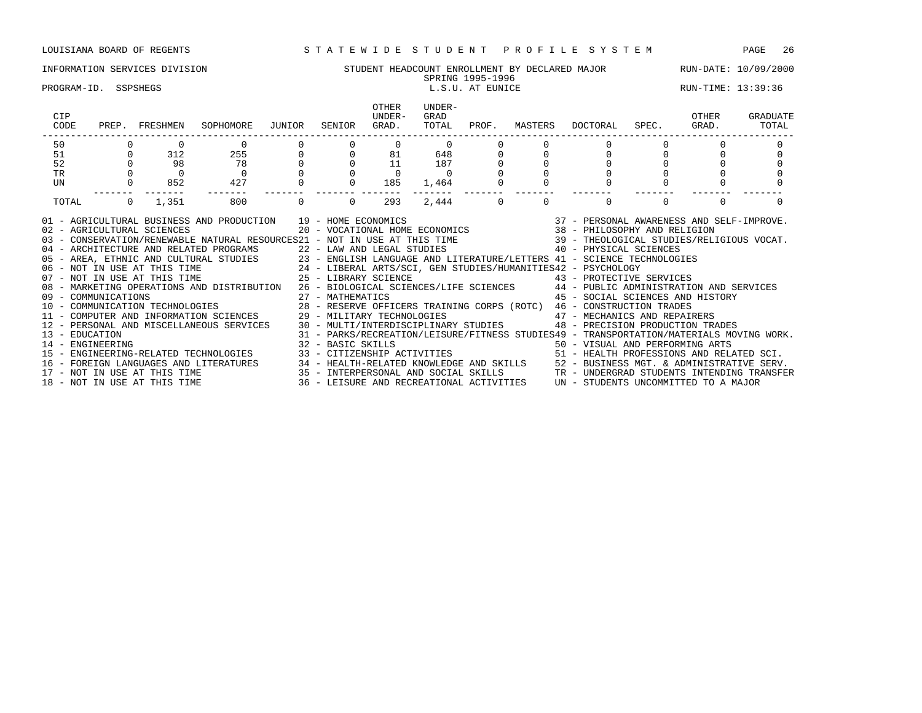# INFORMATION SERVICES DIVISION STUDENT HEADCOUNT ENROLLMENT BY DECLARED MAJOR RUN-DATE: 10/09/2000

### SPRING 1995-1996<br>L.S.U. AT EUNICE PROGRAM-ID. SSPSHEGS **EXECUTE:** 13:39:36 **L.S.U.** AT EUNICE RUN-TIME: 13:39:36

| CIP<br>CODE                                                                                      |                | PREP. FRESHMEN | SOPHOMORE                                                                                                                                                                                                                                                                                                                                                                                                                                                                                                                                                                                                                                                                                                                                                                                                                                                                                                                                                                                                                                                                                                                                                                                                                                                                                                                            | JUNIOR   | SENIOR   | <b>OTHER</b><br>UNDER-<br>GRAD. | UNDER-<br>GRAD<br>TOTAL | PROF.    | MASTERS  | DOCTORAL                                                                                            | SPEC. GRAD. | OTHER  | GRADUATE<br>TOTAL |
|--------------------------------------------------------------------------------------------------|----------------|----------------|--------------------------------------------------------------------------------------------------------------------------------------------------------------------------------------------------------------------------------------------------------------------------------------------------------------------------------------------------------------------------------------------------------------------------------------------------------------------------------------------------------------------------------------------------------------------------------------------------------------------------------------------------------------------------------------------------------------------------------------------------------------------------------------------------------------------------------------------------------------------------------------------------------------------------------------------------------------------------------------------------------------------------------------------------------------------------------------------------------------------------------------------------------------------------------------------------------------------------------------------------------------------------------------------------------------------------------------|----------|----------|---------------------------------|-------------------------|----------|----------|-----------------------------------------------------------------------------------------------------|-------------|--------|-------------------|
| 50                                                                                               |                | $\Omega$       | $\mathbf 0$                                                                                                                                                                                                                                                                                                                                                                                                                                                                                                                                                                                                                                                                                                                                                                                                                                                                                                                                                                                                                                                                                                                                                                                                                                                                                                                          |          |          | $\Omega$                        | $\Omega$                |          |          |                                                                                                     |             |        |                   |
| 51                                                                                               | $\Omega$       | 312            | 255                                                                                                                                                                                                                                                                                                                                                                                                                                                                                                                                                                                                                                                                                                                                                                                                                                                                                                                                                                                                                                                                                                                                                                                                                                                                                                                                  | $\circ$  |          | 81                              | 648                     |          |          | $\Omega$                                                                                            |             |        |                   |
| 52                                                                                               |                | 98             | 78                                                                                                                                                                                                                                                                                                                                                                                                                                                                                                                                                                                                                                                                                                                                                                                                                                                                                                                                                                                                                                                                                                                                                                                                                                                                                                                                   |          |          | 11                              | 187                     |          |          |                                                                                                     |             |        |                   |
| TR                                                                                               |                | $\overline{a}$ | $\overline{0}$                                                                                                                                                                                                                                                                                                                                                                                                                                                                                                                                                                                                                                                                                                                                                                                                                                                                                                                                                                                                                                                                                                                                                                                                                                                                                                                       |          |          | $\Omega$                        | $\overline{0}$          |          |          |                                                                                                     |             |        |                   |
| UN                                                                                               |                | 852            | 427                                                                                                                                                                                                                                                                                                                                                                                                                                                                                                                                                                                                                                                                                                                                                                                                                                                                                                                                                                                                                                                                                                                                                                                                                                                                                                                                  |          |          | 185                             | 1,464                   |          |          |                                                                                                     |             |        |                   |
| TOTAL                                                                                            | $\overline{0}$ | 1,351          | 800                                                                                                                                                                                                                                                                                                                                                                                                                                                                                                                                                                                                                                                                                                                                                                                                                                                                                                                                                                                                                                                                                                                                                                                                                                                                                                                                  | $\Omega$ | $\Omega$ | 293                             | 2,444                   | $\Omega$ | $\Omega$ | $\Omega$                                                                                            | $\Omega$    | $\cap$ |                   |
| 02 - AGRICULTURAL SCIENCES<br>13 - EDUCATION<br>14 - ENGINEERING<br>18 - NOT IN USE AT THIS TIME |                |                | 01 - AGRICULTURAL BUSINESS AND PRODUCTION 19 - HOME ECONOMICS<br>03 - CONSERVATION/RENEWABLE NATURAL RESOURCES21 - NOT IN USE AT THIS TIME 39 - THEOLOGICAL STUDIES/RELIGIOUS VOCAT.<br>04 - ARCHITECTURE AND RELATED PROGRAMS 22 - LAW AND LEGAL STUDIES<br>05 - AREA, ETHNIC AND CULTURAL STUDIES 23 - ENGLISH LANGUAGE AND LITERATURE/LETTERS 41 - SCIENCE TECHNOLOGIES<br>06 - NOT IN USE AT THIS TIME 24 - LIBERAL ARTS/SCI, GEN STUDIES/HUMANITIES42 - PSYCHOLOGY<br>07 - NOT IN USE AT THI<br>08 - MARKETING OPERATIONS AND DISTRIBUTION 26 - BIOLOGICAL SCIENCES/LIFE SCIENCES 44 - PUBLIC ADMINISTRATION AND SERVICES<br>UP = COMMUNICATIONS<br>10 - COMMUNICATION TECHNOLOGIES 28 - RESERVE OFFICERS TRAINING CORPS (ROTC) 46 - CONSTRUCTION TRADES<br>14 MEGUANICATION TECHNOLOGIES 28 - RESERVE OFFICERS TRAINING CORPS (ROTC) 46 - CONSTRUCTION TRADES<br>11 - COMPUTER AND INFORMATION SCIENCES 29 - MILITARY TECHNOLOGIES 47 - MECHANICS AND REPAIRERS<br>12 - PERSONAL AND MISCELLANEOUS SERVICES 30 - MULTI/INTERDISCIPLINARY STUDIES<br>15 - ENGINEERING-RELATED TECHNOLOGIES<br>16 - FOREIGN LANGUAGES AND LITERATURES 34 - HEALTH-RELATED KNOWLEDGE AND SKILLS 52 - BUSINESS MGT. & ADMINISTRATIVE SERV.<br>17 - NOT IN USE AT THIS TIME 35 - INTERPERSONAL AND SOCIAL SKILLS TRANGUARE TRANGERAD STUDENTS INTEN |          |          |                                 |                         |          |          | 19 - HOME ECONOMICS<br>20 - VOCATIONAL HOME ECONOMICS<br><br>20 - VOCATIONAL HOME ECONOMICS<br><br> |             |        |                   |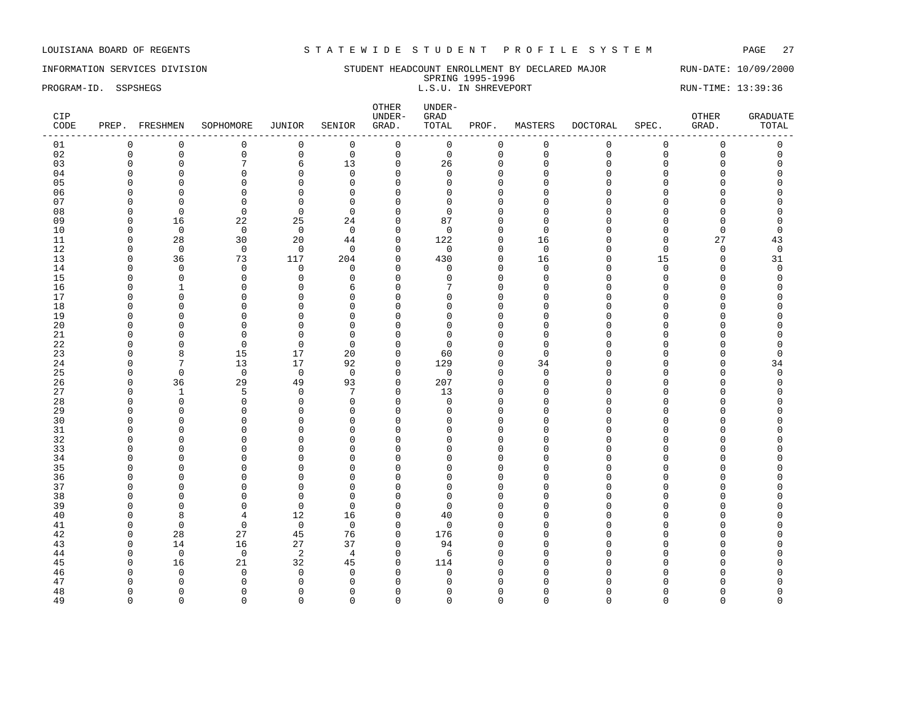# INFORMATION SERVICES DIVISION SUNDERT HEADCOUNT ENROLLMENT BY DECLARED MAJOR RUN-DATE: 10/09/2000

SPRING 1995-1996 PROGRAM-ID. SSPSHEGS SERIES AND STATE STREVE PORT THE STREVE PORT STATE STREVERS RUN-TIME: 13:39:36

| CIP<br>CODE |               | PREP. FRESHMEN              | SOPHOMORE                  | JUNIOR                     | SENIOR         | OTHER<br>UNDER-<br>GRAD.    | UNDER-<br>GRAD<br>TOTAL | PROF.                      | MASTERS     | DOCTORAL      | SPEC.                | OTHER<br>GRAD. | <b>GRADUATE</b><br>TOTAL |
|-------------|---------------|-----------------------------|----------------------------|----------------------------|----------------|-----------------------------|-------------------------|----------------------------|-------------|---------------|----------------------|----------------|--------------------------|
| 01          | $\mathbf 0$   | $\mathbf 0$                 | 0                          | 0                          | $\mathbf 0$    | $\mathsf 0$                 | $\mathbf 0$             | 0                          | $\mathbf 0$ | 0             | $\mathsf 0$          | $\mathsf 0$    | 0                        |
| 02          | $\mathbf 0$   | $\mathsf 0$                 | $\mathsf 0$                | 0                          | $\mathbf 0$    | $\mathsf 0$                 | $\mathsf 0$             | $\mathsf{O}\xspace$        | $\mathbf 0$ | 0             | $\mathsf 0$          | $\mathbf 0$    | $\mathsf 0$              |
| 03          | $\Omega$      | $\mathbf 0$                 | 7                          | 6                          | 13             | $\mathbf{0}$                | 26                      | 0                          | $\Omega$    | $\Omega$      | $\Omega$             | $\Omega$       | $\Omega$                 |
| 04          | $\Omega$      | $\mathbf 0$                 | $\Omega$                   | 0                          | $\mathbf 0$    | $\mathbf{0}$                | 0                       | $\mathbf 0$                | $\Omega$    | 0             | $\Omega$             | $\Omega$       | $\Omega$                 |
| 05          | $\Omega$      | $\mathbf 0$                 | $\Omega$                   | $\mathbf 0$                | $\Omega$       | $\mathbf{0}$                | $\Omega$                | $\Omega$                   | $\Omega$    | $\Omega$      | $\Omega$             | $\Omega$       | $\Omega$                 |
| 06          | $\Omega$      | $\mathbf 0$                 | $\mathbf{0}$               | 0                          | $\mathbf 0$    | $\mathbf{0}$                | $\Omega$                | $\mathbf{0}$               | $\Omega$    | $\Omega$      | $\Omega$             | $\Omega$       | $\Omega$                 |
| 07          | $\cap$        | 0                           | $\Omega$                   | $\mathbf 0$                | $\Omega$       | $\Omega$                    | $\Omega$                | $\mathbf 0$                | $\cap$      | U             | $\cap$               | $\Omega$       | $\Omega$                 |
| 08          | ∩             | $\Omega$                    | $\Omega$                   | $\Omega$                   | $\Omega$       | $\Omega$                    | $\Omega$                | $\Omega$                   | U           | U             | C                    | ∩              | $\Omega$                 |
| 09          | $\Omega$      | 16                          | 22                         | 25                         | 24             | $\Omega$                    | 87                      | $\Omega$                   | $\Omega$    | $\Omega$      | $\Omega$             | $\Omega$       | $\Omega$                 |
| 10          | $\Omega$      | $\overline{0}$              | $\overline{0}$             | $\mathbf 0$                | $\mathbf 0$    | $\Omega$                    | $\Omega$                | $\mathbf 0$                | $\Omega$    | O             | $\Omega$             | 0              | 0                        |
| 11          | $\Omega$      | 28                          | 30                         | 20                         | 44             | $\mathbf{0}$                | 122                     | $\mathbf 0$                | 16          | $\Omega$      | $\Omega$             | 27             | 43                       |
| 12          | $\Omega$      | $\mathbf 0$                 | $\mathbf 0$                | $\mathbf 0$                | $\mathbf 0$    | $\Omega$                    | $\mathbf 0$             | $\mathbf 0$                | $\mathbf 0$ | $\Omega$      | $\Omega$             | $\mathbf 0$    | $\mathbf 0$              |
| 13          | n             | 36                          | 73                         | 117                        | 204            | $\Omega$                    | 430                     | $\Omega$                   | 16          | U             | 15                   | $\Omega$       | 31                       |
| 14          | $\Omega$      | $\mathbf 0$                 | $\mathbf 0$                | 0                          | $\mathbf 0$    | $\mathbf{0}$                | $\mathbf 0$             | $\mathbf{0}$               | $\mathbf 0$ | 0             | $\mathbf 0$          | $\Omega$       | $\mathbf 0$              |
| 15          | $\Omega$      | $\mathbf 0$                 | $\Omega$                   | 0                          | $\Omega$       | $\Omega$                    | $\Omega$                | $\mathbf 0$                | $\Omega$    | O             | $\Omega$             | $\Omega$       | $\Omega$                 |
| 16          | ∩<br>$\Omega$ | $\mathbf{1}$<br>$\mathbf 0$ | $\Omega$<br>$\Omega$       | $\mathbf 0$<br>$\mathbf 0$ | 6<br>$\Omega$  | $\Omega$<br>$\Omega$        | 7<br>$\cap$             | $\Omega$<br>$\Omega$       | U<br>U      | U<br>U        | $\Omega$<br>$\Omega$ | ∩<br>$\Omega$  | $\Omega$<br>$\Omega$     |
| 17<br>18    | ∩             | $\mathbf 0$                 | $\Omega$                   | $\Omega$                   | $\Omega$       | $\Omega$                    | $\Omega$                | $\mathbf 0$                | O           | U             | $\Omega$             | O              | O                        |
| 19          | $\cap$        | $\mathbf 0$                 | $\Omega$                   | $\Omega$                   | $\Omega$       | $\Omega$                    | $\Omega$                | $\Omega$                   | $\cap$      | U             | $\Omega$             | O              | $\Omega$                 |
| 20          | $\cap$        | $\mathbf 0$                 | $\Omega$                   | $\mathbf 0$                | $\Omega$       | $\Omega$                    | $\Omega$                | $\Omega$                   | $\Omega$    | O             | $\sqrt{ }$           | $\Omega$       | $\Omega$                 |
| 21          | ∩             | $\mathbf 0$                 | $\Omega$                   | $\mathbf 0$                | $\Omega$       | $\Omega$                    | $\Omega$                | $\Omega$                   | U           | U             | C                    | ∩              | O                        |
| 22          | $\Omega$      | $\Omega$                    | $\Omega$                   | $\Omega$                   | $\Omega$       | $\Omega$                    | $\Omega$                | $\Omega$                   | $\Omega$    | O             | $\Omega$             | $\Omega$       | $\Omega$                 |
| 23          | $\Omega$      | 8                           | 15                         | 17                         | 20             | $\mathbf{0}$                | 60                      | $\mathbf{0}$               | $\Omega$    | U             | $\Omega$             | $\Omega$       | 0                        |
| 24          | $\cap$        | $\overline{7}$              | 13                         | 17                         | 92             | $\mathbf{0}$                | 129                     | $\mathbf 0$                | 34          | $\Omega$      | $\cap$               | $\Omega$       | 34                       |
| 25          | O             | $\mathbf 0$                 | $\mathbf 0$                | $\mathbf 0$                | $\Omega$       | $\Omega$                    | $\mathbf 0$             | 0                          | $\Omega$    | U             | ∩                    | O              | 0                        |
| 26          | $\Omega$      | 36                          | 29                         | 49                         | 93             | $\Omega$                    | 207                     | $\mathbf 0$                | $\Omega$    | O             | $\cap$               | $\Omega$       | 0                        |
| 27          | $\Omega$      | $\mathbf{1}$                | 5                          | $\mathbf 0$                | 7              | $\mathbf{0}$                | 13                      | $\mathbf 0$                | $\Omega$    | $\Omega$      | $\sqrt{ }$           | $\Omega$       | $\Omega$                 |
| 28          | $\Omega$      | $\mathbf 0$                 | $\mathbf 0$                | 0                          | $\mathbf 0$    | $\mathbf{0}$                | $\mathbf 0$             | $\mathbf{0}$               | $\Omega$    | $\Omega$      | $\Omega$             | $\Omega$       | $\Omega$                 |
| 29          | ∩             | $\mathbf 0$                 | $\Omega$                   | 0                          | $\Omega$       | $\Omega$                    | $\Omega$                | $\Omega$                   | U           | U             | ∩                    | ∩              | $\Omega$                 |
| 30          | ∩             | $\Omega$                    | $\Omega$                   | $\Omega$                   | $\Omega$       | $\Omega$                    | $\Omega$                | $\Omega$                   | U           | U             | $\sqrt{ }$           | O              | O                        |
| 31          | $\Omega$      | $\mathbf 0$                 | $\Omega$                   | $\mathbf 0$                | $\Omega$       | $\mathbf{0}$                | $\Omega$                | $\mathbf 0$                | O           | 0             | $\Omega$             | O              | N                        |
| 32          | n             | $\mathbf 0$                 | $\Omega$                   | $\mathbf 0$                | $\Omega$       | $\Omega$                    | $\Omega$                | $\mathbf 0$                | n           | O             | $\sqrt{ }$           | ∩              | N                        |
| 33          | $\Omega$      | $\mathbf 0$                 | $\Omega$                   | $\Omega$                   | $\Omega$       | $\Omega$                    | $\Omega$                | $\Omega$                   | $\cap$      | $\Omega$      | $\Omega$             | $\Omega$       | O                        |
| 34          | ∩             | $\mathbf 0$                 | $\Omega$                   | 0                          | $\Omega$       | $\Omega$                    | ∩                       | $\Omega$                   | U           | U             | C                    | ∩              | U                        |
| 35          |               | $\Omega$                    | $\Omega$                   | $\Omega$                   | $\Omega$       | $\Omega$                    | $\Omega$                | $\Omega$                   | n           | $\Omega$      | $\sqrt{ }$           | O              | N                        |
| 36          | $\Omega$      | $\mathbf 0$                 | $\Omega$                   | $\mathbf 0$                | $\mathbf 0$    | $\mathbf{0}$                | $\Omega$                | $\mathbf 0$                | U           | $\Omega$      | $\Omega$             | $\Omega$       | O                        |
| 37          | $\Omega$      | $\mathbf 0$                 | $\Omega$                   | $\mathbf 0$                | $\Omega$       | $\Omega$                    | $\Omega$                | $\mathbf 0$                | U           | O             | $\sqrt{ }$           | $\Omega$       | N                        |
| 38          | ∩<br>∩        | $\Omega$<br>$\Omega$        | $\Omega$                   | $\Omega$                   | $\Omega$       | $\Omega$<br>$\Omega$        | $\Omega$<br>$\Omega$    | $\Omega$                   | U<br>n      | $\Omega$<br>U | $\Omega$<br>$\cap$   | O<br>$\Omega$  | N<br>O                   |
| 39          | ∩             |                             | $\Omega$                   | $\mathbf 0$<br>12          | $\Omega$       |                             |                         | $\Omega$                   | O           | U             | $\Omega$             | O              | N                        |
| 40          | $\Omega$      | 8<br>$\mathbf 0$            | $\overline{4}$<br>$\Omega$ | $\mathbf 0$                | 16<br>$\Omega$ | $\mathbf 0$<br>$\mathbf{0}$ | 40<br>$\mathbf 0$       | $\mathbf 0$<br>$\mathbf 0$ | U           | O             | $\mathcal{C}$        | O              | $\Omega$                 |
| 41<br>42    | O             | 28                          | 27                         | 45                         | 76             | $\mathbf 0$                 | 176                     | $\mathbf 0$                | O           | O             | C                    | O              | O                        |
| 43          | $\Omega$      | 14                          | 16                         | 27                         | 37             | $\Omega$                    | 94                      | $\Omega$                   | n           | U             | $\sqrt{ }$           | ∩              | N                        |
| 44          | $\Omega$      | $\mathbf 0$                 | $\mathbf 0$                | 2                          | $\overline{4}$ | $\mathbf{0}$                | 6                       | $\mathbf 0$                | U           | O             | $\sqrt{ }$           | $\Omega$       | 0                        |
| 45          | $\Omega$      | 16                          | 21                         | 32                         | 45             | $\mathbf{0}$                | 114                     | $\mathbf{0}$               | $\Omega$    | U             | $\sqrt{ }$           | $\Omega$       | O                        |
| 46          | ∩             | $\Omega$                    | $\Omega$                   | $\mathbf 0$                | $\Omega$       | $\Omega$                    | $\mathbf 0$             | $\Omega$                   | U           | O             |                      | O              | $\Omega$                 |
| 47          |               | $\Omega$                    | n                          | $\Omega$                   | $\Omega$       | $\Omega$                    | ∩                       | $\Omega$                   |             |               |                      |                | U                        |
| 48          | O             | $\Omega$                    | ∩                          | 0                          | $\Omega$       | $\Omega$                    | n                       | $\Omega$                   | O           | O             | C                    | O              | 0                        |
| 49          | $\Omega$      | $\Omega$                    | $\Omega$                   | $\Omega$                   | $\Omega$       | $\Omega$                    | $\Omega$                | $\Omega$                   | $\Omega$    | $\Omega$      | $\Omega$             | $\Omega$       | $\Omega$                 |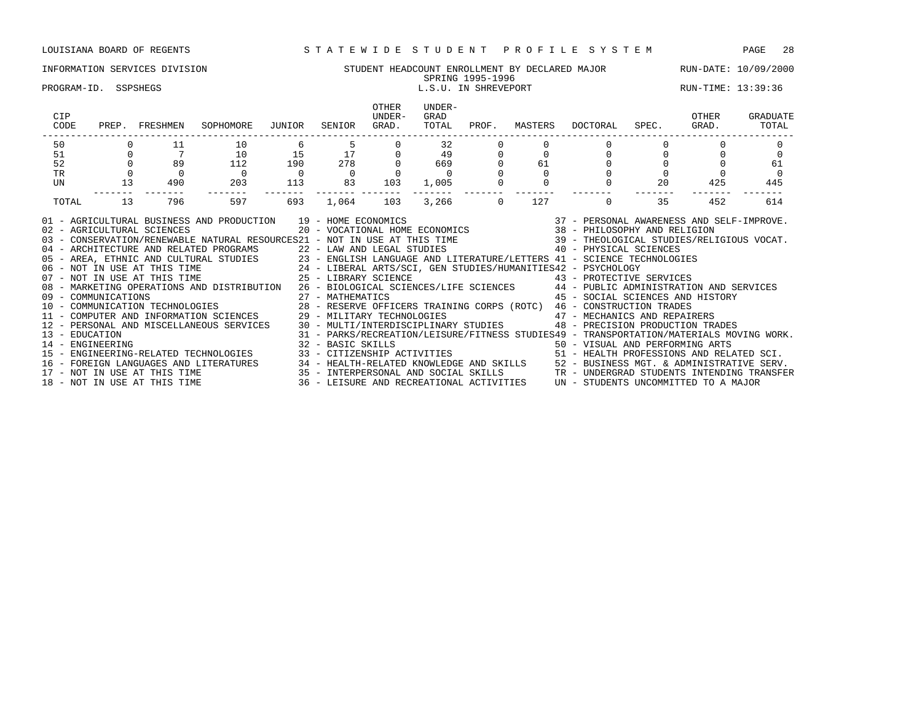# INFORMATION SERVICES DIVISION SUNG STUDENT HEADCOUNT ENROLLMENT BY DECLARED MAJOR RUN-DATE: 10/09/2000<br>SPRING 1995-1996

### PROGRAM-ID. SSPSHEGS LEGAL SOME SERVERORT AND RUN-TIME: 13:39:36

# SPRING 1995-1996

| CIP<br>CODE                        | PREP. | FRESHMEN                     | SOPHOMORE                                                                                                                                                                                                                                                                                                                                                                                                                                                                                                                                                                                                                                                                                                                                                                                                                                      | JUNIOR   | SENIOR            | <b>OTHER</b><br>UNDER-<br>GRAD. | UNDER-<br>GRAD<br>TOTAL | PROF.    | MASTERS | DOCTORAL                                                                                                                                                                                                                                                                                                                | SPEC. | OTHER<br>GRAD. | GRADUATE<br>TOTAL |
|------------------------------------|-------|------------------------------|------------------------------------------------------------------------------------------------------------------------------------------------------------------------------------------------------------------------------------------------------------------------------------------------------------------------------------------------------------------------------------------------------------------------------------------------------------------------------------------------------------------------------------------------------------------------------------------------------------------------------------------------------------------------------------------------------------------------------------------------------------------------------------------------------------------------------------------------|----------|-------------------|---------------------------------|-------------------------|----------|---------|-------------------------------------------------------------------------------------------------------------------------------------------------------------------------------------------------------------------------------------------------------------------------------------------------------------------------|-------|----------------|-------------------|
| 50                                 |       | 11                           | 10                                                                                                                                                                                                                                                                                                                                                                                                                                                                                                                                                                                                                                                                                                                                                                                                                                             | 6        | 5                 |                                 | 32                      |          |         |                                                                                                                                                                                                                                                                                                                         |       |                |                   |
| 51                                 |       |                              | 10                                                                                                                                                                                                                                                                                                                                                                                                                                                                                                                                                                                                                                                                                                                                                                                                                                             | 15       | 17                |                                 | 49                      |          |         |                                                                                                                                                                                                                                                                                                                         |       |                |                   |
| 52                                 |       | 89                           | 112                                                                                                                                                                                                                                                                                                                                                                                                                                                                                                                                                                                                                                                                                                                                                                                                                                            | 190      | 278               |                                 | 669                     |          | 61      |                                                                                                                                                                                                                                                                                                                         |       |                | 61                |
| <b>TR</b>                          |       |                              |                                                                                                                                                                                                                                                                                                                                                                                                                                                                                                                                                                                                                                                                                                                                                                                                                                                | $\Omega$ | $\overline{0}$    |                                 |                         |          |         |                                                                                                                                                                                                                                                                                                                         |       |                |                   |
| UN                                 | 13    | 490                          | 203                                                                                                                                                                                                                                                                                                                                                                                                                                                                                                                                                                                                                                                                                                                                                                                                                                            | 113      | 83                | 103                             | 1,005                   |          |         | 0                                                                                                                                                                                                                                                                                                                       | 20    | 425            | 445               |
| TOTAL                              | 13    | 796                          | 597                                                                                                                                                                                                                                                                                                                                                                                                                                                                                                                                                                                                                                                                                                                                                                                                                                            | 693      | 1,064             | 103                             | 3,266                   | $\Omega$ | 127     | 0                                                                                                                                                                                                                                                                                                                       | 35    | 452            | 614               |
|                                    |       |                              | 01 - AGRICULTURAL BUSINESS AND PRODUCTION 19 - HOME ECONOMICS (2007) 2010 - PERSONAL AWARENESS AND SELF-IMPROVE<br>102 - AGRICULTURAL SCIENCES (2007) 2007 - VOCATIONAL HOME ECONOMICS (2007) 2014 - PHILOSOPHY AND RELIGION<br>139<br>40 - ARCHITECTURE AND RELATED PROGRAMS<br>22 - LAW AND LEGAL STUDIES<br>23 - ENGLISH LANGUAGE AND LITERATURE/LETTERS<br>24 - LIBERAL ARTS/SCI, GEN STUDIES/HUMANITIES42 - PSYCHOLOGY<br>25 - LIBERAL ARTS/SCI, GEN STUDIES/HUMANITIES4<br>08 - MARKETING OPERATIONS AND DISTRIBUTION 26 - BIOLOGICAL SCIENCES/LIFE SCIENCES 44 - PUBLIC ADMINISTRATION AND SERVICES<br>09 - COMMUNICATIONS 27 - MATHEMATICS 45 - SOCIAL SCIENCES AND HIST (10 - COMMUNICATION TECHNOLOGIES 28 - RESERVE OFFICERS TRAINING CORPS (ROTC) 46 - CONSTRUCTION TRADES<br>11 - COMPUTER AND INFORMATION SCIENCES 29 - MILITARY |          |                   |                                 |                         |          |         | 45 - SOCIAL SCIENCES AND HISTORY                                                                                                                                                                                                                                                                                        |       |                |                   |
| 13 - EDUCATION<br>14 - ENGINEERING |       | 18 - NOT IN USE AT THIS TIME | 12 - PERSONAL AND MISCELLANEOUS SERVICES 30 - MULTI/INTERDISCIPLINARY STUDIES<br>15 - ENGINEERING-RELATED TECHNOLOGIES<br>16 - FOREIGN LANGUAGES AND LITERATURES 34 - HEALTH-RELATED KNOWLEDGE AND SKILLS 52 - BUSINESS MGT. & ADMINISTRATIVE SERV.<br>17 - NOT IN USE AT THIS TIME 35 - INTERPERSONAL AND SOCIAL SKILLS TRANDERGRAD STUDENTS INTENDING TRA                                                                                                                                                                                                                                                                                                                                                                                                                                                                                    |          | 32 - BASIC SKILLS |                                 |                         |          |         | 48 - PRECISION PRODUCTION TRADES<br>31 - PARKS/RECREATION/LEISURE/FITNESS STUDIES49 - TRANSPORTATION/MATERIALS MOVING WORK.<br>50 - VISUAL AND PERFORMING ARTS<br>33 - CITIZENSHIP ACTIVITIES 51 - HEALTH PROFESSIONS AND RELATED SCI.<br>36 - LEISURE AND RECREATIONAL ACTIVITIES UN - STUDENTS UNCOMMITTED TO A MAJOR |       |                |                   |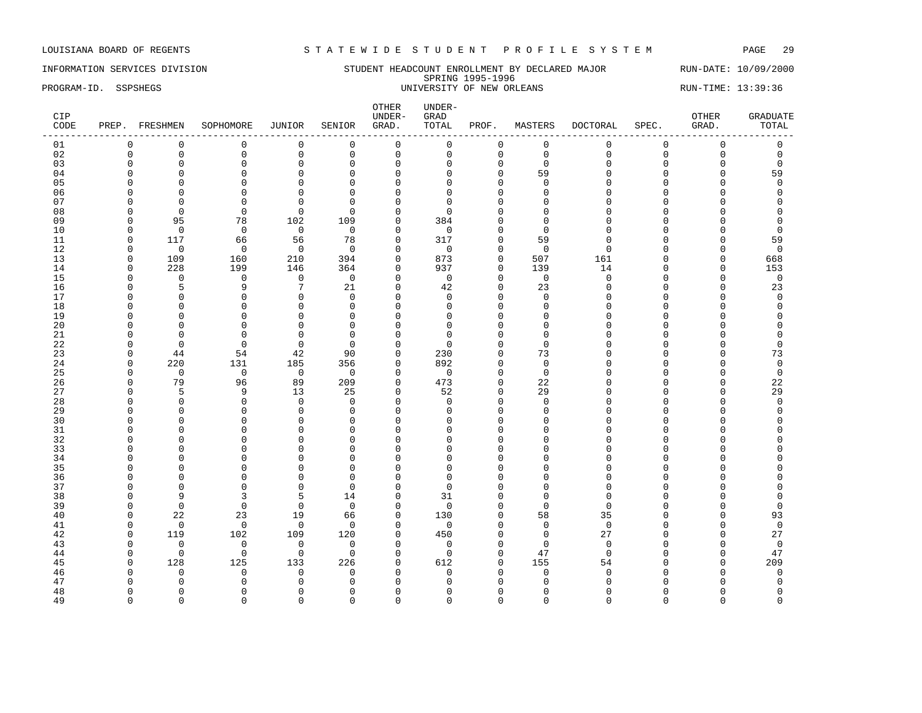INFORMATION SERVICES DIVISION STUDENT HEADCOUNT ENROLLMENT BY DECLARED MAJOR RUN-DATE: 10/09/2000 SPRING 1995-1996 PROGRAM-ID. SSPSHEGS UNIVERSITY OF NEW ORLEANS RUN-TIME: 13:39:36

| CIP<br>CODE |              | PREP. FRESHMEN | SOPHOMORE      | JUNIOR         | SENIOR         | OTHER<br>UNDER-<br>GRAD. | UNDER-<br>GRAD<br>TOTAL | PROF.        | MASTERS     | <b>DOCTORAL</b> | SPEC.       | OTHER<br>GRAD.      | <b>GRADUATE</b><br>TOTAL |
|-------------|--------------|----------------|----------------|----------------|----------------|--------------------------|-------------------------|--------------|-------------|-----------------|-------------|---------------------|--------------------------|
| 01          | $\mathbf 0$  | $\mathbf 0$    | $\mathbf 0$    | 0              | $\mathbf 0$    | $\mathsf{O}$             | 0                       | 0            | $\mathbf 0$ | $\mathbf 0$     | $\mathsf 0$ | $\mathsf{O}\xspace$ | $\mathsf 0$              |
| 02          | $\mathbf 0$  | $\mathsf 0$    | $\mathsf 0$    | $\mathsf 0$    | $\mathsf 0$    | $\mathsf 0$              | 0                       | $\mathbf 0$  | $\mathbb O$ | $\mathbf{0}$    | $\mathbf 0$ | $\mathsf 0$         | $\mathbf 0$              |
| 03          | $\Omega$     | $\overline{0}$ | $\Omega$       | $\mathbf 0$    | $\mathbf 0$    | $\mathbf{0}$             | $\Omega$                | $\mathbf{0}$ | $\Omega$    | $\Omega$        | $\Omega$    | $\Omega$            | $\mathbf 0$              |
| 04          | $\Omega$     | $\Omega$       | $\mathbf 0$    | $\mathbf 0$    | $\mathbf 0$    | $\Omega$                 | $\Omega$                | $\Omega$     | 59          | $\cap$          | $\Omega$    | $\mathbf 0$         | 59                       |
| 05          | $\Omega$     | $\Omega$       | $\mathbf 0$    | $\mathbf 0$    | $\mathbf 0$    | $\mathbf{0}$             | $\Omega$                | $\mathbf{0}$ | $\Omega$    | $\cap$          | $\Omega$    | $\mathbf 0$         | $\mathbf 0$              |
| 06          | $\Omega$     | $\Omega$       | $\mathbf 0$    | $\mathbf 0$    | $\mathbf 0$    | $\Omega$                 | $\Omega$                | $\Omega$     | $\mathbf 0$ | $\cap$          | $\Omega$    | O                   | $\Omega$                 |
| 07          | $\Omega$     | $\Omega$       | $\mathbf 0$    | $\mathbf{0}$   | $\overline{0}$ | $\Omega$                 | 0                       | $\Omega$     | $\Omega$    | $\cap$          | $\cap$      | O                   | $\Omega$                 |
| 08          | n            | $\Omega$       | $\Omega$       | $\Omega$       | $\Omega$       | $\Omega$                 | $\Omega$                | $\cap$       | $\Omega$    | ∩               | C           | U                   | $\Omega$                 |
| 09          | $\Omega$     | 95             | 78             | 102            | 109            | $\mathbf 0$              | 384                     | $\Omega$     | $\Omega$    | $\Omega$        | $\Omega$    | 0                   | $\Omega$                 |
| 10          | $\Omega$     | $\overline{0}$ | $\mathbf 0$    | $\overline{0}$ | $\mathbf 0$    | $\mathbf{0}$             | $\mathbf 0$             | $\mathbf 0$  | $\mathbf 0$ | $\cap$          | O           | 0                   | $\mathbf 0$              |
| 11          | $\Omega$     | 117            | 66             | 56             | 78             | $\mathbf 0$              | 317                     | $\Omega$     | 59          | $\cap$          | $\Omega$    | $\overline{0}$      | 59                       |
| 12          | $\Omega$     | $\mathbf 0$    | $\mathbf 0$    | $\mathbf 0$    | $\Omega$       | $\Omega$                 | $\mathbf 0$             | $\Omega$     | $\mathbf 0$ | $\Omega$        | $\Omega$    | $\Omega$            | $\mathbf 0$              |
| 13          | $\Omega$     | 109            | 160            | 210            | 394            | $\Omega$                 | 873                     | $\Omega$     | 507         | 161             | $\Omega$    | $\Omega$            | 668                      |
| 14          | $\Omega$     | 228            | 199            | 146            | 364            | $\mathbf 0$              | 937                     | $\Omega$     | 139         | 14              | $\Omega$    | $\mathbf 0$         | 153                      |
| 15          | $\Omega$     | $\mathbf 0$    | $\mathbf 0$    | $\mathbf 0$    | $\mathbf 0$    | $\mathbf{0}$             | $\mathbf 0$             | $\mathbf{0}$ | $\mathbf 0$ | $\Omega$        | $\Omega$    | $\mathbf 0$         | $\mathbf 0$              |
| 16          | O            | 5              | 9              | 7              | 21             | $\mathbf{0}$             | 42                      | $\Omega$     | 23          | $\Omega$        | C           | $\mathbf 0$         | 23                       |
| 17          | $\Omega$     | $\Omega$       | $\Omega$       | $\mathbf 0$    | $\Omega$       | $\Omega$                 | $\Omega$                | $\Omega$     | $\Omega$    | $\cap$          | $\cap$      | U                   | $\mathbf 0$              |
| 18          | n            | $\Omega$       | $\Omega$       | $\mathbf 0$    | 0              | $\mathbf{0}$             | 0                       | $\Omega$     | $\mathbf 0$ |                 | C           | O                   | $\Omega$                 |
| 19          | $\Omega$     | $\Omega$       | $\Omega$       | $\mathbf{0}$   | $\mathbf 0$    | $\Omega$                 | $\Omega$                | $\Omega$     | $\Omega$    | $\cap$          | $\cap$      | O                   | $\Omega$                 |
| 20          | $\Omega$     | $\Omega$       | $\Omega$       | $\mathbf{0}$   | $\overline{0}$ | $\Omega$                 | $\Omega$                | $\Omega$     | $\Omega$    | $\cap$          | $\cap$      | O                   | $\Omega$                 |
| 21          | $\Omega$     | $\Omega$       | $\Omega$       | $\mathbf{0}$   | $\Omega$       | $\Omega$                 | $\Omega$                | $\cap$       | $\Omega$    |                 | C           | O                   | $\Omega$                 |
| 22          | $\Omega$     | $\Omega$       | $\Omega$       | $\Omega$       | $\Omega$       | $\Omega$                 | $\Omega$                | $\Omega$     | $\Omega$    |                 | $\cap$      | 0                   | $\Omega$                 |
| 23          | $\Omega$     | 44             | 54             | 42             | 90             | $\mathbf 0$              | 230                     | $\Omega$     | 73          |                 | $\Omega$    | 0                   | 73                       |
| 24          | $\Omega$     | 220            | 131            | 185            | 356            | $\mathbf 0$              | 892                     | $\Omega$     | $\mathbf 0$ | ∩               | $\cap$      | O                   | $\mathbf 0$              |
| 25          | $\Omega$     | $\mathbf 0$    | $\overline{0}$ | $\overline{0}$ | $\overline{0}$ | $\mathbf 0$              | $\mathbf 0$             | $\mathbf 0$  | $\mathbf 0$ | ∩               | $\cap$      | O                   | $\mathbf 0$              |
| 26          | $\Omega$     | 79             | 96             | 89             | 209            | $\mathbf 0$              | 473                     | $\Omega$     | 22          | ∩               | $\cap$      | 0                   | 22                       |
| 27          | $\Omega$     | 5              | 9              | 13             | 25             | $\mathbf{0}$             | 52                      | $\mathbf{0}$ | 29          |                 | $\cap$      | $\mathbf 0$         | 29                       |
| 28          | $\Omega$     | $\mathbf 0$    | $\mathbf 0$    | $\mathbf 0$    | $\mathbf 0$    | $\mathbf{0}$             | $\Omega$                | $\Omega$     | $\mathbf 0$ | $\cap$          | $\cap$      | O                   | $\mathbf 0$              |
| 29          | ∩            | $\Omega$       | $\Omega$       | $\mathbf 0$    | $\Omega$       | $\Omega$                 | $\Omega$                | $\cap$       | $\Omega$    | ∩               | $\Omega$    | O                   | $\Omega$                 |
| 30          | ∩            | $\Omega$       | $\Omega$       | $\Omega$       | $\Omega$       | $\Omega$                 | ∩                       | $\Omega$     | $\Omega$    | $\cap$          | C           | O                   |                          |
| 31          | $\Omega$     | $\Omega$       | $\mathbf 0$    | $\mathbf 0$    | $\mathbf 0$    | $\mathbf 0$              | $\Omega$                | $\Omega$     | $\Omega$    | $\Omega$        | $\Omega$    | 0                   | $\Omega$                 |
| 32          | $\Omega$     | $\Omega$       | $\Omega$       | $\mathbf{0}$   | $\mathbf 0$    | $\Omega$                 | $\cap$                  | $\Omega$     | $\Omega$    | $\cap$          | C           | O                   | $\Omega$                 |
| 33          | $\Omega$     | $\Omega$       | $\Omega$       | $\mathbf{0}$   | $\mathbf 0$    | $\Omega$                 | O                       | $\Omega$     | $\Omega$    |                 | $\cap$      | O                   |                          |
| 34          | ∩            | $\Omega$       | $\Omega$       | $\mathbf{0}$   | 0              | $\Omega$                 | O                       | $\Omega$     | $\Omega$    | ∩               | C           | O                   | U                        |
| 35          |              | $\Omega$       | $\Omega$       | $\Omega$       | $\Omega$       | $\Omega$                 | <sup>0</sup>            | $\Omega$     | $\Omega$    | $\Omega$        | C           | O                   |                          |
| 36          | $\Omega$     | $\Omega$       | $\mathbf 0$    | $\mathbf{0}$   | $\mathbf 0$    | $\Omega$                 | $\Omega$                | $\Omega$     | $\Omega$    | $\Omega$        | $\Omega$    | O                   |                          |
| 37          | $\Omega$     | $\Omega$       | $\Omega$       | $\mathbf 0$    | $\overline{0}$ | $\Omega$                 | $\Omega$                | $\Omega$     | $\Omega$    | $\cap$          | $\cap$      | 0                   | $\Omega$                 |
| 38          | $\Omega$     | 9              | 3              | 5              | 14             | $\mathbf{0}$             | 31                      | $\Omega$     | $\Omega$    | $\cap$          | C           | O                   | $\Omega$                 |
| 39          | $\Omega$     | $\Omega$       | $\Omega$       | $\mathbf 0$    | $\mathbf 0$    | $\mathbf{0}$             | $\Omega$                | $\Omega$     | $\Omega$    | $\cap$          | $\cap$      | O                   | $\Omega$                 |
| 40          | $\Omega$     | 22             | 23             | 19             | 66             | $\mathbf 0$              | 130                     | $\Omega$     | 58          | 35              | O           | 0                   | 93                       |
| 41          | $\Omega$     | $\mathbf 0$    | $\mathbf 0$    | $\mathbf 0$    | $\mathbf 0$    | $\mathbf 0$              | $\mathbf 0$             | $\Omega$     | $\mathbf 0$ | $\Omega$        | $\Omega$    | $\Omega$            | $\mathbf 0$              |
| 42          | $\mathbf 0$  | 119            | 102            | 109            | 120            | $\mathbf 0$              | 450                     | $\Omega$     | $\mathbf 0$ | 27              | O           | 0                   | 27                       |
| 43          | $\Omega$     | $\mathbf 0$    | $\mathbf 0$    | $\mathbf 0$    | $\mathbf 0$    | $\mathbf 0$              | $\mathbf 0$             | $\Omega$     | $\Omega$    | $\Omega$        | C           | O                   | $\mathbf 0$              |
| 44          | $\Omega$     | $\mathbf 0$    | $\mathbf 0$    | $\mathbf 0$    | $\mathbf 0$    | $\mathbf 0$              | $\mathbf 0$             | $\mathbf 0$  | 47          | $\Omega$        | $\Omega$    | $\mathbf 0$         | 47                       |
| 45          | $\Omega$     | 128            | 125            | 133            | 226            | $\mathbf{0}$             | 612                     | $\Omega$     | 155         | 54              | $\cap$      | $\mathbf 0$         | 209                      |
| 46          | $\Omega$     | $\Omega$       | $\mathbf 0$    | $\mathbf 0$    | $\overline{0}$ | $\mathbf 0$              | $\Omega$                | $\Omega$     | $\Omega$    | $\Omega$        | C           | $\Omega$            | $\mathbf 0$              |
| 47          |              | $\Omega$       | $\Omega$       | $\mathbf{0}$   | $\Omega$       | $\Omega$                 | U                       | ∩            | $\Omega$    | $\cap$          |             | U                   | $\Omega$                 |
| 48          | <sup>0</sup> | $\Omega$       | $\Omega$       | $\mathbf{0}$   | 0              | $\Omega$                 | O                       | $\Omega$     | $\Omega$    | ∩               | O           | O                   | $\Omega$                 |
| 49          | $\Omega$     | $\Omega$       | $\Omega$       | $\Omega$       | $\Omega$       | $\Omega$                 | $\Omega$                | $\Omega$     | $\Omega$    | $\Omega$        | $\Omega$    | $\Omega$            | $\Omega$                 |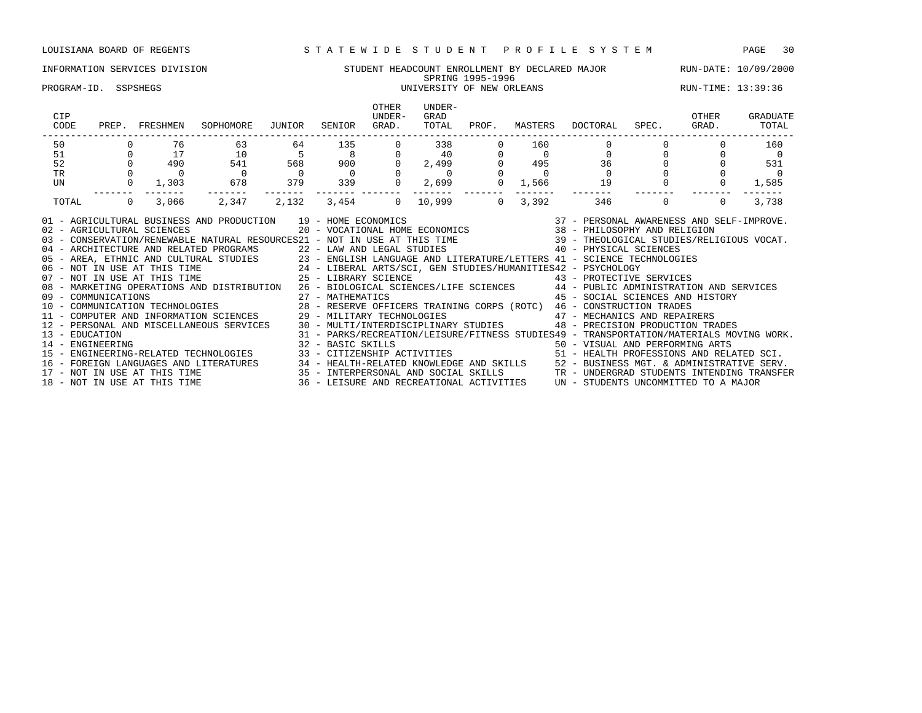### INFORMATION SERVICES DIVISION STUDENT HEADCOUNT ENROLLMENT BY DECLARED MAJOR RUN-DATE: 10/09/2000 SPRING 1995-1996 PROGRAM-ID. SSPSHEGS UNIVERSITY OF NEW ORLEANS RUN-TIME: 13:39:36

| <b>CIP</b><br>CODE                    | PREP. FRESHMEN             | SOPHOMORE                                                                                                                                                                                                                                                                                                                                                                                                                                                                                                                                                                                                                                                                                                                                                                                                                                                                                                                                                                              | JUNIOR SENIOR |                            | OTHER<br>UNDER-<br>GRAD. | UNDER-<br>GRAD<br>TOTAL  | PROF.    | MASTERS     | DOCTORAL SPEC. GRAD.                                                                                                                         |                                  | OTHER    | GRADUATE<br>TOTAL |
|---------------------------------------|----------------------------|----------------------------------------------------------------------------------------------------------------------------------------------------------------------------------------------------------------------------------------------------------------------------------------------------------------------------------------------------------------------------------------------------------------------------------------------------------------------------------------------------------------------------------------------------------------------------------------------------------------------------------------------------------------------------------------------------------------------------------------------------------------------------------------------------------------------------------------------------------------------------------------------------------------------------------------------------------------------------------------|---------------|----------------------------|--------------------------|--------------------------|----------|-------------|----------------------------------------------------------------------------------------------------------------------------------------------|----------------------------------|----------|-------------------|
| 50                                    | 76                         | 63                                                                                                                                                                                                                                                                                                                                                                                                                                                                                                                                                                                                                                                                                                                                                                                                                                                                                                                                                                                     | 64            | -------------------<br>135 | $\Omega$                 | 338                      |          | 160         |                                                                                                                                              | -------------------------------- |          | 160               |
| 51                                    | 17                         | 10                                                                                                                                                                                                                                                                                                                                                                                                                                                                                                                                                                                                                                                                                                                                                                                                                                                                                                                                                                                     |               |                            |                          | $0$ 40                   |          |             | 0                                                                                                                                            |                                  |          |                   |
| 52                                    | 490                        | 541                                                                                                                                                                                                                                                                                                                                                                                                                                                                                                                                                                                                                                                                                                                                                                                                                                                                                                                                                                                    |               | 568 900                    | $0 \qquad \qquad$        | 2,499                    |          | 495         | $\begin{array}{c}\n 36 \\  0\n \end{array}$                                                                                                  |                                  |          | 531               |
| TR                                    |                            |                                                                                                                                                                                                                                                                                                                                                                                                                                                                                                                                                                                                                                                                                                                                                                                                                                                                                                                                                                                        |               | $\overline{0}$             |                          | $\overline{\phantom{0}}$ |          |             |                                                                                                                                              |                                  |          |                   |
| UN                                    |                            | 1,303 678                                                                                                                                                                                                                                                                                                                                                                                                                                                                                                                                                                                                                                                                                                                                                                                                                                                                                                                                                                              |               | 379 339                    | $\overline{0}$           |                          | 2,699 0  | 1,566 1,199 | 19                                                                                                                                           |                                  |          | 1,585             |
| TOTAL                                 | 3,066<br>$\overline{0}$    |                                                                                                                                                                                                                                                                                                                                                                                                                                                                                                                                                                                                                                                                                                                                                                                                                                                                                                                                                                                        | 2,347 2,132   | 3,454 0                    |                          | 10,999 200               | $\Omega$ | 3,392       | 346                                                                                                                                          | $\Omega$                         | $\Omega$ | 3,738             |
| 09 - COMMUNICATIONS<br>13 - EDUCATION | 02 - AGRICULTURAL SCIENCES | 01 - AGRICULTURAL BUSINESS AND PRODUCTION 19 - HOME ECONOMICS<br>03 - CONSERVATION/RENEWABLE NATURAL RESOURCES21 - NOT IN USE AT THIS TIME 39 - THEOLOGICAL STUDIES/RELIGIOUS VOCAT.<br>04 - ARCHITECTURE AND RELATED PROGRAMS 22 - LAW AND LEGAL STUDIES 40 - PHYSICAL SCIENCES<br>05 - AREA, ETHNIC AND CULTURAL STUDIES 23 - ENGLISH LANGUAGE AND LITERATURE/LETTERS 41 - SCIENCE TECHNOLOGIES<br>06 - NOT IN USE AT THIS TIME 24 - LIBERAL ARTS/SCI, GEN STUDIES/HUMANITIES42 - PSYCHOLOGY<br>07 - NOT IN USE AT THI<br>08 - MARKETING OPERATIONS AND DISTRIBUTION 26 - BIOLOGICAL SCIENCES/LIFE SCIENCES 44 - PUBLIC ADMINISTRATION AND SERVICES<br>10 - COMMUNICATION TECHNOLOGIES 6000 28 - RESERVE OFFICERS TRAINING CORPS (ROTC) 46 - CONSTRUCTION TRADES<br>11 - COMPUTER AND INFORMATION SCIENCES 29 - MILITARY TECHNOLOGIES 47 - MECHANICS AND REPAIRERS<br>12 - PERSONAL AND MISCELLANEOUS SERVICES 30 - MULTI/INTERDISCIPLINARY STUDIES 48 - PRECISION PRODUCTION TRADES |               | 27 - MATHEMATICS           |                          |                          |          |             | 37 - PERSONAL AWARENESS AND SELF-IMPROVE.<br>20 - VOCATIONAL HOME ECONOMICS 38 - PHILOSOPHY AND RELIGION<br>45 - SOCIAL SCIENCES AND HISTORY |                                  |          |                   |
| 14 - ENGINEERING                      |                            | 31 - PARKS/RECREATION/LEISURE/FITNESS STUDIES49 - TRANSPORTATION/MATERIALS MOVING WORK.<br>32 - BASIC SKILLS 1990 - SASIC SALLES 1990 - VISUAL AND PERFORMING ARTS                                                                                                                                                                                                                                                                                                                                                                                                                                                                                                                                                                                                                                                                                                                                                                                                                     |               |                            |                          |                          |          |             |                                                                                                                                              |                                  |          |                   |

15 - ENGINEERING-RELATED TECHNOLOGIES 33 - CITIZENSHIP ACTIVITIES 51 - HEALTH PROFESSIONS AND RELATED SCI. 16 - FOREIGN LANGUAGES AND LITERATURES 34 - HEALTH-RELATED KNOWLEDGE AND SKILLS 52 - BUSINESS MGT. & ADMINISTRATIVE SERV. 17 - NOT IN USE AT THIS TIME 35 - INTERPERSONAL AND SOCIAL SKILLS TR - UNDERGRAD STUDENTS INTENDING TRANSFER 18 - NOT IN USE AT THIS TIME 36 - LEISURE AND RECREATIONAL ACTIVITIES UN - STUDENTS UNCOMMITTED TO A MAJOR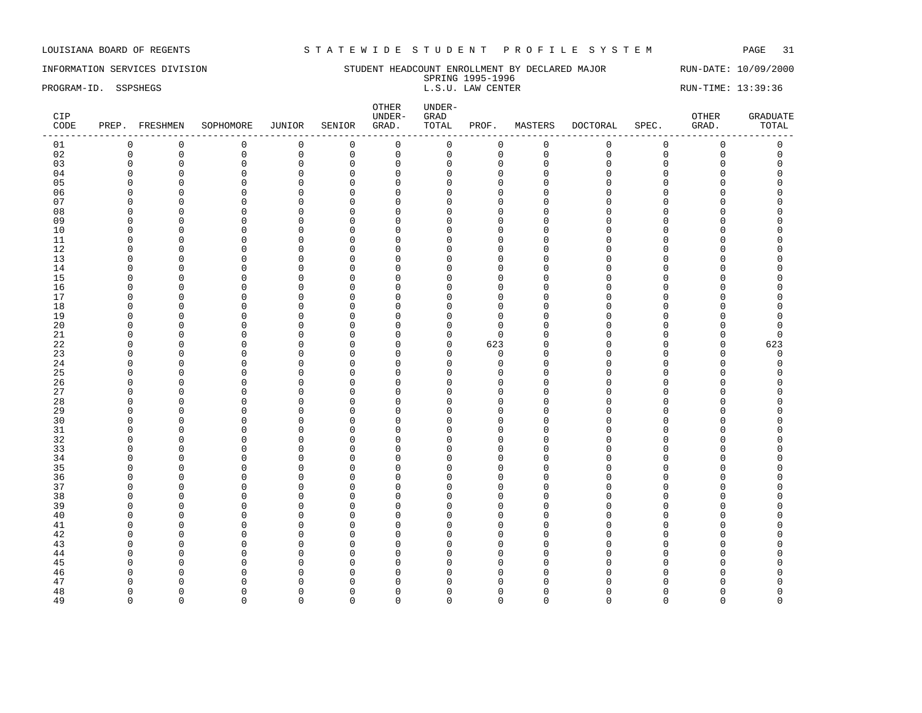INFORMATION SERVICES DIVISION SUNDERT HEADCOUNT ENROLLMENT BY DECLARED MAJOR RUN-DATE: 10/09/2000 SPRING 1995-1996<br>L.S.U. LAW CENTER PROGRAM-ID. SSPSHEGS **EXECUTER** L.S.U. LAW CENTER L.S.U. LAW CENTER RUN-TIME: 13:39:36

| CIP<br>CODE |                      | PREP. FRESHMEN             | SOPHOMORE               | JUNIOR                      | SENIOR                  | OTHER<br>UNDER-<br>GRAD.    | $UNDER-$<br>${\tt GRAD}$<br>TOTAL | PROF.                   | MASTERS              | DOCTORAL           | SPEC.              | OTHER<br>GRAD. | <b>GRADUATE</b><br>TOTAL |
|-------------|----------------------|----------------------------|-------------------------|-----------------------------|-------------------------|-----------------------------|-----------------------------------|-------------------------|----------------------|--------------------|--------------------|----------------|--------------------------|
| 01          | $\mathbf 0$          | $\mathbf 0$                | $\mathsf 0$             | $\mathsf 0$                 | $\mathsf 0$             | $\mathsf{O}$                | 0                                 | $\mathsf 0$             | $\mathsf 0$          | $\mathbf 0$        | $\mathbf 0$        | $\mathsf 0$    | $\mathsf 0$              |
| 02          | $\mathbf 0$          | $\mathbf 0$                | $\mathbf 0$             | $\mathsf 0$                 | $\mathbf 0$             | $\mathsf 0$                 | $\mathbf 0$                       | 0                       | $\mathbf 0$          | $\mathbf{0}$       | $\mathbf 0$        | $\mathbf 0$    | $\mathbf 0$              |
| 03          | $\mathbf 0$          | $\mathbf 0$                | $\mathsf 0$             | $\mathsf 0$                 | $\mathsf 0$             | $\mathbb O$                 | $\Omega$                          | $\mathbf 0$             | $\mathbf 0$          | $\Omega$           | $\mathbf 0$        | 0              | $\mathbf 0$              |
| 04          | $\Omega$             | $\mathbf 0$                | $\mathbf 0$             | 0                           | 0                       | $\mathbf{0}$                | O                                 | $\mathbf 0$             | $\Omega$             | $\cap$             | $\Omega$           | O              | $\Omega$                 |
| 05          | $\Omega$             | $\mathbf 0$                | $\Omega$                | $\mathbf 0$                 | $\Omega$                | $\mathbf 0$                 | U                                 | $\Omega$                | $\Omega$             | $\cap$             | $\Omega$           | U              |                          |
| 06          | $\Omega$             | $\mathbf 0$                | $\mathbf 0$             | $\mathbf 0$                 | $\mathbf 0$             | $\mathbf 0$                 | U                                 | $\mathbf{0}$            | $\Omega$             | $\Omega$           | $\Omega$           | 0              |                          |
| 07          | <sup>0</sup>         | $\mathbf 0$                | 0                       | $\mathbf{0}$                | 0                       | $\mathbf 0$                 | U                                 | $\mathbf 0$             | <sup>0</sup>         | $\cap$             | O                  | O              |                          |
| 08          | $\Omega$             | $\Omega$                   | $\mathbf 0$             | $\mathbf 0$                 | $\mathbf 0$             | $\mathbf 0$                 | <sup>0</sup>                      | $\Omega$                | $\Omega$             | $\cap$             | $\Omega$           | 0              | O                        |
| 09          | $\Omega$             | $\overline{0}$             | $\mathbf 0$             | $\mathsf 0$                 | $\mathbf 0$             | $\mathbf{0}$                | $\Omega$                          | $\mathbf{0}$            | $\Omega$             | $\cap$             | $\Omega$           | 0              |                          |
| 10          | n                    | $\mathbf 0$                | $\mathbf 0$             | $\mathbf 0$                 | 0                       | 0                           | U                                 | $\Omega$                | $\Omega$             | ∩                  | O                  | O              |                          |
| 11          | $\Omega$             | $\mathbf 0$                | $\Omega$                | $\mathbf 0$                 | $\Omega$                | $\mathbf 0$                 | U                                 | $\Omega$                | $\Omega$             | $\Omega$           | $\Omega$           | 0              |                          |
| 12          | $\Omega$             | $\overline{0}$             | $\mathbf 0$             | $\mathbf{0}$                | $\mathbf 0$             | $\overline{0}$              | U                                 | $\mathbf{0}$            | $\Omega$             | $\cap$             | O                  | 0              |                          |
| 13          | $\Omega$             | $\Omega$                   | $\mathbf 0$             | $\mathsf 0$                 | $\mathbf 0$             | $\mathbf 0$                 | U                                 | $\Omega$                | $\Omega$             | $\cap$             | C                  | 0              |                          |
| 14          | $\Omega$             | $\mathbf 0$                | $\Omega$                | 0                           | $\mathbf 0$             | $\mathbf 0$                 | $\Omega$                          | $\mathbf 0$             | Ω                    | $\cap$             | $\Omega$           | 0              |                          |
| 15          | $\Omega$             | $\mathbf 0$                | $\mathbf 0$             | $\mathsf 0$                 | $\mathbf 0$             | $\mathbf 0$                 | $\cap$                            | $\Omega$                | $\Omega$             | $\cap$             | $\cap$             | O              |                          |
| 16          | n                    | $\overline{0}$             | $\Omega$                | $\mathbf{0}$                | $\Omega$                | $\overline{0}$              | U                                 | $\Omega$                | $\Omega$             | ∩                  | C                  | O              |                          |
| 17          | O                    | 0                          | $\mathbf 0$             | $\mathbf 0$                 | 0                       | $\mathbf 0$                 | U                                 | $\mathbf 0$             | O                    | $\cap$             | O                  | 0              | O                        |
| 18          | $\Omega$             | $\mathbf 0$                | $\mathbf 0$             | $\mathbf 0$                 | $\mathbf 0$             | $\mathbf 0$                 | $\Omega$                          | $\mathbf{0}$            | $\Omega$             | $\cap$             | $\Omega$           | 0              | $\Omega$                 |
| 19          | $\Omega$             | $\overline{0}$             | $\Omega$                | 0                           | $\mathbf 0$             | $\mathbf{0}$                | $\cap$                            | $\mathbf{0}$            | $\Omega$             | $\cap$             | C                  | O              |                          |
| 20          | $\Omega$             | $\mathbf 0$                | $\mathbf 0$             | 0                           | $\mathbf 0$             | $\mathbf 0$                 | $\Omega$                          | $\mathbf{0}$            | $\Omega$             | $\cap$             | $\Omega$           | 0              | $\Omega$                 |
| $21\,$      | $\Omega$             | $\mathbf 0$                | $\Omega$                | $\mathsf 0$                 | $\mathbf 0$             | $\mathbf 0$                 | $\Omega$                          | $\mathbf{0}$            | $\Omega$             | $\cap$             | $\Omega$           | $\Omega$       | $\Omega$                 |
| 22          | $\Omega$             | $\overline{0}$             | $\Omega$                | $\mathbf{0}$                | $\Omega$                | $\mathbf{0}$                | $\Omega$                          | 623                     | $\Omega$             | $\cap$             | O                  | $\mathbf 0$    | 623                      |
| 23          | $\Omega$             | $\mathbf 0$                | $\mathbf 0$             | $\mathsf 0$                 | $\mathbf 0$             | $\mathbf 0$                 | 0                                 | $\mathbf 0$             | $\Omega$             | $\cap$             | $\Omega$           | 0              | $\mathbf 0$              |
| 24          | $\Omega$             | $\overline{0}$             | $\Omega$                | $\mathsf 0$                 | $\mathbf 0$             | $\mathbf{0}$                | $\Omega$                          | $\mathbf{0}$            | $\Omega$             | $\cap$             | $\cap$             | 0              | $\Omega$                 |
| 25          | n                    | $\mathbf 0$                | $\Omega$                | $\mathbf 0$                 | $\Omega$                | $\mathbf{0}$                | U                                 | $\Omega$                | U                    | ∩                  | C                  | O              | ∩                        |
| 26          | $\Omega$             | $\overline{0}$             | $\Omega$                | $\mathbf{0}$                | $\mathbf 0$             | $\mathbf 0$                 | U                                 | $\mathbf{0}$            | $\Omega$             | $\cap$             | $\Omega$           | 0              |                          |
| 27          | $\Omega$             | $\overline{0}$             | $\mathbf 0$             | $\mathbf{0}$                | $\mathbf 0$             | $\Omega$                    | $\cap$                            | $\mathbf{0}$            | $\Omega$             | $\cap$             | $\Omega$           | 0              |                          |
| 28          | $\Omega$             | $\overline{0}$             | $\mathbf 0$             | $\mathbf 0$                 | $\mathbf 0$             | $\mathbf 0$                 | U                                 | $\Omega$                | $\Omega$             | $\cap$             | $\Omega$           | 0              | ∩                        |
| 29          | $\Omega$             | $\overline{0}$             | $\Omega$                | 0                           | $\mathbf 0$             | $\mathbf{0}$                | U                                 | $\mathbf{0}$            | $\Omega$             | $\cap$             | $\Omega$           | 0              |                          |
| 30          | $\Omega$             | $\mathbf 0$                | $\Omega$                | $\mathbf 0$                 | $\mathbf 0$             | 0                           |                                   | $\Omega$                | $\Omega$             |                    | $\Omega$           | O              |                          |
| 31          | $\Omega$             | $\overline{0}$             | $\Omega$                | $\mathbf 0$                 | $\Omega$                | $\overline{0}$              | U                                 | $\Omega$                | $\Omega$             | $\cap$             | C                  | O              |                          |
| 32          | $\Omega$             | $\overline{0}$             | $\mathbf 0$             | $\mathbf 0$                 | $\mathbf 0$             | $\Omega$                    | U                                 | $\mathbf{0}$            | $\Omega$             |                    | O                  | 0              |                          |
| 33          | $\Omega$             | $\Omega$                   | $\Omega$                | $\mathsf 0$                 | $\mathbf 0$             | $\mathbf 0$                 | $\cap$                            | $\Omega$                | O                    | $\cap$             | $\Omega$           | 0              | C                        |
| 34          | $\Omega$             | $\overline{0}$             | $\Omega$                | $\mathbf 0$                 | $\Omega$                | $\mathbf{0}$                | U                                 | $\mathbf 0$             | Ω                    |                    | O                  | 0              |                          |
| 35          | $\Omega$             | $\mathbf 0$                | $\mathbf 0$             | $\mathbf 0$                 | $\mathbf 0$             | $\mathbf 0$                 | $\Omega$                          | $\Omega$                | $\Omega$             | $\cap$             | $\Omega$           | O              |                          |
| 36          | n                    | $\mathbf 0$                | $\Omega$                | $\mathbf{0}$                | $\Omega$                | $\Omega$                    | U                                 | $\Omega$                | n                    | ∩                  | C                  | O              |                          |
| 37          | <sup>0</sup>         | $\mathbf 0$                | $\Omega$                | $\mathbf{0}$                | $\Omega$                | $\mathbf 0$                 | U                                 | $\Omega$                | $\Omega$             | $\Omega$<br>$\cap$ | O                  | 0              |                          |
| 38          | $\Omega$             | $\mathbf 0$                | $\mathbf 0$             | $\mathsf 0$                 | $\mathbf 0$             | $\mathbf 0$                 | $\Omega$                          | $\mathbf 0$             | $\Omega$             | $\cap$             | $\Omega$           | 0              |                          |
| 39          | $\Omega$             | $\mathbf 0$                | $\Omega$                | 0                           | $\mathbf 0$             | $\mathbf{0}$                | U                                 | $\Omega$                | $\Omega$             | $\cap$             | C                  | 0              |                          |
| 40          | $\Omega$<br>$\Omega$ | $\mathbf 0$                | $\mathbf 0$<br>$\Omega$ | 0                           | $\mathbf 0$             | $\mathbf 0$                 | U<br><sup>n</sup>                 | $\Omega$                | $\Omega$<br>$\Omega$ | $\cap$             | $\Omega$<br>$\cap$ | 0<br>0         |                          |
| 41          | <sup>0</sup>         | $\mathbf 0$                | $\Omega$                | $\mathsf 0$<br>$\mathbf{0}$ | $\mathbf 0$<br>$\Omega$ | $\mathbf 0$<br>$\mathbf{0}$ | U                                 | $\mathbf{0}$            | <sup>0</sup>         | ∩                  | C                  | O              |                          |
| 42<br>43    | <sup>0</sup>         | $\mathbf 0$<br>$\mathbf 0$ | $\Omega$                | $\mathsf 0$                 | $\mathbf 0$             | $\mathbf 0$                 | U                                 | $\mathbf 0$<br>$\Omega$ | 0                    | $\cap$             | $\Omega$           | 0              |                          |
| 44          | $\Omega$             | $\Omega$                   | $\mathbf 0$             | $\mathbf 0$                 | $\mathbf 0$             | $\mathbf 0$                 | $\Omega$                          | $\mathbf{0}$            | $\Omega$             |                    | $\cap$             | 0              |                          |
| 45          | n                    | $\Omega$                   | $\Omega$                | $\mathbf{0}$                | $\Omega$                | $\Omega$                    | <sup>n</sup>                      | $\Omega$                | $\Omega$             |                    | C                  | O              |                          |
| 46          |                      | $\Omega$                   | $\Omega$                | $\mathbf{0}$                | $\mathbf 0$             | $\Omega$                    | U                                 | $\mathbf 0$             | U                    |                    | C                  | O              |                          |
| 47          | $\Omega$             | $\Omega$                   | $\Omega$                | $\mathbf{0}$                | $\mathbf 0$             | $\Omega$                    | <sup>n</sup>                      | $\Omega$                |                      |                    |                    | O              |                          |
| 48          | $\Omega$             | $\Omega$                   | $\Omega$                | $\mathbf 0$                 | $\mathbf 0$             | $\mathbf 0$                 | U                                 | $\Omega$                | U                    | ∩                  | C                  | 0              | $\Omega$                 |
| 49          | $\Omega$             | $\Omega$                   | $\Omega$                | $\Omega$                    | $\Omega$                | $\mathbf 0$                 | $\Omega$                          | $\Omega$                | $\Omega$             | $\Omega$           | $\Omega$           | $\Omega$       | $\Omega$                 |
|             |                      |                            |                         |                             |                         |                             |                                   |                         |                      |                    |                    |                |                          |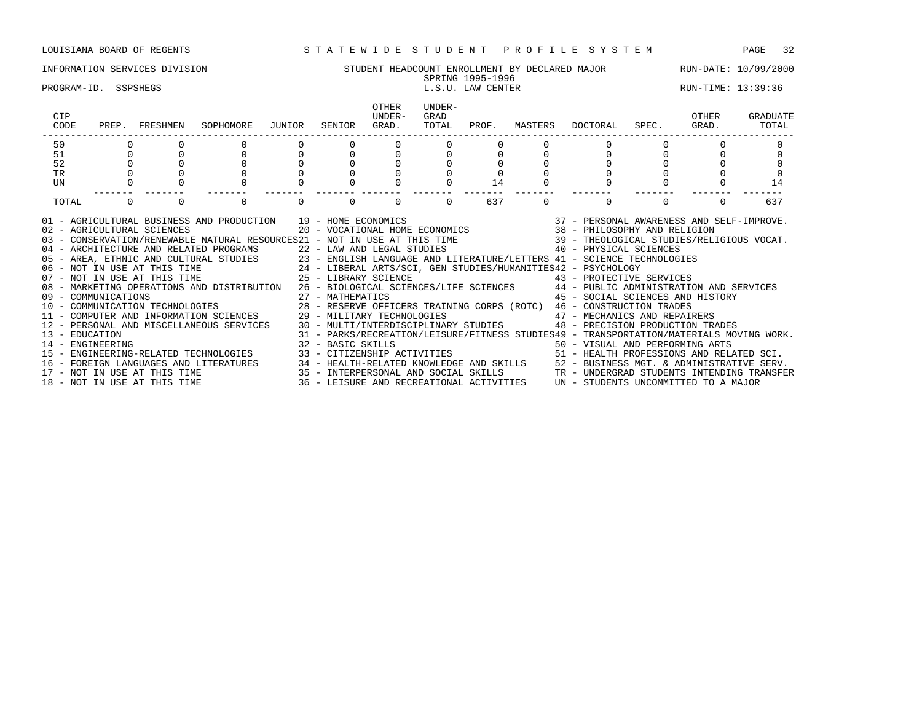# INFORMATION SERVICES DIVISION SUNG STUDENT HEADCOUNT ENROLLMENT BY DECLARED MAJOR RUN-DATE: 10/09/2000<br>SPRING 1995-1996

# SPRING 1995-1996

# PROGRAM-ID. SSPSHEGS L.S.U. LAW CENTER LOOK RUN-TIME: 13:39:36

| CIP<br>CODE                                                                                                                                                                                                                                                                                                                                                                                                                                                                                                                                                                                                                                                                                                                                                                                                                                                                                                                                                                                                                                                                                                                                                                                                                                                                                                                                                                                                                                                                                                                                                                                                                                                                                                                                                            |          | PREP. FRESHMEN               | SOPHOMORE JUNIOR |          | SENIOR   | <b>OTHER</b><br>UNDER-<br>GRAD. | UNDER-<br>GRAD<br>TOTAL |     |          | PROF. MASTERS DOCTORAL SPEC.                                                  |          | OTHER<br>GRAD. | GRADUATE<br>TOTAL |
|------------------------------------------------------------------------------------------------------------------------------------------------------------------------------------------------------------------------------------------------------------------------------------------------------------------------------------------------------------------------------------------------------------------------------------------------------------------------------------------------------------------------------------------------------------------------------------------------------------------------------------------------------------------------------------------------------------------------------------------------------------------------------------------------------------------------------------------------------------------------------------------------------------------------------------------------------------------------------------------------------------------------------------------------------------------------------------------------------------------------------------------------------------------------------------------------------------------------------------------------------------------------------------------------------------------------------------------------------------------------------------------------------------------------------------------------------------------------------------------------------------------------------------------------------------------------------------------------------------------------------------------------------------------------------------------------------------------------------------------------------------------------|----------|------------------------------|------------------|----------|----------|---------------------------------|-------------------------|-----|----------|-------------------------------------------------------------------------------|----------|----------------|-------------------|
| 50                                                                                                                                                                                                                                                                                                                                                                                                                                                                                                                                                                                                                                                                                                                                                                                                                                                                                                                                                                                                                                                                                                                                                                                                                                                                                                                                                                                                                                                                                                                                                                                                                                                                                                                                                                     |          |                              |                  |          |          |                                 |                         |     |          |                                                                               |          |                |                   |
| 51                                                                                                                                                                                                                                                                                                                                                                                                                                                                                                                                                                                                                                                                                                                                                                                                                                                                                                                                                                                                                                                                                                                                                                                                                                                                                                                                                                                                                                                                                                                                                                                                                                                                                                                                                                     |          |                              |                  |          |          |                                 |                         |     |          |                                                                               |          |                |                   |
| 52                                                                                                                                                                                                                                                                                                                                                                                                                                                                                                                                                                                                                                                                                                                                                                                                                                                                                                                                                                                                                                                                                                                                                                                                                                                                                                                                                                                                                                                                                                                                                                                                                                                                                                                                                                     |          |                              |                  |          |          |                                 |                         |     |          |                                                                               |          |                |                   |
| <b>TR</b>                                                                                                                                                                                                                                                                                                                                                                                                                                                                                                                                                                                                                                                                                                                                                                                                                                                                                                                                                                                                                                                                                                                                                                                                                                                                                                                                                                                                                                                                                                                                                                                                                                                                                                                                                              |          |                              |                  |          |          |                                 |                         |     |          |                                                                               |          |                |                   |
| UN                                                                                                                                                                                                                                                                                                                                                                                                                                                                                                                                                                                                                                                                                                                                                                                                                                                                                                                                                                                                                                                                                                                                                                                                                                                                                                                                                                                                                                                                                                                                                                                                                                                                                                                                                                     |          |                              |                  |          |          |                                 |                         | 14  |          |                                                                               |          |                | 14                |
| TOTAL                                                                                                                                                                                                                                                                                                                                                                                                                                                                                                                                                                                                                                                                                                                                                                                                                                                                                                                                                                                                                                                                                                                                                                                                                                                                                                                                                                                                                                                                                                                                                                                                                                                                                                                                                                  | $\Omega$ | $\Omega$                     | $\Omega$         | $\Omega$ | $\Omega$ | $\Omega$                        | $\Omega$                | 637 | $\Omega$ | $\Omega$                                                                      | $\Omega$ | $\Omega$       | 637               |
| $\begin{tabular}{lllllllll} \bf AND \textit{ PRODUCTION} & 19 & \tt- HOME \textit{ ECONOMICS} & 37 & \tt- PERSONAL \textit{ AWARENESS} \textit{ AND} \textit{ SELF-IMPROVE.} \\ & 20 & \tt- VOCATIONAL \textit{ HOME} \textit{ ECONOMICS} & 38 & \tt- PHILOSOPHY \textit{ AND RELIGION} \end{tabular}$<br>01 - AGRICULTURAL BUSINESS AND PRODUCTION 19 - HOME ECONOMICS<br>02 - AGRICULTURAL SCIENCES<br>03 - CONSERVATION/RENEWABLE NATURAL RESOURCES21 - NOT IN USE AT THIS TIME 39 - THEOLOGICAL STUDIES/RELIGIOUS VOCAT.<br>ARCHITECTURE AND RELATED PROGRAMS 22 - NOT IN USE AT THIS LIFE AND RELATED PROGRAMS 22 - LAW AND NET AREA, ETHNIC AND CULTURAL STUDIES<br>05 - AREA, ETHNIC AND CULTURAL STUDIES<br>06 - NOT IN USE AT THIS TIME 24 - LIBERAL ARTS<br>08 - MARKETING OPERATIONS AND DISTRIBUTION 26 - BIOLOGICAL SCIENCES/LIFE SCIENCES 44 - PUBLIC ADMINISTRATION AND SERVICES<br>09 - COMMUNICATIONS 27 - MATHEMATICS 45 - SOCIAL SCIENCES AND HIST (10 - COMMUNICATION TECHNOLOGIES 28 - RESERVE OFFICERS TRAINING CORPS (ROTC) 46 - CONSTRUCTION TRADES<br>11 - COMPUTER AND INFORMATION SCIENCES 29 - MILITARY<br>45 - SOCIAL SCIENCES AND HISTORY<br>12 - PERSONAL AND MISCELLANEOUS SERVICES 30 - MULTI/INTERDISCIPLINARY STUDIES 48 - PRECISION PRODUCTION TRADES<br>%1 - PARKS/RECREATION/LEISURE/FITNESS STUDIES49 - TRANSPORTATION/MATERIALS MOVING WORK.<br>14 - ENGINEERING ARTS (2008) 32 - BASIC SKILLS (2009) 32 - BASIC SKILLS (2009) 50 - VISUAL AND PERFORMING ARTS<br>15 - ENGINEERING-RELATE<br>16 - FOREIGN LANGUAGES AND LITERATURES 34 - HEALTH-RELATED KNOWLEDGE AND SKILLS 52 - BUSINESS MGT. & ADMINISTRATIVE SERV.<br>17 - NOT IN USE AT THIS TIME 35 - INTERPERSONAL AND SOCIAL SKILLS TRON TO TROERGRAD STUDENTS INTENDI |          |                              |                  |          |          |                                 |                         |     |          |                                                                               |          |                |                   |
|                                                                                                                                                                                                                                                                                                                                                                                                                                                                                                                                                                                                                                                                                                                                                                                                                                                                                                                                                                                                                                                                                                                                                                                                                                                                                                                                                                                                                                                                                                                                                                                                                                                                                                                                                                        |          | 18 - NOT IN USE AT THIS TIME |                  |          |          |                                 |                         |     |          | 36 - LEISURE AND RECREATIONAL ACTIVITIES UN - STUDENTS UNCOMMITTED TO A MAJOR |          |                |                   |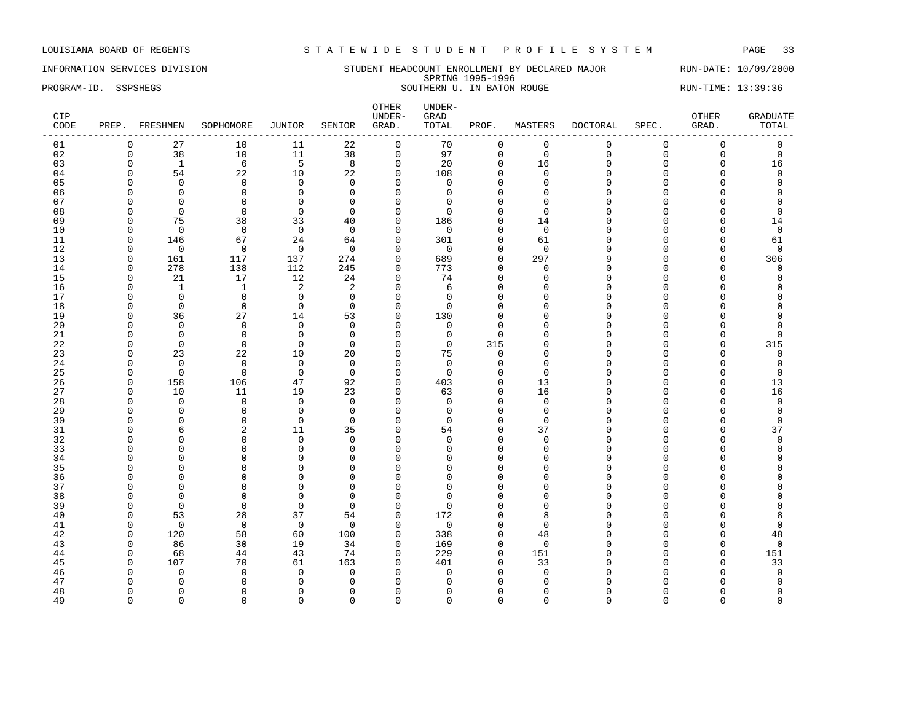### INFORMATION SERVICES DIVISION STUDENT HEADCOUNT ENROLLMENT BY DECLARED MAJOR RUN-DATE: 10/09/2000 SPRING 1995-1996 PROGRAM-ID. SSPSHEGS SOUTHERN U. IN BATON ROUGE RUN-TIME: 13:39:36

| CIP<br>CODE |             | PREP. FRESHMEN | SOPHOMORE    | JUNIOR         | SENIOR         | OTHER<br>UNDER-<br>GRAD. | UNDER-<br>GRAD<br>TOTAL | PROF.        | MASTERS     | DOCTORAL     | SPEC.       | OTHER<br>GRAD.      | <b>GRADUATE</b><br>TOTAL |
|-------------|-------------|----------------|--------------|----------------|----------------|--------------------------|-------------------------|--------------|-------------|--------------|-------------|---------------------|--------------------------|
| 01          | 0           | 27             | 10           | 11             | 22             | $\mathsf{O}$             | 70                      | 0            | $\mathsf 0$ | $\mathbf{0}$ | $\mathbf 0$ | $\mathsf 0$         | $\mathsf 0$              |
| 02          | $\mathbf 0$ | 38             | 10           | 11             | 38             | $\mathsf{O}$             | 97                      | $\mathbf 0$  | $\mathbf 0$ | $\Omega$     | $\Omega$    | $\mathsf{O}\xspace$ | $\mathbf 0$              |
| 03          | $\Omega$    | <sup>1</sup>   | 6            | 5              | 8              | $\mathbf 0$              | 20                      | $\mathbf 0$  | 16          | $\Omega$     | $\mathbf 0$ | $\mathbf 0$         | 16                       |
| 04          | $\Omega$    | 54             | 22           | 10             | 22             | $\mathbf 0$              | 108                     | $\Omega$     | $\Omega$    | $\cap$       | $\Omega$    | $\Omega$            | $\mathbf 0$              |
| 05          |             | $\Omega$       | $\Omega$     | $\Omega$       | $\Omega$       | $\Omega$                 | $\Omega$                | $\Omega$     | $\Omega$    |              | ∩           | $\Omega$            | $\Omega$                 |
| 06          | n           | $\Omega$       | $\Omega$     | $\mathbf 0$    | $\Omega$       | $\Omega$                 | $\Omega$                | $\Omega$     | $\Omega$    | $\cap$       | $\cap$      | O                   | $\Omega$                 |
| 07          | O           | $\Omega$       | $\Omega$     | $\mathsf 0$    | $\Omega$       | $\mathbf{0}$             | $\Omega$                | $\Omega$     | $\Omega$    |              |             | O                   | $\Omega$                 |
| 08          | $\Omega$    | $\mathbf 0$    | $\Omega$     | $\mathbf 0$    | $\Omega$       | $\mathbf 0$              | $\Omega$                | $\Omega$     | $\Omega$    |              |             | O                   | $\Omega$                 |
| 09          | n           | 75             | 38           | 33             | 40             | $\mathbf 0$              | 186                     | $\cap$       | 14          |              |             | $\Omega$            | 14                       |
| 10          | $\Omega$    | $\mathbf 0$    | $\Omega$     | $\overline{0}$ | $\Omega$       | $\Omega$                 | $\mathbf 0$             | $\Omega$     | $\Omega$    |              |             | $\Omega$            | $\mathbf 0$              |
| 11          | $\Omega$    | 146            | 67           | 24             | 64             | $\mathbf 0$              | 301                     | $\mathbf{0}$ | 61          |              | $\cap$      | $\Omega$            | 61                       |
| 12          | $\Omega$    | $\mathbf 0$    | $\Omega$     | $\mathbf 0$    | $\Omega$       | $\Omega$                 | $\Omega$                | $\Omega$     | $\Omega$    |              | U           | $\Omega$            | $\Omega$                 |
| 13          | $\Omega$    | 161            | 117          | 137            | 274            | $\mathbf 0$              | 689                     | $\Omega$     | 297         |              | $\cap$      | $\mathbf 0$         | 306                      |
| 14          | $\Omega$    | 278            | 138          | 112            | 245            | $\mathbf{0}$             | 773                     | $\Omega$     | $\mathbf 0$ |              | $\cap$      | $\Omega$            | 0                        |
| 15          | n           | 21             | 17           | 12             | 24             | $\Omega$                 | 74                      | $\Omega$     | $\Omega$    |              |             | U                   | $\Omega$                 |
| 16          | $\Omega$    | $\mathbf{1}$   | $\mathbf{1}$ | 2              | 2              | $\mathbf 0$              | 6                       | $\Omega$     | $\Omega$    |              | C           | O                   |                          |
| 17          | O           | $\Omega$       | $\Omega$     | $\mathbf 0$    | $\Omega$       | $\Omega$                 | $\Omega$                | $\Omega$     | ∩           |              |             | O                   |                          |
| 18          | $\Omega$    | $\mathbf 0$    | $\Omega$     | $\mathbf 0$    | $\Omega$       | $\mathbf 0$              | $\Omega$                | $\cap$       | $\cap$      |              |             | U                   |                          |
| 19          | $\Omega$    | 36             | 27           | 14             | 53             | $\mathbf 0$              | 130                     | $\Omega$     | $\Omega$    |              |             | U                   |                          |
| 20          | n           | $\Omega$       | $\mathbf 0$  | $\mathbf 0$    | $\Omega$       | $\Omega$                 | 0                       | $\Omega$     | $\Omega$    |              |             | O                   | ∩                        |
| 21          | $\Omega$    | $\mathbf 0$    | $\mathbf 0$  | $\mathbf 0$    | $\Omega$       | $\mathbf 0$              | 0                       | $\mathbf 0$  | $\Omega$    |              | $\cap$      | O                   | $\Omega$                 |
| 22          | n           | $\Omega$       | $\Omega$     | $\mathbf 0$    | $\Omega$       | $\Omega$                 | $\Omega$                | 315          | n           |              | n           | $\Omega$            | 315                      |
| 23          | $\Omega$    | 23             | 22           | 10             | 20             | $\mathbf 0$              | 75                      | $\mathbf{0}$ | $\Omega$    |              |             | $\Omega$            | $\mathsf 0$              |
| 24          | $\Omega$    | $\mathbf 0$    | $\mathbf 0$  | $\mathbf 0$    | $\Omega$       | $\mathbf 0$              | $\Omega$                | $\mathbf{0}$ | $\Omega$    |              |             | 0                   | $\mathbf 0$              |
| 25          | n           | $\mathbf 0$    | $\Omega$     | $\Omega$       | $\Omega$       | $\Omega$                 | $\Omega$                | $\Omega$     | $\Omega$    |              |             | U                   | $\Omega$                 |
| 26          | $\Omega$    | 158            | 106          | 47             | 92             | $\mathbf 0$              | 403                     | $\mathbf{0}$ | 13          |              | $\cap$      | $\Omega$            | 13                       |
| 27          | $\Omega$    | 10             | 11           | 19             | 23             | $\mathbf 0$              | 63                      | $\Omega$     | 16          |              | C           | $\mathbf 0$         | 16                       |
| 28          | $\Omega$    | $\mathbf 0$    | $\mathbf 0$  | $\mathbf 0$    | $\Omega$       | $\mathbf 0$              | $\Omega$                | $\Omega$     | $\Omega$    |              |             | O                   | $\mathbf 0$              |
| 29          | n           | $\mathbf 0$    | $\mathbf 0$  | $\mathbf 0$    | $\mathbf 0$    | $\mathbf 0$              | $\Omega$                | $\Omega$     | $\Omega$    |              |             | O                   | $\mathbf 0$              |
| 30          |             | $\Omega$       | $\Omega$     | $\Omega$       | $\Omega$       | $\Omega$                 | $\Omega$                | $\cap$       | $\Omega$    |              |             | O                   | $\mathbf 0$              |
| 31          |             | 6              | 2            | 11             | 35             | $\mathbf 0$              | 54                      | $\Omega$     | 37          |              | C           | $\Omega$            | 37                       |
| 32          |             | $\Omega$       | $\Omega$     | $\mathbf 0$    | $\Omega$       | $\Omega$                 | $\Omega$                | $\Omega$     | $\Omega$    |              |             | O                   | $\Omega$                 |
| 33          |             | $\Omega$       | $\Omega$     | $\mathbf 0$    | $\Omega$       | $\Omega$                 | $\Omega$                | $\cap$       | $\Omega$    |              |             | O                   | $\Omega$                 |
| 34          |             | $\Omega$       | $\Omega$     | $\mathbf{0}$   | $\Omega$       | $\Omega$                 | $\Omega$                | $\Omega$     | $\Omega$    |              |             | O                   |                          |
| 35          |             | $\Omega$       | $\Omega$     | $\Omega$       | $\Omega$       | $\Omega$                 |                         | $\cap$       | $\cap$      |              |             | U                   |                          |
| 36          |             | $\Omega$       | $\Omega$     | $\mathbf{0}$   | $\Omega$       | $\Omega$                 | U                       | $\Omega$     | $\cap$      |              |             | O                   |                          |
| 37          |             | $\Omega$       | $\Omega$     | $\mathbf{0}$   | $\Omega$       | $\Omega$                 | $\cap$                  | $\Omega$     | $\cap$      |              |             | O                   |                          |
| 38          | ∩           | $\Omega$       | $\Omega$     | $\Omega$       | $\Omega$       | $\Omega$                 | ∩                       | ∩            | ∩           |              |             | U                   |                          |
| 39          | $\Omega$    | $\mathbf 0$    | $\mathbf 0$  | $\mathbf 0$    | $\Omega$       | $\mathbf 0$              | $\Omega$                | $\Omega$     | $\Omega$    |              |             | O                   |                          |
| 40          | $\Omega$    | 53             | 28           | 37             | 54             | $\mathbf{0}$             | 172                     | $\Omega$     | 8           |              |             | U                   |                          |
| 41          | ∩           | $\mathbf 0$    | $\Omega$     | $\mathbf 0$    | $\Omega$       | $\Omega$                 | $\Omega$                | $\Omega$     | $\Omega$    |              |             | O                   | $\Omega$                 |
| 42          | $\Omega$    | 120            | 58           | 60             | 100            | $\mathbf 0$              | 338                     | $\mathbf 0$  | 48          |              |             | $\Omega$            | 48                       |
| 43          | $\Omega$    | 86             | 30           | 19             | 34             | $\mathbf 0$              | 169                     | $\Omega$     | $\mathbf 0$ |              |             | $\Omega$            | $\mathbf 0$              |
| 44          | $\Omega$    | 68             | 44           | 43             | 74             | $\mathbf 0$              | 229                     | $\Omega$     | 151         |              |             | 0                   | 151                      |
| 45          | $\Omega$    | 107            | 70           | 61             | 163            | $\Omega$                 | 401                     | $\cap$       | 33          |              | C           | $\Omega$            | 33                       |
| 46          |             | $\Omega$       | $\Omega$     | $\Omega$       | $\overline{0}$ | $\Omega$                 | $\Omega$                | $\Omega$     | $\Omega$    |              |             | O                   | $\mathbf 0$              |
| 47          |             | $\Omega$       | $\Omega$     | $\mathbf 0$    | $\Omega$       | $\Omega$                 |                         | $\Omega$     |             |              |             | U                   | $\Omega$                 |
| 48          | ∩           | $\Omega$       | ∩            | $\mathbf{0}$   | $\Omega$       | $\Omega$                 | ∩                       | ∩            | ∩           |              |             | O                   | $\Omega$                 |
| 49          | $\Omega$    | $\Omega$       | $\Omega$     | $\Omega$       | $\Omega$       | $\Omega$                 | $\Omega$                | $\Omega$     | $\Omega$    | $\Omega$     | $\Omega$    | $\Omega$            | $\Omega$                 |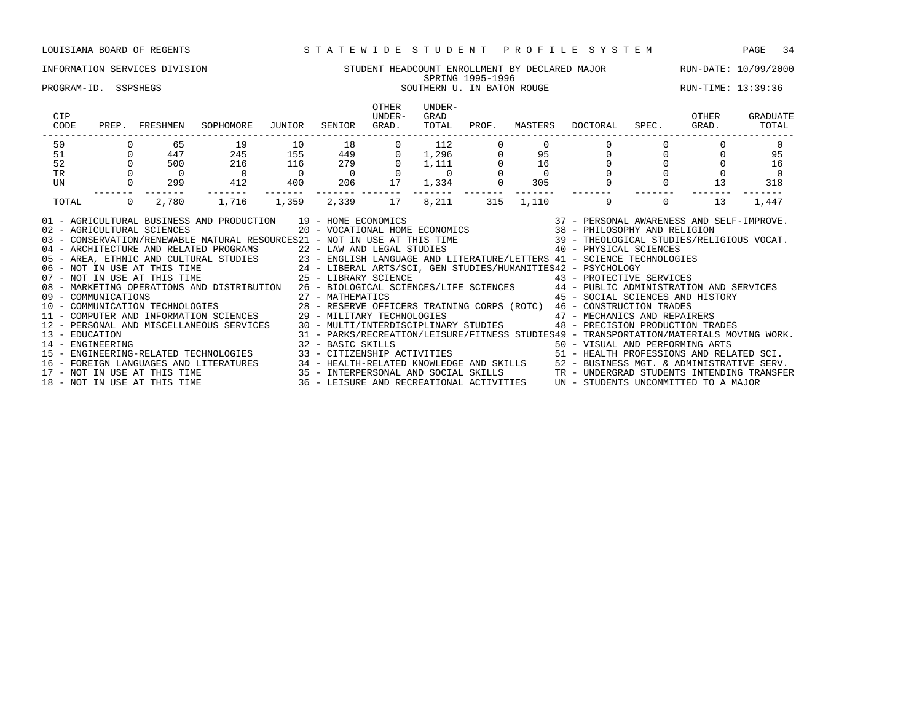### INFORMATION SERVICES DIVISION STUDENT HEADCOUNT ENROLLMENT BY DECLARED MAJOR RUN-DATE: 10/09/2000 SPRING 1995-1996 SPRING 1995-1996<br>PROGRAM-ID. SSPSHEGS SOUTHERN U. IN BATON ROUGE RUN-TIME: 13:39:36

| CIP<br>CODE      |                | PREP. FRESHMEN               | SOPHOMORE                                                                                                                                                                                                                                                                                                                                                                                                                                                                                                                                                                                                                                                                                                                                                                                                                                                                                                                                                               | JUNIOR         | SENIOR         | <b>OTHER</b><br>UNDER-<br>GRAD. | UNDER-<br>GRAD<br>TOTAL | PROF. | MASTERS | DOCTORAL                                                                                                                    | SPEC.    | OTHER<br>GRAD. | GRADUATE<br>TOTAL |
|------------------|----------------|------------------------------|-------------------------------------------------------------------------------------------------------------------------------------------------------------------------------------------------------------------------------------------------------------------------------------------------------------------------------------------------------------------------------------------------------------------------------------------------------------------------------------------------------------------------------------------------------------------------------------------------------------------------------------------------------------------------------------------------------------------------------------------------------------------------------------------------------------------------------------------------------------------------------------------------------------------------------------------------------------------------|----------------|----------------|---------------------------------|-------------------------|-------|---------|-----------------------------------------------------------------------------------------------------------------------------|----------|----------------|-------------------|
| 50               |                | 65                           | 19                                                                                                                                                                                                                                                                                                                                                                                                                                                                                                                                                                                                                                                                                                                                                                                                                                                                                                                                                                      | 10             | 18             | $\circ$                         | 112                     |       |         |                                                                                                                             |          |                |                   |
| 51               | $\overline{0}$ | 447                          | 245                                                                                                                                                                                                                                                                                                                                                                                                                                                                                                                                                                                                                                                                                                                                                                                                                                                                                                                                                                     | 155            | 449            | $\overline{0}$                  | 1,296                   |       | 95      |                                                                                                                             |          |                | 95                |
| 52               |                | 500                          | 216                                                                                                                                                                                                                                                                                                                                                                                                                                                                                                                                                                                                                                                                                                                                                                                                                                                                                                                                                                     | 116            | 279            | $\Omega$                        | 1,111                   |       | 16      | 0                                                                                                                           |          |                | 16                |
| <b>TR</b>        |                |                              | $\overline{0}$                                                                                                                                                                                                                                                                                                                                                                                                                                                                                                                                                                                                                                                                                                                                                                                                                                                                                                                                                          | $\overline{0}$ | $\overline{0}$ |                                 | $\overline{0}$          |       |         |                                                                                                                             |          |                |                   |
| UN               |                | 299                          | 412                                                                                                                                                                                                                                                                                                                                                                                                                                                                                                                                                                                                                                                                                                                                                                                                                                                                                                                                                                     | 400            | 206 70         | 17                              | 1,334                   |       | 305     |                                                                                                                             |          | 13             | 318               |
| TOTAL            | $\overline{0}$ | 2,780                        | 1,716                                                                                                                                                                                                                                                                                                                                                                                                                                                                                                                                                                                                                                                                                                                                                                                                                                                                                                                                                                   | 1,359          | 2,339          | 17                              | 8,211                   | 315   | 1,110   | 9                                                                                                                           | $\Omega$ | 13             | 1,447             |
| 13 - EDUCATION   |                |                              | 01 - AGRICULTURAL BUSINESS AND PRODUCTION 19 - HOME ECONOMICS (37 - PERSONAL AWARENESS AND SELF-IMPROVE.<br>02 - AGRICULTURAL SCIENCES (20 - VOCATIONAL HOME ECONOMICS 38 - PHILOSOPHY AND RELIGION<br>03 - CONSERVATION/RENEWABLE N<br>04 - ARCHITECTURE AND RELATED PROGRAMS<br>05 - AREA, ETHNIC AND CULTURAL STUDIES<br>06 - NOT IN USE AT THIS TIME<br>07 - NOT IN USE AT THIS TIME<br>07 - NOT IN USE AT THIS TIME<br>27 - LIBERAL ARTS/SCI, GEN STUDIES/HUMANITIES42 - PS<br>08 - MARKETING OPERATIONS AND DISTRIBUTION 26 - BIOLOGICAL SCIENCES/LIFE SCIENCES 44 - PUBLIC ADMINISTRATION AND SERVICES<br>09 - COMMUNICATIONS 27 - MATHEMATICS 45 - SOCIAL SCIENCES AND HIST<br>10 - COMMUNICATION TECHNOLOGIES 28 - RESERVE OFFICERS TRAINING CORPS (ROTC) 46 - CONSTRUCTION TRADES<br>11 - COMPUTER AND INFORMATION SCIENCES 29 - MILITARY T<br>12 - PERSONAL AND MISCELLANEOUS SERVICES 30 - MULTI/INTERDISCIPLINARY STUDIES 48 - PRECISION PRODUCTION TRADES |                |                |                                 |                         |       |         | 45 - SOCIAL SCIENCES AND HISTORY<br>31 - PARKS/RECREATION/LEISURE/FITNESS STUDIES49 - TRANSPORTATION/MATERIALS MOVING WORK. |          |                |                   |
| 14 - ENGINEERING |                | 18 - NOT IN USE AT THIS TIME | 32 - BASIC SKILLS<br>15 - ENGINEERING-RELATED TECHNOLOGIES 33 - CITIZENSHIP ACTIVITIES 51 - HEALTH PROFESSIONS AND RELATED SCI.<br>16 - FOREIGN LANGUAGES AND LITERATURES 34 - HEALTH-RELATED KNOWLEDGE AND SKILLS 52 - BUSINESS MGT. & ADMINISTRATIVE SERV.<br>17 - NOT IN USE AT THIS TIME 35 - INTERPERSONAL AND SOCIAL SKILLS TR - UNDERGRAD STUDENTS INTENDING                                                                                                                                                                                                                                                                                                                                                                                                                                                                                                                                                                                                     |                |                |                                 |                         |       |         | 50 - VISUAL AND PERFORMING ARTS<br>36 - LEISURE AND RECREATIONAL ACTIVITIES UN - STUDENTS UNCOMMITTED TO A MAJOR            |          |                |                   |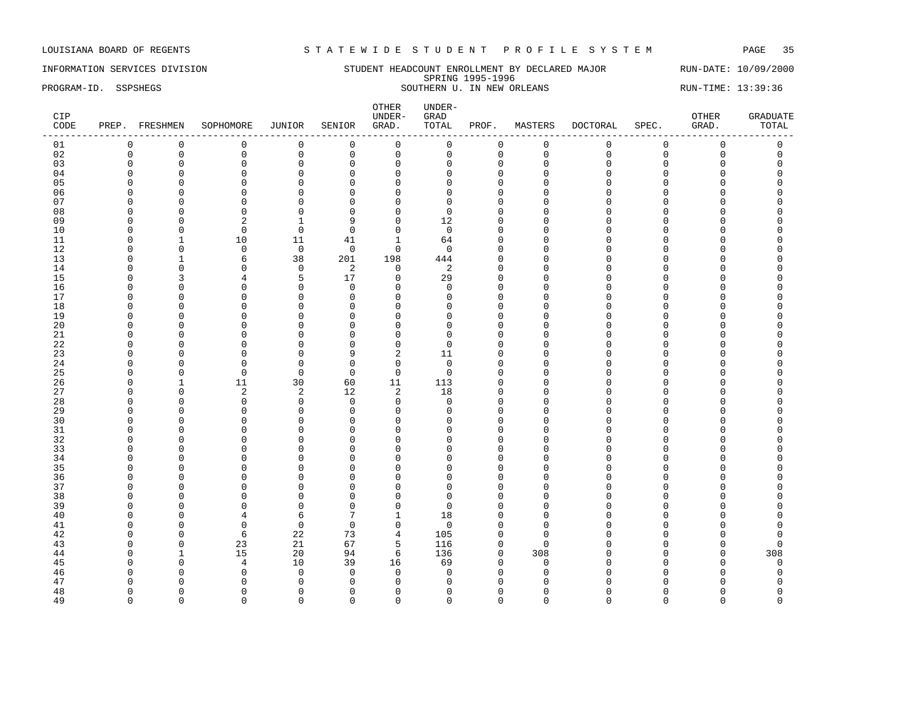### INFORMATION SERVICES DIVISION STUDENT HEADCOUNT ENROLLMENT BY DECLARED MAJOR RUN-DATE: 10/09/2000 SPRING 1995-1996 PROGRAM-ID. SSPSHEGS SOUTHERN U. IN NEW ORLEANS RUN-TIME: 13:39:36

| CIP<br>CODE |               | PREP. FRESHMEN       | SOPHOMORE      | JUNIOR                     | SENIOR                     | OTHER<br>UNDER-<br>GRAD. | UNDER-<br>GRAD<br>TOTAL | PROF.                | MASTERS         | <b>DOCTORAL</b> | SPEC.         | OTHER<br>GRAD.   | <b>GRADUATE</b><br>TOTAL |
|-------------|---------------|----------------------|----------------|----------------------------|----------------------------|--------------------------|-------------------------|----------------------|-----------------|-----------------|---------------|------------------|--------------------------|
| 01          | 0             | 0                    | $\mathbf 0$    | 0                          | $\mathbf 0$                | $\mathbf 0$              | 0                       | $\mathbf 0$          | $\mathbf 0$     | $\mathbf 0$     | $\mathbf 0$   | $\mathbf 0$      | 0                        |
| 02          | $\mathbf 0$   | $\mathbf 0$          | $\mathbf 0$    | $\mathbf 0$                | $\mathbf 0$                | $\mathsf 0$              | $\mathbf 0$             | $\mathbf{0}$         | $\mathbf 0$     | $\mathbf{0}$    | $\mathbf 0$   | $\mathbf 0$      | $\mathsf 0$              |
| 03          | $\Omega$      | $\mathbf 0$          | $\mathbf 0$    | $\mathbf 0$                | $\mathbf 0$                | $\mathbf 0$              | 0                       | $\mathbf 0$          | $\Omega$        | $\Omega$        | 0             | 0                | $\Omega$                 |
| 04          | $\Omega$      | $\Omega$             | $\Omega$       | $\Omega$                   | $\mathbf 0$                | $\overline{0}$           | O                       | $\Omega$             | $\Omega$        | ∩               | C             | O                |                          |
| 05          | $\Omega$      | $\Omega$             | $\Omega$       | $\mathbf{0}$               | $\mathbf 0$                | $\Omega$                 | $\Omega$                | $\Omega$             | Ω               | $\cap$          | $\Omega$      | O                |                          |
| 06          | $\Omega$      | $\Omega$             | $\Omega$       | $\mathbf{0}$               | $\mathbf 0$                | $\Omega$                 | $\Omega$                | $\Omega$             | U               | ∩               | C             | 0                | C                        |
| 07          | $\Omega$      | $\Omega$             | $\Omega$       | $\mathbf 0$                | $\mathbf 0$                | $\Omega$                 | 0                       | $\Omega$             | $\Omega$        | $\cap$          | $\cap$        | O                |                          |
| 08          | $\Omega$      | $\Omega$             | $\Omega$       | $\mathbf{0}$               | $\mathbf 0$                | $\mathbf 0$              | $\Omega$                | $\Omega$             | U               |                 | C             | O                |                          |
| 09          | n             | $\Omega$             | 2              | 1                          | 9                          | $\mathbf 0$              | 12                      | $\cap$               | U               |                 | C             | U                |                          |
| 10          | O             | $\Omega$             | $\mathbf 0$    | $\mathbf 0$                | $\overline{0}$             | $\mathbf 0$              | $\mathbf 0$             | $\Omega$             | U               | ∩               | C             | O                |                          |
| 11          | $\Omega$      | 1                    | 10             | 11                         | 41                         | $\mathbf{1}$             | 64                      | $\Omega$             | $\Omega$        | $\cap$          | C             | U                |                          |
| 12          | $\Omega$      | $\mathbf 0$          | $\mathbf 0$    | $\mathbf 0$                | $\overline{0}$             | $\mathbf 0$              | $\mathbf 0$             | $\Omega$             | O               | $\cap$          | O             | 0                | O                        |
| 13          | $\Omega$      | 1                    | 6              | 38                         | 201                        | 198                      | 444                     | $\mathbf 0$          | $\Omega$        | $\cap$          | C             | 0                |                          |
| 14          | $\Omega$      | $\Omega$             | $\Omega$       | $\mathsf 0$                | $\overline{2}$             | $\mathbf 0$              | $\overline{c}$          | $\Omega$             | $\Omega$        | $\cap$          | $\Omega$      | O                |                          |
| 15          | $\Omega$      | 3                    | 4              | 5                          | 17                         | $\mathbf 0$              | 29                      | $\Omega$             | O               | $\cap$          | $\Omega$      | O                |                          |
| 16          | n<br>$\Omega$ | $\Omega$<br>$\Omega$ | O<br>$\Omega$  | $\mathbf{0}$               | $\mathbf 0$                | $\Omega$                 | 0<br>$\Omega$           | $\Omega$<br>$\Omega$ | n<br>O          | ∩<br>$\Omega$   | C<br>$\Omega$ | U<br>O           | $\Omega$                 |
| 17<br>18    | O             | $\Omega$             | O              | $\mathbf 0$<br>$\mathbf 0$ | $\mathbf 0$<br>$\mathbf 0$ | $\mathbf 0$<br>$\Omega$  | <sup>0</sup>            | $\Omega$             | n               | ∩               | C             | O                |                          |
| 19          | $\Omega$      | $\Omega$             | $\Omega$       | $\mathbf{0}$               | $\mathbf 0$                | $\Omega$                 | $\Omega$                | $\cap$               | Λ               |                 | C             | O                |                          |
| 20          | $\Omega$      | $\Omega$             | $\Omega$       | $\mathbf{0}$               | $\Omega$                   | $\Omega$                 | $\Omega$                | $\Omega$             | Ω               |                 | O             | O                |                          |
| 21          | <sup>0</sup>  | $\Omega$             | $\Omega$       | $\mathbf{0}$               | 0                          | $\mathbf 0$              | 0                       | $\Omega$             | $\Omega$        | ∩               | C             | O                |                          |
| 22          | $\Omega$      | $\Omega$             | $\Omega$       | $\mathbf{0}$               | $\mathbf 0$                | $\mathbf 0$              | $\mathbf 0$             | $\Omega$             | Ω               | $\cap$          | C             | O                |                          |
| 23          | $\Omega$      | $\Omega$             | $\Omega$       | $\mathbf{0}$               | 9                          | $\overline{2}$           | 11                      | $\Omega$             | Ω               | $\cap$          | O             | O                |                          |
| 24          | $\Omega$      | $\Omega$             | $\mathbf 0$    | 0                          | $\mathbf 0$                | $\mathbf 0$              | $\mathbf 0$             | $\Omega$             | $\Omega$        | $\cap$          | $\Omega$      | 0                | C                        |
| 25          | $\Omega$      | $\mathbf 0$          | $\mathbf 0$    | $\mathbf 0$                | $\overline{0}$             | $\mathbf 0$              | $\Omega$                | $\Omega$             | <sup>0</sup>    | ∩               | n             | O                |                          |
| 26          | $\Omega$      | 1                    | 11             | 30                         | 60                         | 11                       | 113                     | $\Omega$             | $\Omega$        | ∩               | C             | O                |                          |
| 27          | <sup>0</sup>  | $\mathbf 0$          | $\overline{2}$ | 2                          | 12                         | 2                        | 18                      | $\Omega$             | U               | ∩               | C             | O                |                          |
| 28          | ∩             | $\Omega$             | $\Omega$       | $\mathbf 0$                | $\mathbf 0$                | $\mathbf 0$              | $\Omega$                | $\Omega$             | ∩               | ∩               | U             | U                |                          |
| 29          | $\Omega$      | $\Omega$             | $\Omega$       | $\mathbf 0$                | $\mathbf 0$                | $\Omega$                 | $\Omega$                | $\Omega$             | U               | $\cap$          | O             | 0                | O                        |
| 30          | $\Omega$      | $\Omega$             | $\Omega$       | $\mathbf 0$                | 0                          | $\Omega$                 | $\Omega$                | $\mathbf 0$          | O               | ∩               | C             | 0                |                          |
| 31          | $\Omega$      | $\Omega$             | $\Omega$       | $\mathbf{0}$               | $\mathbf 0$                | $\mathbf 0$              | $\Omega$                | $\Omega$             | $\Omega$        | $\cap$          | C             | 0                |                          |
| 32          | $\Omega$      | $\Omega$             | $\Omega$       | $\mathbf{0}$               | $\mathbf 0$                | $\Omega$                 | $\Omega$                | $\Omega$             | $\Omega$        | $\cap$          | $\Omega$      | 0                |                          |
| 33          | $\Omega$      | $\Omega$             | $\Omega$       | $\mathbf 0$                | $\mathbf 0$                | $\Omega$                 | $\Omega$                | $\Omega$             | U               | ∩               | $\Omega$      | O                |                          |
| 34          | O             | $\Omega$             | $\Omega$       | $\mathbf 0$                | $\mathbf 0$                | $\mathbf 0$              | O                       | $\Omega$             | U               | ∩               | n             | O                |                          |
| 35          | O             | $\Omega$             | $\Omega$       | $\mathbf{0}$               | $\mathbf 0$                | $\Omega$                 | $\Omega$                | $\Omega$             | n               | ∩               | C             | O                |                          |
| 36          | O             | $\Omega$             | $\Omega$       | $\mathbf{0}$               | $\mathbf 0$                | $\Omega$                 | O                       | $\Omega$             | Λ               | ∩               | C             | O                |                          |
| 37          | $\Omega$      | $\Omega$             | $\Omega$       | $\Omega$                   | $\Omega$                   | $\Omega$                 | $\Omega$                | $\Omega$             | ∩               | ∩               | U             | O                |                          |
| 38          | $\Omega$      | $\Omega$             | $\Omega$       | $\Omega$                   | $\mathbf 0$                | $\Omega$                 | $\Omega$                | $\Omega$             | $\Omega$        | $\cap$          | O             | O                |                          |
| 39          | O             | $\Omega$             | $\Omega$       | $\mathbf 0$                | $\mathbf 0$                | $\mathbf 0$              | 0                       | $\Omega$             | $\Omega$        | ∩               | C             | O                |                          |
| 40          | $\Omega$      | $\Omega$             | 4              | 6                          | 7                          | $\mathbf{1}$             | 18                      | $\Omega$             | $\Omega$        | $\cap$          | C             | O                |                          |
| 41          | $\Omega$      | $\Omega$             | $\mathbf 0$    | $\mathsf 0$                | $\overline{0}$             | $\mathbf 0$              | $\mathbf 0$             | $\Omega$             | $\Omega$        | $\Omega$        | $\Omega$      | 0                |                          |
| 42          | $\Omega$      | $\mathbf 0$          | 6              | 22                         | 73                         | 4                        | 105                     | $\mathbf 0$          | $\Omega$        | $\cap$          | C             | 0                | $\Omega$                 |
| 43          | $\Omega$      | $\mathbf 0$          | 23             | 21                         | 67                         | 5                        | 116                     | $\mathbf{0}$         | $\Omega$        |                 | C             | 0                | $\Omega$                 |
| 44          | $\Omega$<br>∩ | 1                    | 15             | 20                         | 94                         | 6                        | 136                     | 0<br>$\cap$          | 308<br>$\Omega$ | ∩<br>∩          | O<br>C        | $\mathbf 0$<br>O | 308                      |
| 45<br>46    | $\Omega$      | $\Omega$<br>$\Omega$ | 4<br>$\Omega$  | 10<br>$\mathbf 0$          | 39<br>$\overline{0}$       | 16<br>$\mathbf 0$        | 69<br>$\Omega$          | $\Omega$             | $\Omega$        |                 | C             | O                | $\Omega$<br>$\Omega$     |
| 47          | <sup>0</sup>  | $\Omega$             | <sup>0</sup>   | $\Omega$                   | $\Omega$                   | $\Omega$                 | $\Omega$                | $\Omega$             |                 |                 |               | O                |                          |
| 48          | $\Omega$      | $\Omega$             | $\Omega$       | $\mathbf 0$                | $\mathbf 0$                | $\overline{0}$           | 0                       | $\mathbf 0$          | $\Omega$        | ∩               | O             | 0                | $\Omega$                 |
| 49          | $\Omega$      | $\Omega$             | $\Omega$       | $\Omega$                   | $\mathbf 0$                | $\Omega$                 | $\Omega$                | $\Omega$             | $\Omega$        | $\Omega$        | $\Omega$      | $\Omega$         | $\Omega$                 |
|             |               |                      |                |                            |                            |                          |                         |                      |                 |                 |               |                  |                          |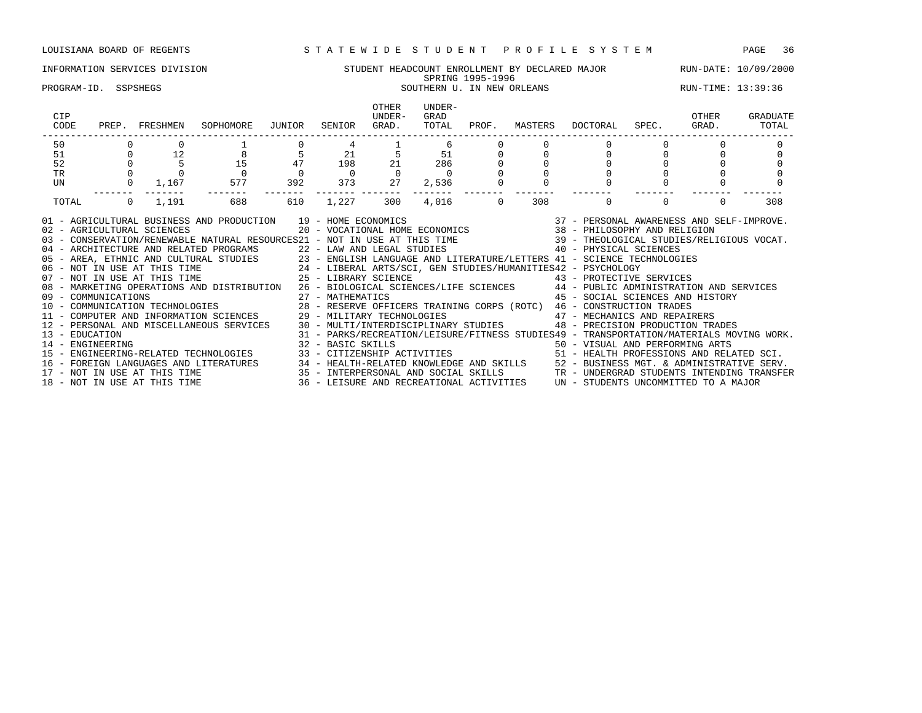## INFORMATION SERVICES DIVISION SUNG STUDENT HEADCOUNT ENROLLMENT BY DECLARED MAJOR RUN-DATE: 10/09/2000<br>SPRING 1995-1996 SPRING 1995-1996

### PROGRAM-ID. SSPSHEGS SOUTHERN U. IN NEW ORLEANS SOUTHERN U. IN NEW ORLEANS RUN-TIME: 13:39:36

| CIP<br>CODE                                                                                                                                                                                                                                                                                                                                                                                                                                                                                                                                                                                                                                                                                                                                                                                                                                                                                                                                                                                                                                                                                                                                                                                                                                                                                                                                                                                                                                                                                                                                                                                                                                                                                                                    |          | PREP. FRESHMEN               | SOPHOMORE                              | JUNIOR         | SENIOR                                                          | OTHER<br>UNDER-<br>GRAD.                                                   | UNDER-<br>GRAD<br>TOTAL | PROF.                   |     | MASTERS DOCTORAL                                                              | SPEC.          | OTHER<br>GRAD. | GRADUATE<br>TOTAL |
|--------------------------------------------------------------------------------------------------------------------------------------------------------------------------------------------------------------------------------------------------------------------------------------------------------------------------------------------------------------------------------------------------------------------------------------------------------------------------------------------------------------------------------------------------------------------------------------------------------------------------------------------------------------------------------------------------------------------------------------------------------------------------------------------------------------------------------------------------------------------------------------------------------------------------------------------------------------------------------------------------------------------------------------------------------------------------------------------------------------------------------------------------------------------------------------------------------------------------------------------------------------------------------------------------------------------------------------------------------------------------------------------------------------------------------------------------------------------------------------------------------------------------------------------------------------------------------------------------------------------------------------------------------------------------------------------------------------------------------|----------|------------------------------|----------------------------------------|----------------|-----------------------------------------------------------------|----------------------------------------------------------------------------|-------------------------|-------------------------|-----|-------------------------------------------------------------------------------|----------------|----------------|-------------------|
| 50                                                                                                                                                                                                                                                                                                                                                                                                                                                                                                                                                                                                                                                                                                                                                                                                                                                                                                                                                                                                                                                                                                                                                                                                                                                                                                                                                                                                                                                                                                                                                                                                                                                                                                                             |          |                              |                                        |                |                                                                 |                                                                            | 6                       |                         |     |                                                                               |                |                |                   |
| 51                                                                                                                                                                                                                                                                                                                                                                                                                                                                                                                                                                                                                                                                                                                                                                                                                                                                                                                                                                                                                                                                                                                                                                                                                                                                                                                                                                                                                                                                                                                                                                                                                                                                                                                             |          | $0$ 12                       | $\begin{array}{c} 8 \\ 15 \end{array}$ | $\frac{5}{47}$ | $\begin{array}{cccc} 21 & 5 & 51 \\ 198 & 21 & 286 \end{array}$ |                                                                            |                         |                         |     |                                                                               | $\overline{0}$ |                |                   |
| 52                                                                                                                                                                                                                                                                                                                                                                                                                                                                                                                                                                                                                                                                                                                                                                                                                                                                                                                                                                                                                                                                                                                                                                                                                                                                                                                                                                                                                                                                                                                                                                                                                                                                                                                             |          |                              |                                        |                |                                                                 |                                                                            |                         |                         |     |                                                                               |                |                |                   |
| TR                                                                                                                                                                                                                                                                                                                                                                                                                                                                                                                                                                                                                                                                                                                                                                                                                                                                                                                                                                                                                                                                                                                                                                                                                                                                                                                                                                                                                                                                                                                                                                                                                                                                                                                             |          |                              |                                        | $\overline{0}$ | $\overline{0}$                                                  | $\begin{array}{ccc} & 0 & & 0 \\ 373 & & 27 \end{array}$<br>$\overline{0}$ | $\sim$ 0                |                         |     |                                                                               |                |                |                   |
| UN                                                                                                                                                                                                                                                                                                                                                                                                                                                                                                                                                                                                                                                                                                                                                                                                                                                                                                                                                                                                                                                                                                                                                                                                                                                                                                                                                                                                                                                                                                                                                                                                                                                                                                                             |          |                              | $0 \t 1,167 \t 577$                    | 392            |                                                                 |                                                                            | 2,536                   | $\mathsf{O}$<br>------- |     |                                                                               |                |                |                   |
| TOTAL                                                                                                                                                                                                                                                                                                                                                                                                                                                                                                                                                                                                                                                                                                                                                                                                                                                                                                                                                                                                                                                                                                                                                                                                                                                                                                                                                                                                                                                                                                                                                                                                                                                                                                                          | $\Omega$ | 1,191                        | 688                                    | 610            | 1,227                                                           | 300                                                                        | 4,016                   | $\Omega$                | 308 | $\Omega$                                                                      | $\Omega$       | $\Omega$       | 308               |
| $\begin{tabular}{lllllllllll} \bf{AND} & \bf{PRODUCTION} & \tt{19 - HOME ECONOMICS} & \tt{37 - PERSONAL AWARENESS AND SELF-IMPROVE.} \\ & \tt{20 - VOCATIONAL HOME ECONOMICS} & \tt{38 - PHILOSOPHY AND RELIGION} \end{tabular}$<br>01 - AGRICULTURAL BUSINESS AND PRODUCTION 19 - HOME ECONOMICS<br>02 - AGRICULTURAL SCIENCES<br>03 - CONSERVATION/RENEWABLE NATURAL RESOURCES21 - NOT IN USE AT THIS TIME 39 - THEOLOGICAL STUDIES/RELIGIOUS VOCAT.<br>04 - ARCHITECTURE AND RELATED PROGRAMS<br>05 - AREA, ETHNIC AND CULTURAL STUDIES<br>06 - NOT IN USE AT THIS TIME<br>07 - NOT IN USE AT THIS TIME<br>07 - NOT IN USE AT THIS TIME<br>27 - LIBERAL ARTS/SCI, GEN STUDIES/HUMANITIES42 - PS<br>08 - MARKETING OPERATIONS AND DISTRIBUTION 26 - BIOLOGICAL SCIENCES/LIFE SCIENCES 44 - PUBLIC ADMINISTRATION AND SERVICES<br>09 - COMMUNICATIONS 27 - MATHEMATICS 45 - SOCIAL SCIENCES AND HIST (10 - COMMUNICATION TECHNOLOGIES 28 - RESERVE OFFICERS TRAINING CORPS (ROTC) 46 - CONSTRUCTION TRADES<br>11 - COMPUTER AND INFORMATION SCIENCES 29 - MILITARY<br>45 - SOCIAL SCIENCES AND HISTORY<br>12 - PERSONAL AND MISCELLANEOUS SERVICES 30 - MULTI/INTERDISCIPLINARY STUDIES 48 - PRECISION PRODUCTION TRADES<br>31 - PARKS/RECREATION/LEISURE/FITNESS STUDIES49 - TRANSPORTATION/MATERIALS MOVING WORK.<br>13 - EDUCATION<br>32 - BASIC SKILLS<br>14 - ENGINEERING ARTS<br>15 - ENGINEERING-RELATED TECHNOLOGIES 33 - CITIZENSHIP ACTIVITIES 50 - YISUAL AND PERFORMING ARTS<br>16 - FOREIGN LANGUAGES AND LITERATURES 34 - HEALTH-RELATED KNOWLEDGE AND SKILLS 52 - BUSINESS MGT. & ADMINISTRATIVE SERV.<br>17 - NOT IN USE AT THIS TIME 35 - INTERPERSONAL AND SOCIAL SKILLS 3TR - UNDERGRAD STUDENTS INTENDING |          |                              |                                        |                |                                                                 |                                                                            |                         |                         |     |                                                                               |                |                |                   |
|                                                                                                                                                                                                                                                                                                                                                                                                                                                                                                                                                                                                                                                                                                                                                                                                                                                                                                                                                                                                                                                                                                                                                                                                                                                                                                                                                                                                                                                                                                                                                                                                                                                                                                                                |          | 18 - NOT IN USE AT THIS TIME |                                        |                |                                                                 |                                                                            |                         |                         |     | 36 - LEISURE AND RECREATIONAL ACTIVITIES UN - STUDENTS UNCOMMITTED TO A MAJOR |                |                |                   |
|                                                                                                                                                                                                                                                                                                                                                                                                                                                                                                                                                                                                                                                                                                                                                                                                                                                                                                                                                                                                                                                                                                                                                                                                                                                                                                                                                                                                                                                                                                                                                                                                                                                                                                                                |          |                              |                                        |                |                                                                 |                                                                            |                         |                         |     |                                                                               |                |                |                   |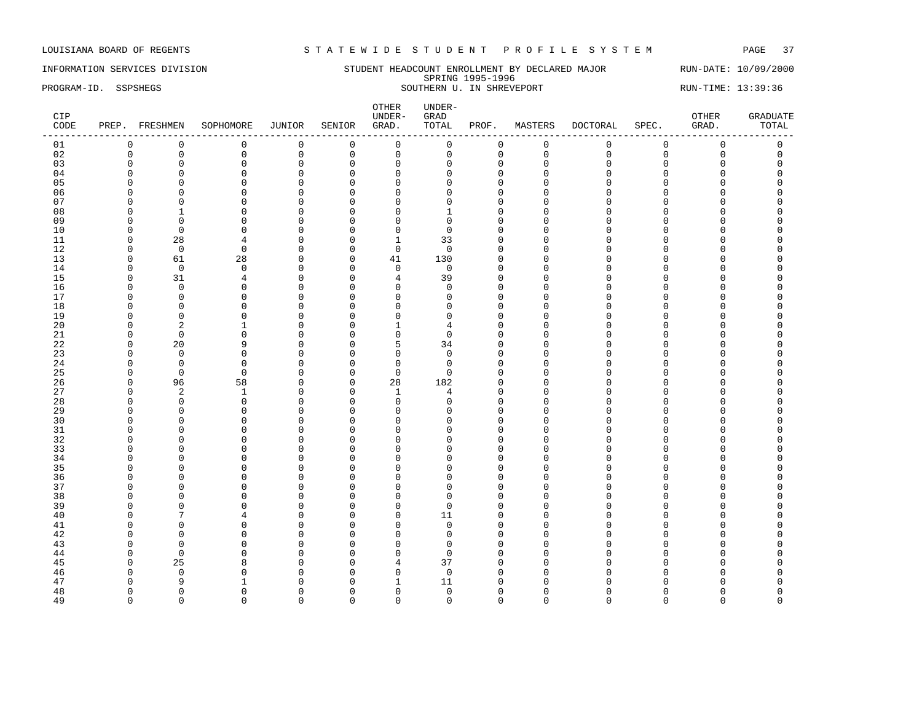INFORMATION SERVICES DIVISION SUNDERT HEADCOUNT ENROLLMENT BY DECLARED MAJOR RUN-DATE: 10/09/2000 SPRING 1995-1996 PROGRAM-ID. SSPSHEGS SOUTHERN U. IN SHREVEPORT SOUTHERN U. IN SHREVEPORT

| CIP<br>CODE |              | PREP. FRESHMEN | SOPHOMORE    | JUNIOR       | SENIOR         | OTHER<br>UNDER-<br>GRAD. | UNDER-<br>${\tt GRAD}$<br>TOTAL | PROF.        | MASTERS      | DOCTORAL    | SPEC.       | OTHER<br>GRAD.      | <b>GRADUATE</b><br>TOTAL |
|-------------|--------------|----------------|--------------|--------------|----------------|--------------------------|---------------------------------|--------------|--------------|-------------|-------------|---------------------|--------------------------|
| 01          | $\mathbf 0$  | $\mathbf 0$    | $\mathsf 0$  | $\mathsf 0$  | $\overline{0}$ | $\mathsf 0$              | 0                               | $\mathsf 0$  | $\mathsf 0$  | $\mathbf 0$ | $\mathsf 0$ | $\mathsf 0$         | $\mathsf 0$              |
| 02          | $\mathbf 0$  | $\mathsf 0$    | $\mathbf 0$  | $\mathsf 0$  | $\mathsf 0$    | $\mathsf{O}$             | $\mathbf 0$                     | 0            | $\mathbf 0$  | $\Omega$    | $\mathbf 0$ | $\mathsf{O}\xspace$ | $\mathsf 0$              |
| 03          | $\mathbf 0$  | $\mathbf 0$    | $\mathbf 0$  | $\mathbf 0$  | $\mathbf 0$    | $\mathbf 0$              | $\Omega$                        | $\mathbf{0}$ | $\mathbf 0$  | $\Omega$    | $\mathbf 0$ | $\mathbf 0$         | $\Omega$                 |
| 04          | $\Omega$     | $\mathbf 0$    | $\mathbf 0$  | $\mathsf 0$  | $\mathbf 0$    | $\mathbf 0$              | $\Omega$                        | $\mathbf{0}$ | $\Omega$     | $\cap$      | $\Omega$    | $\Omega$            | $\Omega$                 |
| 05          |              | $\Omega$       | $\Omega$     | $\mathbf 0$  | $\Omega$       | $\mathbf 0$              | U                               | $\Omega$     | $\Omega$     |             | C           | O                   |                          |
| 06          | n            | $\Omega$       | $\Omega$     | $\mathbf 0$  | $\Omega$       | $\mathbf 0$              |                                 | $\Omega$     | n            | $\cap$      | $\Omega$    | O                   |                          |
| 07          | <sup>0</sup> | $\mathbf 0$    | $\mathbf 0$  | $\mathsf 0$  | $\mathbf 0$    | $\mathbf{0}$             | U                               | $\Omega$     | n            |             | C           | 0                   |                          |
| 08          | $\Omega$     | $\mathbf{1}$   | $\Omega$     | $\mathbf 0$  | $\Omega$       | $\mathbf 0$              |                                 | $\Omega$     | $\cap$       |             | $\cap$      | O                   |                          |
| 09          | n            | $\Omega$       | $\Omega$     | $\mathbf 0$  | $\Omega$       | $\mathbf 0$              | n                               | $\Omega$     | Λ            |             | U           | U                   |                          |
| 10          | n            | $\overline{0}$ | $\Omega$     | $\mathbf{0}$ | 0              | $\mathbf 0$              | <sup>0</sup>                    | $\Omega$     | ∩            |             | C           | O                   |                          |
| 11          | $\Omega$     | 28             | 4            | $\mathbf{0}$ | $\mathbf 0$    | $\mathbf{1}$             | 33                              | $\Omega$     | $\Omega$     | $\cap$      | $\Omega$    | O                   |                          |
| 12          | $\Omega$     | $\mathbf 0$    | $\Omega$     | $\mathbf 0$  | 0              | $\mathbf 0$              | $\Omega$                        | $\Omega$     | n            | n           | U           | O                   |                          |
| 13          | $\Omega$     | 61             | 28           | 0            | $\mathbf 0$    | 41                       | 130                             | $\Omega$     | $\Omega$     |             | C           | O                   |                          |
| 14          | $\Omega$     | $\mathbf 0$    | $\mathbf 0$  |              | $\mathbf 0$    | $\mathsf 0$              | $\mathbf 0$                     | $\Omega$     | U            |             | $\cap$      | O                   |                          |
|             |              |                |              | 0            |                |                          |                                 |              |              |             |             | U                   |                          |
| 15          | n            | 31             | 4            | $\Omega$     | $\Omega$       | 4                        | 39                              | $\Omega$     | ∩            |             |             |                     |                          |
| 16          | $\Omega$     | $\mathbf 0$    | $\mathbf 0$  | $\mathbf 0$  | $\mathbf 0$    | $\mathbf 0$              | $\mathbf 0$                     | $\Omega$     | n            |             | O           | 0                   |                          |
| 17          | <sup>0</sup> | $\mathbf 0$    | $\Omega$     | 0            | $\Omega$       | $\mathbf{0}$             | $\Omega$                        | $\Omega$     | ∩            |             | C           | O                   |                          |
| 18          | $\Omega$     | $\Omega$       | $\Omega$     | $\mathbf 0$  | $\Omega$       | $\mathbf 0$              | $\Omega$                        | $\Omega$     | $\cap$       |             | C           | O                   |                          |
| 19          | $\Omega$     | $\Omega$       | $\Omega$     | $\mathbf 0$  | $\Omega$       | $\mathbf{0}$             | $\Omega$                        | $\Omega$     | $\Omega$     |             | C           | O                   |                          |
| 20          | n            | $\overline{c}$ | 1            | $\mathbf 0$  | $\Omega$       | 1                        |                                 | $\Omega$     | $\Omega$     |             | C           | O                   |                          |
| 21          | $\Omega$     | $\overline{0}$ | 0            | $\mathbf 0$  | $\Omega$       | $\mathbf 0$              | $\Omega$                        | $\Omega$     | $\cap$       | $\cap$      | $\cap$      | O                   |                          |
| 22          | $\Omega$     | 20             | 9            | $\mathbf 0$  | $\Omega$       | 5                        | 34                              | $\Omega$     | ∩            | ∩           | U           | O                   |                          |
| 23          | $\Omega$     | $\mathbf 0$    | $\mathbf 0$  | $\mathsf 0$  | $\mathbf 0$    | $\mathbf 0$              | $\Omega$                        | $\Omega$     | $\cap$       |             | C           | O                   |                          |
| 24          | $\Omega$     | $\mathbf 0$    | $\mathbf 0$  | $\mathsf 0$  | $\mathbf 0$    | $\mathbf 0$              | $\Omega$                        | $\mathbf{0}$ | $\cap$       |             | $\cap$      | O                   |                          |
| 25          | ∩            | $\Omega$       | $\Omega$     | $\Omega$     | $\Omega$       | $\mathbf 0$              | <sup>0</sup>                    | $\Omega$     | ∩            |             | n           | U                   |                          |
| 26          | $\Omega$     | 96             | 58           | 0            | $\mathbf 0$    | 28                       | 182                             | $\Omega$     |              |             | $\Omega$    | 0                   |                          |
| 27          | $\Omega$     | $\overline{2}$ | $\mathbf{1}$ | $\mathsf 0$  | $\mathbf 0$    | $\mathbf{1}$             | 4                               | $\mathbf 0$  | ∩            | ∩           | C           | 0                   |                          |
| 28          | ∩            | $\mathbf 0$    | $\mathbf 0$  | $\mathbf{0}$ | $\Omega$       | $\mathbf 0$              | $\Omega$                        | $\Omega$     | ∩            |             | C           | O                   |                          |
| 29          | $\Omega$     | $\mathbf 0$    | $\mathbf 0$  | $\mathbf 0$  | $\mathbf 0$    | $\mathbf 0$              | U                               | $\mathbf 0$  | $\Omega$     |             | C           | O                   |                          |
| 30          | ∩            | $\Omega$       | $\Omega$     | $\mathbf{0}$ | $\Omega$       | $\overline{0}$           |                                 | $\cap$       | $\cap$       |             | C           | U                   |                          |
| 31          | ∩            | $\mathbf 0$    | $\Omega$     | $\mathbf 0$  | $\Omega$       | $\mathbf 0$              | n                               | $\Omega$     | ∩            |             | C           | O                   |                          |
| 32          | ∩            | $\Omega$       | $\Omega$     | $\mathbf{0}$ | $\Omega$       | $\mathbf{0}$             |                                 | $\Omega$     | ∩            |             |             | O                   |                          |
| 33          | ∩            | $\Omega$       | $\Omega$     | $\mathbf 0$  | $\Omega$       | $\mathbf 0$              |                                 | $\Omega$     | ∩            |             | C           | O                   |                          |
| 34          | $\Omega$     | $\mathbf 0$    | $\Omega$     | 0            | $\Omega$       | $\mathbf 0$              | <sup>n</sup>                    | $\Omega$     | $\cap$       |             | $\cap$      | O                   |                          |
| 35          | ∩            | $\Omega$       | $\Omega$     | $\Omega$     | $\Omega$       | $\Omega$                 | ∩                               | $\cap$       | ∩            |             | U           | U                   |                          |
| 36          |              | $\overline{0}$ | $\Omega$     | $\mathbf{0}$ | $\mathbf 0$    | $\overline{0}$           | U                               | $\Omega$     | Λ            |             | C           | O                   |                          |
| 37          |              | $\overline{0}$ | $\Omega$     | $\mathbf{0}$ | $\Omega$       | $\overline{0}$           | <sup>n</sup>                    | $\mathbf 0$  | $\cap$       |             | n           | O                   |                          |
| 38          | ∩            | $\Omega$       | $\Omega$     | $\mathbf 0$  | $\Omega$       | $\mathbf 0$              | ∩                               | $\Omega$     | ∩            |             | U           | O                   |                          |
| 39          | $\Omega$     | $\overline{0}$ | $\Omega$     | 0            | $\mathbf 0$    | $\mathbf 0$              | $\Omega$                        | $\mathbf 0$  | $\Omega$     |             | $\cap$      | 0                   |                          |
| 40          | ∩            | 7              |              | $\mathbf 0$  | $\mathbf 0$    | $\mathbf 0$              | 11                              | $\Omega$     | $\Omega$     |             | $\cap$      | U                   |                          |
| 41          | n            | $\Omega$       | $\Omega$     | $\mathbf{0}$ | $\Omega$       | $\mathbf 0$              | $\Omega$                        | $\Omega$     | ∩            |             | C           | U                   |                          |
| 42          |              | $\mathbf 0$    | $\Omega$     | $\mathbf{0}$ | 0              | $\mathbf 0$              | $\Omega$                        | $\mathbf 0$  | <sup>0</sup> | ∩           | C           | O                   |                          |
| 43          | ∩            | $\mathbf 0$    | $\Omega$     | $\mathbf 0$  | $\mathbf 0$    | $\mathbf 0$              | $\Omega$                        | $\Omega$     | n            |             | n           | O                   |                          |
| 44          | n            | $\overline{0}$ | $\Omega$     | 0            | $\Omega$       | $\mathbf 0$              | $\Omega$                        | $\mathbf 0$  | ∩            |             | n           | O                   |                          |
| 45          | n            | 25             | 8            | $\mathbf 0$  | $\Omega$       | $\overline{4}$           | 37                              | $\Omega$     | $\Omega$     |             | C           | U                   |                          |
| 46          |              | $\mathbf 0$    | $\Omega$     | $\mathbf{0}$ | $\Omega$       | $\mathbf 0$              | $\mathbf 0$                     | $\Omega$     | Λ            |             |             | O                   |                          |
| 47          |              | 9              |              | $\mathbf 0$  | $\Omega$       | 1                        | 11                              | $\Omega$     |              |             |             | O                   |                          |
| 48          | O            | $\Omega$       | $\Omega$     | $\mathbf{0}$ | 0              | $\mathbf 0$              | 0                               | $\Omega$     | n            |             | C           | O                   | $\Omega$                 |
| 49          | $\Omega$     | $\Omega$       | $\Omega$     | $\Omega$     | $\Omega$       | $\mathbf 0$              | $\Omega$                        | $\Omega$     | $\Omega$     | $\Omega$    | $\Omega$    | $\Omega$            | $\Omega$                 |
|             |              |                |              |              |                |                          |                                 |              |              |             |             |                     |                          |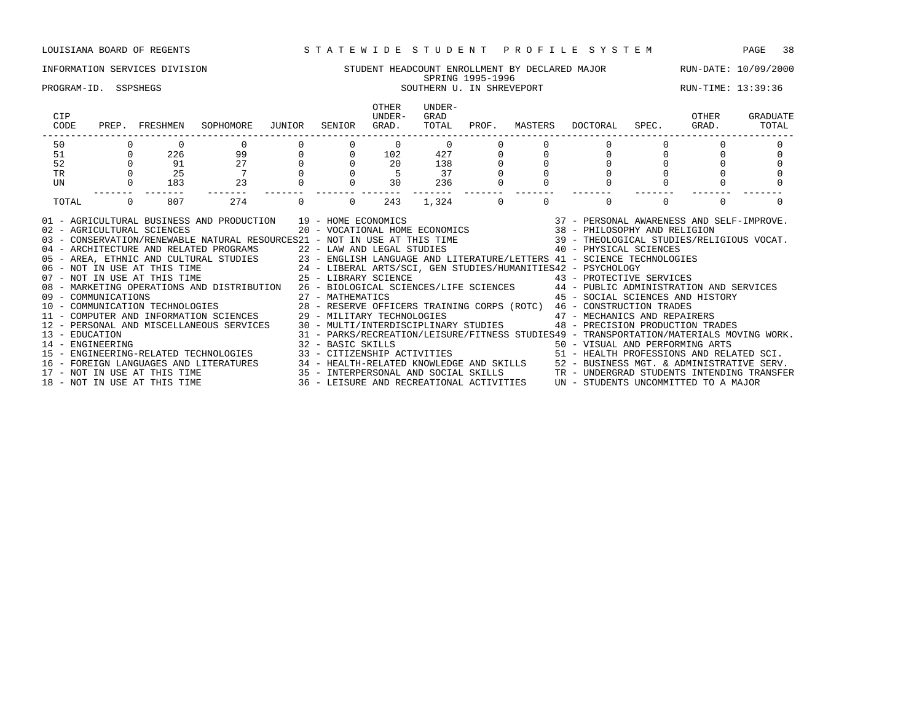### INFORMATION SERVICES DIVISION STUDENT HEADCOUNT ENROLLMENT BY DECLARED MAJOR RUN-DATE: 10/09/2000 SPRING 1995-1996 PROGRAM-ID. SSPSHEGS SOUTHERN U. IN SHREVEPORT SOUTHERN U. IN STREVEPORT SUN-TIME: 13:39:36

### OTHER UNDER-<br>UNDER- GRAD CIP UNDER- GRAD OTHER GRADUATE CODE PREP. FRESHMEN SOPHOMORE JUNIOR SENIOR GRAD. TOTAL PROF. MASTERS DOCTORAL SPEC. GRAD. TOTAL ------------------------------------------------------------------------------------------------------------------------------------ 50 0 0 0 0 0 0 0 0 0 0 0 0 0 51 0 226 99 0 0 102 427 0 0 0 0 0 0 52 0 91 27 0 0 20 138 0 0 0 0 0 0 TR 0 25 7 0 0 5 37 0 0 0 0 0 0 0 UN 0 183 23 0 0 30 236 0 0 0 0 0 0 ------- ------- ------- ------- ------- ------- ------- ------- ------- ------- ------- ------- ------- TOTAL 0 807 274 0 0 243 1,324 0 0 0 0 0 0 01 - AGRICULTURAL BUSINESS AND PRODUCTION 39 - HOME ECONOMICS 37 - PERSONAL AWARENESS AND SELF-IMPROVE. 02 - AGRICULTURAL SCIENCES 20 - VOCATIONAL HOME ECONOMICS 38 - PHILOSOPHY AND RELIGION 03 - CONSERVATION/RENEWABLE NATURAL RESOURCES21 - NOT IN USE AT THIS TIME 39 - THEOLOGICAL STUDIES/RELIGIOUS VOCAT. 04 - ARCHITECTURE AND RELATED PROGRAMS 22 - LAW AND LEGAL STUDIES 40 - PHYSICAL SCIENCES 05 - AREA, ETHNIC AND CULTURAL STUDIES 23 - ENGLISH LANGUAGE AND LITERATURE/LETTERS 41 - SCIENCE TECHNOLOGIES 06 - NOT IN USE AT THIS TIME 24 - LIBERAL ARTS/SCI, GEN STUDIES/HUMANITIES42 - PSYCHOLOGY 06 - NOT IN USE AT THIS TIME 24 - LIBERAL ARTS/SCI, GEN STUDIES/HUMANITIES42 - PSYCHOLOGY<br>07 - NOT IN USE AT THIS TIME 25 - LIBRARY SCIENCE 43 - PROTECTIVE SE 08 - MARKETING OPERATIONS AND DISTRIBUTION 26 - BIOLOGICAL SCIENCES/LIFE SCIENCES 44 - PUBLIC ADMINISTRATION AND SERVICES 09 - COMMUNICATIONS 27 - MATHEMATICS 45 - SOCIAL SCIENCES AND HISTORY 10 - COMMUNICATION TECHNOLOGIES 28 - RESERVE OFFICERS TRAINING CORPS (ROTC) 46 - CONSTRUCTION TRADES

11 - COMPUTER AND INFORMATION SCIENCES 29 - MILITARY TECHNOLOGIES 47 - MECHANICS AND REPAIRERS 12 - PERSONAL AND MISCELLANEOUS SERVICES 30 - MULTI/INTERDISCIPLINARY STUDIES 48 - PRECISION PRODUCTION TRADES

14 - ENGINEERING 32 - BASIC SKILLS 50 - VISUAL AND PERFORMING ARTS

13 - EDUCATION 31 - PARKS/RECREATION/LEISURE/FITNESS STUDIES49 - TRANSPORTATION/MATERIALS MOVING WORK.

15 - ENGINEERING-RELATED TECHNOLOGIES 33 - CITIZENSHIP ACTIVITIES 51 - HEALTH PROFESSIONS AND RELATED SCI. 16 - FOREIGN LANGUAGES AND LITERATURES 34 - HEALTH-RELATED KNOWLEDGE AND SKILLS 52 - BUSINESS MGT. & ADMINISTRATIVE SERV.<br>17 - NOT IN USE AT THIS TIME 35 - INTERPERSONAL AND SOCIAL SKILLS TR - UNDERGRAD STUDENTS INTENDING

15 - INTERPERSONAL AND SOCIAL SKILLS TR - UNDERGRAD STUDENTS INTENDING TRANSFER 18 - NOT IN USE AT THIS TIME 36 - LEISURE AND RECREATIONAL ACTIVITIES UN - STUDENTS UNCOMMITTED TO A MAJOR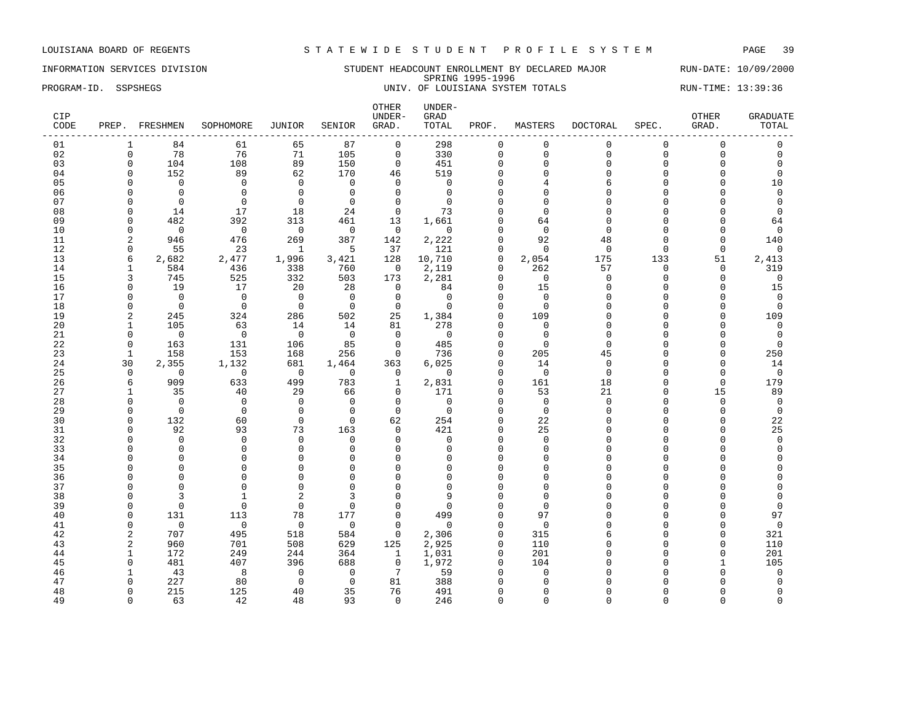### INFORMATION SERVICES DIVISION STUDENT HEADCOUNT ENROLLMENT BY DECLARED MAJOR RUN-DATE: 10/09/2000 SPRING 1995-1996 PROGRAM-ID. SSPSHEGS 
UNIV. OF LOUISIANA SYSTEM TOTALS

UNIV. OF LOUISIANA SYSTEM TOTALS

PROGRAM-ID. SSPSHEGS

| CIP<br>CODE |                          | PREP. FRESHMEN | SOPHOMORE      | JUNIOR         | SENIOR                  | OTHER<br>UNDER-<br>GRAD. | UNDER-<br>GRAD<br>TOTAL | PROF.              | MASTERS     | DOCTORAL           | SPEC.    | <b>OTHER</b><br>GRAD.      | <b>GRADUATE</b><br>TOTAL |
|-------------|--------------------------|----------------|----------------|----------------|-------------------------|--------------------------|-------------------------|--------------------|-------------|--------------------|----------|----------------------------|--------------------------|
| 01          |                          | 84             | 61             | 65             | 87                      | $\mathsf{O}$             | 298                     | $\mathbf 0$        | $\mathbf 0$ | $\Omega$           | $\Omega$ | $\mathbf 0$                | $\Omega$                 |
| 02          | $\mathbf 0$              | 78             | 76             | 71             | 105                     | $\mathsf{O}$             | 330                     | $\mathbf 0$        | $\mathbf 0$ | $\Omega$           | $\Omega$ | $\mathsf{O}\xspace$        | $\mathbf 0$              |
| 03          | $\mathbf 0$              | 104            | 108            | 89             | 150                     | $\mathbf 0$              | 451                     | $\mathbf 0$        | $\mathbf 0$ | $\Omega$           | $\Omega$ | $\mathbf 0$                | $\Omega$                 |
| 04          | $\Omega$                 | 152            | 89             | 62             | 170                     | 46                       | 519                     | $\Omega$           | $\Omega$    | $\Omega$           | $\Omega$ | $\Omega$                   | $\Omega$                 |
| 05          | $\Omega$                 | $\Omega$       | $\Omega$       | $\Omega$       | $\Omega$                | $\Omega$                 | $\Omega$                | $\Omega$           | 4           | 6                  | $\Omega$ | $\Omega$                   | 10                       |
| 06          | $\Omega$                 | $\Omega$       | $\Omega$       | $\mathbf 0$    | $\Omega$                | $\Omega$                 | $\Omega$                | $\Omega$           | $\Omega$    | $\Omega$           |          | O                          | $\Omega$                 |
| 07          | O                        | $\Omega$       | $\Omega$       | $\mathbf 0$    | $\Omega$                | $\mathbf 0$              | $\Omega$                | $\cap$             | $\Omega$    |                    |          | O                          | $\Omega$                 |
| 08          | $\Omega$                 | 14             | 17             | 18             | 24                      | $\mathbf 0$              | 73                      |                    | $\Omega$    |                    |          | O                          | $\Omega$                 |
| 09          | O                        | 482            | 392            | 313            | 461                     | 13                       | 1,661                   | $\Omega$           | 64          | $\cap$             |          | $\Omega$                   | 64                       |
| 10          | $\Omega$                 | $\overline{0}$ | $\overline{0}$ | $\overline{0}$ | $\overline{0}$          | $\overline{0}$           | $\Omega$                | $\Omega$           | $\Omega$    | $\Omega$           |          | $\Omega$                   | $\Omega$                 |
| 11          | 2                        | 946            | 476            | 269            | 387                     | 142                      | 2,222                   | $\Omega$           | 92          | 48                 | $\Omega$ | $\Omega$                   | 140                      |
| 12          | $\Omega$                 | 55             | 23             | $\overline{1}$ | $-5$                    | 37                       | 121                     | $\Omega$           | $\Omega$    | $\Omega$           | $\Omega$ | $\mathbf 0$                | $\Omega$                 |
| 13          | 6                        | 2,682          | 2,477          | 1,996          | 3,421                   | 128                      | 10,710                  | $\mathbf 0$        | 2,054       | 175                | 133      | 51                         | 2,413                    |
| 14          | 1                        | 584            | 436            | 338            | 760                     | $\overline{0}$           | 2,119                   | $\mathbf 0$        | 262         | 57                 | $\Omega$ | $\mathbf 0$                | 319                      |
| 15          | 3                        | 745            | 525            | 332            | 503                     | 173                      | 2,281                   | $\Omega$           | $\bigcirc$  | $\Omega$           | $\Omega$ | $\Omega$                   | $\Omega$                 |
| 16          | $\Omega$                 | 19             | 17             | 20             | 28                      | $\mathbf 0$              | 84                      | $\Omega$           | 15          | $\Omega$           | $\Omega$ | $\mathbf 0$                | 15                       |
| 17          | $\Omega$                 | $\Omega$       | $\overline{0}$ | $\overline{0}$ | $\overline{0}$          | $\mathbf 0$              | $\overline{0}$          | $\Omega$           | $\Omega$    |                    |          | $\mathbf 0$                | $\mathbf 0$              |
| 18          | $\Omega$                 | $\overline{0}$ | $\bigcirc$     | $\overline{0}$ | $\overline{0}$          | $\mathbf 0$              | $\Omega$                | $\cap$             | $\Omega$    |                    | $\cap$   | $\Omega$                   | 0                        |
| 19          | 2                        | 245            | 324            | 286            | 502                     | 25                       | 1,384                   | $\Omega$           | 109         | $\cap$             | $\cap$   | $\Omega$                   | 109                      |
| 20          | 1                        | 105            | 63             | 14             | 14                      | 81                       | 278                     | $\Omega$           | $\Omega$    |                    |          | $\Omega$                   | 0                        |
| 21          | 0                        | $\overline{0}$ | $\overline{0}$ | $\overline{0}$ | $\overline{0}$          | $\Omega$<br>$\mathbf 0$  | $\overline{0}$          | $\Omega$<br>$\cap$ | $\Omega$    | $\Omega$<br>$\cap$ |          | $\Omega$<br>$\Omega$       | $\Omega$                 |
| 22          | $\Omega$<br>$\mathbf{1}$ | 163            | 131            | 106            | 85                      | $\mathbf 0$              | 485                     | $\Omega$           | $\Omega$    |                    |          |                            | $\Omega$                 |
| 23<br>24    |                          | 158<br>2,355   | 153<br>1,132   | 168<br>681     | 256                     |                          | 736<br>6,025            | $\Omega$           | 205<br>14   | 45<br>$\Omega$     | $\Omega$ | $\mathbf 0$<br>$\mathbf 0$ | 250<br>14                |
| 25          | 30<br>$\Omega$           | $\bigcirc$     | $\overline{0}$ | $\overline{0}$ | 1,464<br>$\overline{0}$ | 363<br>$\Omega$          | $\Omega$                | $\Omega$           | $\bigcirc$  | $\Omega$           |          | $\Omega$                   | $\Omega$                 |
| 26          | 6                        | 909            | 633            | 499            | 783                     | $\mathbf{1}$             | 2,831                   | $\Omega$           | 161         | 18                 | $\Omega$ | $\mathbf 0$                | 179                      |
| 27          | 1                        | 35             | 40             | 29             | 66                      | $\mathbf 0$              | 171                     | $\Omega$           | 53          | 21                 | $\cap$   | 15                         | 89                       |
| 28          | $\Omega$                 | $\overline{0}$ | $\overline{0}$ | $\overline{0}$ | $\Omega$                | $\Omega$                 | $\Omega$                | $\Omega$           | $\Omega$    | $\Omega$           | $\cap$   | $\mathbf 0$                | $\overline{0}$           |
| 29          | $\Omega$                 | $\mathbf 0$    | $\overline{0}$ | $\mathbf 0$    | $\mathbf{0}$            | $\mathbf 0$              | $\mathbf 0$             | $\Omega$           | $\mathbf 0$ | $\cap$             |          | $\mathbf 0$                | $\mathbf 0$              |
| 30          | $\Omega$                 | 132            | 60             | $\Omega$       | $\Omega$                | 62                       | 254                     | $\Omega$           | 22          |                    |          | $\Omega$                   | 22                       |
| 31          | <sup>0</sup>             | 92             | 93             | 73             | 163                     | $\Omega$                 | 421                     | $\cap$             | 25          |                    |          | $\Omega$                   | 25                       |
| 32          |                          | $\Omega$       | $\Omega$       | $\Omega$       | $\Omega$                | $\Omega$                 | $\Omega$                | $\cap$             | $\Omega$    |                    |          | U                          | $\Omega$                 |
| 33          |                          | $\Omega$       | $\Omega$       | $\mathbf 0$    | $\Omega$                | $\Omega$                 | $\Omega$                | $\Omega$           | $\Omega$    |                    |          | O                          | $\Omega$                 |
| 34          |                          | $\Omega$       | $\Omega$       | $\mathbf 0$    | $\Omega$                | $\Omega$                 | $\Omega$                | $\Omega$           | $\Omega$    |                    |          | O                          |                          |
| 35          |                          | $\Omega$       | $\Omega$       | $\Omega$       | $\Omega$                | $\Omega$                 |                         | $\cap$             | $\cap$      |                    |          | Λ                          |                          |
| 36          |                          | $\Omega$       | $\Omega$       | $\Omega$       | $\Omega$                | $\Omega$                 | U                       |                    | $\Omega$    |                    |          |                            |                          |
| 37          |                          | $\Omega$       | $\Omega$       | $\Omega$       | $\Omega$                | $\Omega$                 | $\Omega$                | $\cap$             | $\Omega$    |                    |          | O                          |                          |
| 38          |                          | 3              | 1              | $\overline{2}$ | 3                       | $\Omega$                 | a                       |                    | $\Omega$    |                    |          | U                          |                          |
| 39          | $\Omega$                 | $\Omega$       | $\Omega$       | $\mathbf 0$    | $\Omega$                | $\Omega$                 |                         |                    | $\Omega$    |                    |          | O                          | $\Omega$                 |
| 40          | $\Omega$                 | 131            | 113            | 78             | 177                     | $\mathbf 0$              | 499                     | $\Omega$           | 97          |                    |          | O                          | 97                       |
| 41          | $\Omega$                 | $\Omega$       | $\Omega$       | $\Omega$       | $\mathbf 0$             | $\Omega$                 | $\Omega$                | $\Omega$           | $\Omega$    |                    |          | $\Omega$                   | $\mathbf 0$              |
| 42          | 2                        | 707            | 495            | 518            | 584                     | $\circ$                  | 2,306                   | 0                  | 315         |                    |          | $\Omega$                   | 321                      |
| 43          | $\overline{2}$           | 960            | 701            | 508            | 629                     | 125                      | 2,925                   | $\Omega$           | 110         |                    |          | $\Omega$                   | 110                      |
| 44          | 1                        | 172            | 249            | 244            | 364                     | $\mathbf{1}$             | 1,031                   | 0                  | 201         |                    |          | 0                          | 201                      |
| 45          | $\Omega$                 | 481            | 407            | 396            | 688                     | $\mathbf 0$              | 1,972                   | $\Omega$           | 104         |                    |          | 1                          | 105                      |
| 46          |                          | 43             | 8              | $\overline{0}$ | $\mathbf 0$             | $7\phantom{.0}$          | 59                      | $\Omega$           | $\Omega$    |                    |          | $\Omega$                   | $\mathbf 0$              |
| 47          |                          | 227            | 80             | $\mathbf 0$    | $\Omega$                | 81                       | 388                     |                    |             |                    |          | U                          |                          |
| 48          | <sup>0</sup>             | 215            | 125            | 40             | 35                      | 76                       | 491                     | $\cap$             | n           |                    |          | O                          | $\Omega$                 |
| 49          | $\Omega$                 | 63             | 42             | 48             | 93                      | $\Omega$                 | 246                     | $\Omega$           | $\Omega$    | $\cap$             | $\cap$   | $\Omega$                   | $\Omega$                 |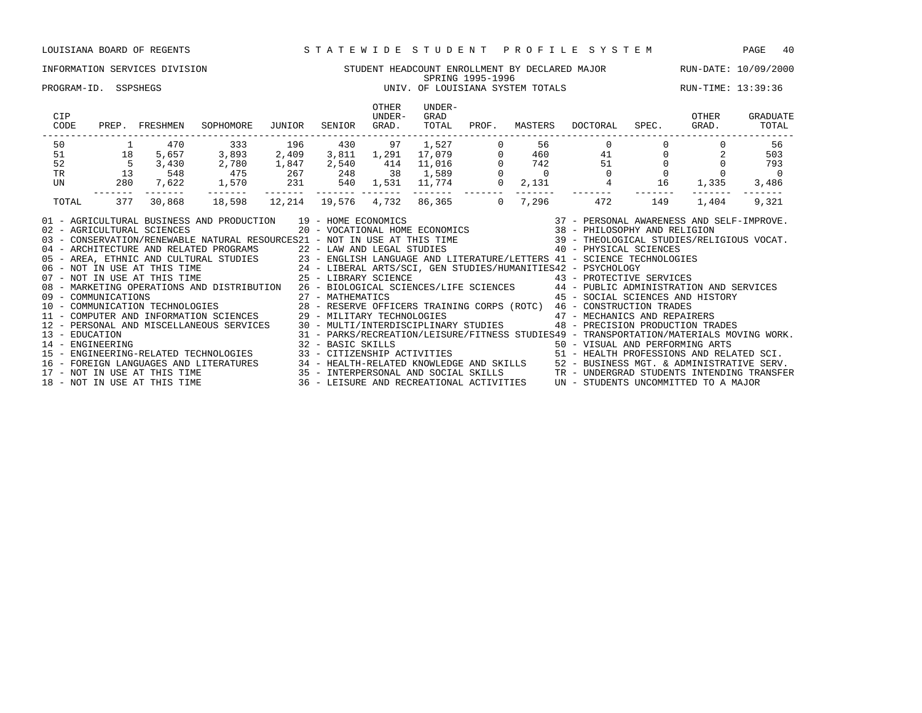### INFORMATION SERVICES DIVISION STUDENT HEADCOUNT ENROLLMENT BY DECLARED MAJOR RUN-DATE: 10/09/2000 SPRING 1995-1996<br>UNIV. OF LOUISIANA SYSTEM TOTALS PROGRAM-ID. SSPSHEGS **EXECUTE:** 13:39:36 UNIV. OF LOUISIANA SYSTEM TOTALS RUN-TIME: 13:39:36

| CIP<br>CODE<br>PREP.                                                                                                                                                                                                                                                                                                                                                                                                                                                                                                                                                                                                                                                                                                                                                                                                                                                                                                                                                                                                                                                                                                                                                                                                                                                                                                          | FRESHMEN  | SOPHOMORE | JUNIOR                                                                                                                                                                                                                                                                                                                                                                 | SENIOR | OTHER<br>UNDER-<br>GRAD. | UNDER-<br>GRAD<br>TOTAL | PROF. | MASTERS          | DOCTORAL                                                                                                                                                                                                                                                                                                                                                                                                                             | SPEC. | OTHER<br>GRAD. | GRADUATE<br>TOTAL      |
|-------------------------------------------------------------------------------------------------------------------------------------------------------------------------------------------------------------------------------------------------------------------------------------------------------------------------------------------------------------------------------------------------------------------------------------------------------------------------------------------------------------------------------------------------------------------------------------------------------------------------------------------------------------------------------------------------------------------------------------------------------------------------------------------------------------------------------------------------------------------------------------------------------------------------------------------------------------------------------------------------------------------------------------------------------------------------------------------------------------------------------------------------------------------------------------------------------------------------------------------------------------------------------------------------------------------------------|-----------|-----------|------------------------------------------------------------------------------------------------------------------------------------------------------------------------------------------------------------------------------------------------------------------------------------------------------------------------------------------------------------------------|--------|--------------------------|-------------------------|-------|------------------|--------------------------------------------------------------------------------------------------------------------------------------------------------------------------------------------------------------------------------------------------------------------------------------------------------------------------------------------------------------------------------------------------------------------------------------|-------|----------------|------------------------|
| 50                                                                                                                                                                                                                                                                                                                                                                                                                                                                                                                                                                                                                                                                                                                                                                                                                                                                                                                                                                                                                                                                                                                                                                                                                                                                                                                            | 470       | 333       |                                                                                                                                                                                                                                                                                                                                                                        |        |                          |                         |       | 56               | $\mathbf{0}$                                                                                                                                                                                                                                                                                                                                                                                                                         |       |                | 56                     |
| 18<br>51                                                                                                                                                                                                                                                                                                                                                                                                                                                                                                                                                                                                                                                                                                                                                                                                                                                                                                                                                                                                                                                                                                                                                                                                                                                                                                                      | 5,657     | 3,893     |                                                                                                                                                                                                                                                                                                                                                                        |        |                          |                         |       | 460              |                                                                                                                                                                                                                                                                                                                                                                                                                                      | 41    |                | 503                    |
| 52<br>$5\overline{)}$                                                                                                                                                                                                                                                                                                                                                                                                                                                                                                                                                                                                                                                                                                                                                                                                                                                                                                                                                                                                                                                                                                                                                                                                                                                                                                         | 3,430     | 2,780     |                                                                                                                                                                                                                                                                                                                                                                        |        |                          |                         |       | 742              | 51                                                                                                                                                                                                                                                                                                                                                                                                                                   |       |                | 793                    |
| 13<br>TR                                                                                                                                                                                                                                                                                                                                                                                                                                                                                                                                                                                                                                                                                                                                                                                                                                                                                                                                                                                                                                                                                                                                                                                                                                                                                                                      | 548       | 475       |                                                                                                                                                                                                                                                                                                                                                                        |        |                          |                         |       | $\overline{0}$   | $\Omega$                                                                                                                                                                                                                                                                                                                                                                                                                             |       |                | $\Omega$               |
| UN                                                                                                                                                                                                                                                                                                                                                                                                                                                                                                                                                                                                                                                                                                                                                                                                                                                                                                                                                                                                                                                                                                                                                                                                                                                                                                                            | 280 7,622 | 1,570     |                                                                                                                                                                                                                                                                                                                                                                        |        |                          |                         |       | 2,131<br>------- |                                                                                                                                                                                                                                                                                                                                                                                                                                      | 16    | 1,335          | 3,486<br>$- - - - - -$ |
| TOTAL<br>377                                                                                                                                                                                                                                                                                                                                                                                                                                                                                                                                                                                                                                                                                                                                                                                                                                                                                                                                                                                                                                                                                                                                                                                                                                                                                                                  | 30,868    | 18,598    | $\begin{array}{ccccccccc} \text{``0]} & \text{``0]} & \text{``1,527} & \text{``1,527} & \text{``1,527} & \text{``1,527} & \text{``1,528} & \text{``1,529} & \text{``1,529} & \text{``1,529} & \text{``1,530} & \text{``1,530} & \text{``1,530} & \text{``1,530} & \text{``1,531} & \text{``1,774} & \text{``1,774} & \text{``1,7214} & \text{``1,732} & \text{``1,732$ |        |                          |                         |       | 7,296            | 472                                                                                                                                                                                                                                                                                                                                                                                                                                  | 149   | 1,404          | 9,321                  |
| 01 - AGRICULTURAL BUSINESS AND PRODUCTION 19 - HOME ECONOMICS<br>02 - AGRICULTURAL SCIENCES<br>03 - CONSERVATION/RENEWABLE NATURAL RESOURCES21 - NOT IN USE AT THIS TIME 39 - THEOLOGICAL STUDIES/RELIGIOUS VOCAT.<br>04 - ARCHITECTURE AND RELATED PROGRAMS 22 - LAW AND LEGAL STUDIES 40 - PHYSICAL SCIENCES<br>05 - AREA, ETHNIC AND CULTURAL STUDIES<br>06 - NOT IN USE AT THIS TIME 24 - LIBERAL ARTS/SCI, GEN STUDIES/HUMANITIES42 - PSYCHOLOGY<br>25 - LIBERAL ARTS/SCI, GEN STUDIES/HUMANITIES42 - PSYCHOLOGY<br>25 - LIBERARY SCIENCE 43 - PR<br>08 - MARKETING OPERATIONS AND DISTRIBUTION 26 - BIOLOGICAL SCIENCES/LIFE SCIENCES 44 - PUBLIC ADMINISTRATION AND SERVICES<br>09 - COMMUNICATIONS<br>10 - COMMUNICATIONS<br>10 - COMMUNICATION TECHNOLOGIES<br>29 - MATHEMATICS<br>29 - MILITARY TECHNOLOGIES<br>29 - MILITARY TECHNOLOGIES<br>29 - MILITARY TECHNOLOGIES<br>29 - MILITARY TECHNOLOGIES<br>29 - MILITARY TEC<br>13 - EDUCATION<br>14 - ENGINEERING<br>15 - ENGINEERING-RELATED TECHNOLOGIES 33 - CITIZENSHIP ACTIVITIES 51 - HEALTH PROFESSIONS AND RELATED SCI.<br>16 - FOREIGN LANGUAGES AND LITERATURES 34 - HEALTH-RELATED KNOWLEDGE AND SKILLS 52 - BUSINESS MGT. & ADMINISTRATIVE SERV.<br>17 - NOT IN USE AT THIS TIME 35 - INTERPERSONAL AND SOCIAL SKILLS TR - UNDERGRAD STUDENTS INTENDING |           |           | 32 - BASIC SKILLS                                                                                                                                                                                                                                                                                                                                                      |        |                          |                         |       |                  | $\begin{tabular}{lllllllllll} 19 & -& HomE ECONOMICS & & & 37 & -& PERSONAL AWARENESS AND SELF-IMPROVE. \\ 20 & -& VOCATIONAL HOME ECONOMICS & & 38 & -& PHILOSOPHY AND RELIGION \\ \end{tabular}$<br>43 - PROTECTIVE SERVICES<br>45 - SOCIAL SCIENCES AND HISTORY<br>48 - PRECISION PRODUCTION TRADES<br>31 - PARKS/RECREATION/LEISURE/FITNESS STUDIES49 - TRANSPORTATION/MATERIALS MOVING WORK.<br>50 - VISUAL AND PERFORMING ARTS |       |                |                        |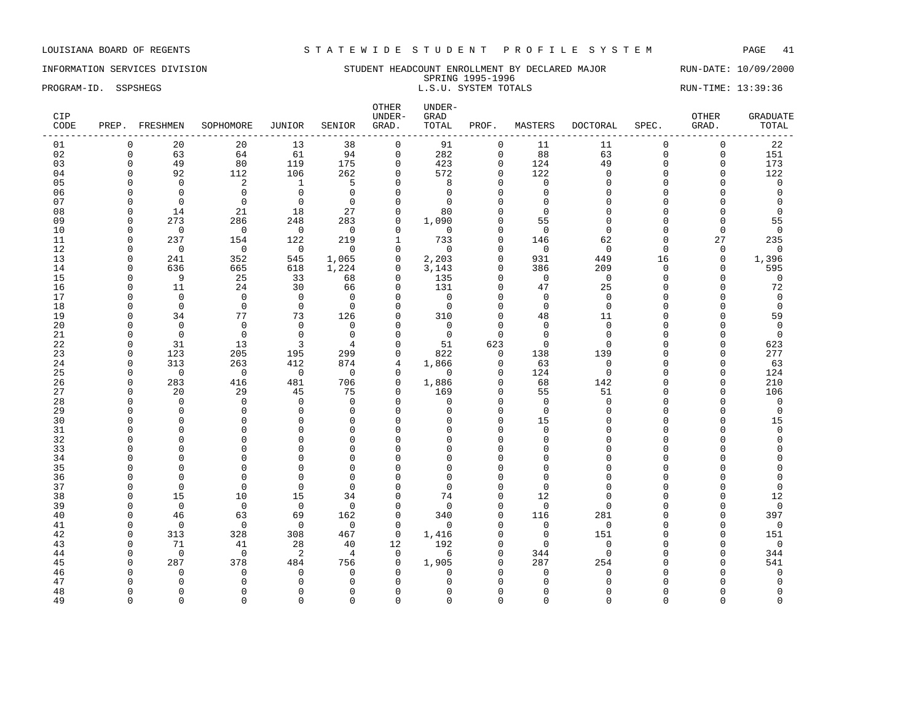INFORMATION SERVICES DIVISION SUNDERT HEADCOUNT ENROLLMENT BY DECLARED MAJOR RUN-DATE: 10/09/2000 SPRING 1995-1996 PROGRAM-ID. SSPSHEGS SERIES AND SENSING SERIES AND SENSING SERIES SERIES SERIES SERIES RUN-TIME: 13:39:36

| CIP<br>CODE | PREP. FRESHMEN    |                         | SOPHOMORE      | <b>JUNIOR</b>           | SENIOR                   | UNDER-<br>GRAD.          | GRAD<br>TOTAL            | PROF.                   | MASTERS        | <b>DOCTORAL</b> | SPEC.       | OTHER<br>GRAD.          | <b>GRADUATE</b><br>TOTAL |
|-------------|-------------------|-------------------------|----------------|-------------------------|--------------------------|--------------------------|--------------------------|-------------------------|----------------|-----------------|-------------|-------------------------|--------------------------|
| 01          | 0                 | 20                      | 20             | 13                      | 38                       | $\mathbf 0$              | 91                       | 0                       | 11             | 11              | $\mathbf 0$ | $\mathbf 0$             | 22                       |
| 02          | $\mathbf 0$       | 63                      | 64             | 61                      | 94                       | $\mathbf 0$              | 282                      | $\mathbf 0$             | 88             | 63              | $\Omega$    | $\mathbf 0$             | 151                      |
| 03          | $\Omega$          | 49                      | 80             | 119                     | 175                      | $\mathbf 0$              | 423                      | $\mathbf 0$             | 124            | 49              | $\Omega$    | $\mathbf 0$             | 173                      |
| 04          | ∩                 | 92                      | 112            | 106                     | 262                      | $\Omega$                 | 572                      | $\Omega$                | 122            | $\Omega$        | $\cap$      | $\Omega$                | 122                      |
| 05          |                   | $\Omega$                | $\overline{a}$ | $\overline{1}$          | 5                        | $\Omega$                 | 8                        | $\Omega$                | $\Omega$       | $\Omega$        | $\Omega$    | $\Omega$                | $\mathbf 0$              |
| 06          |                   | $\Omega$                | $\overline{0}$ | $\overline{0}$          | $\Omega$                 | $\Omega$                 | $\Omega$                 | $\Omega$                | $\Omega$       |                 |             | $\Omega$                | 0                        |
| 07          |                   | $\Omega$                | $\overline{0}$ | $\overline{0}$          | $\Omega$                 | $\Omega$                 | $\Omega$                 | $\Omega$                | $\Omega$       | $\Omega$        |             | $\Omega$                | $\Omega$                 |
| 08          |                   | 14                      | 21             | 18                      | 27                       | $\Omega$                 | 80                       | $\Omega$                | $\Omega$       |                 |             | $\Omega$                | $\Omega$                 |
| 09          | n                 | 273                     | 286            | 248                     | 283                      | $\Omega$                 | 1,090                    |                         | 55             |                 |             | $\Omega$                | 55                       |
| 10          | <sup>0</sup>      | $\overline{0}$          | $\overline{0}$ | $\overline{0}$          | $\overline{0}$           | $\mathbf{0}$             | $\overline{0}$           | $\Omega$                | $\Omega$       | $\Omega$        |             | 0                       | $\Omega$                 |
| 11          | $\Omega$          | 237                     | 154            | 122                     | 219                      | $\mathbf{1}$             | 733                      | $\Omega$                | 146            | 62              | $\Omega$    | 27                      | 235                      |
| 12          |                   | $\overline{0}$          | $\bigcirc$     | $\overline{0}$          | $\overline{0}$           | $\mathbf 0$              | $\Omega$                 | $\Omega$                | $\overline{0}$ | $\Omega$        | $\Omega$    | $\mathbf 0$             | $\mathbf 0$              |
| 13          |                   | 241                     | 352            | 545                     | 1,065                    | $\circ$                  | 2,203                    | $\Omega$                | 931            | 449             | 16          | $\mathbf 0$             | 1,396                    |
| 14          |                   | 636                     | 665            | 618                     | 1,224                    | $\mathbf 0$              | 3,143                    | $\Omega$                | 386            | 209             | $\Omega$    | $\Omega$                | 595                      |
| 15          |                   | - 9                     | 25             | 33                      | 68                       | $\mathbf{0}$             | 135                      | $\Omega$                | $\overline{0}$ | $\mathbf 0$     | $\Omega$    | $\Omega$                | $\mathbf 0$              |
| 16          | $\Omega$          | 11                      | 24             | 30                      | 66                       | $\mathbf 0$              | 131                      | $\Omega$                | 47             | 25              | $\Omega$    | $\Omega$                | 72                       |
| 17          |                   | $\Omega$                | $\Omega$       | $\Omega$                | $\Omega$                 | $\Omega$                 | $\bigcirc$               | $\Omega$                | $\Omega$       | $\Omega$        |             | $\Omega$                | $\Omega$                 |
| 18          |                   | $\Omega$                | $\Omega$       | $\Omega$                | $\Omega$                 | $\Omega$                 | $\Omega$                 | $\Omega$                | $\Omega$       | $\Omega$        |             | $\Omega$                | $\mathbf 0$              |
| 19          |                   | 34                      | 77             | 73                      | 126                      | 0                        | 310                      | $\Omega$                | 48             | 11              |             | 0                       | 59                       |
| 20          |                   | $\overline{0}$          | $\overline{0}$ | $\overline{0}$          | $\mathbf{0}$             | $\Omega$                 | $\overline{0}$           | $\Omega$                | $\Omega$       | $\Omega$        |             | $\Omega$                | 0                        |
| 21          |                   | $\mathbf 0$             | $\overline{0}$ | $\mathbf 0$             | $\Omega$                 | $\Omega$                 | $\overline{0}$           | $\Omega$                | $\Omega$       | $\Omega$        |             | 0                       | $\overline{0}$           |
| 22          |                   | 31                      | 13             | 3                       | 4                        | $\Omega$                 | 51                       | 623                     | $\Omega$       | $\cap$          |             | $\Omega$                | 623                      |
| 23          | n                 | 123                     | 205            | 195                     | 299                      | $\Omega$                 | 822                      | $\mathbf 0$             | 138            | 139             |             | $\Omega$                | 277                      |
| 24          | O                 | 313                     | 263            | 412                     | 874                      | 4                        | 1,866                    | 0                       | 63             | $\Omega$        |             | 0                       | 63                       |
| 25          | $\Omega$          | $\overline{0}$          | $\overline{0}$ | $\overline{0}$          | $\overline{\phantom{0}}$ | $\mathbf{0}$             | $\Omega$                 | $\Omega$                | 124            | $\mathbf 0$     |             | 0                       | 124                      |
| 26          | <sup>0</sup><br>∩ | 283                     | 416            | 481                     | 706                      | $\mathbf{0}$<br>$\Omega$ | 1,886                    | $\mathbf 0$<br>$\Omega$ | 68             | 142             |             | $\mathbf 0$<br>$\Omega$ | 210                      |
| 27          |                   | 20                      | 29<br>$\Omega$ | 45                      | 75                       |                          | 169                      | $\Omega$                | 55<br>$\Omega$ | 51<br>$\cap$    |             |                         | 106                      |
| 28          |                   | $\mathbf 0$<br>$\Omega$ | $\Omega$       | $\mathbf 0$<br>$\Omega$ | $\mathbf 0$<br>$\Omega$  | $\Omega$<br>$\Omega$     | $\Omega$<br><sup>0</sup> | $\Omega$                | $\Omega$       | ∩               |             | $\Omega$<br>$\Omega$    | 0<br>$\overline{0}$      |
| 29<br>30    |                   | $\Omega$                | $\Omega$       | $\mathbf{0}$            | $\Omega$                 | $\Omega$                 | $\Omega$                 | $\Omega$                | 15             |                 |             | $\Omega$                | 15                       |
| 31          |                   | $\Omega$                | $\Omega$       | $\Omega$                | $\Omega$                 | $\Omega$                 |                          | $\Omega$                | $\Omega$       |                 |             | O                       | $\Omega$                 |
| 32          |                   | $\cap$                  | $\Omega$       | $\Omega$                | $\Omega$                 | $\Omega$                 |                          | $\cap$                  | $\Omega$       |                 |             | U                       | ∩                        |
| 33          |                   | $\cap$                  | $\Omega$       | $\Omega$                | $\Omega$                 | $\Omega$                 |                          | ∩                       | $\Omega$       |                 |             |                         |                          |
| 34          |                   | $\Omega$                | $\Omega$       | $\Omega$                | $\Omega$                 | $\Omega$                 |                          | ∩                       | $\Omega$       |                 |             | Λ                       |                          |
| 35          |                   | $\Omega$                | $\Omega$       | $\mathbf{0}$            | 0                        | $\Omega$                 |                          | $\Omega$                | $\Omega$       |                 |             |                         |                          |
| 36          |                   | $\Omega$                | $\Omega$       | $\Omega$                | $\Omega$                 | $\Omega$                 |                          |                         |                |                 |             |                         |                          |
| 37          |                   | $\Omega$                | $\Omega$       | $\Omega$                | $\Omega$                 | $\Omega$                 | n                        | $\cap$                  | $\Omega$       |                 |             | U                       | $\Omega$                 |
| 38          |                   | 15                      | 10             | 15                      | 34                       | $\Omega$                 | 74                       | $\Omega$                | 12             |                 |             | $\Omega$                | 12                       |
| 39          |                   | $\mathbf 0$             | $\overline{0}$ | $\overline{0}$          | $\mathbf 0$              | $\mathbf 0$              | $\Omega$                 | $\Omega$                | $\mathbf 0$    | n               |             | $\Omega$                | $\mathbf 0$              |
| 40          |                   | 46                      | 63             | 69                      | 162                      | $\mathsf{O}$             | 340                      | $\Omega$                | 116            | 281             |             | $\mathbf 0$             | 397                      |
| 41          |                   | $\Omega$                | $\bigcirc$     | $\Omega$                | $\Omega$                 | $\Omega$                 | $\Omega$                 | $\Omega$                | $\Omega$       | $\Omega$        |             | $\Omega$                | $\Omega$                 |
| 42          |                   | 313                     | 328            | 308                     | 467                      | $\circ$                  | 1,416                    | $\Omega$                | $\Omega$       | 151             |             | 0                       | 151                      |
| 43          |                   | 71                      | 41             | 28                      | 40                       | 12                       | 192                      | $\Omega$                | $\Omega$       | $\Omega$        |             | $\Omega$                | $\mathbf 0$              |
| 44          |                   | $\mathbf 0$             | $\overline{0}$ | 2                       | 4                        | $\mathbf 0$              | 6                        | $\Omega$                | 344            | $\Omega$        |             | $\Omega$                | 344                      |
| 45          |                   | 287                     | 378            | 484                     | 756                      | $\mathbf 0$              | 1,905                    | $\Omega$                | 287            | 254             |             | $\Omega$                | 541                      |
| 46          |                   | $\Omega$                | $\Omega$       | $\mathbf 0$             | $\Omega$                 | $\Omega$                 | $\Omega$                 | $\Omega$                | $\Omega$       | $\Omega$        |             | O                       | 0                        |
| 47          |                   | $\Omega$                | ∩              | $\Omega$                | $\Omega$                 | $\Omega$                 |                          | ∩                       |                |                 |             |                         | $\Omega$                 |
| 48          |                   | $\Omega$                |                | $\Omega$                | $\Omega$                 | $\Omega$                 |                          |                         |                |                 |             | Λ                       | $\Omega$                 |
| 49          | $\Omega$          | $\Omega$                | $\Omega$       | $\Omega$                | $\Omega$                 | $\Omega$                 | $\Omega$                 | $\Omega$                | $\Omega$       |                 | $\cap$      | $\Omega$                | $\Omega$                 |

OTHER UNDER-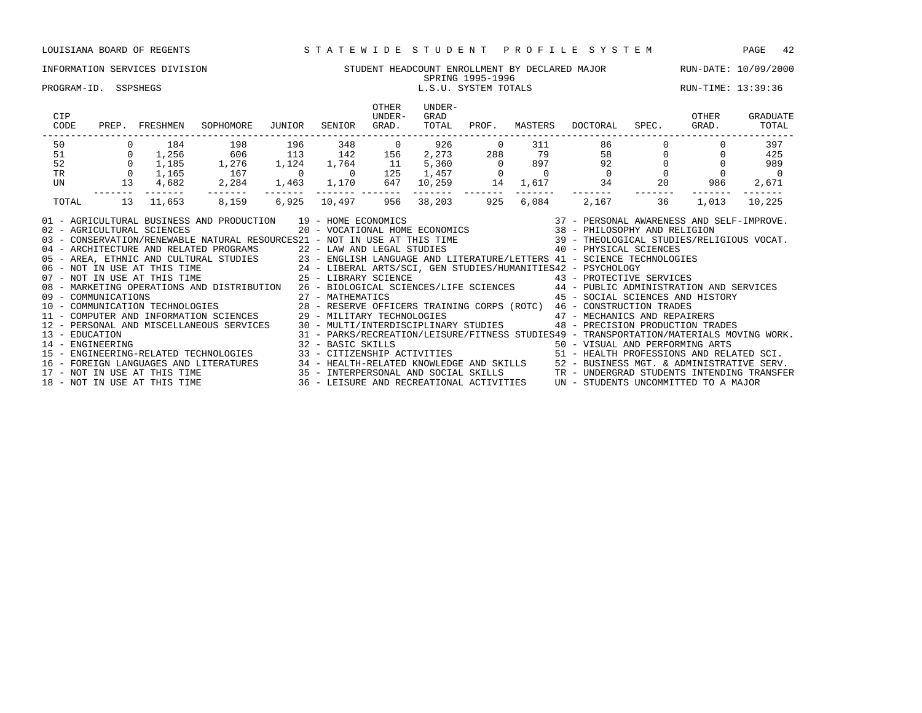### INFORMATION SERVICES DIVISION STUDENT HEADCOUNT ENROLLMENT BY DECLARED MAJOR RUN-DATE: 10/09/2000 SPRING 1995-1996

PROGRAM-ID. SSPSHEGS L.S.U. SYSTEM TOTALS RUN-TIME: 13:39:36

| CIP<br>CODE    | PREP. | FRESHMEN                     | SOPHOMORE                                                                                                                                                                                                                                                                                                                                                                                                                                                                                                                                                                                                                                                                                                                                                                                          | JUNIOR | SENIOR      | OTHER<br>UNDER-<br>GRAD. | UNDER-<br>GRAD<br>TOTAL | PROF.          | MASTERS        | DOCTORAL                                                                                                                                                        | SPEC. | OTHER<br>GRAD. | GRADUATE<br>TOTAL |
|----------------|-------|------------------------------|----------------------------------------------------------------------------------------------------------------------------------------------------------------------------------------------------------------------------------------------------------------------------------------------------------------------------------------------------------------------------------------------------------------------------------------------------------------------------------------------------------------------------------------------------------------------------------------------------------------------------------------------------------------------------------------------------------------------------------------------------------------------------------------------------|--------|-------------|--------------------------|-------------------------|----------------|----------------|-----------------------------------------------------------------------------------------------------------------------------------------------------------------|-------|----------------|-------------------|
| 50             |       | 184                          | 198                                                                                                                                                                                                                                                                                                                                                                                                                                                                                                                                                                                                                                                                                                                                                                                                | 196    | 348         | $\overline{0}$           | 926                     | $\overline{0}$ | 311            | 86                                                                                                                                                              |       |                | 397               |
| 51             |       | 1,256                        | 606                                                                                                                                                                                                                                                                                                                                                                                                                                                                                                                                                                                                                                                                                                                                                                                                | 113    | 142         | 156                      |                         | 2,273 288      | 79             | 58                                                                                                                                                              |       |                | 425               |
| 52             |       | 1,185                        | 1,276                                                                                                                                                                                                                                                                                                                                                                                                                                                                                                                                                                                                                                                                                                                                                                                              | 1,124  | 1,764       | 11                       | 5,360                   | $\overline{0}$ | 897            | 92                                                                                                                                                              |       |                | 989               |
| <b>TR</b>      |       | 1,165                        | 167                                                                                                                                                                                                                                                                                                                                                                                                                                                                                                                                                                                                                                                                                                                                                                                                |        | $\sim$ 0    | 125                      | $1,457$ 0<br>10,259 14  |                | $\overline{0}$ | $\Omega$                                                                                                                                                        |       |                | $\overline{0}$    |
| UN             | 13    | 4,682                        | 2,284                                                                                                                                                                                                                                                                                                                                                                                                                                                                                                                                                                                                                                                                                                                                                                                              |        | 1,463 1,170 | 647                      |                         |                | 1,617          | 34 20                                                                                                                                                           |       | 986            | 2,671             |
| TOTAL          | 13    | 11,653                       | 8,159                                                                                                                                                                                                                                                                                                                                                                                                                                                                                                                                                                                                                                                                                                                                                                                              | 6,925  | 10,497      | 956                      | -----<br>38,203         | 925            | 6,084          | 2,167                                                                                                                                                           | 36    | 1,013          | 10,225            |
| 13 - EDUCATION |       | 02 - AGRICULTURAL SCIENCES   | AND PRODUCTION $19$ - HOME ECONOMICS $37$ - PERSONAL AWARENESS AND SELF-IMPROVE.<br>20 - VOCATIONAL HOME ECONOMICS 38 - PHILOSOPHY AND RELIGION<br>01 - AGRICULTURAL BUSINESS AND PRODUCTION 19 - HOME ECONOMICS<br>03 - CONSERVATION/RENEWABLE NATURAL RESOURCES21 - NOT IN USE AT THIS TIME 39 - THEOLOGICAL STUDIES/RELIGIOUS VOCAT.<br>08 - MARKETING OPERATIONS AND DISTRIBUTION 26 - BIOLOGICAL SCIENCES/LIFE SCIENCES 44 - PUBLIC ADMINISTRATION AND SERVICES<br>09 - COMMUNICATIONS<br>10 - COMMUNICATION TECHNOLOGIES<br>20 - RESERVE OFFICERS TRAINING CORPS (ROTC) 46 - CONSTRUCTION TRADES<br>29 - MILITARY TECHNOLOGIES<br>29 - MILITARY TECHNOLOGIES<br>29 - MILITARY TECHNOLOGIES<br>29 - MILITARY<br>12 - PERSONAL AND MISCELLANEOUS SERVICES 30 - MULTI/INTERDISCIPLINARY STUDIES |        |             |                          |                         |                |                | 45 - SOCIAL SCIENCES AND HISTORY<br>48 - PRECISION PRODUCTION TRADES<br>31 - PARKS/RECREATION/LEISURE/FITNESS STUDIES49 - TRANSPORTATION/MATERIALS MOVING WORK. |       |                |                   |
|                |       |                              | 14 - ENGINEERING ARTS (SAN FECHNOLOGIES ) 32 - BASIC SKILLS (SAN FECHNOLOGIE SUPPRESSIONS AND PERFORMING ARTS<br>15 - ENGINEERING-RELATED TECHNOLOGIES (SAN FECHNOLOGIES ) 33 - CITIZENSHIP ACTIVITIES (SAN FEALTH PROFESSIONS AN                                                                                                                                                                                                                                                                                                                                                                                                                                                                                                                                                                  |        |             |                          |                         |                |                |                                                                                                                                                                 |       |                |                   |
|                |       |                              | 16 - FOREIGN LANGUAGES AND LITERATURES 34 - HEALTH-RELATED KNOWLEDGE AND SKILLS 52 - BUSINESS MGT. & ADMINISTRATIVE SERV.<br>17 - NOT IN USE AT THIS TIME 35 - INTERPERSONAL AND SOCIAL SKILLS TR - UNDERGRAD STUDENTS INTENDING                                                                                                                                                                                                                                                                                                                                                                                                                                                                                                                                                                   |        |             |                          |                         |                |                |                                                                                                                                                                 |       |                |                   |
|                |       |                              |                                                                                                                                                                                                                                                                                                                                                                                                                                                                                                                                                                                                                                                                                                                                                                                                    |        |             |                          |                         |                |                |                                                                                                                                                                 |       |                |                   |
|                |       | 18 - NOT IN USE AT THIS TIME |                                                                                                                                                                                                                                                                                                                                                                                                                                                                                                                                                                                                                                                                                                                                                                                                    |        |             |                          |                         |                |                | 36 - LEISURE AND RECREATIONAL ACTIVITIES UN - STUDENTS UNCOMMITTED TO A MAJOR                                                                                   |       |                |                   |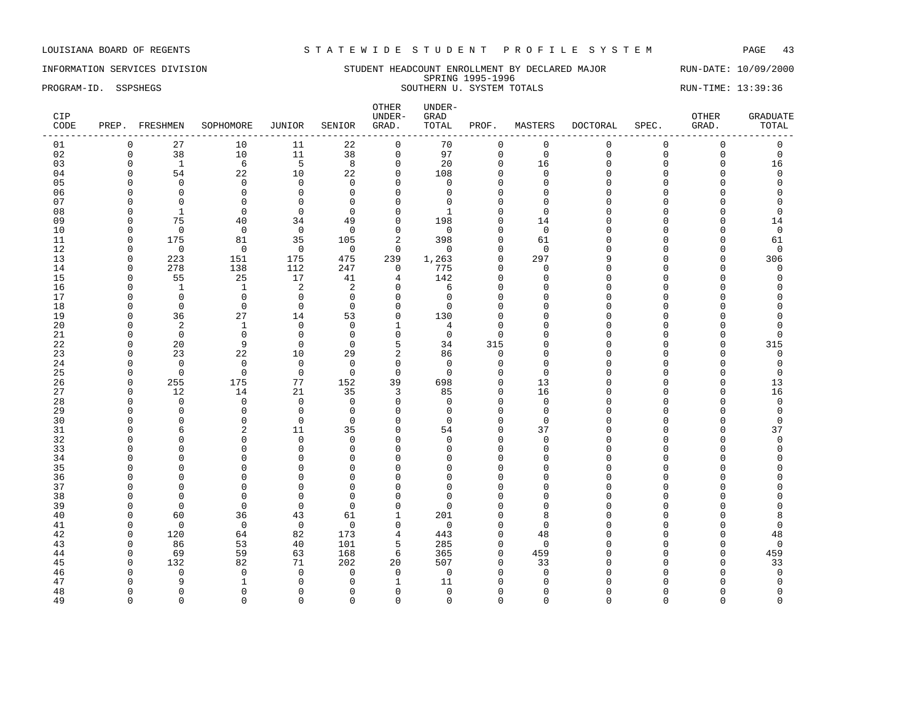### INFORMATION SERVICES DIVISION STUDENT HEADCOUNT ENROLLMENT BY DECLARED MAJOR RUN-DATE: 10/09/2000 SPRING 1995-1996 PROGRAM-ID. SSPSHEGS SOUTHERN U. SYSTEM TOTALS RUN-TIME: 13:39:36

| $\mathbf 0$<br>$\mathsf{O}\xspace$<br>01<br>$\mathbf 0$<br>27<br>10<br>11<br>22<br>$\mathsf{O}$<br>70<br>0<br>$\mathbf 0$<br>$\mathbf 0$<br>$\mathsf 0$<br>38<br>$10$<br>38<br>$\mathsf 0$<br>97<br>$\mathbf 0$<br>$\mathsf 0$<br>$\mathsf 0$<br>02<br>$\mathbf 0$<br>11<br>$\mathbf 0$<br>$\Omega$<br>$\mathbf 0$<br>6<br>5<br>8<br>03<br>$\Omega$<br>$\mathbf{1}$<br>$\mathbf 0$<br>20<br>$\Omega$<br>16<br>$\mathbf 0$<br>16<br>$\Omega$<br>$\Omega$<br>22<br>10<br>$\mathbf 0$<br>108<br>$\Omega$<br>$\Omega$<br>$\mathbf 0$<br>04<br>$\Omega$<br>54<br>22<br>$\Omega$<br>$\cap$<br>$\Omega$<br>05<br>$\mathbf 0$<br>$\mathbf 0$<br>$\Omega$<br>$\mathbf 0$<br>$\mathbf 0$<br>$\Omega$<br>$\Omega$<br>$\Omega$<br>$\cap$<br>$\Omega$<br>$\Omega$<br>$\Omega$<br>$\cap$<br>$\mathbf 0$<br>$\mathbf 0$<br>06<br>$\mathbf 0$<br>$\mathbf 0$<br>$\Omega$<br>$\Omega$<br>$\Omega$<br>$\Omega$<br>O<br>$\Omega$<br>$\Omega$<br>$\Omega$<br>$\mathbf 0$<br>$\mathbf 0$<br>07<br>$\mathbf 0$<br>$\mathbf 0$<br>$\mathbf 0$<br>$\Omega$<br>$\Omega$<br>$\Omega$<br>O<br>$\Omega$<br>$\Omega$<br>$\cap$<br>$\Omega$<br>$\Omega$<br>$\Omega$<br>$\Omega$<br>O<br>08<br>-1<br>$\Omega$<br>$\cap$<br>$\Omega$<br>n<br>-1<br>∩<br>U<br>09<br>75<br>40<br>34<br>49<br>$\mathbf 0$<br>198<br>14<br>14<br>$\Omega$<br>$\Omega$<br>$\cap$<br>$\Omega$<br>0<br>$\mathbf 0$<br>$\mathbf 0$<br>10<br>$\mathbf 0$<br>$\overline{0}$<br>$\Omega$<br>$\mathbf 0$<br>$\Omega$<br>$\mathbf 0$<br>$\Omega$<br>$\Omega$<br>$\Omega$<br>∩<br>C<br>11<br>175<br>81<br>35<br>105<br>$\overline{2}$<br>398<br>61<br>$\Omega$<br>$\Omega$<br>61<br>$\cap$<br>0<br>$\cap$<br>12<br>$\mathbf 0$<br>$\mathbf 0$<br>$\mathbf 0$<br>$\mathbf 0$<br>$\mathbf 0$<br>$\Omega$<br>$\Omega$<br>$\mathbf 0$<br>$\Omega$<br>$\Omega$<br>$\cap$<br>$\Omega$<br>$\Omega$<br>13<br>223<br>475<br>239<br>297<br>306<br>151<br>175<br>1,263<br>$\Omega$<br>$\Omega$<br>$\Omega$<br>q<br>C<br>278<br>138<br>112<br>247<br>775<br>14<br>$\Omega$<br>$\mathbf 0$<br>$\Omega$<br>$\mathbf 0$<br>$\Omega$<br>$\Omega$<br>$\Omega$<br>15<br>55<br>25<br>142<br>17<br>41<br>4<br>$\mathbf 0$<br>0<br>$\Omega$<br>$\Omega$<br>$\mathbf 0$<br>$\cap$<br>$\cap$<br>$\overline{c}$<br>$\mathbf{1}$<br>$\mathbf{1}$<br>$\overline{c}$<br>$\mathbf 0$<br>16<br>$\Omega$<br>6<br>$\Omega$<br>$\Omega$<br>O<br>$\Omega$<br>C<br>17<br>$\Omega$<br>$\Omega$<br>$\mathbf 0$<br>$\Omega$<br>$\Omega$<br>$\Omega$<br>$\Omega$<br>$\Omega$<br>$\Omega$<br>U<br>$\Omega$<br>U<br>$\mathbf 0$<br>18<br>$\mathbf 0$<br>$\mathbf 0$<br>$\mathbf 0$<br>$\Omega$<br>$\overline{0}$<br>$\Omega$<br>$\cap$<br>$\Omega$<br>U<br>C<br>19<br>36<br>27<br>53<br>$\mathbf 0$<br>130<br>14<br>$\Omega$<br>$\Omega$<br>$\Omega$<br>$\cap$<br>$\cap$<br>O<br>20<br>2<br>$\mathbf 0$<br>$\mathbf{1}$<br>$\Omega$<br>$\mathbf{1}$<br>4<br>$\mathbf{0}$<br>O<br>$\Omega$<br>$\Omega$<br>$\cap$<br>$\cap$<br>$\Omega$<br>$\mathbf 0$<br>$\mathbf 0$<br>$\mathbf 0$<br>$\mathbf 0$<br>21<br>$\Omega$<br>$\mathbf 0$<br>O<br>$\Omega$<br>$\Omega$<br>$\Omega$<br>∩<br>∩<br>U<br>22<br>20<br>9<br>$\mathbf 0$<br>5<br>34<br>315<br>$\Omega$<br>$\Omega$<br>315<br>$\mathbf 0$<br>$\Omega$<br>$\cap$<br>$\cap$<br>$\overline{2}$<br>23<br>23<br>22<br>10<br>29<br>86<br>$\mathbf{0}$<br>O<br>$\mathsf 0$<br>$\Omega$<br>$\Omega$<br>$\cap$<br>$\Omega$<br>$\Omega$<br>$\mathbf 0$<br>$\mathbf 0$<br>$\mathbf 0$<br>$\mathbf 0$<br>24<br>$\Omega$<br>$\Omega$<br>$\Omega$<br>O<br>$\Omega$<br>$\cap$<br>25<br>$\mathbf 0$<br>$\mathbf 0$<br>$\mathbf 0$<br>$\Omega$<br>$\mathbf 0$<br>$\Omega$<br>$\Omega$<br>$\Omega$<br>$\Omega$<br>O<br>$\mathbf 0$<br>∩<br>C<br>255<br>175<br>77<br>152<br>39<br>$\Omega$<br>O<br>13<br>26<br>$\Omega$<br>698<br>13<br>C<br>27<br>12<br>14<br>21<br>35<br>16<br>16<br>$\Omega$<br>3<br>85<br>$\mathbf 0$<br>$\mathbf 0$<br>C<br>28<br>$\mathbf 0$<br>$\mathbf 0$<br>$\mathbf 0$<br>$\mathbf 0$<br>$\mathbf 0$<br>$\mathbf 0$<br>$\Omega$<br>$\Omega$<br>$\Omega$<br>$\mathbf 0$<br>O<br>$\cap$<br>29<br>$\Omega$<br>$\Omega$<br>$\mathbf 0$<br>$\Omega$<br>$\Omega$<br>$\mathbf 0$<br>$\Omega$<br>$\Omega$<br>$\cap$<br>O<br>∩<br>C<br>30<br>$\Omega$<br>$\Omega$<br>$\Omega$<br>$\Omega$<br>O<br>$\Omega$<br>$\Omega$<br>$\Omega$<br>$\Omega$<br>$\Omega$<br>∩<br>C<br>37<br>31<br>2<br>11<br>35<br>$\mathbf 0$<br>54<br>37<br>0<br>$\Omega$<br>6<br>$\Omega$<br>$\cap$<br>$\Omega$<br>32<br>$\Omega$<br>$\Omega$<br>$\mathbf 0$<br>$\Omega$<br>$\mathbf{0}$<br>$\Omega$<br>$\Omega$<br>0<br>$\Omega$<br>$\Omega$<br>∩<br>33<br>$\mathbf 0$<br>$\Omega$<br>$\mathbf{0}$<br>$\Omega$<br>$\Omega$<br>$\Omega$<br>$\Omega$<br>$\Omega$<br>O<br>$\Omega$<br>$\Omega$<br>$\cap$<br>34<br>$\mathbf 0$<br>$\Omega$<br>$\Omega$<br>0<br>$\mathbf 0$<br>$\Omega$<br>$\Omega$<br>O<br>∩<br>$\Omega$<br>C<br>$\cap$<br>35<br>$\Omega$<br>$\Omega$<br>$\Omega$<br>$\Omega$<br>$\Omega$<br>$\Omega$<br>$\Omega$<br>O<br>U<br>C<br>36<br>$\Omega$<br>$\mathbf 0$<br>$\mathbf{0}$<br>$\mathbf 0$<br>$\Omega$<br>$\Omega$<br>$\Omega$<br>$\Omega$<br>$\Omega$<br>$\cap$<br>$\cap$<br>O<br>37<br>$\mathbf{0}$<br>$\mathbf 0$<br>$\Omega$<br>O<br>$\Omega$<br>$\Omega$<br>$\Omega$<br>$\Omega$<br>$\Omega$<br>$\Omega$<br>$\cap$<br>$\Omega$<br>C<br>38<br>$\Omega$<br>$\Omega$<br>$\Omega$<br>$\Omega$<br>$\Omega$<br>$\Omega$<br>$\Omega$<br>$\Omega$<br>O<br>O<br>∩<br>U<br>39<br>$\Omega$<br>$\mathbf 0$<br>$\Omega$<br>$\Omega$<br>$\Omega$<br>$\Omega$<br>$\Omega$<br>$\Omega$<br>$\Omega$<br>U<br>$\Omega$<br>U<br>40<br>60<br>36<br>43<br>61<br>201<br>$\Omega$<br>1<br>$\Omega$<br>8<br>U<br>8<br>C<br>$\mathbf 0$<br>$\mathbf 0$<br>$\mathbf 0$<br>$\mathbf 0$<br>$\mathbf 0$<br>$\mathbf 0$<br>41<br>$\Omega$<br>$\Omega$<br>O<br>$\Omega$<br>$\Omega$<br>$\cap$ | CIP<br>CODE | PREP. FRESHMEN | SOPHOMORE | JUNIOR | SENIOR | OTHER<br>UNDER-<br>GRAD. | UNDER-<br>GRAD<br>TOTAL | PROF. | MASTERS | DOCTORAL | SPEC. | OTHER<br>GRAD. | <b>GRADUATE</b><br>TOTAL |
|-----------------------------------------------------------------------------------------------------------------------------------------------------------------------------------------------------------------------------------------------------------------------------------------------------------------------------------------------------------------------------------------------------------------------------------------------------------------------------------------------------------------------------------------------------------------------------------------------------------------------------------------------------------------------------------------------------------------------------------------------------------------------------------------------------------------------------------------------------------------------------------------------------------------------------------------------------------------------------------------------------------------------------------------------------------------------------------------------------------------------------------------------------------------------------------------------------------------------------------------------------------------------------------------------------------------------------------------------------------------------------------------------------------------------------------------------------------------------------------------------------------------------------------------------------------------------------------------------------------------------------------------------------------------------------------------------------------------------------------------------------------------------------------------------------------------------------------------------------------------------------------------------------------------------------------------------------------------------------------------------------------------------------------------------------------------------------------------------------------------------------------------------------------------------------------------------------------------------------------------------------------------------------------------------------------------------------------------------------------------------------------------------------------------------------------------------------------------------------------------------------------------------------------------------------------------------------------------------------------------------------------------------------------------------------------------------------------------------------------------------------------------------------------------------------------------------------------------------------------------------------------------------------------------------------------------------------------------------------------------------------------------------------------------------------------------------------------------------------------------------------------------------------------------------------------------------------------------------------------------------------------------------------------------------------------------------------------------------------------------------------------------------------------------------------------------------------------------------------------------------------------------------------------------------------------------------------------------------------------------------------------------------------------------------------------------------------------------------------------------------------------------------------------------------------------------------------------------------------------------------------------------------------------------------------------------------------------------------------------------------------------------------------------------------------------------------------------------------------------------------------------------------------------------------------------------------------------------------------------------------------------------------------------------------------------------------------------------------------------------------------------------------------------------------------------------------------------------------------------------------------------------------------------------------------------------------------------------------------------------------------------------------------------------------------------------------------------------------------------------------------------------------------------------------------------------------------------------------------------------------------------------------------------------------------------------------------------------------------------------------------------------------------------------------------------------------------------------------------------------------------------------------------------------------------------------------------------------------------------------------------------------------------------------------------------------------------------------------------------------------------------------------------------------------------------------------------------------------------------------------------------------------------------------------------------------------------------------------------------------------------------------------------------------------------------------------------------------------------------------------------------------------------------------------------|-------------|----------------|-----------|--------|--------|--------------------------|-------------------------|-------|---------|----------|-------|----------------|--------------------------|
|                                                                                                                                                                                                                                                                                                                                                                                                                                                                                                                                                                                                                                                                                                                                                                                                                                                                                                                                                                                                                                                                                                                                                                                                                                                                                                                                                                                                                                                                                                                                                                                                                                                                                                                                                                                                                                                                                                                                                                                                                                                                                                                                                                                                                                                                                                                                                                                                                                                                                                                                                                                                                                                                                                                                                                                                                                                                                                                                                                                                                                                                                                                                                                                                                                                                                                                                                                                                                                                                                                                                                                                                                                                                                                                                                                                                                                                                                                                                                                                                                                                                                                                                                                                                                                                                                                                                                                                                                                                                                                                                                                                                                                                                                                                                                                                                                                                                                                                                                                                                                                                                                                                                                                                                                                                                                                                                                                                                                                                                                                                                                                                                                                                                                                                                                                                                     |             |                |           |        |        |                          |                         |       |         |          |       |                |                          |
|                                                                                                                                                                                                                                                                                                                                                                                                                                                                                                                                                                                                                                                                                                                                                                                                                                                                                                                                                                                                                                                                                                                                                                                                                                                                                                                                                                                                                                                                                                                                                                                                                                                                                                                                                                                                                                                                                                                                                                                                                                                                                                                                                                                                                                                                                                                                                                                                                                                                                                                                                                                                                                                                                                                                                                                                                                                                                                                                                                                                                                                                                                                                                                                                                                                                                                                                                                                                                                                                                                                                                                                                                                                                                                                                                                                                                                                                                                                                                                                                                                                                                                                                                                                                                                                                                                                                                                                                                                                                                                                                                                                                                                                                                                                                                                                                                                                                                                                                                                                                                                                                                                                                                                                                                                                                                                                                                                                                                                                                                                                                                                                                                                                                                                                                                                                                     |             |                |           |        |        |                          |                         |       |         |          |       |                |                          |
|                                                                                                                                                                                                                                                                                                                                                                                                                                                                                                                                                                                                                                                                                                                                                                                                                                                                                                                                                                                                                                                                                                                                                                                                                                                                                                                                                                                                                                                                                                                                                                                                                                                                                                                                                                                                                                                                                                                                                                                                                                                                                                                                                                                                                                                                                                                                                                                                                                                                                                                                                                                                                                                                                                                                                                                                                                                                                                                                                                                                                                                                                                                                                                                                                                                                                                                                                                                                                                                                                                                                                                                                                                                                                                                                                                                                                                                                                                                                                                                                                                                                                                                                                                                                                                                                                                                                                                                                                                                                                                                                                                                                                                                                                                                                                                                                                                                                                                                                                                                                                                                                                                                                                                                                                                                                                                                                                                                                                                                                                                                                                                                                                                                                                                                                                                                                     |             |                |           |        |        |                          |                         |       |         |          |       |                |                          |
|                                                                                                                                                                                                                                                                                                                                                                                                                                                                                                                                                                                                                                                                                                                                                                                                                                                                                                                                                                                                                                                                                                                                                                                                                                                                                                                                                                                                                                                                                                                                                                                                                                                                                                                                                                                                                                                                                                                                                                                                                                                                                                                                                                                                                                                                                                                                                                                                                                                                                                                                                                                                                                                                                                                                                                                                                                                                                                                                                                                                                                                                                                                                                                                                                                                                                                                                                                                                                                                                                                                                                                                                                                                                                                                                                                                                                                                                                                                                                                                                                                                                                                                                                                                                                                                                                                                                                                                                                                                                                                                                                                                                                                                                                                                                                                                                                                                                                                                                                                                                                                                                                                                                                                                                                                                                                                                                                                                                                                                                                                                                                                                                                                                                                                                                                                                                     |             |                |           |        |        |                          |                         |       |         |          |       |                |                          |
|                                                                                                                                                                                                                                                                                                                                                                                                                                                                                                                                                                                                                                                                                                                                                                                                                                                                                                                                                                                                                                                                                                                                                                                                                                                                                                                                                                                                                                                                                                                                                                                                                                                                                                                                                                                                                                                                                                                                                                                                                                                                                                                                                                                                                                                                                                                                                                                                                                                                                                                                                                                                                                                                                                                                                                                                                                                                                                                                                                                                                                                                                                                                                                                                                                                                                                                                                                                                                                                                                                                                                                                                                                                                                                                                                                                                                                                                                                                                                                                                                                                                                                                                                                                                                                                                                                                                                                                                                                                                                                                                                                                                                                                                                                                                                                                                                                                                                                                                                                                                                                                                                                                                                                                                                                                                                                                                                                                                                                                                                                                                                                                                                                                                                                                                                                                                     |             |                |           |        |        |                          |                         |       |         |          |       |                |                          |
|                                                                                                                                                                                                                                                                                                                                                                                                                                                                                                                                                                                                                                                                                                                                                                                                                                                                                                                                                                                                                                                                                                                                                                                                                                                                                                                                                                                                                                                                                                                                                                                                                                                                                                                                                                                                                                                                                                                                                                                                                                                                                                                                                                                                                                                                                                                                                                                                                                                                                                                                                                                                                                                                                                                                                                                                                                                                                                                                                                                                                                                                                                                                                                                                                                                                                                                                                                                                                                                                                                                                                                                                                                                                                                                                                                                                                                                                                                                                                                                                                                                                                                                                                                                                                                                                                                                                                                                                                                                                                                                                                                                                                                                                                                                                                                                                                                                                                                                                                                                                                                                                                                                                                                                                                                                                                                                                                                                                                                                                                                                                                                                                                                                                                                                                                                                                     |             |                |           |        |        |                          |                         |       |         |          |       |                |                          |
|                                                                                                                                                                                                                                                                                                                                                                                                                                                                                                                                                                                                                                                                                                                                                                                                                                                                                                                                                                                                                                                                                                                                                                                                                                                                                                                                                                                                                                                                                                                                                                                                                                                                                                                                                                                                                                                                                                                                                                                                                                                                                                                                                                                                                                                                                                                                                                                                                                                                                                                                                                                                                                                                                                                                                                                                                                                                                                                                                                                                                                                                                                                                                                                                                                                                                                                                                                                                                                                                                                                                                                                                                                                                                                                                                                                                                                                                                                                                                                                                                                                                                                                                                                                                                                                                                                                                                                                                                                                                                                                                                                                                                                                                                                                                                                                                                                                                                                                                                                                                                                                                                                                                                                                                                                                                                                                                                                                                                                                                                                                                                                                                                                                                                                                                                                                                     |             |                |           |        |        |                          |                         |       |         |          |       |                |                          |
|                                                                                                                                                                                                                                                                                                                                                                                                                                                                                                                                                                                                                                                                                                                                                                                                                                                                                                                                                                                                                                                                                                                                                                                                                                                                                                                                                                                                                                                                                                                                                                                                                                                                                                                                                                                                                                                                                                                                                                                                                                                                                                                                                                                                                                                                                                                                                                                                                                                                                                                                                                                                                                                                                                                                                                                                                                                                                                                                                                                                                                                                                                                                                                                                                                                                                                                                                                                                                                                                                                                                                                                                                                                                                                                                                                                                                                                                                                                                                                                                                                                                                                                                                                                                                                                                                                                                                                                                                                                                                                                                                                                                                                                                                                                                                                                                                                                                                                                                                                                                                                                                                                                                                                                                                                                                                                                                                                                                                                                                                                                                                                                                                                                                                                                                                                                                     |             |                |           |        |        |                          |                         |       |         |          |       |                |                          |
|                                                                                                                                                                                                                                                                                                                                                                                                                                                                                                                                                                                                                                                                                                                                                                                                                                                                                                                                                                                                                                                                                                                                                                                                                                                                                                                                                                                                                                                                                                                                                                                                                                                                                                                                                                                                                                                                                                                                                                                                                                                                                                                                                                                                                                                                                                                                                                                                                                                                                                                                                                                                                                                                                                                                                                                                                                                                                                                                                                                                                                                                                                                                                                                                                                                                                                                                                                                                                                                                                                                                                                                                                                                                                                                                                                                                                                                                                                                                                                                                                                                                                                                                                                                                                                                                                                                                                                                                                                                                                                                                                                                                                                                                                                                                                                                                                                                                                                                                                                                                                                                                                                                                                                                                                                                                                                                                                                                                                                                                                                                                                                                                                                                                                                                                                                                                     |             |                |           |        |        |                          |                         |       |         |          |       |                |                          |
|                                                                                                                                                                                                                                                                                                                                                                                                                                                                                                                                                                                                                                                                                                                                                                                                                                                                                                                                                                                                                                                                                                                                                                                                                                                                                                                                                                                                                                                                                                                                                                                                                                                                                                                                                                                                                                                                                                                                                                                                                                                                                                                                                                                                                                                                                                                                                                                                                                                                                                                                                                                                                                                                                                                                                                                                                                                                                                                                                                                                                                                                                                                                                                                                                                                                                                                                                                                                                                                                                                                                                                                                                                                                                                                                                                                                                                                                                                                                                                                                                                                                                                                                                                                                                                                                                                                                                                                                                                                                                                                                                                                                                                                                                                                                                                                                                                                                                                                                                                                                                                                                                                                                                                                                                                                                                                                                                                                                                                                                                                                                                                                                                                                                                                                                                                                                     |             |                |           |        |        |                          |                         |       |         |          |       |                |                          |
|                                                                                                                                                                                                                                                                                                                                                                                                                                                                                                                                                                                                                                                                                                                                                                                                                                                                                                                                                                                                                                                                                                                                                                                                                                                                                                                                                                                                                                                                                                                                                                                                                                                                                                                                                                                                                                                                                                                                                                                                                                                                                                                                                                                                                                                                                                                                                                                                                                                                                                                                                                                                                                                                                                                                                                                                                                                                                                                                                                                                                                                                                                                                                                                                                                                                                                                                                                                                                                                                                                                                                                                                                                                                                                                                                                                                                                                                                                                                                                                                                                                                                                                                                                                                                                                                                                                                                                                                                                                                                                                                                                                                                                                                                                                                                                                                                                                                                                                                                                                                                                                                                                                                                                                                                                                                                                                                                                                                                                                                                                                                                                                                                                                                                                                                                                                                     |             |                |           |        |        |                          |                         |       |         |          |       |                |                          |
|                                                                                                                                                                                                                                                                                                                                                                                                                                                                                                                                                                                                                                                                                                                                                                                                                                                                                                                                                                                                                                                                                                                                                                                                                                                                                                                                                                                                                                                                                                                                                                                                                                                                                                                                                                                                                                                                                                                                                                                                                                                                                                                                                                                                                                                                                                                                                                                                                                                                                                                                                                                                                                                                                                                                                                                                                                                                                                                                                                                                                                                                                                                                                                                                                                                                                                                                                                                                                                                                                                                                                                                                                                                                                                                                                                                                                                                                                                                                                                                                                                                                                                                                                                                                                                                                                                                                                                                                                                                                                                                                                                                                                                                                                                                                                                                                                                                                                                                                                                                                                                                                                                                                                                                                                                                                                                                                                                                                                                                                                                                                                                                                                                                                                                                                                                                                     |             |                |           |        |        |                          |                         |       |         |          |       |                |                          |
|                                                                                                                                                                                                                                                                                                                                                                                                                                                                                                                                                                                                                                                                                                                                                                                                                                                                                                                                                                                                                                                                                                                                                                                                                                                                                                                                                                                                                                                                                                                                                                                                                                                                                                                                                                                                                                                                                                                                                                                                                                                                                                                                                                                                                                                                                                                                                                                                                                                                                                                                                                                                                                                                                                                                                                                                                                                                                                                                                                                                                                                                                                                                                                                                                                                                                                                                                                                                                                                                                                                                                                                                                                                                                                                                                                                                                                                                                                                                                                                                                                                                                                                                                                                                                                                                                                                                                                                                                                                                                                                                                                                                                                                                                                                                                                                                                                                                                                                                                                                                                                                                                                                                                                                                                                                                                                                                                                                                                                                                                                                                                                                                                                                                                                                                                                                                     |             |                |           |        |        |                          |                         |       |         |          |       |                |                          |
|                                                                                                                                                                                                                                                                                                                                                                                                                                                                                                                                                                                                                                                                                                                                                                                                                                                                                                                                                                                                                                                                                                                                                                                                                                                                                                                                                                                                                                                                                                                                                                                                                                                                                                                                                                                                                                                                                                                                                                                                                                                                                                                                                                                                                                                                                                                                                                                                                                                                                                                                                                                                                                                                                                                                                                                                                                                                                                                                                                                                                                                                                                                                                                                                                                                                                                                                                                                                                                                                                                                                                                                                                                                                                                                                                                                                                                                                                                                                                                                                                                                                                                                                                                                                                                                                                                                                                                                                                                                                                                                                                                                                                                                                                                                                                                                                                                                                                                                                                                                                                                                                                                                                                                                                                                                                                                                                                                                                                                                                                                                                                                                                                                                                                                                                                                                                     |             |                |           |        |        |                          |                         |       |         |          |       |                |                          |
|                                                                                                                                                                                                                                                                                                                                                                                                                                                                                                                                                                                                                                                                                                                                                                                                                                                                                                                                                                                                                                                                                                                                                                                                                                                                                                                                                                                                                                                                                                                                                                                                                                                                                                                                                                                                                                                                                                                                                                                                                                                                                                                                                                                                                                                                                                                                                                                                                                                                                                                                                                                                                                                                                                                                                                                                                                                                                                                                                                                                                                                                                                                                                                                                                                                                                                                                                                                                                                                                                                                                                                                                                                                                                                                                                                                                                                                                                                                                                                                                                                                                                                                                                                                                                                                                                                                                                                                                                                                                                                                                                                                                                                                                                                                                                                                                                                                                                                                                                                                                                                                                                                                                                                                                                                                                                                                                                                                                                                                                                                                                                                                                                                                                                                                                                                                                     |             |                |           |        |        |                          |                         |       |         |          |       |                |                          |
|                                                                                                                                                                                                                                                                                                                                                                                                                                                                                                                                                                                                                                                                                                                                                                                                                                                                                                                                                                                                                                                                                                                                                                                                                                                                                                                                                                                                                                                                                                                                                                                                                                                                                                                                                                                                                                                                                                                                                                                                                                                                                                                                                                                                                                                                                                                                                                                                                                                                                                                                                                                                                                                                                                                                                                                                                                                                                                                                                                                                                                                                                                                                                                                                                                                                                                                                                                                                                                                                                                                                                                                                                                                                                                                                                                                                                                                                                                                                                                                                                                                                                                                                                                                                                                                                                                                                                                                                                                                                                                                                                                                                                                                                                                                                                                                                                                                                                                                                                                                                                                                                                                                                                                                                                                                                                                                                                                                                                                                                                                                                                                                                                                                                                                                                                                                                     |             |                |           |        |        |                          |                         |       |         |          |       |                |                          |
|                                                                                                                                                                                                                                                                                                                                                                                                                                                                                                                                                                                                                                                                                                                                                                                                                                                                                                                                                                                                                                                                                                                                                                                                                                                                                                                                                                                                                                                                                                                                                                                                                                                                                                                                                                                                                                                                                                                                                                                                                                                                                                                                                                                                                                                                                                                                                                                                                                                                                                                                                                                                                                                                                                                                                                                                                                                                                                                                                                                                                                                                                                                                                                                                                                                                                                                                                                                                                                                                                                                                                                                                                                                                                                                                                                                                                                                                                                                                                                                                                                                                                                                                                                                                                                                                                                                                                                                                                                                                                                                                                                                                                                                                                                                                                                                                                                                                                                                                                                                                                                                                                                                                                                                                                                                                                                                                                                                                                                                                                                                                                                                                                                                                                                                                                                                                     |             |                |           |        |        |                          |                         |       |         |          |       |                |                          |
|                                                                                                                                                                                                                                                                                                                                                                                                                                                                                                                                                                                                                                                                                                                                                                                                                                                                                                                                                                                                                                                                                                                                                                                                                                                                                                                                                                                                                                                                                                                                                                                                                                                                                                                                                                                                                                                                                                                                                                                                                                                                                                                                                                                                                                                                                                                                                                                                                                                                                                                                                                                                                                                                                                                                                                                                                                                                                                                                                                                                                                                                                                                                                                                                                                                                                                                                                                                                                                                                                                                                                                                                                                                                                                                                                                                                                                                                                                                                                                                                                                                                                                                                                                                                                                                                                                                                                                                                                                                                                                                                                                                                                                                                                                                                                                                                                                                                                                                                                                                                                                                                                                                                                                                                                                                                                                                                                                                                                                                                                                                                                                                                                                                                                                                                                                                                     |             |                |           |        |        |                          |                         |       |         |          |       |                |                          |
|                                                                                                                                                                                                                                                                                                                                                                                                                                                                                                                                                                                                                                                                                                                                                                                                                                                                                                                                                                                                                                                                                                                                                                                                                                                                                                                                                                                                                                                                                                                                                                                                                                                                                                                                                                                                                                                                                                                                                                                                                                                                                                                                                                                                                                                                                                                                                                                                                                                                                                                                                                                                                                                                                                                                                                                                                                                                                                                                                                                                                                                                                                                                                                                                                                                                                                                                                                                                                                                                                                                                                                                                                                                                                                                                                                                                                                                                                                                                                                                                                                                                                                                                                                                                                                                                                                                                                                                                                                                                                                                                                                                                                                                                                                                                                                                                                                                                                                                                                                                                                                                                                                                                                                                                                                                                                                                                                                                                                                                                                                                                                                                                                                                                                                                                                                                                     |             |                |           |        |        |                          |                         |       |         |          |       |                |                          |
|                                                                                                                                                                                                                                                                                                                                                                                                                                                                                                                                                                                                                                                                                                                                                                                                                                                                                                                                                                                                                                                                                                                                                                                                                                                                                                                                                                                                                                                                                                                                                                                                                                                                                                                                                                                                                                                                                                                                                                                                                                                                                                                                                                                                                                                                                                                                                                                                                                                                                                                                                                                                                                                                                                                                                                                                                                                                                                                                                                                                                                                                                                                                                                                                                                                                                                                                                                                                                                                                                                                                                                                                                                                                                                                                                                                                                                                                                                                                                                                                                                                                                                                                                                                                                                                                                                                                                                                                                                                                                                                                                                                                                                                                                                                                                                                                                                                                                                                                                                                                                                                                                                                                                                                                                                                                                                                                                                                                                                                                                                                                                                                                                                                                                                                                                                                                     |             |                |           |        |        |                          |                         |       |         |          |       |                |                          |
|                                                                                                                                                                                                                                                                                                                                                                                                                                                                                                                                                                                                                                                                                                                                                                                                                                                                                                                                                                                                                                                                                                                                                                                                                                                                                                                                                                                                                                                                                                                                                                                                                                                                                                                                                                                                                                                                                                                                                                                                                                                                                                                                                                                                                                                                                                                                                                                                                                                                                                                                                                                                                                                                                                                                                                                                                                                                                                                                                                                                                                                                                                                                                                                                                                                                                                                                                                                                                                                                                                                                                                                                                                                                                                                                                                                                                                                                                                                                                                                                                                                                                                                                                                                                                                                                                                                                                                                                                                                                                                                                                                                                                                                                                                                                                                                                                                                                                                                                                                                                                                                                                                                                                                                                                                                                                                                                                                                                                                                                                                                                                                                                                                                                                                                                                                                                     |             |                |           |        |        |                          |                         |       |         |          |       |                |                          |
|                                                                                                                                                                                                                                                                                                                                                                                                                                                                                                                                                                                                                                                                                                                                                                                                                                                                                                                                                                                                                                                                                                                                                                                                                                                                                                                                                                                                                                                                                                                                                                                                                                                                                                                                                                                                                                                                                                                                                                                                                                                                                                                                                                                                                                                                                                                                                                                                                                                                                                                                                                                                                                                                                                                                                                                                                                                                                                                                                                                                                                                                                                                                                                                                                                                                                                                                                                                                                                                                                                                                                                                                                                                                                                                                                                                                                                                                                                                                                                                                                                                                                                                                                                                                                                                                                                                                                                                                                                                                                                                                                                                                                                                                                                                                                                                                                                                                                                                                                                                                                                                                                                                                                                                                                                                                                                                                                                                                                                                                                                                                                                                                                                                                                                                                                                                                     |             |                |           |        |        |                          |                         |       |         |          |       |                |                          |
|                                                                                                                                                                                                                                                                                                                                                                                                                                                                                                                                                                                                                                                                                                                                                                                                                                                                                                                                                                                                                                                                                                                                                                                                                                                                                                                                                                                                                                                                                                                                                                                                                                                                                                                                                                                                                                                                                                                                                                                                                                                                                                                                                                                                                                                                                                                                                                                                                                                                                                                                                                                                                                                                                                                                                                                                                                                                                                                                                                                                                                                                                                                                                                                                                                                                                                                                                                                                                                                                                                                                                                                                                                                                                                                                                                                                                                                                                                                                                                                                                                                                                                                                                                                                                                                                                                                                                                                                                                                                                                                                                                                                                                                                                                                                                                                                                                                                                                                                                                                                                                                                                                                                                                                                                                                                                                                                                                                                                                                                                                                                                                                                                                                                                                                                                                                                     |             |                |           |        |        |                          |                         |       |         |          |       |                |                          |
|                                                                                                                                                                                                                                                                                                                                                                                                                                                                                                                                                                                                                                                                                                                                                                                                                                                                                                                                                                                                                                                                                                                                                                                                                                                                                                                                                                                                                                                                                                                                                                                                                                                                                                                                                                                                                                                                                                                                                                                                                                                                                                                                                                                                                                                                                                                                                                                                                                                                                                                                                                                                                                                                                                                                                                                                                                                                                                                                                                                                                                                                                                                                                                                                                                                                                                                                                                                                                                                                                                                                                                                                                                                                                                                                                                                                                                                                                                                                                                                                                                                                                                                                                                                                                                                                                                                                                                                                                                                                                                                                                                                                                                                                                                                                                                                                                                                                                                                                                                                                                                                                                                                                                                                                                                                                                                                                                                                                                                                                                                                                                                                                                                                                                                                                                                                                     |             |                |           |        |        |                          |                         |       |         |          |       |                |                          |
|                                                                                                                                                                                                                                                                                                                                                                                                                                                                                                                                                                                                                                                                                                                                                                                                                                                                                                                                                                                                                                                                                                                                                                                                                                                                                                                                                                                                                                                                                                                                                                                                                                                                                                                                                                                                                                                                                                                                                                                                                                                                                                                                                                                                                                                                                                                                                                                                                                                                                                                                                                                                                                                                                                                                                                                                                                                                                                                                                                                                                                                                                                                                                                                                                                                                                                                                                                                                                                                                                                                                                                                                                                                                                                                                                                                                                                                                                                                                                                                                                                                                                                                                                                                                                                                                                                                                                                                                                                                                                                                                                                                                                                                                                                                                                                                                                                                                                                                                                                                                                                                                                                                                                                                                                                                                                                                                                                                                                                                                                                                                                                                                                                                                                                                                                                                                     |             |                |           |        |        |                          |                         |       |         |          |       |                |                          |
|                                                                                                                                                                                                                                                                                                                                                                                                                                                                                                                                                                                                                                                                                                                                                                                                                                                                                                                                                                                                                                                                                                                                                                                                                                                                                                                                                                                                                                                                                                                                                                                                                                                                                                                                                                                                                                                                                                                                                                                                                                                                                                                                                                                                                                                                                                                                                                                                                                                                                                                                                                                                                                                                                                                                                                                                                                                                                                                                                                                                                                                                                                                                                                                                                                                                                                                                                                                                                                                                                                                                                                                                                                                                                                                                                                                                                                                                                                                                                                                                                                                                                                                                                                                                                                                                                                                                                                                                                                                                                                                                                                                                                                                                                                                                                                                                                                                                                                                                                                                                                                                                                                                                                                                                                                                                                                                                                                                                                                                                                                                                                                                                                                                                                                                                                                                                     |             |                |           |        |        |                          |                         |       |         |          |       |                |                          |
|                                                                                                                                                                                                                                                                                                                                                                                                                                                                                                                                                                                                                                                                                                                                                                                                                                                                                                                                                                                                                                                                                                                                                                                                                                                                                                                                                                                                                                                                                                                                                                                                                                                                                                                                                                                                                                                                                                                                                                                                                                                                                                                                                                                                                                                                                                                                                                                                                                                                                                                                                                                                                                                                                                                                                                                                                                                                                                                                                                                                                                                                                                                                                                                                                                                                                                                                                                                                                                                                                                                                                                                                                                                                                                                                                                                                                                                                                                                                                                                                                                                                                                                                                                                                                                                                                                                                                                                                                                                                                                                                                                                                                                                                                                                                                                                                                                                                                                                                                                                                                                                                                                                                                                                                                                                                                                                                                                                                                                                                                                                                                                                                                                                                                                                                                                                                     |             |                |           |        |        |                          |                         |       |         |          |       |                |                          |
|                                                                                                                                                                                                                                                                                                                                                                                                                                                                                                                                                                                                                                                                                                                                                                                                                                                                                                                                                                                                                                                                                                                                                                                                                                                                                                                                                                                                                                                                                                                                                                                                                                                                                                                                                                                                                                                                                                                                                                                                                                                                                                                                                                                                                                                                                                                                                                                                                                                                                                                                                                                                                                                                                                                                                                                                                                                                                                                                                                                                                                                                                                                                                                                                                                                                                                                                                                                                                                                                                                                                                                                                                                                                                                                                                                                                                                                                                                                                                                                                                                                                                                                                                                                                                                                                                                                                                                                                                                                                                                                                                                                                                                                                                                                                                                                                                                                                                                                                                                                                                                                                                                                                                                                                                                                                                                                                                                                                                                                                                                                                                                                                                                                                                                                                                                                                     |             |                |           |        |        |                          |                         |       |         |          |       |                |                          |
|                                                                                                                                                                                                                                                                                                                                                                                                                                                                                                                                                                                                                                                                                                                                                                                                                                                                                                                                                                                                                                                                                                                                                                                                                                                                                                                                                                                                                                                                                                                                                                                                                                                                                                                                                                                                                                                                                                                                                                                                                                                                                                                                                                                                                                                                                                                                                                                                                                                                                                                                                                                                                                                                                                                                                                                                                                                                                                                                                                                                                                                                                                                                                                                                                                                                                                                                                                                                                                                                                                                                                                                                                                                                                                                                                                                                                                                                                                                                                                                                                                                                                                                                                                                                                                                                                                                                                                                                                                                                                                                                                                                                                                                                                                                                                                                                                                                                                                                                                                                                                                                                                                                                                                                                                                                                                                                                                                                                                                                                                                                                                                                                                                                                                                                                                                                                     |             |                |           |        |        |                          |                         |       |         |          |       |                |                          |
|                                                                                                                                                                                                                                                                                                                                                                                                                                                                                                                                                                                                                                                                                                                                                                                                                                                                                                                                                                                                                                                                                                                                                                                                                                                                                                                                                                                                                                                                                                                                                                                                                                                                                                                                                                                                                                                                                                                                                                                                                                                                                                                                                                                                                                                                                                                                                                                                                                                                                                                                                                                                                                                                                                                                                                                                                                                                                                                                                                                                                                                                                                                                                                                                                                                                                                                                                                                                                                                                                                                                                                                                                                                                                                                                                                                                                                                                                                                                                                                                                                                                                                                                                                                                                                                                                                                                                                                                                                                                                                                                                                                                                                                                                                                                                                                                                                                                                                                                                                                                                                                                                                                                                                                                                                                                                                                                                                                                                                                                                                                                                                                                                                                                                                                                                                                                     |             |                |           |        |        |                          |                         |       |         |          |       |                |                          |
|                                                                                                                                                                                                                                                                                                                                                                                                                                                                                                                                                                                                                                                                                                                                                                                                                                                                                                                                                                                                                                                                                                                                                                                                                                                                                                                                                                                                                                                                                                                                                                                                                                                                                                                                                                                                                                                                                                                                                                                                                                                                                                                                                                                                                                                                                                                                                                                                                                                                                                                                                                                                                                                                                                                                                                                                                                                                                                                                                                                                                                                                                                                                                                                                                                                                                                                                                                                                                                                                                                                                                                                                                                                                                                                                                                                                                                                                                                                                                                                                                                                                                                                                                                                                                                                                                                                                                                                                                                                                                                                                                                                                                                                                                                                                                                                                                                                                                                                                                                                                                                                                                                                                                                                                                                                                                                                                                                                                                                                                                                                                                                                                                                                                                                                                                                                                     |             |                |           |        |        |                          |                         |       |         |          |       |                |                          |
|                                                                                                                                                                                                                                                                                                                                                                                                                                                                                                                                                                                                                                                                                                                                                                                                                                                                                                                                                                                                                                                                                                                                                                                                                                                                                                                                                                                                                                                                                                                                                                                                                                                                                                                                                                                                                                                                                                                                                                                                                                                                                                                                                                                                                                                                                                                                                                                                                                                                                                                                                                                                                                                                                                                                                                                                                                                                                                                                                                                                                                                                                                                                                                                                                                                                                                                                                                                                                                                                                                                                                                                                                                                                                                                                                                                                                                                                                                                                                                                                                                                                                                                                                                                                                                                                                                                                                                                                                                                                                                                                                                                                                                                                                                                                                                                                                                                                                                                                                                                                                                                                                                                                                                                                                                                                                                                                                                                                                                                                                                                                                                                                                                                                                                                                                                                                     |             |                |           |        |        |                          |                         |       |         |          |       |                |                          |
|                                                                                                                                                                                                                                                                                                                                                                                                                                                                                                                                                                                                                                                                                                                                                                                                                                                                                                                                                                                                                                                                                                                                                                                                                                                                                                                                                                                                                                                                                                                                                                                                                                                                                                                                                                                                                                                                                                                                                                                                                                                                                                                                                                                                                                                                                                                                                                                                                                                                                                                                                                                                                                                                                                                                                                                                                                                                                                                                                                                                                                                                                                                                                                                                                                                                                                                                                                                                                                                                                                                                                                                                                                                                                                                                                                                                                                                                                                                                                                                                                                                                                                                                                                                                                                                                                                                                                                                                                                                                                                                                                                                                                                                                                                                                                                                                                                                                                                                                                                                                                                                                                                                                                                                                                                                                                                                                                                                                                                                                                                                                                                                                                                                                                                                                                                                                     |             |                |           |        |        |                          |                         |       |         |          |       |                |                          |
|                                                                                                                                                                                                                                                                                                                                                                                                                                                                                                                                                                                                                                                                                                                                                                                                                                                                                                                                                                                                                                                                                                                                                                                                                                                                                                                                                                                                                                                                                                                                                                                                                                                                                                                                                                                                                                                                                                                                                                                                                                                                                                                                                                                                                                                                                                                                                                                                                                                                                                                                                                                                                                                                                                                                                                                                                                                                                                                                                                                                                                                                                                                                                                                                                                                                                                                                                                                                                                                                                                                                                                                                                                                                                                                                                                                                                                                                                                                                                                                                                                                                                                                                                                                                                                                                                                                                                                                                                                                                                                                                                                                                                                                                                                                                                                                                                                                                                                                                                                                                                                                                                                                                                                                                                                                                                                                                                                                                                                                                                                                                                                                                                                                                                                                                                                                                     |             |                |           |        |        |                          |                         |       |         |          |       |                |                          |
|                                                                                                                                                                                                                                                                                                                                                                                                                                                                                                                                                                                                                                                                                                                                                                                                                                                                                                                                                                                                                                                                                                                                                                                                                                                                                                                                                                                                                                                                                                                                                                                                                                                                                                                                                                                                                                                                                                                                                                                                                                                                                                                                                                                                                                                                                                                                                                                                                                                                                                                                                                                                                                                                                                                                                                                                                                                                                                                                                                                                                                                                                                                                                                                                                                                                                                                                                                                                                                                                                                                                                                                                                                                                                                                                                                                                                                                                                                                                                                                                                                                                                                                                                                                                                                                                                                                                                                                                                                                                                                                                                                                                                                                                                                                                                                                                                                                                                                                                                                                                                                                                                                                                                                                                                                                                                                                                                                                                                                                                                                                                                                                                                                                                                                                                                                                                     |             |                |           |        |        |                          |                         |       |         |          |       |                |                          |
|                                                                                                                                                                                                                                                                                                                                                                                                                                                                                                                                                                                                                                                                                                                                                                                                                                                                                                                                                                                                                                                                                                                                                                                                                                                                                                                                                                                                                                                                                                                                                                                                                                                                                                                                                                                                                                                                                                                                                                                                                                                                                                                                                                                                                                                                                                                                                                                                                                                                                                                                                                                                                                                                                                                                                                                                                                                                                                                                                                                                                                                                                                                                                                                                                                                                                                                                                                                                                                                                                                                                                                                                                                                                                                                                                                                                                                                                                                                                                                                                                                                                                                                                                                                                                                                                                                                                                                                                                                                                                                                                                                                                                                                                                                                                                                                                                                                                                                                                                                                                                                                                                                                                                                                                                                                                                                                                                                                                                                                                                                                                                                                                                                                                                                                                                                                                     |             |                |           |        |        |                          |                         |       |         |          |       |                |                          |
|                                                                                                                                                                                                                                                                                                                                                                                                                                                                                                                                                                                                                                                                                                                                                                                                                                                                                                                                                                                                                                                                                                                                                                                                                                                                                                                                                                                                                                                                                                                                                                                                                                                                                                                                                                                                                                                                                                                                                                                                                                                                                                                                                                                                                                                                                                                                                                                                                                                                                                                                                                                                                                                                                                                                                                                                                                                                                                                                                                                                                                                                                                                                                                                                                                                                                                                                                                                                                                                                                                                                                                                                                                                                                                                                                                                                                                                                                                                                                                                                                                                                                                                                                                                                                                                                                                                                                                                                                                                                                                                                                                                                                                                                                                                                                                                                                                                                                                                                                                                                                                                                                                                                                                                                                                                                                                                                                                                                                                                                                                                                                                                                                                                                                                                                                                                                     |             |                |           |        |        |                          |                         |       |         |          |       |                |                          |
|                                                                                                                                                                                                                                                                                                                                                                                                                                                                                                                                                                                                                                                                                                                                                                                                                                                                                                                                                                                                                                                                                                                                                                                                                                                                                                                                                                                                                                                                                                                                                                                                                                                                                                                                                                                                                                                                                                                                                                                                                                                                                                                                                                                                                                                                                                                                                                                                                                                                                                                                                                                                                                                                                                                                                                                                                                                                                                                                                                                                                                                                                                                                                                                                                                                                                                                                                                                                                                                                                                                                                                                                                                                                                                                                                                                                                                                                                                                                                                                                                                                                                                                                                                                                                                                                                                                                                                                                                                                                                                                                                                                                                                                                                                                                                                                                                                                                                                                                                                                                                                                                                                                                                                                                                                                                                                                                                                                                                                                                                                                                                                                                                                                                                                                                                                                                     |             |                |           |        |        |                          |                         |       |         |          |       |                |                          |
|                                                                                                                                                                                                                                                                                                                                                                                                                                                                                                                                                                                                                                                                                                                                                                                                                                                                                                                                                                                                                                                                                                                                                                                                                                                                                                                                                                                                                                                                                                                                                                                                                                                                                                                                                                                                                                                                                                                                                                                                                                                                                                                                                                                                                                                                                                                                                                                                                                                                                                                                                                                                                                                                                                                                                                                                                                                                                                                                                                                                                                                                                                                                                                                                                                                                                                                                                                                                                                                                                                                                                                                                                                                                                                                                                                                                                                                                                                                                                                                                                                                                                                                                                                                                                                                                                                                                                                                                                                                                                                                                                                                                                                                                                                                                                                                                                                                                                                                                                                                                                                                                                                                                                                                                                                                                                                                                                                                                                                                                                                                                                                                                                                                                                                                                                                                                     |             |                |           |        |        |                          |                         |       |         |          |       |                |                          |
| ∩                                                                                                                                                                                                                                                                                                                                                                                                                                                                                                                                                                                                                                                                                                                                                                                                                                                                                                                                                                                                                                                                                                                                                                                                                                                                                                                                                                                                                                                                                                                                                                                                                                                                                                                                                                                                                                                                                                                                                                                                                                                                                                                                                                                                                                                                                                                                                                                                                                                                                                                                                                                                                                                                                                                                                                                                                                                                                                                                                                                                                                                                                                                                                                                                                                                                                                                                                                                                                                                                                                                                                                                                                                                                                                                                                                                                                                                                                                                                                                                                                                                                                                                                                                                                                                                                                                                                                                                                                                                                                                                                                                                                                                                                                                                                                                                                                                                                                                                                                                                                                                                                                                                                                                                                                                                                                                                                                                                                                                                                                                                                                                                                                                                                                                                                                                                                   |             |                |           |        |        |                          |                         |       |         |          |       |                |                          |
| 48<br>42<br>$\Omega$<br>120<br>64<br>82<br>173<br>4<br>443<br>48<br>$\Omega$<br>0<br>C<br>101<br>5<br>$\Omega$<br>$\Omega$<br>$\Omega$<br>O<br>$\mathbf 0$<br>U                                                                                                                                                                                                                                                                                                                                                                                                                                                                                                                                                                                                                                                                                                                                                                                                                                                                                                                                                                                                                                                                                                                                                                                                                                                                                                                                                                                                                                                                                                                                                                                                                                                                                                                                                                                                                                                                                                                                                                                                                                                                                                                                                                                                                                                                                                                                                                                                                                                                                                                                                                                                                                                                                                                                                                                                                                                                                                                                                                                                                                                                                                                                                                                                                                                                                                                                                                                                                                                                                                                                                                                                                                                                                                                                                                                                                                                                                                                                                                                                                                                                                                                                                                                                                                                                                                                                                                                                                                                                                                                                                                                                                                                                                                                                                                                                                                                                                                                                                                                                                                                                                                                                                                                                                                                                                                                                                                                                                                                                                                                                                                                                                                     |             |                |           |        |        |                          |                         |       |         |          |       |                |                          |
| 43<br>86<br>53<br>40<br>285<br>69<br>59<br>168<br>6<br>365<br>459<br>459<br>44<br>$\Omega$<br>63<br>$\mathbf 0$<br>$\mathbf 0$<br>$\Omega$                                                                                                                                                                                                                                                                                                                                                                                                                                                                                                                                                                                                                                                                                                                                                                                                                                                                                                                                                                                                                                                                                                                                                                                                                                                                                                                                                                                                                                                                                                                                                                                                                                                                                                                                                                                                                                                                                                                                                                                                                                                                                                                                                                                                                                                                                                                                                                                                                                                                                                                                                                                                                                                                                                                                                                                                                                                                                                                                                                                                                                                                                                                                                                                                                                                                                                                                                                                                                                                                                                                                                                                                                                                                                                                                                                                                                                                                                                                                                                                                                                                                                                                                                                                                                                                                                                                                                                                                                                                                                                                                                                                                                                                                                                                                                                                                                                                                                                                                                                                                                                                                                                                                                                                                                                                                                                                                                                                                                                                                                                                                                                                                                                                          |             |                |           |        |        |                          |                         |       |         |          |       |                |                          |
| 507<br>45<br>132<br>82<br>71<br>202<br>20<br>$\Omega$<br>33<br>$\Omega$<br>33<br>$\Omega$<br>$\cap$<br>$\cap$                                                                                                                                                                                                                                                                                                                                                                                                                                                                                                                                                                                                                                                                                                                                                                                                                                                                                                                                                                                                                                                                                                                                                                                                                                                                                                                                                                                                                                                                                                                                                                                                                                                                                                                                                                                                                                                                                                                                                                                                                                                                                                                                                                                                                                                                                                                                                                                                                                                                                                                                                                                                                                                                                                                                                                                                                                                                                                                                                                                                                                                                                                                                                                                                                                                                                                                                                                                                                                                                                                                                                                                                                                                                                                                                                                                                                                                                                                                                                                                                                                                                                                                                                                                                                                                                                                                                                                                                                                                                                                                                                                                                                                                                                                                                                                                                                                                                                                                                                                                                                                                                                                                                                                                                                                                                                                                                                                                                                                                                                                                                                                                                                                                                                       |             |                |           |        |        |                          |                         |       |         |          |       |                |                          |
| $\Omega$<br>$\Omega$<br>$\Omega$<br>$\overline{0}$<br>$\mathbf 0$<br>$\mathbf 0$<br>0<br>$\Omega$<br>$\Omega$<br>O<br>46<br>$\Omega$<br>$\cap$<br>C                                                                                                                                                                                                                                                                                                                                                                                                                                                                                                                                                                                                                                                                                                                                                                                                                                                                                                                                                                                                                                                                                                                                                                                                                                                                                                                                                                                                                                                                                                                                                                                                                                                                                                                                                                                                                                                                                                                                                                                                                                                                                                                                                                                                                                                                                                                                                                                                                                                                                                                                                                                                                                                                                                                                                                                                                                                                                                                                                                                                                                                                                                                                                                                                                                                                                                                                                                                                                                                                                                                                                                                                                                                                                                                                                                                                                                                                                                                                                                                                                                                                                                                                                                                                                                                                                                                                                                                                                                                                                                                                                                                                                                                                                                                                                                                                                                                                                                                                                                                                                                                                                                                                                                                                                                                                                                                                                                                                                                                                                                                                                                                                                                                 |             |                |           |        |        |                          |                         |       |         |          |       |                |                          |
| 11<br>47<br>9<br>$\Omega$<br>$\Omega$<br>1<br>U<br>$\Omega$<br>1<br>O<br>∩                                                                                                                                                                                                                                                                                                                                                                                                                                                                                                                                                                                                                                                                                                                                                                                                                                                                                                                                                                                                                                                                                                                                                                                                                                                                                                                                                                                                                                                                                                                                                                                                                                                                                                                                                                                                                                                                                                                                                                                                                                                                                                                                                                                                                                                                                                                                                                                                                                                                                                                                                                                                                                                                                                                                                                                                                                                                                                                                                                                                                                                                                                                                                                                                                                                                                                                                                                                                                                                                                                                                                                                                                                                                                                                                                                                                                                                                                                                                                                                                                                                                                                                                                                                                                                                                                                                                                                                                                                                                                                                                                                                                                                                                                                                                                                                                                                                                                                                                                                                                                                                                                                                                                                                                                                                                                                                                                                                                                                                                                                                                                                                                                                                                                                                          |             |                |           |        |        |                          |                         |       |         |          |       |                |                          |
| $\mathbf 0$<br>$\mathbf 0$<br>48<br>$\Omega$<br>$\Omega$<br>$\mathbf 0$<br>$\Omega$<br>0<br>$\Omega$<br>$\Omega$<br>O<br><sup>0</sup><br>C                                                                                                                                                                                                                                                                                                                                                                                                                                                                                                                                                                                                                                                                                                                                                                                                                                                                                                                                                                                                                                                                                                                                                                                                                                                                                                                                                                                                                                                                                                                                                                                                                                                                                                                                                                                                                                                                                                                                                                                                                                                                                                                                                                                                                                                                                                                                                                                                                                                                                                                                                                                                                                                                                                                                                                                                                                                                                                                                                                                                                                                                                                                                                                                                                                                                                                                                                                                                                                                                                                                                                                                                                                                                                                                                                                                                                                                                                                                                                                                                                                                                                                                                                                                                                                                                                                                                                                                                                                                                                                                                                                                                                                                                                                                                                                                                                                                                                                                                                                                                                                                                                                                                                                                                                                                                                                                                                                                                                                                                                                                                                                                                                                                          |             |                |           |        |        |                          |                         |       |         |          |       |                |                          |
| 49<br>$\Omega$<br>$\Omega$<br>$\Omega$<br>$\Omega$<br>$\Omega$<br>$\Omega$<br>$\Omega$<br>$\Omega$<br>$\Omega$<br>$\Omega$<br>$\Omega$<br>$\Omega$<br>$\Omega$                                                                                                                                                                                                                                                                                                                                                                                                                                                                                                                                                                                                                                                                                                                                                                                                                                                                                                                                                                                                                                                                                                                                                                                                                                                                                                                                                                                                                                                                                                                                                                                                                                                                                                                                                                                                                                                                                                                                                                                                                                                                                                                                                                                                                                                                                                                                                                                                                                                                                                                                                                                                                                                                                                                                                                                                                                                                                                                                                                                                                                                                                                                                                                                                                                                                                                                                                                                                                                                                                                                                                                                                                                                                                                                                                                                                                                                                                                                                                                                                                                                                                                                                                                                                                                                                                                                                                                                                                                                                                                                                                                                                                                                                                                                                                                                                                                                                                                                                                                                                                                                                                                                                                                                                                                                                                                                                                                                                                                                                                                                                                                                                                                      |             |                |           |        |        |                          |                         |       |         |          |       |                |                          |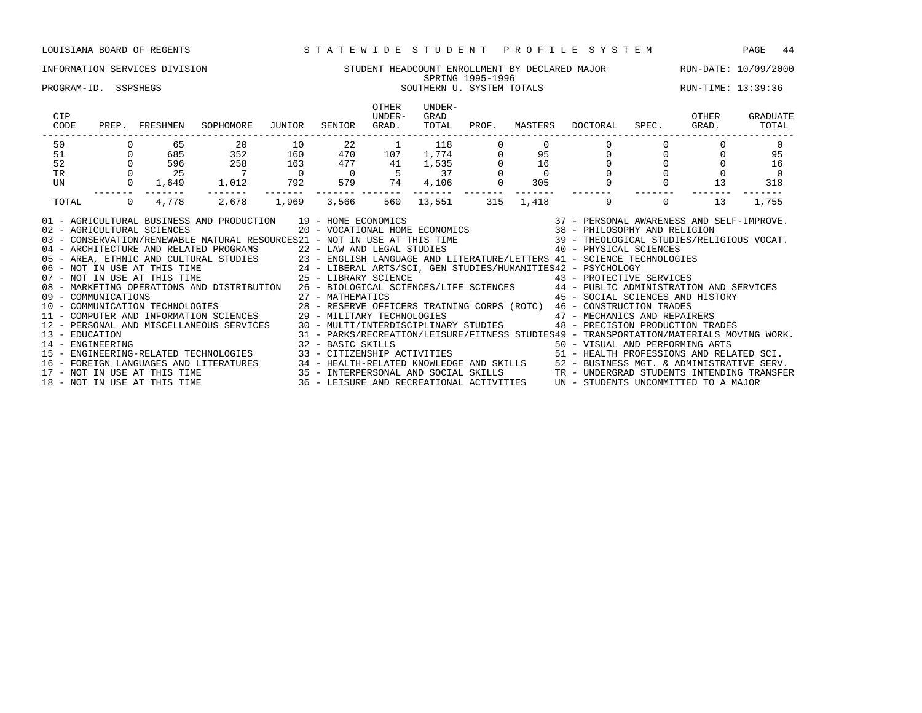# INFORMATION SERVICES DIVISION SUNDENT STUDENT HEADCOUNT ENROLLMENT BY DECLARED MAJOR RUN-DATE: 10/09/2000 SPRING 1995-1996

### PROGRAM-ID. SSPSHEGS SOUTHERN U. SYSTEM TOTALS SOUTHERN U. SYSTEM TOTALS RUN-TIME: 13:39:36

| CIP<br>CODE    | PREP.    | FRESHMEN                     | SOPHOMORE                                                                                                                                                                                                                                                                                                                                                                                                                                                                                                                                                                                                                                                                      | JUNIOR         | SENIOR  | OTHER<br>UNDER-<br>GRAD. | UNDER-<br>GRAD<br>TOTAL                                           | PROF. | MASTERS         | DOCTORAL                                                                                | SPEC.        | OTHER<br>GRAD. | GRADUATE<br>TOTAL |
|----------------|----------|------------------------------|--------------------------------------------------------------------------------------------------------------------------------------------------------------------------------------------------------------------------------------------------------------------------------------------------------------------------------------------------------------------------------------------------------------------------------------------------------------------------------------------------------------------------------------------------------------------------------------------------------------------------------------------------------------------------------|----------------|---------|--------------------------|-------------------------------------------------------------------|-------|-----------------|-----------------------------------------------------------------------------------------|--------------|----------------|-------------------|
| 50             |          | 65                           | 20                                                                                                                                                                                                                                                                                                                                                                                                                                                                                                                                                                                                                                                                             | 10             | 22      | $\overline{1}$           | 118<br>$\begin{array}{c} 118 \\ 1,774 \\ 1,535 \\ 37 \end{array}$ |       |                 |                                                                                         |              |                |                   |
| 51             |          | 685                          | 352                                                                                                                                                                                                                                                                                                                                                                                                                                                                                                                                                                                                                                                                            | 160            | 470 107 |                          |                                                                   |       | $\frac{95}{16}$ |                                                                                         |              |                | 95                |
| 52             |          | 596                          | 258                                                                                                                                                                                                                                                                                                                                                                                                                                                                                                                                                                                                                                                                            | 163            | 477     | 41                       |                                                                   |       |                 |                                                                                         |              |                | 16                |
| <b>TR</b>      |          | 25                           | $\overline{7}$                                                                                                                                                                                                                                                                                                                                                                                                                                                                                                                                                                                                                                                                 | $\overline{0}$ |         |                          |                                                                   |       | $\Omega$        |                                                                                         |              |                | $\Omega$          |
| UN             |          | 0<br>1,649                   | 1,012 792                                                                                                                                                                                                                                                                                                                                                                                                                                                                                                                                                                                                                                                                      |                |         | 579 74                   | 4,106                                                             |       | 305             |                                                                                         |              | 13             | 318               |
| TOTAL          | $\Omega$ | 4,778                        | 2,678                                                                                                                                                                                                                                                                                                                                                                                                                                                                                                                                                                                                                                                                          | 1,969          | 3,566   | 560                      | 13,551                                                            | 315   | 1,418           | 9                                                                                       | $\mathbf{0}$ | 13             | 1,755             |
|                |          | 02 - AGRICULTURAL SCIENCES   | AND PRODUCTION 19 - HOME ECONOMICS 6 20 - VOCATIONAL HOME ECONOMICS 37 - PERSONAL AWARENESS AND SELF-IMPROVE.<br>01 - AGRICULTURAL BUSINESS AND PRODUCTION 19 - HOME ECONOMICS<br>03 - CONSERVATION/RENEWABLE NATURAL RESOURCES21 - NOT IN USE AT THIS TIME 39 - THEOLOGICAL STUDIES/RELIGIOUS VOCAT.<br>04 - ARCHITECTURE AND RELATED PROGRAMS<br>05 - AREA, ETHNIC AND CULTURAL STUDIES<br>06 - NOT IN USE AT THIS TIME<br>07 - NOT IN USE AT THIS TIME<br>25 - LIBERAL ARTS/SCI, GEN STUDIES/HUMANITIES42 - PSYCHOLOGY<br>25 - LIBERAL ARTS/SC<br>08 - MARKETING OPERATIONS AND DISTRIBUTION 26 - BIOLOGICAL SCIENCES/LIFE SCIENCES 44 - PUBLIC ADMINISTRATION AND SERVICES |                |         |                          |                                                                   |       |                 | 45 - SOCIAL SCIENCES AND HISTORY                                                        |              |                |                   |
| 13 - EDUCATION |          |                              | 12 - PERSONAL AND MISCELLANEOUS SERVICES 30 - MULTI/INTERDISCIPLINARY STUDIES 48 - PRECISION PRODUCTION TRADES                                                                                                                                                                                                                                                                                                                                                                                                                                                                                                                                                                 |                |         |                          |                                                                   |       |                 | 31 - PARKS/RECREATION/LEISURE/FITNESS STUDIES49 - TRANSPORTATION/MATERIALS MOVING WORK. |              |                |                   |
|                |          |                              |                                                                                                                                                                                                                                                                                                                                                                                                                                                                                                                                                                                                                                                                                |                |         |                          |                                                                   |       |                 |                                                                                         |              |                |                   |
|                |          |                              | 16 - FOREIGN LANGUAGES AND LITERATURES 34 - HEALTH-RELATED KNOWLEDGE AND SKILLS 52 - BUSINESS MGT. & ADMINISTRATIVE SERV.<br>17 - NOT IN USE AT THIS TIME 11 - 35 - INTERPERSONAL AND SOCIAL SKILLS 17 - UNDERGRAD STUDENTS INTEN                                                                                                                                                                                                                                                                                                                                                                                                                                              |                |         |                          |                                                                   |       |                 |                                                                                         |              |                |                   |
|                |          | 18 - NOT IN USE AT THIS TIME |                                                                                                                                                                                                                                                                                                                                                                                                                                                                                                                                                                                                                                                                                |                |         |                          |                                                                   |       |                 | 36 - LEISURE AND RECREATIONAL ACTIVITIES UN - STUDENTS UNCOMMITTED TO A MAJOR           |              |                |                   |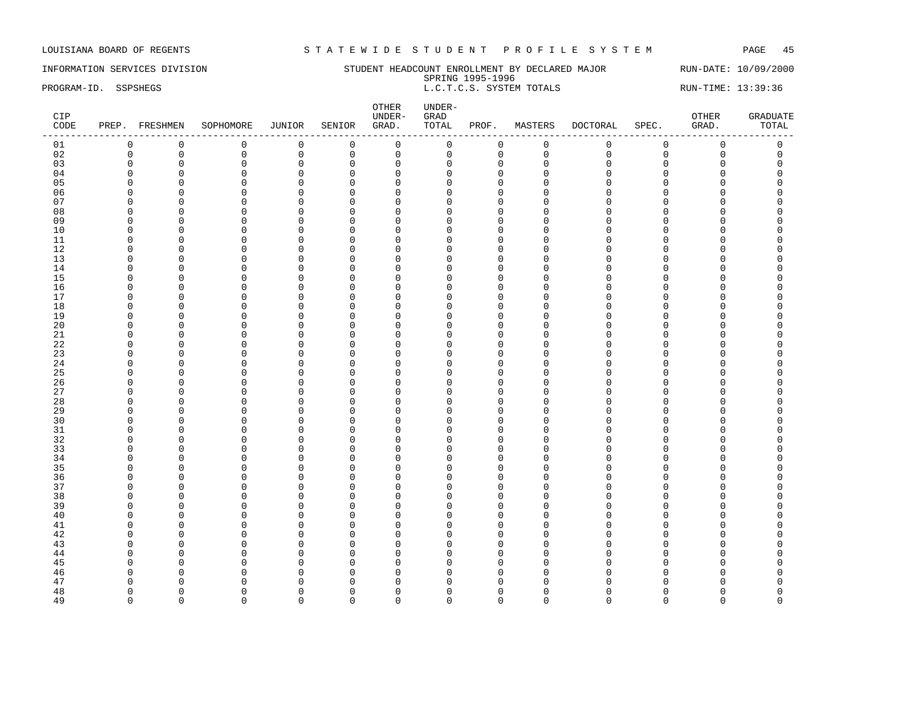INFORMATION SERVICES DIVISION STUDENT HEADCOUNT ENROLLMENT BY DECLARED MAJOR RUN-DATE: 10/09/2000 SPRING 1995-1996 PROGRAM-ID. SSPSHEGS **EXECUTE:** 13:39:36 L.C.T.C.S. SYSTEM TOTALS RUN-TIME: 13:39:36

| CIP<br>CODE | PREP. FRESHMEN |                | SOPHOMORE    | JUNIOR       | SENIOR         | OTHER<br>UNDER-<br>GRAD. | UNDER-<br>${\tt GRAD}$<br>TOTAL | PROF.        | MASTERS      | DOCTORAL    | SPEC.       | OTHER<br>GRAD.      | <b>GRADUATE</b><br>TOTAL |
|-------------|----------------|----------------|--------------|--------------|----------------|--------------------------|---------------------------------|--------------|--------------|-------------|-------------|---------------------|--------------------------|
| 01          | $\mathbf 0$    | $\mathbf 0$    | $\mathsf 0$  | $\mathsf 0$  | $\overline{0}$ | $\mathsf{O}\xspace$      | 0                               | $\mathsf{O}$ | $\mathsf 0$  | $\mathbf 0$ | $\mathsf 0$ | $\mathsf 0$         | $\mathsf 0$              |
| 02          | $\mathbf 0$    | $\mathsf 0$    | $\mathsf 0$  | $\mathsf 0$  | $\mathsf 0$    | $\mathsf{O}$             | $\mathbf 0$                     | 0            | $\mathsf 0$  | $\Omega$    | $\mathbf 0$ | $\mathsf{O}\xspace$ | $\mathsf 0$              |
| 03          | $\Omega$       | $\mathbf 0$    | $\Omega$     | $\mathbf 0$  | $\mathbf 0$    | $\mathbf 0$              | $\Omega$                        | $\mathbf{0}$ | $\Omega$     | $\Omega$    | $\Omega$    | $\mathbf 0$         | $\Omega$                 |
| 04          | $\Omega$       | $\mathbf 0$    | $\mathbf 0$  | $\mathsf 0$  | $\mathbf 0$    | $\mathbf 0$              | O                               | $\mathbf{0}$ | $\Omega$     | $\cap$      | $\Omega$    | $\Omega$            | $\Omega$                 |
| 05          | $\cap$         | $\Omega$       | $\Omega$     | $\mathbf 0$  | $\Omega$       | $\mathbf 0$              | U                               | $\Omega$     | $\Omega$     | $\cap$      | $\Omega$    | O                   |                          |
| 06          | ∩              | $\overline{0}$ | $\Omega$     | $\mathbf 0$  | $\Omega$       | $\overline{0}$           | n                               | $\Omega$     | ∩            | $\cap$      | $\Omega$    | O                   |                          |
| 07          | <sup>0</sup>   | $\mathbf 0$    | $\mathbf 0$  | $\mathbf 0$  | $\mathbf 0$    | $\mathbf 0$              | U                               | $\mathbf 0$  | <sup>0</sup> | ∩           | C           | $\Omega$            | O                        |
| 08          | $\Omega$       | $\overline{0}$ | $\Omega$     | $\mathbf 0$  | $\Omega$       | $\mathbf 0$              | U                               | $\Omega$     | $\Omega$     |             | $\cap$      | O                   |                          |
| 09          | ∩              | $\mathbf 0$    | $\Omega$     | $\mathbf 0$  | 0              | $\mathbf 0$              | U                               | $\Omega$     | ∩            | ∩           | C           | O                   |                          |
| 10          | ∩              | $\Omega$       | $\Omega$     | $\Omega$     | $\Omega$       | $\Omega$                 |                                 | $\Omega$     | ∩            |             | C           | U                   |                          |
| 11          | $\Omega$       | $\overline{0}$ | $\mathbf 0$  | 0            | $\mathbf 0$    | $\mathbf 0$              | $\Omega$                        | $\mathbf{0}$ | $\Omega$     | $\cap$      | $\Omega$    | 0                   |                          |
| 12          | $\Omega$       | $\mathbf 0$    | $\Omega$     | $\mathsf 0$  | $\mathbf 0$    | $\mathbf 0$              | ∩                               | $\mathbf{0}$ | $\Omega$     | $\cap$      | C           | 0                   |                          |
| 13          | $\Omega$       | $\mathbf 0$    | $\Omega$     | $\mathbf 0$  | $\Omega$       | $\mathbf 0$              | U                               | $\Omega$     | ∩            |             | $\cap$      | O                   |                          |
| 14          | $\Omega$       | $\mathbf 0$    | $\Omega$     | 0            | $\mathbf 0$    | $\mathbf 0$              | U                               | $\mathbf 0$  | $\Omega$     |             | $\Omega$    | 0                   |                          |
| 15          | ∩              | $\Omega$       | $\Omega$     | $\mathbf 0$  | $\Omega$       | $\mathbf 0$              | U                               | $\Omega$     | $\cap$       |             | C           | O                   |                          |
| 16          | ∩              | $\mathbf 0$    | $\Omega$     | $\mathbf 0$  | $\Omega$       | $\mathbf 0$              | n                               | $\Omega$     | ∩            | $\cap$      | $\cap$      | O                   |                          |
| 17          | ∩              | $\mathbf 0$    | <sup>0</sup> | $\mathbf 0$  | $\Omega$       | $\Omega$                 | U                               | $\Omega$     | ∩            | ∩           | C           | O                   | n                        |
| 18          | $\Omega$       | $\mathbf 0$    | $\Omega$     | $\mathbf 0$  | $\mathbf 0$    | $\mathbf 0$              | $\Omega$                        | $\Omega$     | $\Omega$     |             | $\cap$      | 0                   |                          |
| 19          | $\Omega$       | $\mathbf 0$    | $\Omega$     | $\mathsf 0$  | $\mathbf 0$    | $\mathbf 0$              | $\cap$                          | $\mathbf{0}$ | $\Omega$     | $\cap$      | $\Omega$    | 0                   |                          |
| 20          | ∩              | $\mathbf 0$    | $\Omega$     | $\mathbf 0$  | $\Omega$       | $\Omega$                 |                                 | $\cap$       | ∩            |             | $\cap$      | U                   |                          |
| 21          | $\Omega$       | $\mathbf 0$    | $\mathbf 0$  | 0            | $\mathbf 0$    | $\mathbf 0$              | U                               | $\mathbf 0$  | $\Omega$     | $\cap$      | $\Omega$    | 0                   |                          |
| 22          | $\Omega$       | $\overline{0}$ | $\Omega$     | $\mathsf 0$  | $\mathbf 0$    | $\mathbf 0$              | ∩                               | $\mathbf 0$  | $\Omega$     | $\cap$      | C           | O                   |                          |
| 23          | ∩              | $\Omega$       | $\Omega$     | $\mathbf 0$  | $\Omega$       | $\mathbf 0$              | U                               | $\Omega$     | ∩            |             | C           | O                   |                          |
| 24          | $\Omega$       | $\Omega$       | $\Omega$     | $\mathbf 0$  | $\Omega$       | $\mathbf 0$              | U                               | $\Omega$     | $\cap$       |             | $\cap$      | O                   |                          |
| 25          | ∩              | $\overline{0}$ | $\Omega$     | $\mathbf 0$  | $\mathbf 0$    | $\mathbf 0$              | U                               | $\Omega$     | $\Omega$     |             | C           | O                   |                          |
| 26          | $\cap$         | $\overline{0}$ | $\Omega$     | $\mathbf 0$  | $\Omega$       | $\overline{0}$           | U                               | $\Omega$     | $\cap$       |             | $\Omega$    | O                   |                          |
| 27          | ∩              | $\Omega$       | $\Omega$     | $\mathbf 0$  | $\Omega$       | $\Omega$                 | U                               | $\Omega$     | ∩            | ∩           | C           | O                   |                          |
| 28          | $\Omega$       | $\overline{0}$ | $\mathbf 0$  | $\mathsf 0$  | $\mathbf 0$    | $\mathbf 0$              | U                               | $\Omega$     | <sup>0</sup> | ∩           | $\Omega$    | 0                   |                          |
| 29          | $\Omega$       | $\overline{0}$ | $\Omega$     | $\mathsf 0$  | $\mathbf 0$    | $\mathbf 0$              | $\cap$                          | $\mathbf{0}$ | $\Omega$     | $\cap$      | $\cap$      | 0                   |                          |
| 30          | ∩              | $\mathbf 0$    | $\Omega$     | $\mathbf 0$  | $\Omega$       | $\Omega$                 |                                 | $\cap$       | ∩            |             | C           | U                   |                          |
| 31          | <sup>0</sup>   | $\Omega$       | $\Omega$     | $\mathbf 0$  | $\Omega$       | $\mathbf 0$              | U                               | $\Omega$     | $\Omega$     |             | O           | O                   |                          |
| 32          | $\Omega$       | $\overline{0}$ | $\Omega$     | $\mathbf 0$  | $\mathbf 0$    | $\mathbf 0$              | U                               | $\mathbf{0}$ | $\Omega$     |             | C           | O                   |                          |
| 33          | $\Omega$       | $\Omega$       | $\Omega$     | 0            | $\mathbf 0$    | $\mathbf 0$              | U                               | $\Omega$     | Ω            | $\cap$      | $\Omega$    | 0                   | C                        |
| 34          | $\Omega$       | $\mathbf 0$    | $\Omega$     | $\mathbf 0$  | $\Omega$       | $\mathbf 0$              | U                               | $\Omega$     | ∩            |             | C           | $\Omega$            |                          |
| 35          | $\Omega$       | $\overline{0}$ | $\mathbf 0$  | 0            | $\mathbf 0$    | $\mathbf 0$              | $\Omega$                        | $\Omega$     | $\Omega$     |             | $\Omega$    | O                   |                          |
| 36          | ∩              | $\overline{0}$ | $\Omega$     | $\mathbf 0$  | $\Omega$       | $\overline{0}$           | U                               | $\Omega$     | $\Omega$     | $\cap$      | $\Omega$    | O                   |                          |
| 37          |                | $\Omega$       | $\Omega$     | $\mathbf 0$  | $\Omega$       | $\mathbf 0$              | n                               | $\Omega$     | ∩            |             | C           | O                   |                          |
| 38          | <sup>0</sup>   | $\overline{0}$ | $\Omega$     | $\mathbf 0$  | $\Omega$       | $\mathbf 0$              | U                               | $\Omega$     | <sup>0</sup> | ∩           | O           | 0                   | O                        |
| 39          | $\Omega$       | $\overline{0}$ | $\Omega$     | $\mathsf 0$  | $\mathbf 0$    | $\mathbf 0$              | U                               | $\mathbf{0}$ | $\Omega$     |             | C           | 0                   |                          |
| 40          | $\Omega$       | $\overline{0}$ | $\Omega$     | $\mathbf 0$  | $\Omega$       | $\Omega$                 | <sup>n</sup>                    | $\Omega$     | $\Omega$     |             | $\Omega$    | O                   |                          |
| 41          | n              | $\mathbf 0$    | $\Omega$     | $\mathbf 0$  | $\mathbf 0$    | $\mathbf 0$              | U                               | $\Omega$     | $\Omega$     | n           | C           | O                   |                          |
| 42          | n              | $\overline{0}$ | $\Omega$     | $\mathbf 0$  | 0              | $\mathbf 0$              | U                               | $\mathbf 0$  | <sup>0</sup> |             | O           | O                   |                          |
| 43          | $\Omega$       | $\Omega$       | $\Omega$     | $\mathsf 0$  | $\mathbf 0$    | $\overline{0}$           |                                 | $\Omega$     | U            | $\cap$      | $\Omega$    | O                   |                          |
| 44          | ∩              | $\Omega$       | $\Omega$     | $\mathbf{0}$ | $\Omega$       | $\mathbf{0}$             | U                               | $\Omega$     | ∩            | ∩           | n           | O                   |                          |
| 45          | n              | $\Omega$       | $\Omega$     | $\Omega$     | $\Omega$       | $\mathbf 0$              | $\Omega$                        | $\Omega$     | $\Omega$     |             | $\Omega$    | 0                   |                          |
| 46          | ∩              | $\Omega$       | $\Omega$     | $\mathbf{0}$ | $\Omega$       | $\mathbf 0$              | U                               | $\Omega$     | U            |             | C           | O                   |                          |
| 47          |                | $\Omega$       | $\Omega$     | $\Omega$     | $\Omega$       | $\mathbf 0$              | n                               | $\Omega$     |              |             |             | U                   |                          |
| 48          | $\Omega$       | $\Omega$       | $\Omega$     | $\mathbf{0}$ | $\Omega$       | $\mathbf 0$              | U                               | $\Omega$     | U            |             | C           | O                   | $\Omega$                 |
| 49          | $\Omega$       | $\Omega$       | $\Omega$     | $\Omega$     | $\Omega$       | $\Omega$                 | $\Omega$                        | $\Omega$     | $\Omega$     | $\Omega$    | $\Omega$    | $\Omega$            | $\Omega$                 |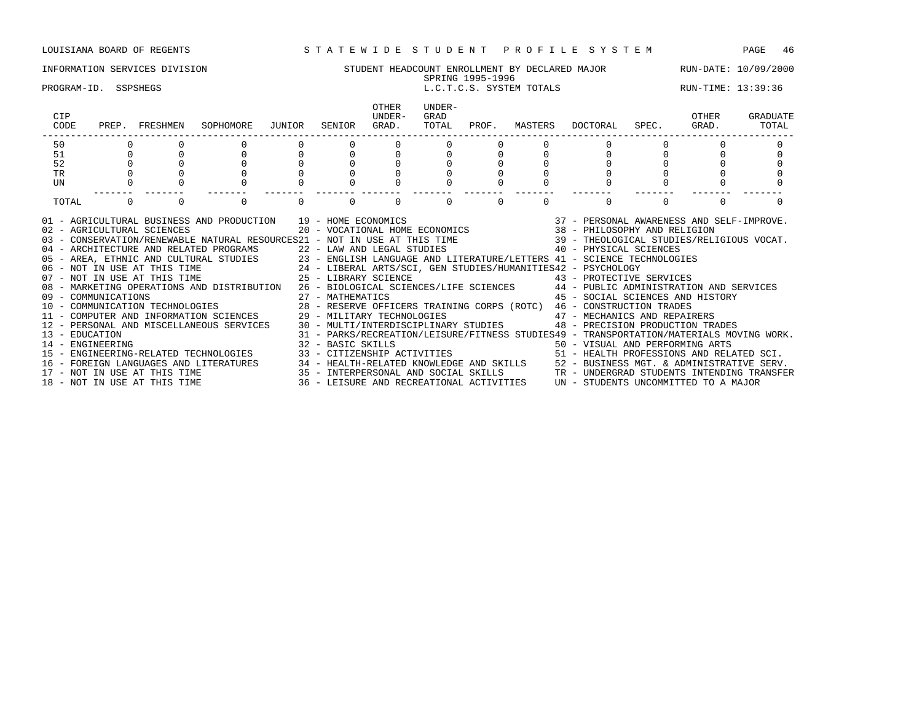### INFORMATION SERVICES DIVISION STUDENT HEADCOUNT ENROLLMENT BY DECLARED MAJOR RUN-DATE: 10/09/2000 SPRING 1995-1996 PROGRAM-ID. SSPSHEGS L.C.T.C.S. SYSTEM TOTALS RUN-TIME: 13:39:36 OTHER UNDER-<br>UNDER- GRAD CIP UNDER- GRAD OTHER GRADUATE CODE PREP. FRESHMEN SOPHOMORE JUNIOR SENIOR GRAD. TOTAL PROF. MASTERS DOCTORAL SPEC. GRAD. TOTAL ------------------------------------------------------------------------------------------------------------------------------------ 50 0 0 0 0 0 0 0 0 0 0 0 0 0 51 0 0 0 0 0 0 0 0 0 0 0 0 0 52 0 0 0 0 0 0 0 0 0 0 0 0 0 TR 0 0 0 0 0 0 0 0 0 0 0 0 0 UN 0 0 0 0 0 0 0 0 0 0 0 0 0 ------- ------- ------- ------- ------- ------- ------- ------- ------- ------- ------- ------- ------- TOTAL 0 0 0 0 0 0 0 0 0 0 01 - AGRICULTURAL BUSINESS AND PRODUCTION 39 - HOME ECONOMICS 37 - PERSONAL AWARENESS AND SELF-IMPROVE. 02 - AGRICULTURAL SCIENCES 20 - VOCATIONAL HOME ECONOMICS 38 - PHILOSOPHY AND RELIGION 03 - CONSERVATION/RENEWABLE NATURAL RESOURCES21 - NOT IN USE AT THIS TIME 39 - THEOLOGICAL STUDIES/RELIGIOUS VOCAT. 04 - ARCHITECTURE AND RELATED PROGRAMS 22 - LAW AND LEGAL STUDIES 40 - PHYSICAL SCIENCES 05 - AREA, ETHNIC AND CULTURAL STUDIES 23 - ENGLISH LANGUAGE AND LITERATURE/LETTERS 41 - SCIENCE TECHNOLOGIES<br>06 - NOT IN USE AT THIS TIME 24 - LIBERAL ARTS/SCI, GEN STUDIES/HUMANITIES42 - PSYCHOLOGY 06 - NOT IN USE AT THIS TIME 24 - LIBERAL ARTS/SCI, GEN STUDIES/HUMANITIES42 - PSYCHOLOGY

08 - MARKETING OPERATIONS AND DISTRIBUTION 26 - BIOLOGICAL SCIENCES/LIFE SCIENCES 44 - PUBLIC ADMINISTRATION AND SERVICES 09 - COMMUNICATIONS 27 - MATHEMATICS 45 - SOCIAL SCIENCES AND HISTORY

13 - EDUCATION 31 - PARKS/RECREATION/LEISURE/FITNESS STUDIES49 - TRANSPORTATION/MATERIALS MOVING WORK.

15 - ENGINEERING-RELATED TECHNOLOGIES 33 - CITIZENSHIP ACTIVITIES 51 - HEALTH PROFESSIONS AND RELATED SCI. 16 - FOREIGN LANGUAGES AND LITERATURES 34 - HEALTH-RELATED KNOWLEDGE AND SKILLS 52 - BUSINESS MGT. & ADMINISTRATIVE SERV.<br>17 - NOT IN USE AT THIS TIME 35 - INTERPERSONAL AND SOCIAL SKILLS TR - UNDERGRAD STUDENTS INTENDING

15 - INTERPERSONAL AND SOCIAL SKILLS TR - UNDERGRAD STUDENTS INTENDING TRANSFER 36 - LEISURE AND RECREATIONAL ACTIVITIES  $\,$  UN - STUDENTS UNCOMMITTED TO A MAJOR

14 - ENGINEERING 32 - BASIC SKILLS 50 - VISUAL AND PERFORMING ARTS

07 - NOT IN USE AT THIS TIME  $25$  - LIBRARY SCIENCE  $43$  - PROTECTIVE SERVICES

10 - COMMUNICATION TECHNOLOGIES 28 - RESERVE OFFICERS TRAINING CORPS (ROTC) 46 - CONSTRUCTION TRADES 11 - COMPUTER AND INFORMATION SCIENCES 29 - MILITARY TECHNOLOGIES 47 - MECHANICS AND REPAIRERS 12 - PERSONAL AND MISCELLANEOUS SERVICES 30 - MULTI/INTERDISCIPLINARY STUDIES 48 - PRECISION PRODUCTION TRADES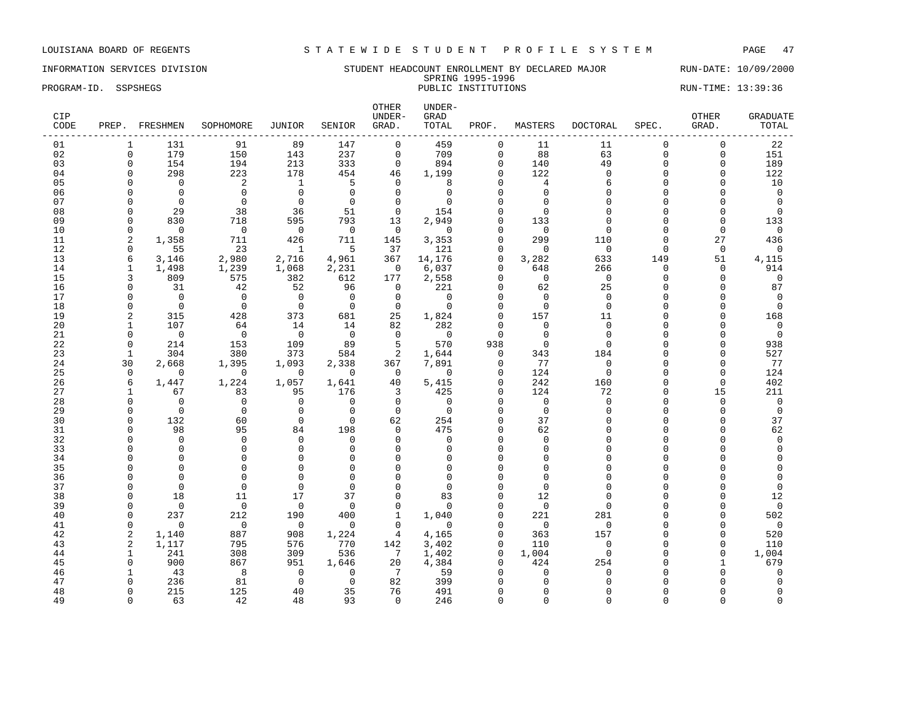### INFORMATION SERVICES DIVISION STUDENT HEADCOUNT ENROLLMENT BY DECLARED MAJOR RUN-DATE: 10/09/2000 SPRING 1995-1996<br>PUBLIC INSTITUTIONS PROGRAM-ID. SSPSHEGS **PUBLIC INSTITUTIONS** PUBLIC INSTITUTIONS RUN-TIME: 13:39:36

| CIP<br>CODE | PREP.                | FRESHMEN                | SOPHOMORE               | JUNIOR               | SENIOR                  | OTHER<br>UNDER-<br>GRAD. | UNDER-<br>GRAD<br>TOTAL | PROF.                   | MASTERS                 | <b>DOCTORAL</b>     | SPEC.                | OTHER<br>GRAD.   | <b>GRADUATE</b><br>TOTAL |
|-------------|----------------------|-------------------------|-------------------------|----------------------|-------------------------|--------------------------|-------------------------|-------------------------|-------------------------|---------------------|----------------------|------------------|--------------------------|
| 01          | 1                    | 131                     | 91                      | 89                   | 147                     | $\mathbf 0$              | 459                     | 0                       | 11                      | 11                  | $\Omega$             | $\mathbf 0$      | 22                       |
| 02          | $\mathbf 0$          | 179                     | 150                     | 143                  | 237                     | $\mathsf 0$              | 709                     | $\mathbf 0$             | 88                      | 63                  | $\mathbf 0$          | 0                | 151                      |
| 03          | $\mathbf 0$          | 154                     | 194                     | 213                  | 333                     | $\mathbf 0$              | 894                     | $\mathbf 0$             | 140                     | 49                  | $\Omega$             | $\mathbf 0$      | 189                      |
| 04          | $\Omega$             | 298                     | 223                     | 178                  | 454                     | 46                       | 1,199                   | $\Omega$                | 122                     | $\Omega$            | $\Omega$             | U                | 122                      |
| 05          | $\Omega$             | $\Omega$                | 2                       | 1                    | 5                       | $\Omega$                 | 8                       | $\Omega$                | $\overline{4}$          | 6                   | $\Omega$             | O                | 10                       |
| 06          | $\Omega$             | $\mathbf 0$             | $\mathbf 0$             | $\mathbf{0}$         | $\mathbf 0$             | $\Omega$                 | 0                       | $\cap$                  | $\mathbf 0$             | $\cap$              | $\cap$               | O                | $\mathbf 0$              |
| 07          | $\Omega$             | $\mathbf 0$             | $\mathbf 0$             | $\mathbf{0}$         | 0                       | $\mathbf 0$              | $\Omega$                | $\cap$                  | $\Omega$                | $\cap$              | $\cap$               | O                | $\Omega$                 |
| 08          | $\Omega$             | 29                      | 38                      | 36                   | 51                      | $\mathbf 0$              | 154                     | $\cap$                  | $\Omega$                |                     | $\Omega$             | O                | $\Omega$                 |
| 09          | $\Omega$             | 830                     | 718                     | 595                  | 793                     | 13                       | 2,949                   | $\Omega$                | 133                     | $\Omega$            | $\Omega$             | $\Omega$         | 133                      |
| 10          | $\Omega$             | $\Omega$                | $\mathbf 0$             | $\mathbf 0$          | $\Omega$                | $\mathbf 0$              | $\Omega$                | $\cap$                  | $\Omega$                | $\Omega$            | $\Omega$             | $\Omega$         | $\Omega$                 |
| 11          | $\overline{2}$       | 1,358                   | 711                     | 426                  | 711                     | 145                      | 3,353                   | $\Omega$                | 299                     | 110                 | $\Omega$             | 27               | 436                      |
| 12<br>13    | $\mathbf 0$          | 55                      | 23                      | 1                    | 5                       | 37                       | 121                     | $\mathbf 0$<br>$\Omega$ | $\mathbf 0$             | $\mathbf{0}$        | $\Omega$             | $\mathbf 0$      | $\Omega$                 |
| 14          | 6<br>$\mathbf{1}$    | 3,146                   | 2,980                   | 2,716                | 4,961                   | 367                      | 14,176                  |                         | 3,282                   | 633                 | 149<br>$\mathbf 0$   | 51               | 4,115<br>914             |
| 15          | 3                    | 1,498<br>809            | 1,239<br>575            | 1,068<br>382         | 2,231<br>612            | 0<br>177                 | 6,037                   | 0<br>$\Omega$           | 648<br>$\mathbf 0$      | 266<br>$\mathbf{0}$ | $\mathbf 0$          | 0<br>$\mathbf 0$ | $\mathbf 0$              |
| 16          | $\mathbf 0$          | 31                      | 42                      | 52                   | 96                      | $\mathbf 0$              | 2,558<br>221            | $\Omega$                | 62                      | 25                  | $\Omega$             | $\Omega$         | 87                       |
| 17          | $\Omega$             | $\Omega$                | $\Omega$                | $\Omega$             | $\Omega$                | $\mathbf 0$              | $\Omega$                | $\cap$                  | $\Omega$                | $\Omega$            | $\Omega$             | O                | $\Omega$                 |
| 18          | $\Omega$             | $\mathbf 0$             | $\mathbf 0$             | $\mathbf 0$          | $\overline{0}$          | $\mathbf 0$              | $\mathbf 0$             | $\Omega$                | $\mathbf 0$             | $\mathbf{0}$        | $\Omega$             | 0                | $\overline{0}$           |
| 19          | $\overline{c}$       | 315                     | 428                     | 373                  | 681                     | 25                       | 1,824                   | $\Omega$                | 157                     | 11                  | $\Omega$             | O                | 168                      |
| 20          | 1                    | 107                     | 64                      | 14                   | 14                      | 82                       | 282                     | $\Omega$                | $\mathbf 0$             | $\mathbf{0}$        | $\Omega$             | 0                | $\mathbf 0$              |
| 21          | 0                    | $\mathbf 0$             | 0                       | 0                    | $\overline{0}$          | $\mathbf 0$              | $\mathbf 0$             | $\Omega$                | $\Omega$                | $\Omega$            | $\cap$               | $\Omega$         | $\mathbf 0$              |
| 22          | $\Omega$             | 214                     | 153                     | 109                  | 89                      | 5                        | 570                     | 938                     | $\Omega$                | $\Omega$            | $\Omega$             | O                | 938                      |
| 23          | $\mathbf{1}$         | 304                     | 380                     | 373                  | 584                     | 2                        | 1,644                   | 0                       | 343                     | 184                 | $\Omega$             | $\Omega$         | 527                      |
| 24          | 30                   | 2,668                   | 1,395                   | 1,093                | 2,338                   | 367                      | 7,891                   | $\Omega$                | 77                      | $\mathbf 0$         | $\Omega$             | 0                | 77                       |
| 25          | $\Omega$             | $\Omega$                | $\Omega$                | $\Omega$             | $\Omega$                | $\mathbf 0$              | $\Omega$                | $\cap$                  | 124                     | $\Omega$            | $\Omega$             | $\Omega$         | 124                      |
| 26          | 6                    | 1,447                   | 1,224                   | 1,057                | 1,641                   | 40                       | 5,415                   | $\Omega$                | 242                     | 160                 | $\Omega$             | $\Omega$         | 402                      |
| 27          | 1                    | 67                      | 83                      | 95                   | 176                     | 3                        | 425                     | $\Omega$                | 124                     | 72                  | $\Omega$             | 15               | 211                      |
| 28          | $\Omega$             | $\Omega$                | $\Omega$                | $\Omega$             | $\Omega$                | $\Omega$                 | $\Omega$                | $\Omega$                | $\Omega$                | $\Omega$            | $\Omega$             | $\mathbf{0}$     | $\Omega$                 |
| 29          | $\Omega$             | $\mathbf 0$             | $\mathbf 0$             | $\Omega$             | $\mathbf 0$             | $\mathbf 0$              | $\mathbf 0$             | $\cap$                  | $\mathbf 0$             | $\Omega$            | $\Omega$             | $\mathbf 0$      | $\mathbf 0$              |
| 30          | 0                    | 132                     | 60                      | $\mathbf 0$          | $\Omega$                | 62                       | 254                     | $\Omega$                | 37                      | $\cap$              | $\Omega$             | 0                | 37                       |
| 31          | $\Omega$             | 98                      | 95                      | 84                   | 198                     | $\Omega$                 | 475                     | $\Omega$                | 62                      | $\cap$              | $\Omega$             | U                | 62                       |
| 32          | $\Omega$             | $\mathbf 0$             | $\mathbf 0$             | 0                    | $\mathbf 0$             | $\Omega$                 | 0                       | $\Omega$                | $\mathbf 0$             | $\cap$              | $\Omega$             | O                | $\Omega$                 |
| 33<br>34    | $\Omega$<br>$\Omega$ | $\mathbf 0$<br>$\Omega$ | $\mathbf 0$<br>$\Omega$ | $\Omega$<br>$\Omega$ | $\mathbf 0$<br>$\Omega$ | $\Omega$<br>$\Omega$     | $\Omega$<br>$\Omega$    | $\cap$<br>$\Omega$      | $\mathbf 0$<br>$\Omega$ | $\cap$<br>$\Omega$  | $\Omega$<br>$\Omega$ | U<br>O           | $\Omega$                 |
| 35          |                      | $\Omega$                | $\Omega$                | $\Omega$             | $\Omega$                | $\Omega$                 | $\Omega$                | $\cap$                  | $\Omega$                | $\cap$              | $\cap$               | U                |                          |
| 36          | O                    | $\Omega$                | $\mathbf 0$             | $\mathbf{0}$         | $\mathbf 0$             | $\Omega$                 | $\Omega$                | $\Omega$                | $\Omega$                | $\cap$              | $\Omega$             | O                | $\Omega$                 |
| 37          | $\Omega$             | $\Omega$                | $\Omega$                | $\Omega$             | $\Omega$                | $\Omega$                 | $\Omega$                | $\Omega$                | $\Omega$                | $\Omega$            | $\Omega$             | O                | $\Omega$                 |
| 38          | $\Omega$             | 18                      | 11                      | 17                   | 37                      | $\Omega$                 | 83                      | $\cap$                  | 12                      | $\Omega$            | $\cap$               | O                | 12                       |
| 39          | $\Omega$             | $\mathbf 0$             | $\mathbf 0$             | $\mathbf 0$          | $\overline{0}$          | $\mathbf 0$              | $\Omega$                | O                       | $\mathbf 0$             | $\Omega$            | $\cap$               | $\Omega$         | $\mathbf 0$              |
| 40          | $\Omega$             | 237                     | 212                     | 190                  | 400                     | $\mathbf{1}$             | 1,040                   | $\Omega$                | 221                     | 281                 | $\Omega$             | O                | 502                      |
| 41          | $\mathbf 0$          | $\Omega$                | $\mathbf 0$             | $\mathbf 0$          | $\mathbf 0$             | $\mathbf 0$              | $\Omega$                | $\Omega$                | $\Omega$                | $\mathbf{0}$        | $\Omega$             | O                | $\mathbf 0$              |
| 42          | 2                    | 1,140                   | 887                     | 908                  | 1,224                   | 4                        | 4,165                   | $\Omega$                | 363                     | 157                 | $\Omega$             | O                | 520                      |
| 43          | $\overline{2}$       | 1,117                   | 795                     | 576                  | 770                     | 142                      | 3,402                   | $\Omega$                | 110                     | $\Omega$            | $\Omega$             | $\Omega$         | 110                      |
| 44          | 1                    | 241                     | 308                     | 309                  | 536                     | 7                        | 1,402                   | $\Omega$                | 1,004                   | $\Omega$            | $\cap$               | $\Omega$         | 1,004                    |
| 45          | $\Omega$             | 900                     | 867                     | 951                  | 1,646                   | 20                       | 4,384                   | $\Omega$                | 424                     | 254                 |                      |                  | 679                      |
| 46          |                      | 43                      | 8                       | $\mathbf 0$          | $\Omega$                | 7                        | 59                      | O                       | $\Omega$                | $\Omega$            |                      | $\Omega$         | $\Omega$                 |
| 47          | $\Omega$             | 236                     | 81                      | $\mathbf 0$          | $\mathbf 0$             | 82                       | 399                     | $\cap$                  | $\Omega$                | $\Omega$            |                      | O                | $\Omega$                 |
| 48          | $\Omega$             | 215                     | 125                     | 40                   | 35                      | 76                       | 491                     | $\Omega$                | $\Omega$                | $\Omega$            | $\Omega$             | $\Omega$         | $\Omega$                 |

49 0 63 42 48 93 0 246 0 0 0 0 0 0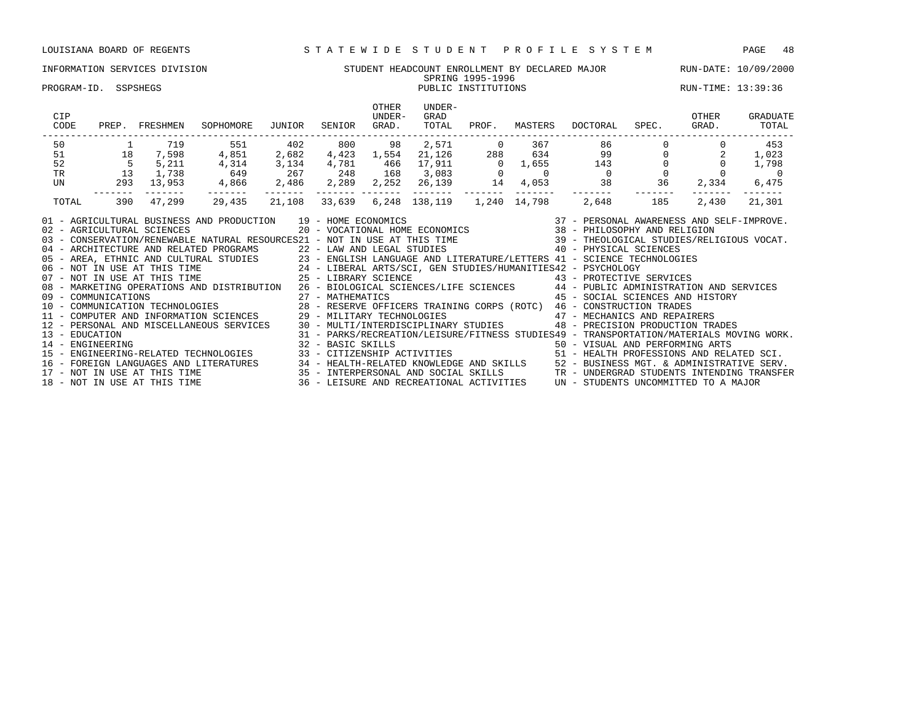### INFORMATION SERVICES DIVISION STUDENT HEADCOUNT ENROLLMENT BY DECLARED MAJOR RUN-DATE: 10/09/2000 SPRING 1995-1996 SPRING 1995-1996<br>PUBLIC INSTITUTIONS PUBLIC INSTITUTIONS RUN-TIME: 13:39:36

| CIP<br>CODE |                | PREP. FRESHMEN | SOPHOMORE                                                                                                                                                                                                                                                                                                                                                                                                                                                                                                                                                                                                                                                                                                                                                                                                                                                                                                                                                                                                                                                                                                                                                                                                       | JUNIOR | SENIOR | OTHER<br>UNDER-<br>GRAD. | UNDER-<br>GRAD<br>TOTAL    | PROF. | MASTERS | DOCTORAL | SPEC.                            | OTHER<br>GRAD. | GRADUATE<br>TOTAL                                                                       |
|-------------|----------------|----------------|-----------------------------------------------------------------------------------------------------------------------------------------------------------------------------------------------------------------------------------------------------------------------------------------------------------------------------------------------------------------------------------------------------------------------------------------------------------------------------------------------------------------------------------------------------------------------------------------------------------------------------------------------------------------------------------------------------------------------------------------------------------------------------------------------------------------------------------------------------------------------------------------------------------------------------------------------------------------------------------------------------------------------------------------------------------------------------------------------------------------------------------------------------------------------------------------------------------------|--------|--------|--------------------------|----------------------------|-------|---------|----------|----------------------------------|----------------|-----------------------------------------------------------------------------------------|
| 50          |                |                |                                                                                                                                                                                                                                                                                                                                                                                                                                                                                                                                                                                                                                                                                                                                                                                                                                                                                                                                                                                                                                                                                                                                                                                                                 |        |        |                          |                            |       |         |          |                                  |                | 453                                                                                     |
| 51          | 18             |                |                                                                                                                                                                                                                                                                                                                                                                                                                                                                                                                                                                                                                                                                                                                                                                                                                                                                                                                                                                                                                                                                                                                                                                                                                 |        |        |                          |                            |       |         |          |                                  |                | 1,023                                                                                   |
| 52          | $\frac{5}{13}$ |                |                                                                                                                                                                                                                                                                                                                                                                                                                                                                                                                                                                                                                                                                                                                                                                                                                                                                                                                                                                                                                                                                                                                                                                                                                 |        |        |                          |                            |       |         |          |                                  |                | 1,798                                                                                   |
| TR          |                |                |                                                                                                                                                                                                                                                                                                                                                                                                                                                                                                                                                                                                                                                                                                                                                                                                                                                                                                                                                                                                                                                                                                                                                                                                                 |        |        |                          |                            |       |         |          |                                  |                |                                                                                         |
| UN          |                |                |                                                                                                                                                                                                                                                                                                                                                                                                                                                                                                                                                                                                                                                                                                                                                                                                                                                                                                                                                                                                                                                                                                                                                                                                                 |        |        |                          |                            |       |         |          |                                  |                | -------                                                                                 |
| TOTAL       |                |                |                                                                                                                                                                                                                                                                                                                                                                                                                                                                                                                                                                                                                                                                                                                                                                                                                                                                                                                                                                                                                                                                                                                                                                                                                 |        |        |                          | 6,248 138,119 1,240 14,798 |       |         |          |                                  |                | 21,301                                                                                  |
|             |                |                | 01 - AGRICULTURAL BUSINESS AND PRODUCTION 19 - HOME ECONOMICS (2007) 19 - 2008 2010 1000 2010 2010 2010 2010 2<br>02 - AGRICULTURAL SCIENCES (2007) 2007 - MOCATIONAL HOME ECONOMICS (2008) 2010 2010 2010 2010 2010 2010 2010<br>03<br>04 - ARCHITECTURE AND RELATED PROGRAMS<br>22 - LAW AND LEGAL STUDIES<br>23 - ENGLISH LANGUAGE AND LITERATURE/LETTERS 41 - SCIENCE TECHNOLOGIES<br>23 - ENGLISH LANGUAGE AND LITERATURE/LETTERS 41 - SCIENCE TECHNOLOGIES<br>24 - LIBER<br>08 - MARKETING OPERATIONS AND DISTRIBUTION 26 - BIOLOGICAL SCIENCES/LIFE SCIENCES 44 - PUBLIC ADMINISTRATION AND SERVICES<br>09 - COMMUNICATIONS<br>10 - COMMUNICATIONS - COMMUNICATION DE CHARGE CONSTRUCTED AS - ARTHEMATICS<br>10 - COMMUNICATION TECHNOLOGIES 28 - RESERVE OFFICERS TRAINING CORPS (ROTC) 46 - CONSTRUCTION TRADES<br>11 - COMPUTER AND INFORMAT<br>12 - PERSONAL AND MISCELLANEOUS SERVICES 30 - MULTI/INTERDISCIPLINARY STUDIES 48 - PRECISION PRODUCTION TRADES<br>13 - EDUCATION/MATERIALS MOVING WORK.<br>14 - ENGINEERING MORE MOVING WORK (SUN SECREMENTION/LEISURE/FITNESS STUDIES49 - TRANSPORTATION/MATERIALS MOVING<br>15 - ENGINEERING-RELATED TECHNOLOGIES (SUN SUNTIZENSHIP ACTIVITIES ) [1 |        |        |                          |                            |       |         |          | 45 - SOCIAL SCIENCES AND HISTORY |                | 31 - PARKS/RECREATION/LEISURE/FITNESS STUDIES49 - TRANSPORTATION/MATERIALS MOVING WORK. |
|             |                |                |                                                                                                                                                                                                                                                                                                                                                                                                                                                                                                                                                                                                                                                                                                                                                                                                                                                                                                                                                                                                                                                                                                                                                                                                                 |        |        |                          |                            |       |         |          |                                  |                |                                                                                         |
|             |                |                |                                                                                                                                                                                                                                                                                                                                                                                                                                                                                                                                                                                                                                                                                                                                                                                                                                                                                                                                                                                                                                                                                                                                                                                                                 |        |        |                          |                            |       |         |          |                                  |                |                                                                                         |
|             |                |                | 16 – FOREIGN LANGUAGES AND LITERATURES 24 – HEALTH-RELATED KNOWLEDGE AND SKILLS 25 – BUSINESS MGT. & ADMINISTRATIVE SERV.<br>17 – NOT IN USE AT THIS TIME 25 – INTERPERSONAL AND SOCIAL SKILLS 2TR – UNDERGRAD STUDENTS INTENDING                                                                                                                                                                                                                                                                                                                                                                                                                                                                                                                                                                                                                                                                                                                                                                                                                                                                                                                                                                               |        |        |                          |                            |       |         |          |                                  |                |                                                                                         |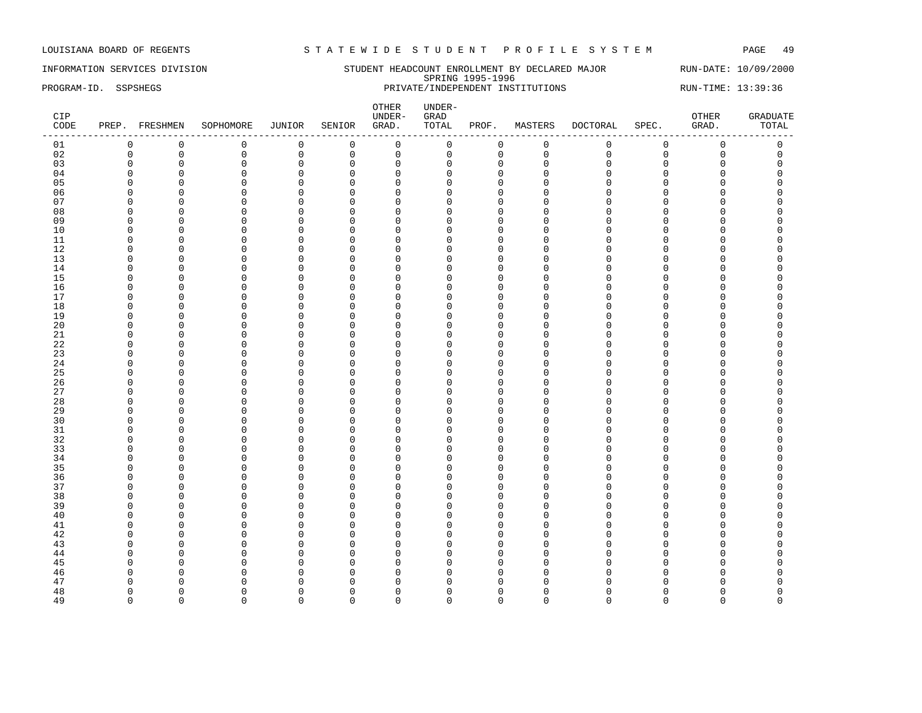INFORMATION SERVICES DIVISION SUNDERT HEADCOUNT ENROLLMENT BY DECLARED MAJOR RUN-DATE: 10/09/2000 SPRING 1995-1996<br>PRIVATE/INDEPENDENT INSTITUTIONS PROGRAM-ID. SSPSHEGS **PRIVATE**/INDEPENDENT INSTITUTIONS RUN-TIME: 13:39:36

| CIP<br>CODE |                      | PREP. FRESHMEN       | SOPHOMORE            | JUNIOR                     | SENIOR                  | OTHER<br>UNDER-<br>GRAD. | UNDER-<br>GRAD<br>TOTAL | PROF.                | MASTERS       | <b>DOCTORAL</b>    | SPEC.         | OTHER<br>GRAD.<br>--- | <b>GRADUATE</b><br>TOTAL |
|-------------|----------------------|----------------------|----------------------|----------------------------|-------------------------|--------------------------|-------------------------|----------------------|---------------|--------------------|---------------|-----------------------|--------------------------|
| 01          | 0                    | $\mathbf 0$          | 0                    | 0                          | $\overline{0}$          | $\mathbf 0$              | 0                       | $\mathbf 0$          | $\mathbf 0$   | 0                  | $\mathbf 0$   | $\mathbf 0$           | 0                        |
| 02          | $\mathbf 0$          | $\mathbf 0$          | $\mathsf 0$          | $\mathbf 0$                | $\mathsf 0$             | $\mathsf 0$              | 0                       | $\mathbf 0$          | $\mathbf 0$   | $\mathbf{0}$       | $\mathbf 0$   | $\mathbf 0$           | $\mathsf 0$              |
| 03          | $\mathbf 0$          | $\mathbf 0$          | $\mathbf 0$          | $\mathbf 0$                | $\mathbf 0$             | $\mathbf 0$              | 0                       | $\mathbf 0$          | $\Omega$      | $\Omega$           | 0             | 0                     | $\Omega$                 |
| 04          | $\Omega$             | $\overline{0}$       | $\Omega$             | $\Omega$                   | $\mathbf 0$             | $\mathbf 0$              | U                       | $\Omega$             | $\Omega$      | $\Omega$           | C             | O                     | $\Omega$                 |
| 05          | $\Omega$             | $\Omega$             | $\Omega$             | $\mathbf{0}$               | $\mathbf 0$             | $\overline{0}$           | $\Omega$                | $\mathbf{0}$         | O             | $\Omega$           | $\Omega$      | O                     | $\Omega$                 |
| 06          | $\Omega$             | $\Omega$             | $\Omega$             | $\mathbf 0$                | $\mathbf 0$             | $\Omega$                 | $\Omega$                | $\mathbf 0$          | $\Omega$      | $\cap$             | $\Omega$      | 0                     | O                        |
| 07          | $\Omega$             | $\Omega$             | $\Omega$             | $\mathbf 0$                | $\mathbf 0$             | $\Omega$                 | $\Omega$                | $\Omega$             | $\Omega$      | $\cap$             | $\Omega$      | 0                     |                          |
| 08          | $\Omega$             | $\Omega$             | $\Omega$             | $\mathbf 0$                | $\mathbf 0$             | $\Omega$                 | $\Omega$                | $\Omega$             | $\Omega$      | $\cap$             | C             | O                     |                          |
| 09          | O                    | $\Omega$             | $\Omega$             | 0                          | $\mathbf 0$             | $\Omega$                 | U                       | $\cap$               | n             | ∩                  | U             | U                     |                          |
| 10          | $\Omega$             | $\Omega$             | $\Omega$             | $\mathbf{0}$               | $\mathbf 0$             | $\overline{0}$           | $\Omega$                | $\Omega$             | $\Omega$      | $\cap$             | C             | O                     |                          |
| 11          | $\Omega$             | $\Omega$             | $\Omega$             | $\Omega$                   | $\Omega$                | $\overline{0}$           | $\Omega$                | $\Omega$             | $\Omega$      | $\cap$             | C             | O                     |                          |
| 12          | $\Omega$             | $\Omega$             | $\Omega$             | $\mathbf 0$                | $\mathbf 0$             | $\mathbf 0$              | $\Omega$                | $\Omega$             | $\Omega$      | $\Omega$           | $\Omega$      | 0                     | O                        |
| 13          | $\Omega$             | $\Omega$             | $\Omega$             | 0                          | $\mathbf 0$             | $\mathbf{0}$             | $\Omega$                | $\mathbf 0$          | $\Omega$      | $\Omega$           | C             | 0                     |                          |
| 14          | $\Omega$             | $\Omega$             | $\Omega$             | $\mathbf 0$                | $\mathbf 0$             | $\Omega$                 | $\Omega$                | $\Omega$             | $\Omega$      | $\Omega$           | $\Omega$      | 0                     |                          |
| 15          | $\Omega$             | $\Omega$             | $\Omega$             | 0                          | $\mathbf 0$             | $\Omega$                 | 0                       | $\Omega$             | $\Omega$      | $\cap$             | $\Omega$      | 0                     |                          |
| 16          | O                    | $\Omega$             | $\Omega$             | $\mathbf 0$                | $\mathbf 0$             | $\Omega$                 | U                       | $\Omega$             | O             | ∩                  | C             | O                     |                          |
| 17          | $\Omega$             | $\Omega$             | 0                    | 0                          | $\mathbf 0$             | $\mathbf 0$              | $\Omega$                | $\Omega$             | $\Omega$      | $\Omega$           | $\Omega$      | O                     | $\Omega$                 |
| 18          | $\Omega$             | $\mathbf 0$          | O                    | $\mathbf 0$                | $\mathbf 0$             | $\Omega$                 | U                       | $\Omega$             | n<br>$\Omega$ | $\Omega$<br>$\cap$ | C             | O<br>O                | n                        |
| 19<br>20    | $\Omega$<br>$\Omega$ | $\Omega$<br>$\Omega$ | $\Omega$<br>$\Omega$ | $\mathbf 0$                | $\mathbf 0$<br>$\Omega$ | $\Omega$<br>$\Omega$     | n<br>$\Omega$           | $\Omega$             | $\Omega$      | $\Omega$           | C<br>$\Omega$ | O                     |                          |
| 21          | <sup>0</sup>         | $\Omega$             | $\Omega$             | $\mathbf 0$<br>$\mathbf 0$ |                         | $\Omega$                 | $\Omega$                | $\Omega$<br>$\Omega$ | $\Omega$      | ∩                  | O             | O                     |                          |
|             | $\Omega$             | $\Omega$             | $\Omega$             | $\mathbf 0$                | 0<br>$\mathbf 0$        | $\overline{0}$           | $\Omega$                | $\Omega$             | O             | $\Omega$           | $\Omega$      | 0                     |                          |
| 22<br>23    | $\Omega$             | $\Omega$             | $\Omega$             | $\mathbf{0}$               | $\mathbf 0$             | $\Omega$                 | $\Omega$                | $\Omega$             | $\Omega$      | $\Omega$           | $\Omega$      | O                     |                          |
| 24          | $\Omega$             | $\Omega$             | $\Omega$             | 0                          | $\mathbf 0$             | $\mathbf 0$              | $\Omega$                | $\Omega$             | $\Omega$      | $\Omega$           | $\Omega$      | 0                     | C                        |
| 25          | $\Omega$             | $\Omega$             | <sup>0</sup>         | $\mathbf 0$                | $\mathbf 0$             | $\mathbf{0}$             | <sup>0</sup>            | $\mathbf 0$          | <sup>0</sup>  | $\cap$             | C             | 0                     |                          |
| 26          | $\Omega$             | $\Omega$             | $\Omega$             | $\mathbf 0$                | $\mathbf 0$             | $\Omega$                 | $\Omega$                | $\Omega$             | $\Omega$      | $\cap$             | $\Omega$      | O                     |                          |
| 27          | <sup>0</sup>         | $\Omega$             | $\Omega$             | $\mathbf 0$                | $\mathbf 0$             | $\Omega$                 | $\Omega$                | $\Omega$             | U             | ∩                  | U             | O                     |                          |
| 28          | n                    | $\Omega$             | $\Omega$             | $\Omega$                   | $\Omega$                | $\Omega$                 | n                       | $\cap$               | n             | $\cap$             | C             | U                     |                          |
| 29          | $\Omega$             | $\Omega$             | $\Omega$             | $\mathbf 0$                | $\mathbf 0$             | $\Omega$                 | $\Omega$                | $\Omega$             | $\Omega$      | $\Omega$           | $\Omega$      | 0                     | $\Omega$                 |
| 30          | $\Omega$             | $\mathbf 0$          | $\Omega$             | 0                          | 0                       | $\mathbf 0$              | $\Omega$                | $\mathbf 0$          | O             | $\cap$             | O             | 0                     | C                        |
| 31          | $\Omega$             | $\Omega$             | $\Omega$             | $\mathbf 0$                | $\mathbf 0$             | $\mathbf 0$              | $\Omega$                | $\mathbf{0}$         | $\Omega$      | $\Omega$           | $\Omega$      | 0                     |                          |
| 32          | $\Omega$             | $\Omega$             | $\Omega$             | $\mathbf 0$                | $\mathbf 0$             | $\Omega$                 | $\Omega$                | $\Omega$             | $\Omega$      | $\Omega$           | $\Omega$      | 0                     |                          |
| 33          | $\Omega$             | $\Omega$             | $\Omega$             | $\mathbf 0$                | $\mathbf 0$             | $\Omega$                 | $\Omega$                | $\Omega$             | $\Omega$      | $\cap$             | $\Omega$      | O                     |                          |
| 34          | O                    | $\Omega$             | $\Omega$             | 0                          | $\mathbf 0$             | $\mathbf 0$              | O                       | $\Omega$             | O             | $\Omega$           | $\Omega$      | O                     |                          |
| 35          | $\Omega$             | $\Omega$             | $\Omega$             | $\mathbf{0}$               | $\mathbf 0$             | $\Omega$                 | U                       | $\Omega$             | O             | $\Omega$           | C             | O                     |                          |
| 36          | O                    | $\Omega$             | $\Omega$             | $\mathbf 0$                | $\mathbf 0$             | $\Omega$                 | U                       | $\Omega$             | O             | ∩                  | C             | O                     | n                        |
| 37          | $\Omega$             | $\Omega$             | $\Omega$             | $\mathbf{0}$               | $\mathbf 0$             | $\Omega$                 | <sup>0</sup>            | $\Omega$             | $\Omega$      | $\cap$             | C             | O                     |                          |
| 38          | $\Omega$             | $\Omega$             | $\Omega$             | $\Omega$                   | $\Omega$                | $\Omega$                 | $\Omega$                | $\Omega$             | $\Omega$      | $\cap$             | O             | O                     |                          |
| 39          | $\Omega$             | $\Omega$             | $\Omega$             | 0                          | $\mathbf 0$             | $\mathbf 0$              | 0                       | $\Omega$             | $\Omega$      | $\cap$             | $\Omega$      | O                     |                          |
| 40          | $\Omega$             | $\Omega$             | $\Omega$             | $\mathbf{0}$               | $\mathbf 0$             | $\Omega$                 | $\Omega$                | $\Omega$             | $\Omega$      | $\Omega$           | O             | $\Omega$              |                          |
| 41          | $\Omega$             | $\Omega$             | $\Omega$             | $\mathbf{0}$               | $\mathbf 0$             | $\overline{0}$           | $\Omega$                | $\Omega$             | $\Omega$      | $\Omega$           | $\Omega$      | 0                     |                          |
| 42          | $\Omega$             | $\Omega$             | $\Omega$             | 0                          | $\mathbf 0$             | $\mathbf 0$              | $\Omega$                | $\mathbf 0$          | $\Omega$      | $\Omega$           | C             | 0                     | C                        |
| 43          | $\Omega$             | $\Omega$             | $\Omega$             | $\mathbf 0$                | $\mathbf 0$             | $\overline{0}$           | $\Omega$                | $\Omega$             | $\Omega$      | $\cap$             | C             | O                     |                          |
| 44          | $\Omega$             | $\Omega$             | $\Omega$             | $\mathbf{0}$               | $\mathbf 0$             | $\Omega$                 | $\Omega$                | $\Omega$             | $\Omega$      | $\cap$             | O             | 0                     |                          |
| 45          | ∩                    | $\Omega$             | $\Omega$             | $\mathbf 0$                | $\mathbf 0$             | $\Omega$                 | U                       | $\cap$               | U             | ∩                  | C             | O                     |                          |
| 46          | $\Omega$             | $\Omega$             | $\Omega$             | $\mathbf{0}$               | $\Omega$                | $\overline{0}$           | <sup>0</sup>            | $\Omega$             | U             | $\cap$             | C             | O                     |                          |
| 47          | $\Omega$             | $\Omega$             | U                    | $\Omega$                   | $\Omega$                | $\Omega$                 | $\Omega$                | $\Omega$             | Λ             |                    |               | O                     |                          |
| 48          | $\Omega$             | $\Omega$             | $\Omega$             | 0                          | $\mathbf 0$             | $\mathbf 0$              | $\Omega$                | $\mathbf 0$          | $\Omega$      | ∩                  | O             | 0                     | $\Omega$                 |
| 49          | $\Omega$             | $\Omega$             | $\Omega$             | $\Omega$                   | $\Omega$                | $\Omega$                 | $\Omega$                | $\Omega$             | $\Omega$      | $\Omega$           | $\Omega$      | $\Omega$              | $\Omega$                 |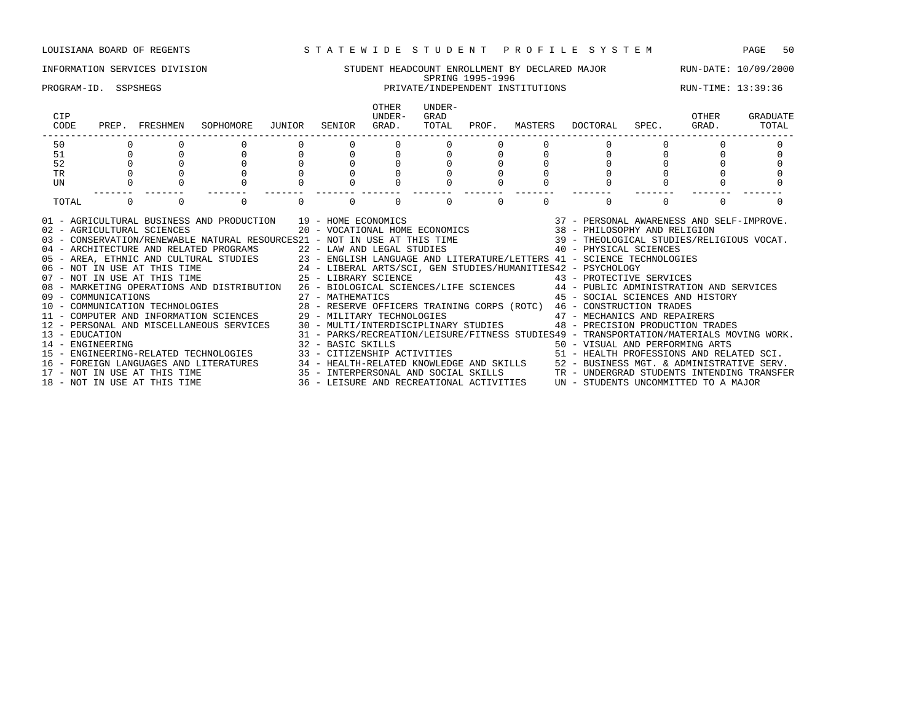### INFORMATION SERVICES DIVISION STUDENT HEADCOUNT ENROLLMENT BY DECLARED MAJOR RUN-DATE: 10/09/2000 SPRING 1995-1996 PROGRAM-ID. SSPSHEGS PRIVATE/INDEPENDENT INSTITUTIONS RUN-TIME: 13:39:36 OTHER UNDER-<br>UNDER- GRAD CIP UNDER- GRAD OTHER GRADUATE CODE PREP. FRESHMEN SOPHOMORE JUNIOR SENIOR GRAD. TOTAL PROF. MASTERS DOCTORAL SPEC. GRAD. TOTAL ------------------------------------------------------------------------------------------------------------------------------------ 50 0 0 0 0 0 0 0 0 0 0 0 0 0 51 0 0 0 0 0 0 0 0 0 0 0 0 0 52 0 0 0 0 0 0 0 0 0 0 0 0 0 TR 0 0 0 0 0 0 0 0 0 0 0 0 0 UN 0 0 0 0 0 0 0 0 0 0 0 0 0 ------- ------- ------- ------- ------- ------- ------- ------- ------- ------- ------- ------- ------- TOTAL 0 0 0 0 0 0 0 0 0 0 01 - AGRICULTURAL BUSINESS AND PRODUCTION 39 - HOME ECONOMICS 37 - PERSONAL AWARENESS AND SELF-IMPROVE. 02 - AGRICULTURAL SCIENCES 20 - VOCATIONAL HOME ECONOMICS 38 - PHILOSOPHY AND RELIGION 03 - CONSERVATION/RENEWABLE NATURAL RESOURCES21 - NOT IN USE AT THIS TIME 39 - THEOLOGICAL STUDIES/RELIGIOUS VOCAT. 04 - ARCHITECTURE AND RELATED PROGRAMS 22 - LAW AND LEGAL STUDIES 40 - PHYSICAL SCIENCES 05 - AREA, ETHNIC AND CULTURAL STUDIES 23 - ENGLISH LANGUAGE AND LITERATURE/LETTERS 41 - SCIENCE TECHNOLOGIES<br>06 - NOT IN USE AT THIS TIME 24 - LIBERAL ARTS/SCI, GEN STUDIES/HUMANITIES42 - PSYCHOLOGY 06 - NOT IN USE AT THIS TIME 24 - LIBERAL ARTS/SCI, GEN STUDIES/HUMANITIES42 - PSYCHOLOGY 07 - NOT IN USE AT THIS TIME  $25$  - LIBRARY SCIENCE  $43$  - PROTECTIVE SERVICES 08 - MARKETING OPERATIONS AND DISTRIBUTION 26 - BIOLOGICAL SCIENCES/LIFE SCIENCES 44 - PUBLIC ADMINISTRATION AND SERVICES 09 - COMMUNICATIONS 27 - MATHEMATICS 45 - SOCIAL SCIENCES AND HISTORY

13 - EDUCATION 31 - PARKS/RECREATION/LEISURE/FITNESS STUDIES49 - TRANSPORTATION/MATERIALS MOVING WORK.

15 - ENGINEERING-RELATED TECHNOLOGIES 33 - CITIZENSHIP ACTIVITIES 51 - HEALTH PROFESSIONS AND RELATED SCI. 16 - FOREIGN LANGUAGES AND LITERATURES 34 - HEALTH-RELATED KNOWLEDGE AND SKILLS 52 - BUSINESS MGT. & ADMINISTRATIVE SERV.<br>17 - NOT IN USE AT THIS TIME 35 - INTERPERSONAL AND SOCIAL SKILLS TR - UNDERGRAD STUDENTS INTENDING

15 - INTERPERSONAL AND SOCIAL SKILLS TR - UNDERGRAD STUDENTS INTENDING TRANSFER 36 - LEISURE AND RECREATIONAL ACTIVITIES  $\,$  UN - STUDENTS UNCOMMITTED TO A MAJOR

14 - ENGINEERING 32 - BASIC SKILLS 50 - VISUAL AND PERFORMING ARTS

10 - COMMUNICATION TECHNOLOGIES 28 - RESERVE OFFICERS TRAINING CORPS (ROTC) 46 - CONSTRUCTION TRADES 11 - COMPUTER AND INFORMATION SCIENCES 29 - MILITARY TECHNOLOGIES 47 - MECHANICS AND REPAIRERS 12 - PERSONAL AND MISCELLANEOUS SERVICES 30 - MULTI/INTERDISCIPLINARY STUDIES 48 - PRECISION PRODUCTION TRADES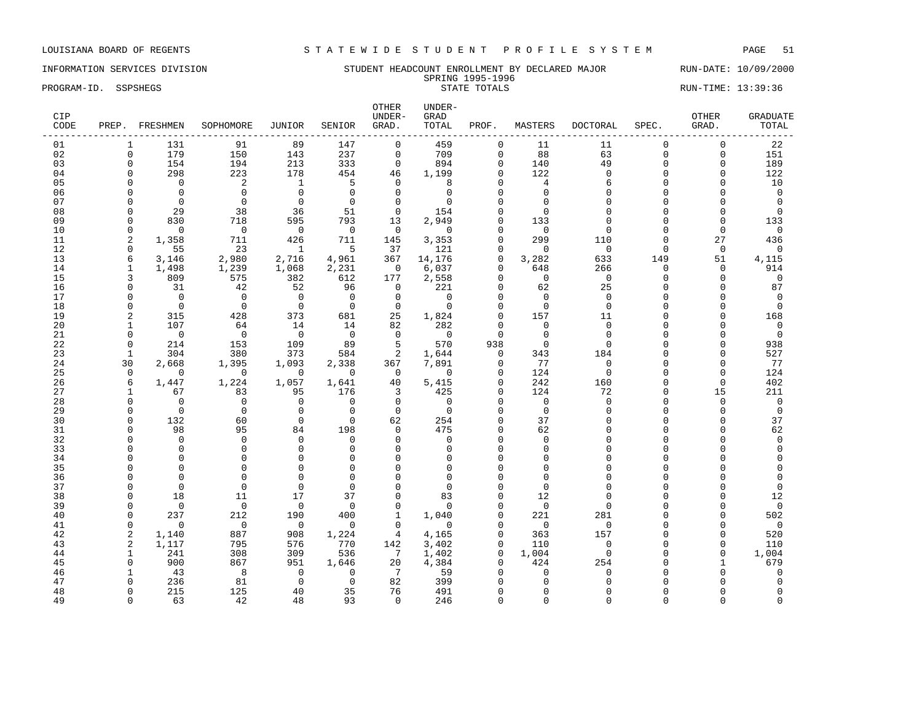### INFORMATION SERVICES DIVISION STUDENT HEADCOUNT ENROLLMENT BY DECLARED MAJOR RUN-DATE: 10/09/2000 SPRING 1995-1996 PROGRAM-ID. SSPSHEGS STATE STATE TOTALS STATE TOTALS STATE TOTALS STATE SUM-TIME: 13:39:36

| CIP<br>CODE |                   | PREP. FRESHMEN       | SOPHOMORE                  | JUNIOR                   | SENIOR               | OTHER<br>UNDER-<br>GRAD. | UNDER-<br>GRAD<br>TOTAL  | PROF.       | MASTERS              | <b>DOCTORAL</b> | SPEC.              | OTHER<br>GRAD.       | <b>GRADUATE</b><br>TOTAL |
|-------------|-------------------|----------------------|----------------------------|--------------------------|----------------------|--------------------------|--------------------------|-------------|----------------------|-----------------|--------------------|----------------------|--------------------------|
| 01          | 1                 | 131                  | 91                         | 89                       | 147                  | $\mathbf{0}$             | 459                      | $\Omega$    | 11                   | 11              | $\Omega$           | $\Omega$             | 22                       |
| 02          | $\Omega$          | 179                  | 150                        | 143                      | 237                  | $\mathbf 0$              | 709                      | $\mathbf 0$ | 88                   | 63              | $\Omega$           | $\mathbf 0$          | 151                      |
| 03          | $\Omega$          | 154                  | 194                        | 213                      | 333                  | $\circ$                  | 894                      | $\Omega$    | 140                  | 49              | $\Omega$           | $\mathbf 0$          | 189                      |
| 04          | <sup>0</sup>      | 298                  | 223                        | 178                      | 454                  | 46                       | 1,199                    | $\Omega$    | 122                  | $\Omega$        | $\Omega$           | $\Omega$             | 122                      |
| 05          |                   | $\Omega$             | $\overline{\phantom{0}}^2$ | $\overline{\phantom{a}}$ | $\overline{5}$       | $\Omega$                 | 8                        |             | $\overline{4}$       | 6               | $\Omega$           | $\Omega$             | 10                       |
| 06          |                   | $\Omega$             | $\bigcirc$                 | $\bigcirc$               | $\overline{0}$       | $\Omega$                 | $\Omega$                 | $\Omega$    | $\Omega$             | $\Omega$        | $\cap$             | $\Omega$             | $\overline{0}$           |
| 07          | $\Omega$          | $\Omega$             | $\overline{0}$             | $\overline{0}$           | $\overline{0}$       | $\Omega$                 | $\Omega$                 |             | $\Omega$             | $\cap$          |                    | $\Omega$             | $\Omega$                 |
| 08          | $\Omega$          | 29                   | 38                         | 36                       | 51                   | $\Omega$                 | 154                      |             | $\Omega$             |                 |                    | $\Omega$             | $\Omega$                 |
| 09          | $\Omega$          | 830                  | 718                        | 595                      | 793                  | 13                       | 2,949                    |             | 133                  | $\cap$          |                    | $\Omega$             | 133                      |
| 10          | $\Omega$          | $\overline{0}$       | $\overline{0}$             | $\overline{0}$           | $\overline{0}$       | $\overline{0}$           | $\overline{0}$           |             | $\overline{0}$       | $\Omega$        | $\cap$             | $\Omega$             | $\overline{0}$           |
| 11          | 2                 | 1,358                | 711                        | 426                      | 711                  | 145                      | 3,353                    | $\Omega$    | 299                  | 110             | $\Omega$           | 27                   | 436                      |
| 12          | 0                 | 55                   | 23                         | $\overline{1}$           | $5^{\circ}$          | 37                       | 121                      | $\Omega$    | $\overline{0}$       | $\Omega$        | $\Omega$           | $\mathbf 0$          | 0                        |
| 13          | 6                 | 3,146                | 2,980                      | 2,716                    | 4,961                | 367                      | 14,176                   | $\Omega$    | 3,282                | 633             | 149                | 51                   | 4,115                    |
| 14          | 1                 | 1,498                | 1,239                      | 1,068                    | 2,231                | $\overline{0}$           | 6,037                    | $\Omega$    | 648                  | 266             | $\Omega$           | $\mathbf 0$          | 914                      |
| 15          | 3<br><sup>0</sup> | 809                  | 575                        | 382                      | 612                  | 177<br>$\mathbf 0$       | 2,558<br>221             | $\Omega$    | $\bigcap$            | $\Omega$        | $\cap$<br>$\Omega$ | $\Omega$<br>$\Omega$ | $\Omega$                 |
| 16<br>17    | $\Omega$          | 31<br>$\bigcirc$     | 42<br>$\overline{0}$       | 52<br>$\overline{0}$     | 96<br>$\overline{0}$ | $\Omega$                 | $\overline{\phantom{0}}$ | $\Omega$    | 62<br>$\Omega$       | 25<br>$\Omega$  |                    | $\Omega$             | 87<br>$\Omega$           |
| 18          | $\Omega$          | $\overline{0}$       | $\overline{0}$             | $\overline{0}$           | $\overline{0}$       | $\mathbf 0$              | $\overline{0}$           | $\Omega$    | $\Omega$             | $\Omega$        |                    | $\Omega$             | $\Omega$                 |
| 19          | 2                 | 315                  | 428                        | 373                      | 681                  | 25                       | 1,824                    | $\Omega$    | 157                  | 11              |                    | $\Omega$             | 168                      |
| 20          | 1                 | 107                  | 64                         | 14                       | 14                   | 82                       | 282                      | $\Omega$    | $\Omega$             | $\Omega$        |                    | $\Omega$             | $\Omega$                 |
| 21          | $\Omega$          | $\overline{0}$       | $\overline{0}$             | $\overline{0}$           | $\overline{0}$       | $\circ$                  | $\overline{0}$           | $\Omega$    | $\Omega$             | $\Omega$        |                    | $\Omega$             | $\overline{\phantom{0}}$ |
| 22          | $\Omega$          | 214                  | 153                        | 109                      | 89                   | 5                        | 570                      | 938         | $\bigcirc$           | $\cap$          |                    | $\Omega$             | 938                      |
| 23          | $\mathbf{1}$      | 304                  | 380                        | 373                      | 584                  | $\overline{a}$           | 1,644                    | $\mathbf 0$ | 343                  | 184             |                    | $\Omega$             | 527                      |
| 24          | 30                | 2,668                | 1,395                      | 1,093                    | 2,338                | 367                      | 7,891                    | $\Omega$    | 77                   | $\Omega$        | $\cap$             | $\Omega$             | 77                       |
| 25          | $\mathbf 0$       | $\overline{0}$       | $\overline{0}$             | $\overline{0}$           | $\sim$ 0             | $\overline{0}$           | $\overline{0}$           | 0           | 124                  | $\Omega$        |                    | 0                    | 124                      |
| 26          | 6                 | 1,447                | 1,224                      | 1,057                    | 1,641                | 40                       | 5,415                    | $\Omega$    | 242                  | 160             |                    | $\Omega$             | 402                      |
| 27          | 1                 | 67                   | 83                         | 95                       | 176                  | 3                        | 425                      | $\Omega$    | 124                  | 72              | $\cap$             | 15                   | 211                      |
| 28          | n                 | $\bigcirc$           | $\bigcirc$                 | $\bigcirc$               | $\overline{0}$       | $\Omega$                 | $\overline{0}$           | $\Omega$    | $\Omega$             | $\Omega$        | $\cap$             | $\Omega$             | $\overline{0}$           |
| 29          | $\Omega$          | $\Omega$             | $\Omega$                   | $\Omega$                 | $\Omega$             | $\Omega$                 | $\Omega$                 | $\Omega$    | $\Omega$             | $\cap$          | $\cap$             | $\Omega$             | $\overline{0}$           |
| 30          | <sup>0</sup>      | 132                  | 60                         | $\Omega$                 | $\Omega$             | 62                       | 254                      | $\Omega$    | 37                   |                 |                    | $\Omega$             | 37                       |
| 31          | $\Omega$          | 98                   | 95                         | 84                       | 198                  | $\Omega$                 | 475                      | $\Omega$    | 62                   |                 |                    | $\Omega$             | 62                       |
| 32          |                   | $\Omega$<br>$\Omega$ | $\Omega$                   | $\Omega$<br>$\Omega$     | $\Omega$             | $\Omega$<br>$\Omega$     | $\Omega$<br>$\Omega$     | $\Omega$    | $\Omega$             |                 |                    | O<br>U               | $\Omega$<br>$\Omega$     |
| 33<br>34    |                   | $\Omega$             | $\mathbf 0$<br>$\Omega$    | $\Omega$                 | $\Omega$<br>$\Omega$ | $\Omega$                 | <sup>n</sup>             |             | $\Omega$<br>$\Omega$ |                 |                    |                      |                          |
| 35          |                   | $\Omega$             | $\Omega$                   | $\Omega$                 | $\Omega$             | $\Omega$                 | <sup>n</sup>             |             | $\Omega$             |                 |                    |                      |                          |
| 36          |                   | $\Omega$             | $\Omega$                   | $\Omega$                 | $\Omega$             | $\Omega$                 | $\cap$                   |             | $\Omega$             |                 |                    |                      |                          |
| 37          |                   | $\Omega$             | $\Omega$                   | $\Omega$                 | $\Omega$             | $\Omega$                 | $\Omega$                 |             | $\Omega$             |                 |                    | U                    | 0                        |
| 38          |                   | 18                   | 11                         | 17                       | 37                   | $\Omega$                 | 83                       |             | 12                   |                 |                    | $\Omega$             | 12                       |
| 39          |                   | $\Omega$             | $\overline{0}$             | $\Omega$                 | $\overline{0}$       | $\Omega$                 | $\Omega$                 |             | $\overline{0}$       |                 |                    | $\Omega$             | $\Omega$                 |
| 40          |                   | 237                  | 212                        | 190                      | 400                  | $\mathbf{1}$             | 1,040                    |             | 221                  | 281             |                    | $\Omega$             | 502                      |
| 41          | $\Omega$          | $\Omega$             | $\bigcirc$                 | $\Omega$                 | $\overline{0}$       | $\Omega$                 | $\Omega$                 | $\cap$      | $\bigcap$            | $\Omega$        |                    | $\Omega$             | $\overline{0}$           |
| 42          | 2                 | 1,140                | 887                        | 908                      | 1,224                | $\overline{4}$           | 4,165                    | $\Omega$    | 363                  | 157             | $\Omega$           | $\Omega$             | 520                      |
| 43          | $\overline{a}$    | 1,117                | 795                        | 576                      | 770                  | 142                      | 3,402                    | $\Omega$    | 110                  | $\Omega$        |                    | $\Omega$             | 110                      |
| 44          | 1                 | 241                  | 308                        | 309                      | 536                  | $7\phantom{0}$           | 1,402                    | $\Omega$    | 1,004                | $\bigcirc$      |                    | $\Omega$             | 1,004                    |
| 45          |                   | 900                  | 867                        | 951                      | 1,646                | 20                       | 4,384                    | $\Omega$    | 424                  | 254             |                    |                      | 679                      |
| 46          |                   | 43                   | 8                          | $\overline{0}$           | $\Omega$             | $\overline{7}$           | 59                       |             | $\Omega$             | $\Omega$        |                    | $\Omega$             | $\Omega$                 |
| 47          | $\Omega$          | 236                  | 81                         | $\Omega$                 | $\Omega$             | 82                       | 399                      | $\Omega$    | $\Omega$             | $\Omega$        | $\cap$             | $\Omega$             | $\Omega$                 |

48 0 215 125 40 35 76 491 0 0 0 0 0 0 49 0 63 42 48 93 0 246 0 0 0 0 0 0